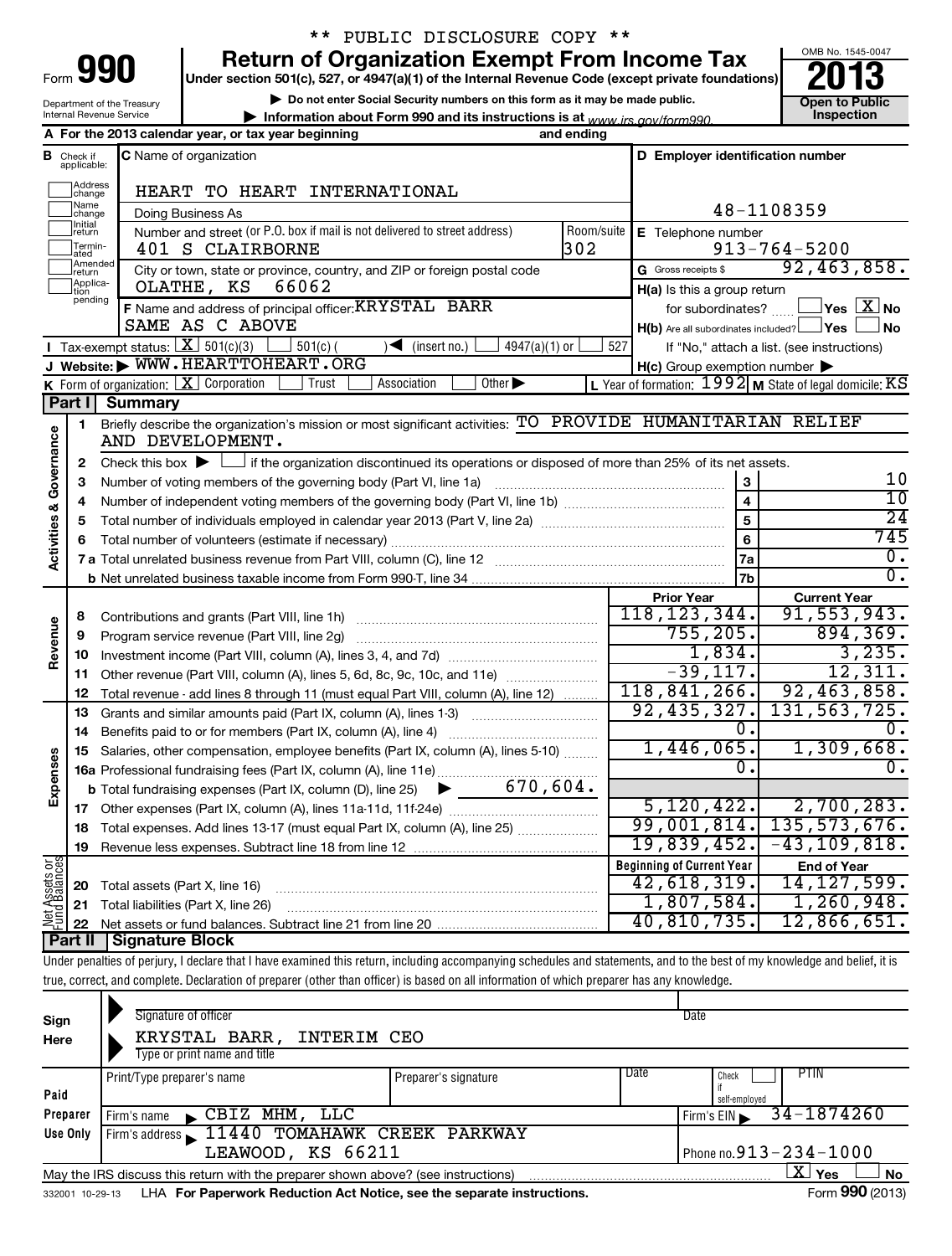| Form | IΟ<br>. . |
|------|-----------|
|      |           |

Department of the Treasury Internal Revenue Service

# \*\* PUBLIC DISCLOSURE COPY \*\*

**990** Return of Organization Exempt From Income Tax **Punce 13** 

**| Do not enter Social Security numbers on this form as it may be made public.**

**| Information about Form 990 and its instructions is at Inspection** *www.irs.gov/form990.*



| C Name of organization<br>D Employer identification number<br>Check if<br>в<br>applicable:<br>Address<br>HEART TO HEART INTERNATIONAL<br>change<br>Name<br>48-1108359<br>Doing Business As<br>change<br><b>Initial</b><br>Number and street (or P.O. box if mail is not delivered to street address)<br>Room/suite<br>E Telephone number<br> return<br>Termin-<br>302<br>$913 - 764 - 5200$<br>401 S CLAIRBORNE<br>ated<br>Amended<br>G Gross receipts \$<br>City or town, state or province, country, and ZIP or foreign postal code<br>return | 92,463,858.<br>$\sqrt{}$ Yes $\sqrt{ \text{X}}$ No<br>∫ No |
|-------------------------------------------------------------------------------------------------------------------------------------------------------------------------------------------------------------------------------------------------------------------------------------------------------------------------------------------------------------------------------------------------------------------------------------------------------------------------------------------------------------------------------------------------|------------------------------------------------------------|
|                                                                                                                                                                                                                                                                                                                                                                                                                                                                                                                                                 |                                                            |
|                                                                                                                                                                                                                                                                                                                                                                                                                                                                                                                                                 |                                                            |
|                                                                                                                                                                                                                                                                                                                                                                                                                                                                                                                                                 |                                                            |
|                                                                                                                                                                                                                                                                                                                                                                                                                                                                                                                                                 |                                                            |
|                                                                                                                                                                                                                                                                                                                                                                                                                                                                                                                                                 |                                                            |
|                                                                                                                                                                                                                                                                                                                                                                                                                                                                                                                                                 |                                                            |
| Applica-<br>66062<br>OLATHE, KS<br>$H(a)$ is this a group return<br>tion                                                                                                                                                                                                                                                                                                                                                                                                                                                                        |                                                            |
| pending<br>F Name and address of principal officer: KRYSTAL BARR<br>for subordinates?                                                                                                                                                                                                                                                                                                                                                                                                                                                           |                                                            |
| SAME AS C ABOVE<br>$H(b)$ Are all subordinates included? $\Box$ Yes                                                                                                                                                                                                                                                                                                                                                                                                                                                                             |                                                            |
| Tax-exempt status: $X \ 501(c)(3)$<br>$\sqrt{\bullet}$ (insert no.)<br>$501(c)$ (<br>4947(a)(1) or<br>527<br>If "No," attach a list. (see instructions)                                                                                                                                                                                                                                                                                                                                                                                         |                                                            |
| J Website: WWW.HEARTTOHEART.ORG<br>$H(c)$ Group exemption number $\blacktriangleright$                                                                                                                                                                                                                                                                                                                                                                                                                                                          |                                                            |
| K Form of organization: $X$ Corporation<br>L Year of formation: $1992$ M State of legal domicile: KS<br>Trust<br>Association<br>Other $\blacktriangleright$                                                                                                                                                                                                                                                                                                                                                                                     |                                                            |
| Part I Summary                                                                                                                                                                                                                                                                                                                                                                                                                                                                                                                                  |                                                            |
| Briefly describe the organization's mission or most significant activities: TO PROVIDE HUMANITARIAN RELIEF<br>1                                                                                                                                                                                                                                                                                                                                                                                                                                 |                                                            |
| Activities & Governance<br>AND DEVELOPMENT.                                                                                                                                                                                                                                                                                                                                                                                                                                                                                                     |                                                            |
| Check this box $\blacktriangleright$ $\Box$ if the organization discontinued its operations or disposed of more than 25% of its net assets.<br>2                                                                                                                                                                                                                                                                                                                                                                                                | 10                                                         |
| 3<br>3<br>$\overline{4}$                                                                                                                                                                                                                                                                                                                                                                                                                                                                                                                        | 10                                                         |
| 4<br>$\overline{5}$                                                                                                                                                                                                                                                                                                                                                                                                                                                                                                                             | $\overline{24}$                                            |
| 5<br>$6\phantom{a}$                                                                                                                                                                                                                                                                                                                                                                                                                                                                                                                             | 745                                                        |
| 6<br>7a                                                                                                                                                                                                                                                                                                                                                                                                                                                                                                                                         | Ο.                                                         |
| 7 <sub>b</sub>                                                                                                                                                                                                                                                                                                                                                                                                                                                                                                                                  | σ.                                                         |
| <b>Prior Year</b>                                                                                                                                                                                                                                                                                                                                                                                                                                                                                                                               | <b>Current Year</b>                                        |
| 118, 123, 344.<br>8                                                                                                                                                                                                                                                                                                                                                                                                                                                                                                                             | 91, 553, 943.                                              |
| 755, 205.<br>9<br>Program service revenue (Part VIII, line 2g)                                                                                                                                                                                                                                                                                                                                                                                                                                                                                  | 894, 369.                                                  |
| Revenue<br>1,834.<br>10                                                                                                                                                                                                                                                                                                                                                                                                                                                                                                                         | 3, 235.                                                    |
| $-39,117.$<br>Other revenue (Part VIII, column (A), lines 5, 6d, 8c, 9c, 10c, and 11e)<br>11                                                                                                                                                                                                                                                                                                                                                                                                                                                    | 12,311.                                                    |
| 118, 841, 266.<br>12<br>Total revenue - add lines 8 through 11 (must equal Part VIII, column (A), line 12)                                                                                                                                                                                                                                                                                                                                                                                                                                      | 92,463,858.                                                |
| 92, 435, 327.<br>13<br>Grants and similar amounts paid (Part IX, column (A), lines 1-3)                                                                                                                                                                                                                                                                                                                                                                                                                                                         | 131, 563, 725.                                             |
| 0.<br>14                                                                                                                                                                                                                                                                                                                                                                                                                                                                                                                                        |                                                            |
| 1,446,065.<br>Salaries, other compensation, employee benefits (Part IX, column (A), lines 5-10)<br>15                                                                                                                                                                                                                                                                                                                                                                                                                                           | 1,309,668.                                                 |
| 0.<br>16a Professional fundraising fees (Part IX, column (A), line 11e)                                                                                                                                                                                                                                                                                                                                                                                                                                                                         | 0.                                                         |
| Expenses<br><b>b</b> Total fundraising expenses (Part IX, column (D), line 25) $\bullet$ 670, 604.                                                                                                                                                                                                                                                                                                                                                                                                                                              |                                                            |
| 5, 120, 422.                                                                                                                                                                                                                                                                                                                                                                                                                                                                                                                                    | 2,700,283.                                                 |
| 99,001,814. 135,573,676.<br>18 Total expenses. Add lines 13-17 (must equal Part IX, column (A), line 25)                                                                                                                                                                                                                                                                                                                                                                                                                                        |                                                            |
| $19,839,452. -43,109,818.$<br>19                                                                                                                                                                                                                                                                                                                                                                                                                                                                                                                |                                                            |
| Net Assets or<br><b>Beginning of Current Year</b><br>42,618,319.                                                                                                                                                                                                                                                                                                                                                                                                                                                                                | <b>End of Year</b>                                         |
| Total assets (Part X, line 16)<br>20<br>1,807,584.                                                                                                                                                                                                                                                                                                                                                                                                                                                                                              | 14, 127, 599.<br>1,260,948.                                |
| Total liabilities (Part X, line 26)<br>21<br>40,810,735.                                                                                                                                                                                                                                                                                                                                                                                                                                                                                        | 12,866,651.                                                |
| 22<br>Signature Block<br>  Part II                                                                                                                                                                                                                                                                                                                                                                                                                                                                                                              |                                                            |
| Under penalties of perjury, I declare that I have examined this return, including accompanying schedules and statements, and to the best of my knowledge and belief, it is                                                                                                                                                                                                                                                                                                                                                                      |                                                            |

true, correct, and complete. Declaration of preparer (other than officer) is based on all information of which preparer has any knowledge.

| Sign<br>Here                                                                              | Signature of officer<br>KRYSTAL BARR,<br>INTERIM CEO<br>Type or print name and title |                      |                 | Date                                        |
|-------------------------------------------------------------------------------------------|--------------------------------------------------------------------------------------|----------------------|-----------------|---------------------------------------------|
| Paid                                                                                      | Print/Type preparer's name                                                           | Preparer's signature | Date            | <b>PTIN</b><br>Check                        |
| Preparer                                                                                  | $\angle$ CBIZ MHM, LLC<br>i Firm's name                                              |                      |                 | self-employed<br>34-1874260<br>Firm's $EIN$ |
| Use Only                                                                                  | Firm's address 11440 TOMAHAWK CREEK PARKWAY<br>LEAWOOD, KS 66211                     |                      |                 | Phone no. $913 - 234 - 1000$                |
|                                                                                           | May the IRS discuss this return with the preparer shown above? (see instructions)    |                      |                 | X.<br>Yes<br><b>No</b>                      |
| LHA For Paperwork Reduction Act Notice, see the separate instructions.<br>332001 10-29-13 |                                                                                      |                      | Form 990 (2013) |                                             |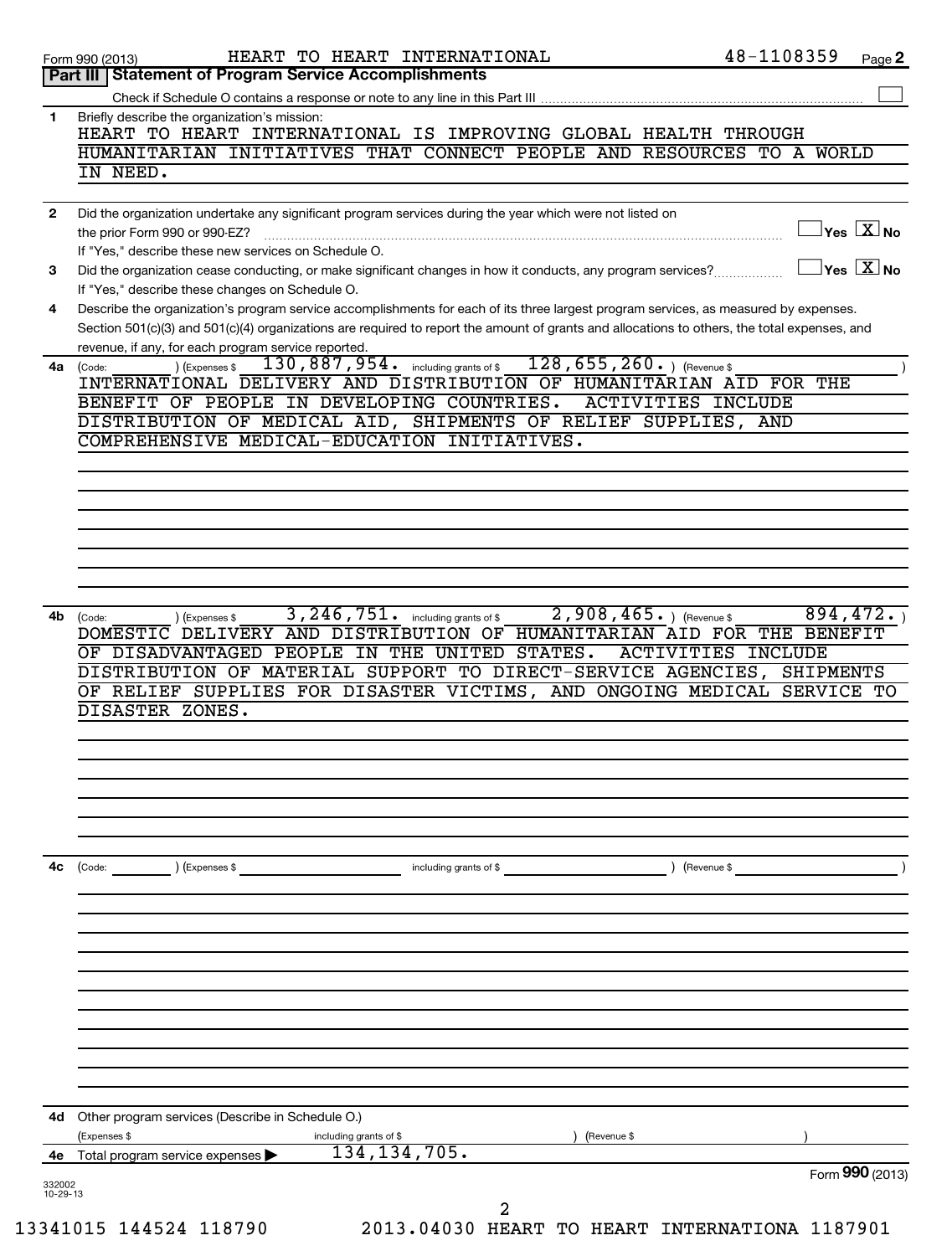| Part III   Statement of Program Service Accomplishments<br>Briefly describe the organization's mission:<br>1<br>HEART TO HEART INTERNATIONAL IS IMPROVING GLOBAL HEALTH THROUGH<br>HUMANITARIAN INITIATIVES THAT CONNECT PEOPLE AND RESOURCES TO A WORLD<br>IN NEED.<br>Did the organization undertake any significant program services during the year which were not listed on<br>$\mathbf{2}$<br>the prior Form 990 or 990-EZ?<br>If "Yes," describe these new services on Schedule O.<br>Did the organization cease conducting, or make significant changes in how it conducts, any program services?<br>3<br>If "Yes," describe these changes on Schedule O.<br>Describe the organization's program service accomplishments for each of its three largest program services, as measured by expenses.<br>4<br>Section 501(c)(3) and 501(c)(4) organizations are required to report the amount of grants and allocations to others, the total expenses, and<br>revenue, if any, for each program service reported.<br>$128, 655, 260.$ (Revenue \$<br>130, 887, 954. including grants of \$<br>) (Expenses \$<br>4a<br>(Code:<br>INTERNATIONAL DELIVERY AND DISTRIBUTION OF HUMANITARIAN AID FOR THE<br>BENEFIT OF PEOPLE IN DEVELOPING COUNTRIES.<br><b>ACTIVITIES INCLUDE</b><br>DISTRIBUTION OF MEDICAL AID, SHIPMENTS OF RELIEF SUPPLIES, AND<br>COMPREHENSIVE MEDICAL-EDUCATION INITIATIVES.<br>3, 246, 751.<br>$2,908,465.$ (Revenue \$)<br>including grants of \$<br>4b<br>) (Expenses \$<br>(Code:<br>DOMESTIC DELIVERY AND DISTRIBUTION OF HUMANITARIAN AID FOR THE BENEFIT<br>OF DISADVANTAGED PEOPLE<br>IN THE UNITED<br>STATES.<br><b>ACTIVITIES INCLUDE</b><br>DISTRIBUTION OF MATERIAL SUPPORT TO DIRECT-SERVICE AGENCIES,<br>OF RELIEF SUPPLIES FOR DISASTER VICTIMS, AND ONGOING MEDICAL SERVICE TO | $ {\mathsf Y}\mathsf{es}\ \boxed{{\mathsf X}}$ No<br>$Yes$ $\boxed{\text{X}}$ No |
|------------------------------------------------------------------------------------------------------------------------------------------------------------------------------------------------------------------------------------------------------------------------------------------------------------------------------------------------------------------------------------------------------------------------------------------------------------------------------------------------------------------------------------------------------------------------------------------------------------------------------------------------------------------------------------------------------------------------------------------------------------------------------------------------------------------------------------------------------------------------------------------------------------------------------------------------------------------------------------------------------------------------------------------------------------------------------------------------------------------------------------------------------------------------------------------------------------------------------------------------------------------------------------------------------------------------------------------------------------------------------------------------------------------------------------------------------------------------------------------------------------------------------------------------------------------------------------------------------------------------------------------------------------------------------------------------------------------------------------------------------------------------------------------------------------------------|----------------------------------------------------------------------------------|
|                                                                                                                                                                                                                                                                                                                                                                                                                                                                                                                                                                                                                                                                                                                                                                                                                                                                                                                                                                                                                                                                                                                                                                                                                                                                                                                                                                                                                                                                                                                                                                                                                                                                                                                                                                                                                        |                                                                                  |
|                                                                                                                                                                                                                                                                                                                                                                                                                                                                                                                                                                                                                                                                                                                                                                                                                                                                                                                                                                                                                                                                                                                                                                                                                                                                                                                                                                                                                                                                                                                                                                                                                                                                                                                                                                                                                        |                                                                                  |
|                                                                                                                                                                                                                                                                                                                                                                                                                                                                                                                                                                                                                                                                                                                                                                                                                                                                                                                                                                                                                                                                                                                                                                                                                                                                                                                                                                                                                                                                                                                                                                                                                                                                                                                                                                                                                        |                                                                                  |
|                                                                                                                                                                                                                                                                                                                                                                                                                                                                                                                                                                                                                                                                                                                                                                                                                                                                                                                                                                                                                                                                                                                                                                                                                                                                                                                                                                                                                                                                                                                                                                                                                                                                                                                                                                                                                        |                                                                                  |
|                                                                                                                                                                                                                                                                                                                                                                                                                                                                                                                                                                                                                                                                                                                                                                                                                                                                                                                                                                                                                                                                                                                                                                                                                                                                                                                                                                                                                                                                                                                                                                                                                                                                                                                                                                                                                        |                                                                                  |
|                                                                                                                                                                                                                                                                                                                                                                                                                                                                                                                                                                                                                                                                                                                                                                                                                                                                                                                                                                                                                                                                                                                                                                                                                                                                                                                                                                                                                                                                                                                                                                                                                                                                                                                                                                                                                        |                                                                                  |
|                                                                                                                                                                                                                                                                                                                                                                                                                                                                                                                                                                                                                                                                                                                                                                                                                                                                                                                                                                                                                                                                                                                                                                                                                                                                                                                                                                                                                                                                                                                                                                                                                                                                                                                                                                                                                        |                                                                                  |
|                                                                                                                                                                                                                                                                                                                                                                                                                                                                                                                                                                                                                                                                                                                                                                                                                                                                                                                                                                                                                                                                                                                                                                                                                                                                                                                                                                                                                                                                                                                                                                                                                                                                                                                                                                                                                        |                                                                                  |
|                                                                                                                                                                                                                                                                                                                                                                                                                                                                                                                                                                                                                                                                                                                                                                                                                                                                                                                                                                                                                                                                                                                                                                                                                                                                                                                                                                                                                                                                                                                                                                                                                                                                                                                                                                                                                        |                                                                                  |
|                                                                                                                                                                                                                                                                                                                                                                                                                                                                                                                                                                                                                                                                                                                                                                                                                                                                                                                                                                                                                                                                                                                                                                                                                                                                                                                                                                                                                                                                                                                                                                                                                                                                                                                                                                                                                        |                                                                                  |
|                                                                                                                                                                                                                                                                                                                                                                                                                                                                                                                                                                                                                                                                                                                                                                                                                                                                                                                                                                                                                                                                                                                                                                                                                                                                                                                                                                                                                                                                                                                                                                                                                                                                                                                                                                                                                        |                                                                                  |
|                                                                                                                                                                                                                                                                                                                                                                                                                                                                                                                                                                                                                                                                                                                                                                                                                                                                                                                                                                                                                                                                                                                                                                                                                                                                                                                                                                                                                                                                                                                                                                                                                                                                                                                                                                                                                        |                                                                                  |
|                                                                                                                                                                                                                                                                                                                                                                                                                                                                                                                                                                                                                                                                                                                                                                                                                                                                                                                                                                                                                                                                                                                                                                                                                                                                                                                                                                                                                                                                                                                                                                                                                                                                                                                                                                                                                        |                                                                                  |
|                                                                                                                                                                                                                                                                                                                                                                                                                                                                                                                                                                                                                                                                                                                                                                                                                                                                                                                                                                                                                                                                                                                                                                                                                                                                                                                                                                                                                                                                                                                                                                                                                                                                                                                                                                                                                        |                                                                                  |
|                                                                                                                                                                                                                                                                                                                                                                                                                                                                                                                                                                                                                                                                                                                                                                                                                                                                                                                                                                                                                                                                                                                                                                                                                                                                                                                                                                                                                                                                                                                                                                                                                                                                                                                                                                                                                        |                                                                                  |
|                                                                                                                                                                                                                                                                                                                                                                                                                                                                                                                                                                                                                                                                                                                                                                                                                                                                                                                                                                                                                                                                                                                                                                                                                                                                                                                                                                                                                                                                                                                                                                                                                                                                                                                                                                                                                        |                                                                                  |
|                                                                                                                                                                                                                                                                                                                                                                                                                                                                                                                                                                                                                                                                                                                                                                                                                                                                                                                                                                                                                                                                                                                                                                                                                                                                                                                                                                                                                                                                                                                                                                                                                                                                                                                                                                                                                        |                                                                                  |
|                                                                                                                                                                                                                                                                                                                                                                                                                                                                                                                                                                                                                                                                                                                                                                                                                                                                                                                                                                                                                                                                                                                                                                                                                                                                                                                                                                                                                                                                                                                                                                                                                                                                                                                                                                                                                        |                                                                                  |
|                                                                                                                                                                                                                                                                                                                                                                                                                                                                                                                                                                                                                                                                                                                                                                                                                                                                                                                                                                                                                                                                                                                                                                                                                                                                                                                                                                                                                                                                                                                                                                                                                                                                                                                                                                                                                        |                                                                                  |
|                                                                                                                                                                                                                                                                                                                                                                                                                                                                                                                                                                                                                                                                                                                                                                                                                                                                                                                                                                                                                                                                                                                                                                                                                                                                                                                                                                                                                                                                                                                                                                                                                                                                                                                                                                                                                        |                                                                                  |
|                                                                                                                                                                                                                                                                                                                                                                                                                                                                                                                                                                                                                                                                                                                                                                                                                                                                                                                                                                                                                                                                                                                                                                                                                                                                                                                                                                                                                                                                                                                                                                                                                                                                                                                                                                                                                        | 894,472.                                                                         |
|                                                                                                                                                                                                                                                                                                                                                                                                                                                                                                                                                                                                                                                                                                                                                                                                                                                                                                                                                                                                                                                                                                                                                                                                                                                                                                                                                                                                                                                                                                                                                                                                                                                                                                                                                                                                                        |                                                                                  |
|                                                                                                                                                                                                                                                                                                                                                                                                                                                                                                                                                                                                                                                                                                                                                                                                                                                                                                                                                                                                                                                                                                                                                                                                                                                                                                                                                                                                                                                                                                                                                                                                                                                                                                                                                                                                                        | <b>SHIPMENTS</b>                                                                 |
|                                                                                                                                                                                                                                                                                                                                                                                                                                                                                                                                                                                                                                                                                                                                                                                                                                                                                                                                                                                                                                                                                                                                                                                                                                                                                                                                                                                                                                                                                                                                                                                                                                                                                                                                                                                                                        |                                                                                  |
| DISASTER ZONES.                                                                                                                                                                                                                                                                                                                                                                                                                                                                                                                                                                                                                                                                                                                                                                                                                                                                                                                                                                                                                                                                                                                                                                                                                                                                                                                                                                                                                                                                                                                                                                                                                                                                                                                                                                                                        |                                                                                  |
|                                                                                                                                                                                                                                                                                                                                                                                                                                                                                                                                                                                                                                                                                                                                                                                                                                                                                                                                                                                                                                                                                                                                                                                                                                                                                                                                                                                                                                                                                                                                                                                                                                                                                                                                                                                                                        |                                                                                  |
|                                                                                                                                                                                                                                                                                                                                                                                                                                                                                                                                                                                                                                                                                                                                                                                                                                                                                                                                                                                                                                                                                                                                                                                                                                                                                                                                                                                                                                                                                                                                                                                                                                                                                                                                                                                                                        |                                                                                  |
|                                                                                                                                                                                                                                                                                                                                                                                                                                                                                                                                                                                                                                                                                                                                                                                                                                                                                                                                                                                                                                                                                                                                                                                                                                                                                                                                                                                                                                                                                                                                                                                                                                                                                                                                                                                                                        |                                                                                  |
|                                                                                                                                                                                                                                                                                                                                                                                                                                                                                                                                                                                                                                                                                                                                                                                                                                                                                                                                                                                                                                                                                                                                                                                                                                                                                                                                                                                                                                                                                                                                                                                                                                                                                                                                                                                                                        |                                                                                  |
|                                                                                                                                                                                                                                                                                                                                                                                                                                                                                                                                                                                                                                                                                                                                                                                                                                                                                                                                                                                                                                                                                                                                                                                                                                                                                                                                                                                                                                                                                                                                                                                                                                                                                                                                                                                                                        |                                                                                  |
| 4с<br>) (Revenue \$<br>(Code:<br>(Expenses \$<br>including grants of $$$                                                                                                                                                                                                                                                                                                                                                                                                                                                                                                                                                                                                                                                                                                                                                                                                                                                                                                                                                                                                                                                                                                                                                                                                                                                                                                                                                                                                                                                                                                                                                                                                                                                                                                                                               |                                                                                  |
|                                                                                                                                                                                                                                                                                                                                                                                                                                                                                                                                                                                                                                                                                                                                                                                                                                                                                                                                                                                                                                                                                                                                                                                                                                                                                                                                                                                                                                                                                                                                                                                                                                                                                                                                                                                                                        |                                                                                  |
|                                                                                                                                                                                                                                                                                                                                                                                                                                                                                                                                                                                                                                                                                                                                                                                                                                                                                                                                                                                                                                                                                                                                                                                                                                                                                                                                                                                                                                                                                                                                                                                                                                                                                                                                                                                                                        |                                                                                  |
|                                                                                                                                                                                                                                                                                                                                                                                                                                                                                                                                                                                                                                                                                                                                                                                                                                                                                                                                                                                                                                                                                                                                                                                                                                                                                                                                                                                                                                                                                                                                                                                                                                                                                                                                                                                                                        |                                                                                  |
|                                                                                                                                                                                                                                                                                                                                                                                                                                                                                                                                                                                                                                                                                                                                                                                                                                                                                                                                                                                                                                                                                                                                                                                                                                                                                                                                                                                                                                                                                                                                                                                                                                                                                                                                                                                                                        |                                                                                  |
|                                                                                                                                                                                                                                                                                                                                                                                                                                                                                                                                                                                                                                                                                                                                                                                                                                                                                                                                                                                                                                                                                                                                                                                                                                                                                                                                                                                                                                                                                                                                                                                                                                                                                                                                                                                                                        |                                                                                  |
|                                                                                                                                                                                                                                                                                                                                                                                                                                                                                                                                                                                                                                                                                                                                                                                                                                                                                                                                                                                                                                                                                                                                                                                                                                                                                                                                                                                                                                                                                                                                                                                                                                                                                                                                                                                                                        |                                                                                  |
|                                                                                                                                                                                                                                                                                                                                                                                                                                                                                                                                                                                                                                                                                                                                                                                                                                                                                                                                                                                                                                                                                                                                                                                                                                                                                                                                                                                                                                                                                                                                                                                                                                                                                                                                                                                                                        |                                                                                  |
|                                                                                                                                                                                                                                                                                                                                                                                                                                                                                                                                                                                                                                                                                                                                                                                                                                                                                                                                                                                                                                                                                                                                                                                                                                                                                                                                                                                                                                                                                                                                                                                                                                                                                                                                                                                                                        |                                                                                  |
| Other program services (Describe in Schedule O.)<br>4d                                                                                                                                                                                                                                                                                                                                                                                                                                                                                                                                                                                                                                                                                                                                                                                                                                                                                                                                                                                                                                                                                                                                                                                                                                                                                                                                                                                                                                                                                                                                                                                                                                                                                                                                                                 |                                                                                  |
| (Expenses \$<br>including grants of \$<br>(Revenue \$<br>134, 134, 705.<br>4e Total program service expenses                                                                                                                                                                                                                                                                                                                                                                                                                                                                                                                                                                                                                                                                                                                                                                                                                                                                                                                                                                                                                                                                                                                                                                                                                                                                                                                                                                                                                                                                                                                                                                                                                                                                                                           |                                                                                  |
|                                                                                                                                                                                                                                                                                                                                                                                                                                                                                                                                                                                                                                                                                                                                                                                                                                                                                                                                                                                                                                                                                                                                                                                                                                                                                                                                                                                                                                                                                                                                                                                                                                                                                                                                                                                                                        |                                                                                  |
| 332002<br>10-29-13<br>2                                                                                                                                                                                                                                                                                                                                                                                                                                                                                                                                                                                                                                                                                                                                                                                                                                                                                                                                                                                                                                                                                                                                                                                                                                                                                                                                                                                                                                                                                                                                                                                                                                                                                                                                                                                                | Form 990 (2013)                                                                  |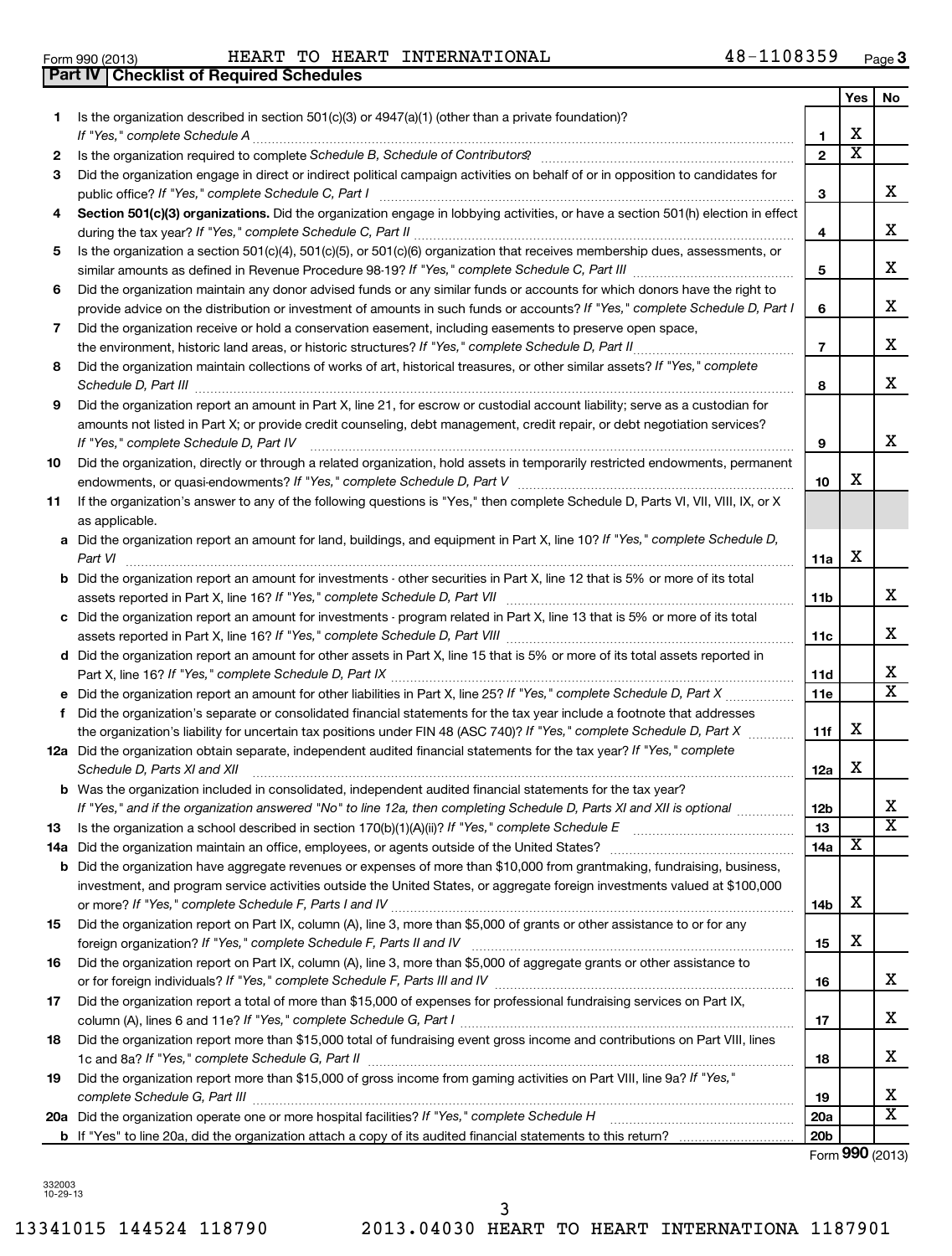Form 990 (2013) Page HEART TO HEART INTERNATIONAL 48-1108359

**3**

|     | <b>Part IV   Checklist of Required Schedules</b>                                                                                                                                                                                                                                                                                                                   |                 |     |                         |
|-----|--------------------------------------------------------------------------------------------------------------------------------------------------------------------------------------------------------------------------------------------------------------------------------------------------------------------------------------------------------------------|-----------------|-----|-------------------------|
|     |                                                                                                                                                                                                                                                                                                                                                                    |                 | Yes | No                      |
| 1.  | Is the organization described in section 501(c)(3) or 4947(a)(1) (other than a private foundation)?                                                                                                                                                                                                                                                                |                 |     |                         |
|     |                                                                                                                                                                                                                                                                                                                                                                    | $\mathbf{1}$    | х   |                         |
| 2   |                                                                                                                                                                                                                                                                                                                                                                    | $\mathbf{2}$    | x   |                         |
| 3   | Did the organization engage in direct or indirect political campaign activities on behalf of or in opposition to candidates for                                                                                                                                                                                                                                    |                 |     |                         |
|     |                                                                                                                                                                                                                                                                                                                                                                    | 3               |     | x                       |
| 4   | Section 501(c)(3) organizations. Did the organization engage in lobbying activities, or have a section 501(h) election in effect                                                                                                                                                                                                                                   |                 |     |                         |
|     |                                                                                                                                                                                                                                                                                                                                                                    | 4               |     | x                       |
| 5   | Is the organization a section 501(c)(4), 501(c)(5), or 501(c)(6) organization that receives membership dues, assessments, or                                                                                                                                                                                                                                       |                 |     |                         |
|     |                                                                                                                                                                                                                                                                                                                                                                    | 5               |     | x                       |
| 6   | Did the organization maintain any donor advised funds or any similar funds or accounts for which donors have the right to                                                                                                                                                                                                                                          |                 |     |                         |
|     | provide advice on the distribution or investment of amounts in such funds or accounts? If "Yes," complete Schedule D, Part I                                                                                                                                                                                                                                       | 6               |     | x                       |
| 7   | Did the organization receive or hold a conservation easement, including easements to preserve open space,                                                                                                                                                                                                                                                          |                 |     |                         |
|     | the environment, historic land areas, or historic structures? If "Yes," complete Schedule D, Part II                                                                                                                                                                                                                                                               | $\overline{7}$  |     | x                       |
| 8   | Did the organization maintain collections of works of art, historical treasures, or other similar assets? If "Yes," complete<br>Schedule D, Part III <b>Marting Community</b> Contract and Technical Community Contract of Technical Community Contract and Community Community Contract and Community Community Community Community Community Community Community | 8               |     | x                       |
| 9   | Did the organization report an amount in Part X, line 21, for escrow or custodial account liability; serve as a custodian for                                                                                                                                                                                                                                      |                 |     |                         |
|     | amounts not listed in Part X; or provide credit counseling, debt management, credit repair, or debt negotiation services?                                                                                                                                                                                                                                          |                 |     |                         |
|     | If "Yes," complete Schedule D, Part IV                                                                                                                                                                                                                                                                                                                             | 9               |     | x                       |
| 10  | Did the organization, directly or through a related organization, hold assets in temporarily restricted endowments, permanent                                                                                                                                                                                                                                      |                 |     |                         |
|     |                                                                                                                                                                                                                                                                                                                                                                    | 10              | х   |                         |
|     | If the organization's answer to any of the following questions is "Yes," then complete Schedule D, Parts VI, VII, VIII, IX, or X                                                                                                                                                                                                                                   |                 |     |                         |
| 11  |                                                                                                                                                                                                                                                                                                                                                                    |                 |     |                         |
|     | as applicable.                                                                                                                                                                                                                                                                                                                                                     |                 |     |                         |
|     | a Did the organization report an amount for land, buildings, and equipment in Part X, line 10? If "Yes," complete Schedule D,<br>Part VI                                                                                                                                                                                                                           | 11a             | Х   |                         |
|     | <b>b</b> Did the organization report an amount for investments - other securities in Part X, line 12 that is 5% or more of its total                                                                                                                                                                                                                               |                 |     |                         |
|     |                                                                                                                                                                                                                                                                                                                                                                    | 11b             |     | x                       |
|     | c Did the organization report an amount for investments - program related in Part X, line 13 that is 5% or more of its total                                                                                                                                                                                                                                       |                 |     |                         |
|     |                                                                                                                                                                                                                                                                                                                                                                    | 11c             |     | x                       |
|     | d Did the organization report an amount for other assets in Part X, line 15 that is 5% or more of its total assets reported in                                                                                                                                                                                                                                     |                 |     |                         |
|     |                                                                                                                                                                                                                                                                                                                                                                    | 11d             |     | х                       |
|     |                                                                                                                                                                                                                                                                                                                                                                    | 11e             |     | $\overline{\textbf{x}}$ |
| f   | Did the organization's separate or consolidated financial statements for the tax year include a footnote that addresses                                                                                                                                                                                                                                            |                 |     |                         |
|     | the organization's liability for uncertain tax positions under FIN 48 (ASC 740)? If "Yes," complete Schedule D, Part X                                                                                                                                                                                                                                             | 11f             | х   |                         |
|     | 12a Did the organization obtain separate, independent audited financial statements for the tax year? If "Yes," complete                                                                                                                                                                                                                                            |                 |     |                         |
|     | Schedule D, Parts XI and XII                                                                                                                                                                                                                                                                                                                                       |                 | х   |                         |
|     | <b>b</b> Was the organization included in consolidated, independent audited financial statements for the tax year?                                                                                                                                                                                                                                                 | 12a             |     |                         |
|     |                                                                                                                                                                                                                                                                                                                                                                    |                 |     | х                       |
|     | If "Yes," and if the organization answered "No" to line 12a, then completing Schedule D, Parts XI and XII is optional <i>manimary</i>                                                                                                                                                                                                                              | 12b             |     | $\overline{\textbf{x}}$ |
| 13  |                                                                                                                                                                                                                                                                                                                                                                    | 13              | x   |                         |
| 14a |                                                                                                                                                                                                                                                                                                                                                                    | 14a             |     |                         |
| b   | Did the organization have aggregate revenues or expenses of more than \$10,000 from grantmaking, fundraising, business,                                                                                                                                                                                                                                            |                 |     |                         |
|     | investment, and program service activities outside the United States, or aggregate foreign investments valued at \$100,000                                                                                                                                                                                                                                         | 14b             | х   |                         |
| 15  | Did the organization report on Part IX, column (A), line 3, more than \$5,000 of grants or other assistance to or for any                                                                                                                                                                                                                                          |                 |     |                         |
|     |                                                                                                                                                                                                                                                                                                                                                                    | 15              | х   |                         |
| 16  | Did the organization report on Part IX, column (A), line 3, more than \$5,000 of aggregate grants or other assistance to                                                                                                                                                                                                                                           |                 |     |                         |
|     |                                                                                                                                                                                                                                                                                                                                                                    | 16              |     | x                       |
| 17  | Did the organization report a total of more than \$15,000 of expenses for professional fundraising services on Part IX,                                                                                                                                                                                                                                            |                 |     |                         |
|     |                                                                                                                                                                                                                                                                                                                                                                    | 17              |     | х                       |
| 18  | Did the organization report more than \$15,000 total of fundraising event gross income and contributions on Part VIII, lines                                                                                                                                                                                                                                       |                 |     |                         |
|     |                                                                                                                                                                                                                                                                                                                                                                    | 18              |     | х                       |
| 19  | Did the organization report more than \$15,000 of gross income from gaming activities on Part VIII, line 9a? If "Yes,"                                                                                                                                                                                                                                             |                 |     |                         |
|     |                                                                                                                                                                                                                                                                                                                                                                    | 19              |     | х                       |
|     |                                                                                                                                                                                                                                                                                                                                                                    | <b>20a</b>      |     | $\overline{\textbf{x}}$ |
|     |                                                                                                                                                                                                                                                                                                                                                                    | 20 <sub>b</sub> |     |                         |
|     |                                                                                                                                                                                                                                                                                                                                                                    |                 |     |                         |

Form (2013) **990**

3

332003 10-29-13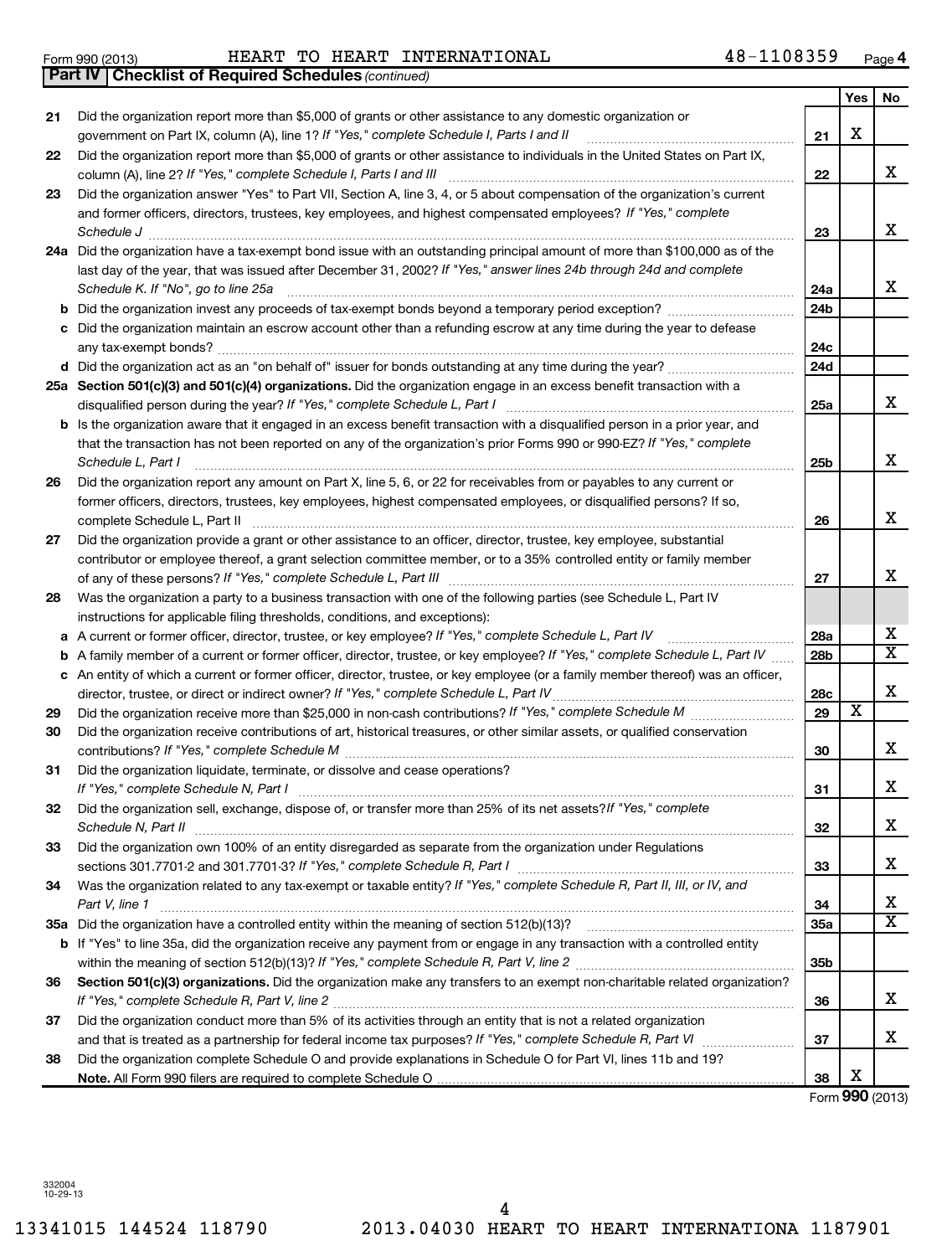13341015 144524 118790 2013.04030 HEART TO HEART INTERNATIONA 1187901 4

|    | Schedule J                                                                                                                          | 23              |                         | X.                           |
|----|-------------------------------------------------------------------------------------------------------------------------------------|-----------------|-------------------------|------------------------------|
|    | 24a Did the organization have a tax-exempt bond issue with an outstanding principal amount of more than \$100,000 as of the         |                 |                         |                              |
|    | last day of the year, that was issued after December 31, 2002? If "Yes," answer lines 24b through 24d and complete                  |                 |                         |                              |
|    | Schedule K. If "No", go to line 25a                                                                                                 | 24a             |                         | x                            |
|    |                                                                                                                                     | 24b             |                         |                              |
|    | c Did the organization maintain an escrow account other than a refunding escrow at any time during the year to defease              |                 |                         |                              |
|    |                                                                                                                                     | 24c             |                         |                              |
|    |                                                                                                                                     | 24d             |                         |                              |
|    | 25a Section 501(c)(3) and 501(c)(4) organizations. Did the organization engage in an excess benefit transaction with a              |                 |                         |                              |
|    | disqualified person during the year? If "Yes," complete Schedule L, Part I                                                          | 25a             |                         | x                            |
|    | b Is the organization aware that it engaged in an excess benefit transaction with a disqualified person in a prior year, and        |                 |                         |                              |
|    | that the transaction has not been reported on any of the organization's prior Forms 990 or 990-EZ? If "Yes," complete               |                 |                         |                              |
|    | Schedule L, Part I                                                                                                                  | 25b             |                         | x                            |
| 26 | Did the organization report any amount on Part X, line 5, 6, or 22 for receivables from or payables to any current or               |                 |                         |                              |
|    | former officers, directors, trustees, key employees, highest compensated employees, or disqualified persons? If so,                 |                 |                         |                              |
|    | complete Schedule L, Part II                                                                                                        | 26              |                         | x                            |
| 27 | Did the organization provide a grant or other assistance to an officer, director, trustee, key employee, substantial                |                 |                         |                              |
|    | contributor or employee thereof, a grant selection committee member, or to a 35% controlled entity or family member                 |                 |                         |                              |
|    |                                                                                                                                     | 27              |                         | x                            |
| 28 | Was the organization a party to a business transaction with one of the following parties (see Schedule L, Part IV                   |                 |                         |                              |
|    | instructions for applicable filing thresholds, conditions, and exceptions):                                                         |                 |                         |                              |
|    | a A current or former officer, director, trustee, or key employee? If "Yes," complete Schedule L, Part IV                           | 28a             |                         | x<br>$\overline{\texttt{x}}$ |
|    | <b>b</b> A family member of a current or former officer, director, trustee, or key employee? If "Yes," complete Schedule L, Part IV | 28 <sub>b</sub> |                         |                              |
|    | c An entity of which a current or former officer, director, trustee, or key employee (or a family member thereof) was an officer,   |                 |                         | х                            |
|    | director, trustee, or direct or indirect owner? If "Yes," complete Schedule L, Part IV                                              | 28c<br>29       | $\overline{\textbf{x}}$ |                              |
| 29 | Did the organization receive contributions of art, historical treasures, or other similar assets, or qualified conservation         |                 |                         |                              |
| 30 |                                                                                                                                     | 30              |                         | х                            |
| 31 | Did the organization liquidate, terminate, or dissolve and cease operations?                                                        |                 |                         |                              |
|    | If "Yes," complete Schedule N, Part I                                                                                               | 31              |                         | x                            |
| 32 | Did the organization sell, exchange, dispose of, or transfer more than 25% of its net assets? If "Yes," complete                    |                 |                         |                              |
|    | Schedule N, Part II                                                                                                                 | 32              |                         | x                            |
| 33 | Did the organization own 100% of an entity disregarded as separate from the organization under Regulations                          |                 |                         |                              |
|    |                                                                                                                                     | 33              |                         | х                            |
| 34 | Was the organization related to any tax-exempt or taxable entity? If "Yes," complete Schedule R, Part II, III, or IV, and           |                 |                         |                              |
|    | Part V, line 1                                                                                                                      | 34              |                         | x<br>x                       |
|    |                                                                                                                                     | 35a             |                         |                              |
|    | If "Yes" to line 35a, did the organization receive any payment from or engage in any transaction with a controlled entity           |                 |                         |                              |
|    | Section 501(c)(3) organizations. Did the organization make any transfers to an exempt non-charitable related organization?          | 35 <sub>b</sub> |                         |                              |
| 36 |                                                                                                                                     | 36              |                         | x                            |
|    | Did the organization conduct more than 5% of its activities through an entity that is not a related organization                    |                 |                         |                              |
| 37 |                                                                                                                                     | 37              |                         | x                            |
| 38 | Did the organization complete Schedule O and provide explanations in Schedule O for Part VI, lines 11b and 19?                      |                 |                         |                              |
|    |                                                                                                                                     | 38              | х                       |                              |
|    |                                                                                                                                     |                 |                         | Form 990 (2013)              |

Form 990 (2013) Page HEART TO HEART INTERNATIONAL 48-1108359

Did the organization report more than \$5,000 of grants or other assistance to any domestic organization or

**23** Did the organization answer "Yes" to Part VII, Section A, line 3, 4, or 5 about compensation of the organization's current

and former officers, directors, trustees, key employees, and highest compensated employees? If "Yes," complete

*If "Yes," complete Schedule I, Parts I and II* government on Part IX, column (A), line 1? ~~~~~~~~~~~~~~~~~~

Did the organization report more than \$5,000 of grants or other assistance to individuals in the United States on Part IX,

*If "Yes," complete Schedule I, Parts I and III* column (A), line 2? ~~~~~~~~~~~~~~~~~~~~~~~~~~~~~~

**21**

**22**

**23**

**Yes No**

X

X

X

**21**

**22**

| וכו טבע ווווט |                                                       | .♡ |  |
|---------------|-------------------------------------------------------|----|--|
|               | Part IV   Checklist of Required Schedules (continued) |    |  |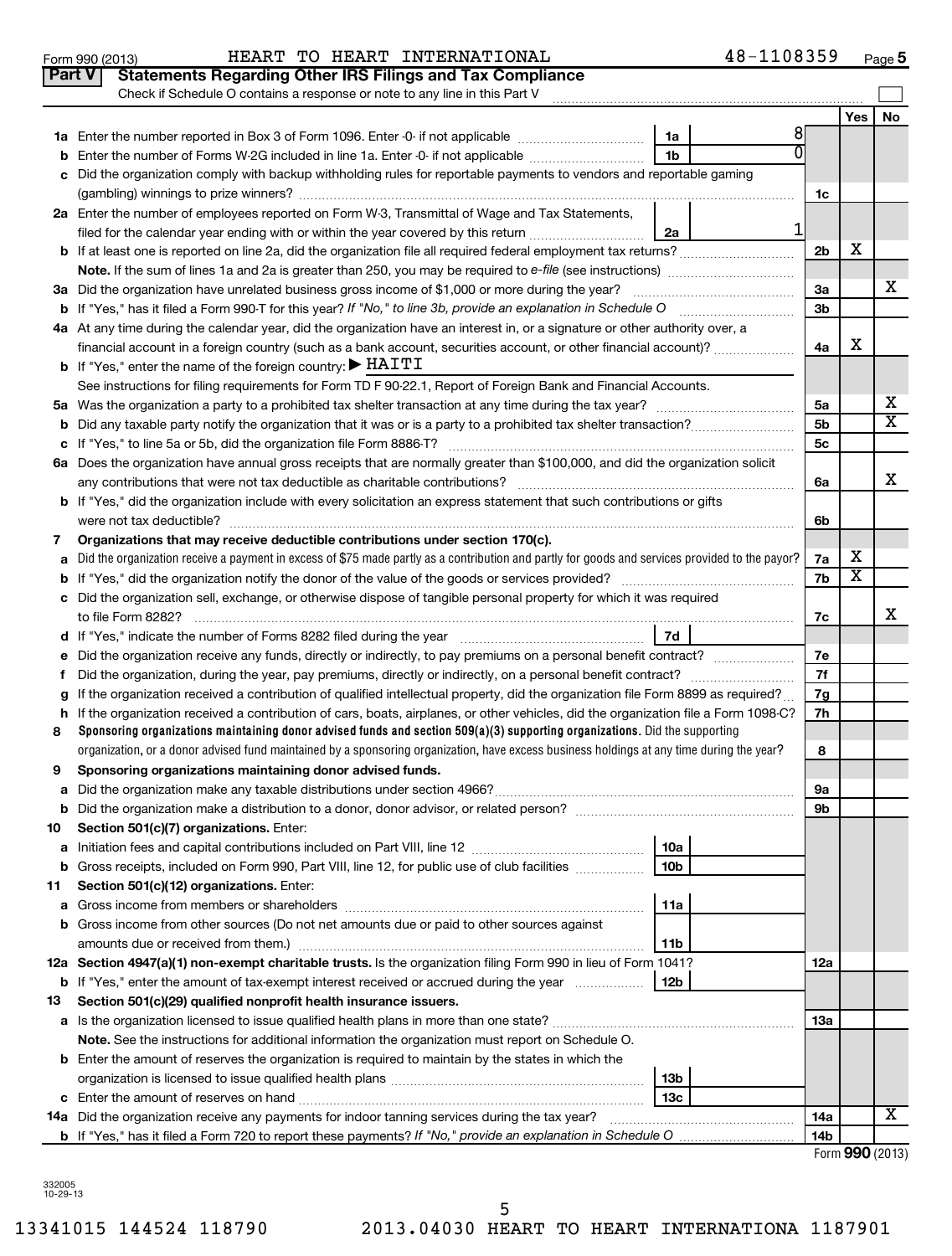| <b>Part V</b> | <b>Statements Regarding Other IRS Filings and Tax Compliance</b>                                                                                                                                      |                |     |                       |  |
|---------------|-------------------------------------------------------------------------------------------------------------------------------------------------------------------------------------------------------|----------------|-----|-----------------------|--|
|               | Check if Schedule O contains a response or note to any line in this Part V                                                                                                                            |                |     |                       |  |
|               | 81                                                                                                                                                                                                    |                | Yes | No                    |  |
|               | 1a<br>$\overline{0}$<br>1 <sub>b</sub>                                                                                                                                                                |                |     |                       |  |
| b             | Enter the number of Forms W-2G included in line 1a. Enter -0- if not applicable<br>Did the organization comply with backup withholding rules for reportable payments to vendors and reportable gaming |                |     |                       |  |
|               |                                                                                                                                                                                                       |                |     |                       |  |
|               | 2a Enter the number of employees reported on Form W-3, Transmittal of Wage and Tax Statements,                                                                                                        | 1c             |     |                       |  |
|               | 1                                                                                                                                                                                                     |                |     |                       |  |
|               | filed for the calendar year ending with or within the year covered by this return <i>manumumumum</i><br>2a                                                                                            | 2 <sub>b</sub> | X   |                       |  |
|               |                                                                                                                                                                                                       |                |     |                       |  |
|               | 3a Did the organization have unrelated business gross income of \$1,000 or more during the year?                                                                                                      | За             |     | x                     |  |
|               | <b>b</b> If "Yes," has it filed a Form 990-T for this year? If "No," to line 3b, provide an explanation in Schedule O                                                                                 | 3 <sub>b</sub> |     |                       |  |
|               | 4a At any time during the calendar year, did the organization have an interest in, or a signature or other authority over, a                                                                          |                |     |                       |  |
|               | financial account in a foreign country (such as a bank account, securities account, or other financial account)?                                                                                      | 4a             | х   |                       |  |
|               | <b>b</b> If "Yes," enter the name of the foreign country: $\blacktriangleright$ HAITI                                                                                                                 |                |     |                       |  |
|               | See instructions for filing requirements for Form TD F 90-22.1, Report of Foreign Bank and Financial Accounts.                                                                                        |                |     |                       |  |
|               |                                                                                                                                                                                                       | 5a             |     | х                     |  |
| b             |                                                                                                                                                                                                       | 5 <sub>b</sub> |     | $\overline{\text{x}}$ |  |
|               |                                                                                                                                                                                                       |                |     |                       |  |
|               | 6a Does the organization have annual gross receipts that are normally greater than \$100,000, and did the organization solicit                                                                        |                |     |                       |  |
|               |                                                                                                                                                                                                       | 6a             |     | X                     |  |
|               | <b>b</b> If "Yes," did the organization include with every solicitation an express statement that such contributions or gifts                                                                         |                |     |                       |  |
|               |                                                                                                                                                                                                       | 6b             |     |                       |  |
| 7             | Organizations that may receive deductible contributions under section 170(c).                                                                                                                         |                |     |                       |  |
| a             | Did the organization receive a payment in excess of \$75 made partly as a contribution and partly for goods and services provided to the payor?                                                       | 7a             | х   |                       |  |
|               |                                                                                                                                                                                                       |                |     |                       |  |
|               | c Did the organization sell, exchange, or otherwise dispose of tangible personal property for which it was required                                                                                   |                |     |                       |  |
|               |                                                                                                                                                                                                       | 7c             |     | х                     |  |
|               | 7d                                                                                                                                                                                                    |                |     |                       |  |
| е             |                                                                                                                                                                                                       | 7е             |     |                       |  |
|               |                                                                                                                                                                                                       | 7f             |     |                       |  |
| a             | If the organization received a contribution of qualified intellectual property, did the organization file Form 8899 as required?                                                                      | 7g             |     |                       |  |
| h.            | If the organization received a contribution of cars, boats, airplanes, or other vehicles, did the organization file a Form 1098-C?                                                                    | 7h             |     |                       |  |
| 8             | Sponsoring organizations maintaining donor advised funds and section $509(a)(3)$ supporting organizations. Did the supporting                                                                         |                |     |                       |  |
|               | organization, or a donor advised fund maintained by a sponsoring organization, have excess business holdings at any time during the year?                                                             | 8              |     |                       |  |
| 9             | Sponsoring organizations maintaining donor advised funds.                                                                                                                                             |                |     |                       |  |
|               |                                                                                                                                                                                                       | эа             |     |                       |  |
|               |                                                                                                                                                                                                       | 9b             |     |                       |  |
| 10            | Section 501(c)(7) organizations. Enter:                                                                                                                                                               |                |     |                       |  |
| а             | 10a                                                                                                                                                                                                   |                |     |                       |  |
| b             | 10 <sub>b</sub><br>Gross receipts, included on Form 990, Part VIII, line 12, for public use of club facilities                                                                                        |                |     |                       |  |
| 11            | Section 501(c)(12) organizations. Enter:                                                                                                                                                              |                |     |                       |  |
| а             | 11a                                                                                                                                                                                                   |                |     |                       |  |
|               | <b>b</b> Gross income from other sources (Do not net amounts due or paid to other sources against                                                                                                     |                |     |                       |  |
|               | 11b                                                                                                                                                                                                   |                |     |                       |  |
|               | 12a Section 4947(a)(1) non-exempt charitable trusts. Is the organization filing Form 990 in lieu of Form 1041?                                                                                        | 12a            |     |                       |  |
|               | <b>b</b> If "Yes," enter the amount of tax-exempt interest received or accrued during the year<br>12b                                                                                                 |                |     |                       |  |
| 13            | Section 501(c)(29) qualified nonprofit health insurance issuers.                                                                                                                                      |                |     |                       |  |
|               | a Is the organization licensed to issue qualified health plans in more than one state?                                                                                                                | 13a            |     |                       |  |
|               | Note. See the instructions for additional information the organization must report on Schedule O.                                                                                                     |                |     |                       |  |
|               | <b>b</b> Enter the amount of reserves the organization is required to maintain by the states in which the                                                                                             |                |     |                       |  |
|               | 13 <sub>b</sub>                                                                                                                                                                                       |                |     |                       |  |
|               | 13 <sub>c</sub>                                                                                                                                                                                       |                |     | х                     |  |
|               | 14a Did the organization receive any payments for indoor tanning services during the tax year?                                                                                                        | 14a            |     |                       |  |
|               |                                                                                                                                                                                                       | 14b            |     |                       |  |

332005 10-29-13

# **5**

| ۱٦١ |  |  |  |
|-----|--|--|--|
|     |  |  |  |

Form 990 (2013) Page HEART TO HEART INTERNATIONAL 48-1108359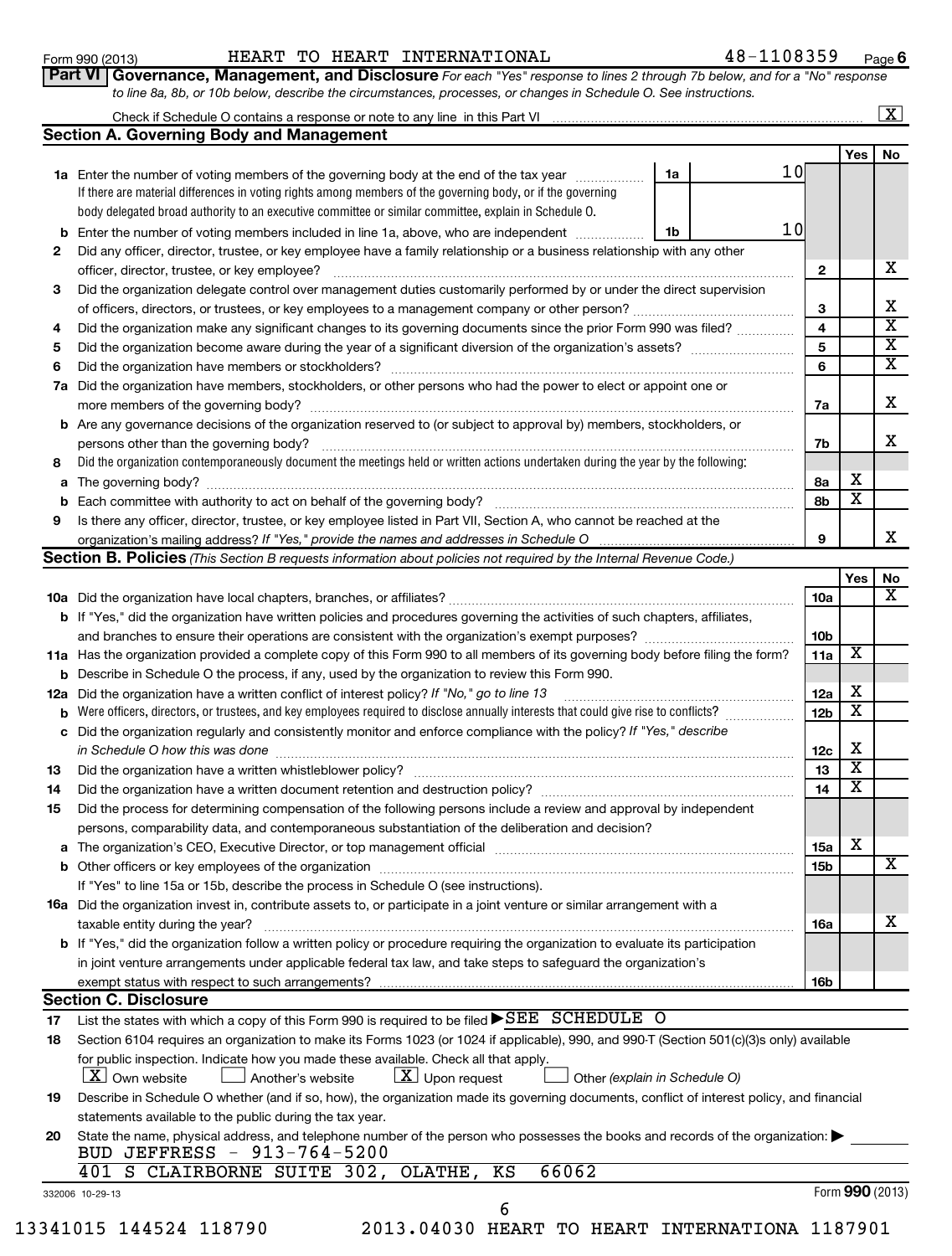### Form 990 (2013) Page HEART TO HEART INTERNATIONAL 48-1108359

**6**

| Part VI Governance, Management, and Disclosure For each "Yes" response to lines 2 through 7b below, and for a "No" response |  |
|-----------------------------------------------------------------------------------------------------------------------------|--|
| to line 8a, 8b, or 10b below, describe the circumstances, processes, or changes in Schedule O. See instructions.            |  |

### Check if Schedule O contains a response or note to any line in this Part VI **Section A. Governing Body and Management**  $\lfloor x \rfloor$

|                |                                                                                                                                                                                                                                 |    |                 |                         | Yes                     | No |
|----------------|---------------------------------------------------------------------------------------------------------------------------------------------------------------------------------------------------------------------------------|----|-----------------|-------------------------|-------------------------|----|
|                | 1a Enter the number of voting members of the governing body at the end of the tax year                                                                                                                                          | 1a | 1 Ol            |                         |                         |    |
|                | If there are material differences in voting rights among members of the governing body, or if the governing                                                                                                                     |    |                 |                         |                         |    |
|                | body delegated broad authority to an executive committee or similar committee, explain in Schedule O.                                                                                                                           |    |                 |                         |                         |    |
|                | <b>b</b> Enter the number of voting members included in line 1a, above, who are independent <i>manumum</i>                                                                                                                      | 1b | 10 <sub>l</sub> |                         |                         |    |
| 2              | Did any officer, director, trustee, or key employee have a family relationship or a business relationship with any other                                                                                                        |    |                 |                         |                         |    |
|                | officer, director, trustee, or key employee?                                                                                                                                                                                    |    |                 | $\mathbf{2}$            |                         | x  |
| 3              | Did the organization delegate control over management duties customarily performed by or under the direct supervision                                                                                                           |    |                 |                         |                         |    |
|                |                                                                                                                                                                                                                                 |    |                 | 3                       |                         | X  |
| 4              | Did the organization make any significant changes to its governing documents since the prior Form 990 was filed?                                                                                                                |    |                 | $\overline{\mathbf{4}}$ |                         | X  |
| 5              |                                                                                                                                                                                                                                 |    |                 | 5                       |                         | X  |
| 6              |                                                                                                                                                                                                                                 |    |                 | 6                       |                         | X  |
| 7а             | Did the organization have members, stockholders, or other persons who had the power to elect or appoint one or                                                                                                                  |    |                 |                         |                         | х  |
|                |                                                                                                                                                                                                                                 |    |                 | 7a                      |                         |    |
|                | <b>b</b> Are any governance decisions of the organization reserved to (or subject to approval by) members, stockholders, or                                                                                                     |    |                 |                         |                         | x  |
|                | persons other than the governing body?                                                                                                                                                                                          |    |                 | 7b                      |                         |    |
| 8              | Did the organization contemporaneously document the meetings held or written actions undertaken during the year by the following:                                                                                               |    |                 |                         |                         |    |
| а              |                                                                                                                                                                                                                                 |    |                 | 8a                      | Х                       |    |
|                |                                                                                                                                                                                                                                 |    |                 | 8b                      | $\overline{\mathbf{X}}$ |    |
| 9              | Is there any officer, director, trustee, or key employee listed in Part VII, Section A, who cannot be reached at the                                                                                                            |    |                 |                         |                         |    |
|                | organization's mailing address? If "Yes," provide the names and addresses in Schedule O                                                                                                                                         |    |                 | $\mathbf{Q}$            |                         | х  |
|                | <b>Section B. Policies</b> (This Section B requests information about policies not required by the Internal Revenue Code.)                                                                                                      |    |                 |                         |                         |    |
|                |                                                                                                                                                                                                                                 |    |                 |                         | Yes                     | No |
|                |                                                                                                                                                                                                                                 |    |                 | 10a                     |                         | X  |
|                | b If "Yes," did the organization have written policies and procedures governing the activities of such chapters, affiliates,                                                                                                    |    |                 |                         |                         |    |
|                |                                                                                                                                                                                                                                 |    |                 | 10 <sub>b</sub>         |                         |    |
|                | 11a Has the organization provided a complete copy of this Form 990 to all members of its governing body before filing the form?                                                                                                 |    |                 | 11a                     | х                       |    |
|                | <b>b</b> Describe in Schedule O the process, if any, used by the organization to review this Form 990.                                                                                                                          |    |                 |                         |                         |    |
| 12a            | Did the organization have a written conflict of interest policy? If "No," go to line 13                                                                                                                                         |    |                 | 12a                     | х                       |    |
|                | Were officers, directors, or trustees, and key employees required to disclose annually interests that could give rise to conflicts?                                                                                             |    |                 | 12 <sub>b</sub>         | $\overline{\textbf{x}}$ |    |
| c              | Did the organization regularly and consistently monitor and enforce compliance with the policy? If "Yes," describe<br>in Schedule O how this was done                                                                           |    |                 | 12c                     | х                       |    |
| 13             |                                                                                                                                                                                                                                 |    |                 | 13                      | $\overline{\textbf{x}}$ |    |
| 14             | Did the organization have a written document retention and destruction policy? [11] manufaction manufaction in                                                                                                                  |    |                 | 14                      | $\overline{\textbf{x}}$ |    |
| 15             | Did the process for determining compensation of the following persons include a review and approval by independent                                                                                                              |    |                 |                         |                         |    |
|                | persons, comparability data, and contemporaneous substantiation of the deliberation and decision?                                                                                                                               |    |                 |                         |                         |    |
|                |                                                                                                                                                                                                                                 |    |                 | 15a                     | х                       |    |
|                |                                                                                                                                                                                                                                 |    |                 | 15b                     |                         | A  |
|                | If "Yes" to line 15a or 15b, describe the process in Schedule O (see instructions).                                                                                                                                             |    |                 |                         |                         |    |
|                | 16a Did the organization invest in, contribute assets to, or participate in a joint venture or similar arrangement with a                                                                                                       |    |                 |                         |                         |    |
|                | taxable entity during the year?                                                                                                                                                                                                 |    |                 | 16a                     |                         | x  |
|                |                                                                                                                                                                                                                                 |    |                 |                         |                         |    |
|                |                                                                                                                                                                                                                                 |    |                 |                         |                         |    |
|                | b If "Yes," did the organization follow a written policy or procedure requiring the organization to evaluate its participation                                                                                                  |    |                 |                         |                         |    |
|                | in joint venture arrangements under applicable federal tax law, and take steps to safeguard the organization's                                                                                                                  |    |                 | 16b                     |                         |    |
|                | exempt status with respect to such arrangements?                                                                                                                                                                                |    |                 |                         |                         |    |
|                | <b>Section C. Disclosure</b>                                                                                                                                                                                                    |    |                 |                         |                         |    |
|                | List the states with which a copy of this Form 990 is required to be filed $\blacktriangleright$ SEE SCHEDULE O                                                                                                                 |    |                 |                         |                         |    |
|                | Section 6104 requires an organization to make its Forms 1023 (or 1024 if applicable), 990, and 990-T (Section 501(c)(3)s only) available<br>for public inspection. Indicate how you made these available. Check all that apply. |    |                 |                         |                         |    |
|                | $\lfloor x \rfloor$ Own website<br>$ \underline{X} $ Upon request<br>Other (explain in Schedule O)<br>Another's website                                                                                                         |    |                 |                         |                         |    |
|                | Describe in Schedule O whether (and if so, how), the organization made its governing documents, conflict of interest policy, and financial                                                                                      |    |                 |                         |                         |    |
| 17<br>18<br>19 | statements available to the public during the tax year.                                                                                                                                                                         |    |                 |                         |                         |    |
| 20             | State the name, physical address, and telephone number of the person who possesses the books and records of the organization:<br>BUD JEFFRESS - 913-764-5200                                                                    |    |                 |                         |                         |    |
|                | 401 S CLAIRBORNE SUITE 302, OLATHE,<br>KS<br>66062                                                                                                                                                                              |    |                 |                         | Form 990 (2013)         |    |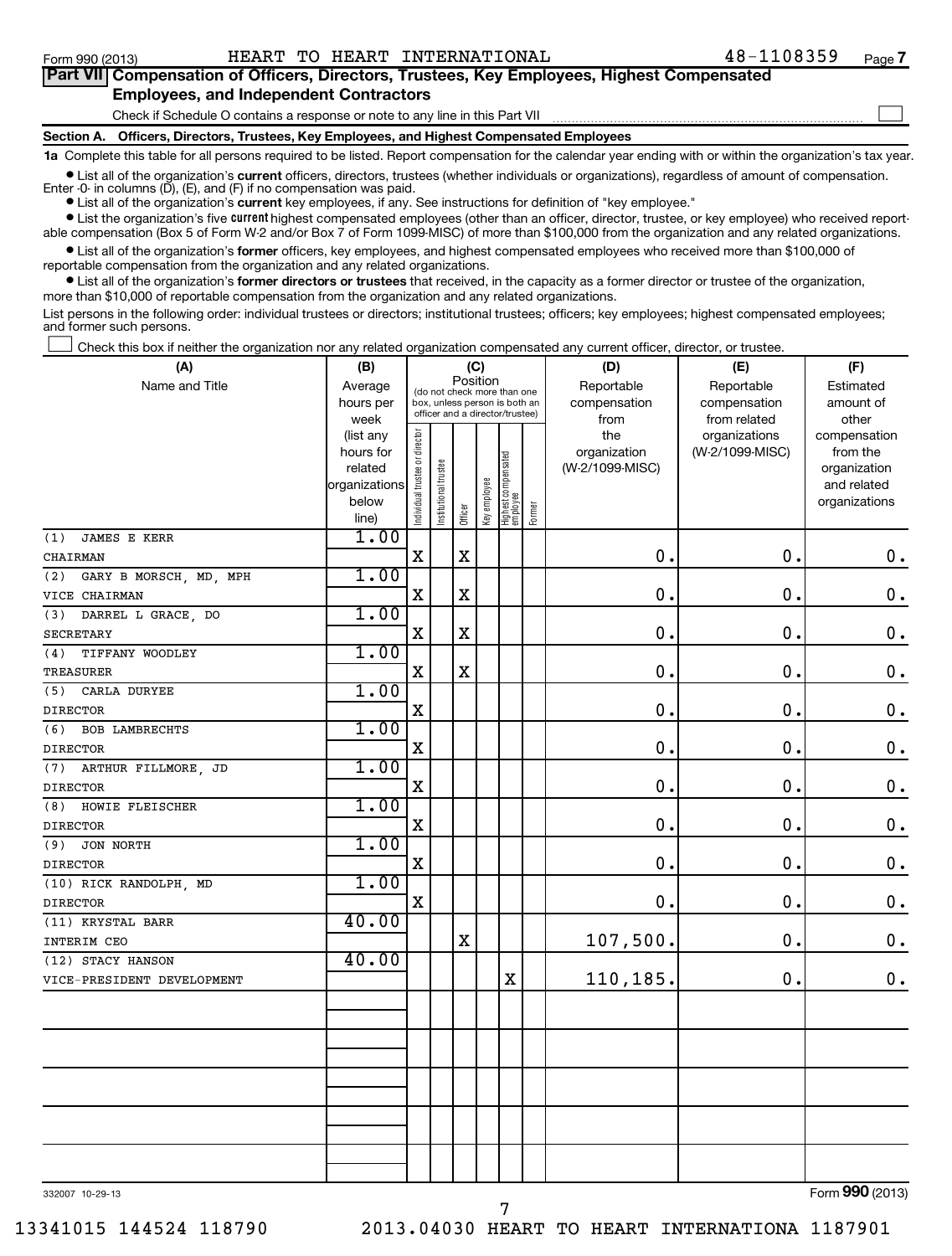| Part VII Compensation of Officers, Directors, Trustees, Key Employees, Highest Compensated |  |
|--------------------------------------------------------------------------------------------|--|
| <b>Employees, and Independent Contractors</b>                                              |  |
| Check if Schedule O contains a response or note to any line in this Part VII               |  |
| Section A. Officers, Directors, Trustees, Key Employees, and Highest Compensated Employees |  |

**1a**  Complete this table for all persons required to be listed. Report compensation for the calendar year ending with or within the organization's tax year.

**•** List all of the organization's current officers, directors, trustees (whether individuals or organizations), regardless of amount of compensation.

Enter -0- in columns  $(D)$ ,  $(E)$ , and  $(F)$  if no compensation was paid.

**•** List all of the organization's **current** key employees, if any. See instructions for definition of "key employee."

**•** List the organization's five *current* highest compensated employees (other than an officer, director, trustee, or key employee) who received reportable compensation (Box 5 of Form W-2 and/or Box 7 of Form 1099-MISC) of more than \$100,000 from the organization and any related organizations.

 $\bullet$  List all of the organization's former officers, key employees, and highest compensated employees who received more than \$100,000 of reportable compensation from the organization and any related organizations.

**•** List all of the organization's former directors or trustees that received, in the capacity as a former director or trustee of the organization, more than \$10,000 of reportable compensation from the organization and any related organizations.

List persons in the following order: individual trustees or directors; institutional trustees; officers; key employees; highest compensated employees; and former such persons.

Check this box if neither the organization nor any related organization compensated any current officer, director, or trustee.  $\left\vert \cdot\right\vert$ 

| (A)                           | (B)                                                                          |                                |                       |             | (C)          |                                                                                                 |        | (D)                                            | (E)                                              | (F)                                                                               |
|-------------------------------|------------------------------------------------------------------------------|--------------------------------|-----------------------|-------------|--------------|-------------------------------------------------------------------------------------------------|--------|------------------------------------------------|--------------------------------------------------|-----------------------------------------------------------------------------------|
| Name and Title                | Average<br>hours per                                                         |                                |                       | Position    |              | (do not check more than one<br>box, unless person is both an<br>officer and a director/trustee) |        | Reportable<br>compensation                     | Reportable<br>compensation                       | Estimated<br>amount of                                                            |
|                               | week<br>(list any<br>hours for<br>related<br>organizations<br>below<br>line) | Individual trustee or director | Institutional trustee | Officer     | Key employee | Highest compensated<br>employee                                                                 | Former | from<br>the<br>organization<br>(W-2/1099-MISC) | from related<br>organizations<br>(W-2/1099-MISC) | other<br>compensation<br>from the<br>organization<br>and related<br>organizations |
| <b>JAMES E KERR</b><br>(1)    | 1.00                                                                         |                                |                       |             |              |                                                                                                 |        |                                                |                                                  |                                                                                   |
| CHAIRMAN                      |                                                                              | $\mathbf X$                    |                       | X           |              |                                                                                                 |        | $\mathbf 0$ .                                  | $\mathbf 0$ .                                    | $\boldsymbol{0}$ .                                                                |
| (2)<br>GARY B MORSCH, MD, MPH | 1.00                                                                         |                                |                       |             |              |                                                                                                 |        |                                                |                                                  |                                                                                   |
| VICE CHAIRMAN                 |                                                                              | $\mathbf x$                    |                       | $\mathbf X$ |              |                                                                                                 |        | $\mathbf 0$ .                                  | 0                                                | $\mathbf 0$ .                                                                     |
| (3)<br>DARREL L GRACE, DO     | 1.00                                                                         |                                |                       |             |              |                                                                                                 |        |                                                |                                                  |                                                                                   |
| <b>SECRETARY</b>              |                                                                              | $\mathbf X$                    |                       | $\mathbf X$ |              |                                                                                                 |        | $\mathbf 0$                                    | $\mathbf 0$ .                                    | $\mathbf 0$ .                                                                     |
| TIFFANY WOODLEY<br>(4)        | 1.00                                                                         |                                |                       |             |              |                                                                                                 |        |                                                |                                                  |                                                                                   |
| TREASURER                     |                                                                              | $\mathbf X$                    |                       | $\mathbf X$ |              |                                                                                                 |        | $\mathbf 0$ .                                  | $\mathbf 0$ .                                    | $\mathbf 0$ .                                                                     |
| (5)<br>CARLA DURYEE           | 1.00                                                                         |                                |                       |             |              |                                                                                                 |        |                                                |                                                  |                                                                                   |
| <b>DIRECTOR</b>               |                                                                              | X                              |                       |             |              |                                                                                                 |        | $\mathbf 0$ .                                  | $\mathbf 0$ .                                    | $\mathbf 0$ .                                                                     |
| (6)<br><b>BOB LAMBRECHTS</b>  | 1.00                                                                         |                                |                       |             |              |                                                                                                 |        |                                                |                                                  |                                                                                   |
| <b>DIRECTOR</b>               |                                                                              | $\mathbf x$                    |                       |             |              |                                                                                                 |        | $\mathbf 0$ .                                  | $\mathbf 0$ .                                    | $\mathbf 0$ .                                                                     |
| ARTHUR FILLMORE, JD<br>(7)    | 1.00                                                                         |                                |                       |             |              |                                                                                                 |        |                                                |                                                  |                                                                                   |
| <b>DIRECTOR</b>               |                                                                              | X                              |                       |             |              |                                                                                                 |        | $\mathbf 0$                                    | $\mathbf 0$ .                                    | $\mathbf 0$ .                                                                     |
| HOWIE FLEISCHER<br>(8)        | 1.00                                                                         |                                |                       |             |              |                                                                                                 |        |                                                |                                                  |                                                                                   |
| <b>DIRECTOR</b>               |                                                                              | $\mathbf X$                    |                       |             |              |                                                                                                 |        | $\mathbf 0$ .                                  | $\mathbf 0$ .                                    | $\mathbf 0$ .                                                                     |
| (9)<br>JON NORTH              | 1.00                                                                         |                                |                       |             |              |                                                                                                 |        |                                                |                                                  |                                                                                   |
| <b>DIRECTOR</b>               |                                                                              | X                              |                       |             |              |                                                                                                 |        | $\mathbf 0$ .                                  | $\mathbf 0$ .                                    | $\mathbf 0$ .                                                                     |
| (10) RICK RANDOLPH, MD        | 1.00                                                                         |                                |                       |             |              |                                                                                                 |        |                                                |                                                  |                                                                                   |
| <b>DIRECTOR</b>               | 40.00                                                                        | $\mathbf X$                    |                       |             |              |                                                                                                 |        | $\mathbf 0$ .                                  | $\mathbf 0$ .                                    | $\mathbf 0$ .                                                                     |
| (11) KRYSTAL BARR             |                                                                              |                                |                       |             |              |                                                                                                 |        |                                                |                                                  |                                                                                   |
| INTERIM CEO                   | 40.00                                                                        |                                |                       | $\mathbf X$ |              |                                                                                                 |        | 107,500.                                       | $\mathbf 0$ .                                    | $\mathbf 0$ .                                                                     |
| (12) STACY HANSON             |                                                                              |                                |                       |             |              | $\mathbf X$                                                                                     |        |                                                | $\mathbf 0$ .                                    | 0.                                                                                |
| VICE-PRESIDENT DEVELOPMENT    |                                                                              |                                |                       |             |              |                                                                                                 |        | 110,185.                                       |                                                  |                                                                                   |
|                               |                                                                              |                                |                       |             |              |                                                                                                 |        |                                                |                                                  |                                                                                   |
|                               |                                                                              |                                |                       |             |              |                                                                                                 |        |                                                |                                                  |                                                                                   |
|                               |                                                                              |                                |                       |             |              |                                                                                                 |        |                                                |                                                  |                                                                                   |
|                               |                                                                              |                                |                       |             |              |                                                                                                 |        |                                                |                                                  |                                                                                   |
|                               |                                                                              |                                |                       |             |              |                                                                                                 |        |                                                |                                                  |                                                                                   |
|                               |                                                                              |                                |                       |             |              |                                                                                                 |        |                                                |                                                  |                                                                                   |
|                               |                                                                              |                                |                       |             |              |                                                                                                 |        |                                                |                                                  |                                                                                   |
|                               |                                                                              |                                |                       |             |              |                                                                                                 |        |                                                |                                                  |                                                                                   |
|                               |                                                                              |                                |                       |             |              |                                                                                                 |        |                                                |                                                  |                                                                                   |
|                               |                                                                              |                                |                       |             |              |                                                                                                 |        |                                                |                                                  | $\overline{\phantom{a}}$                                                          |

7

332007 10-29-13

Form (2013) **990**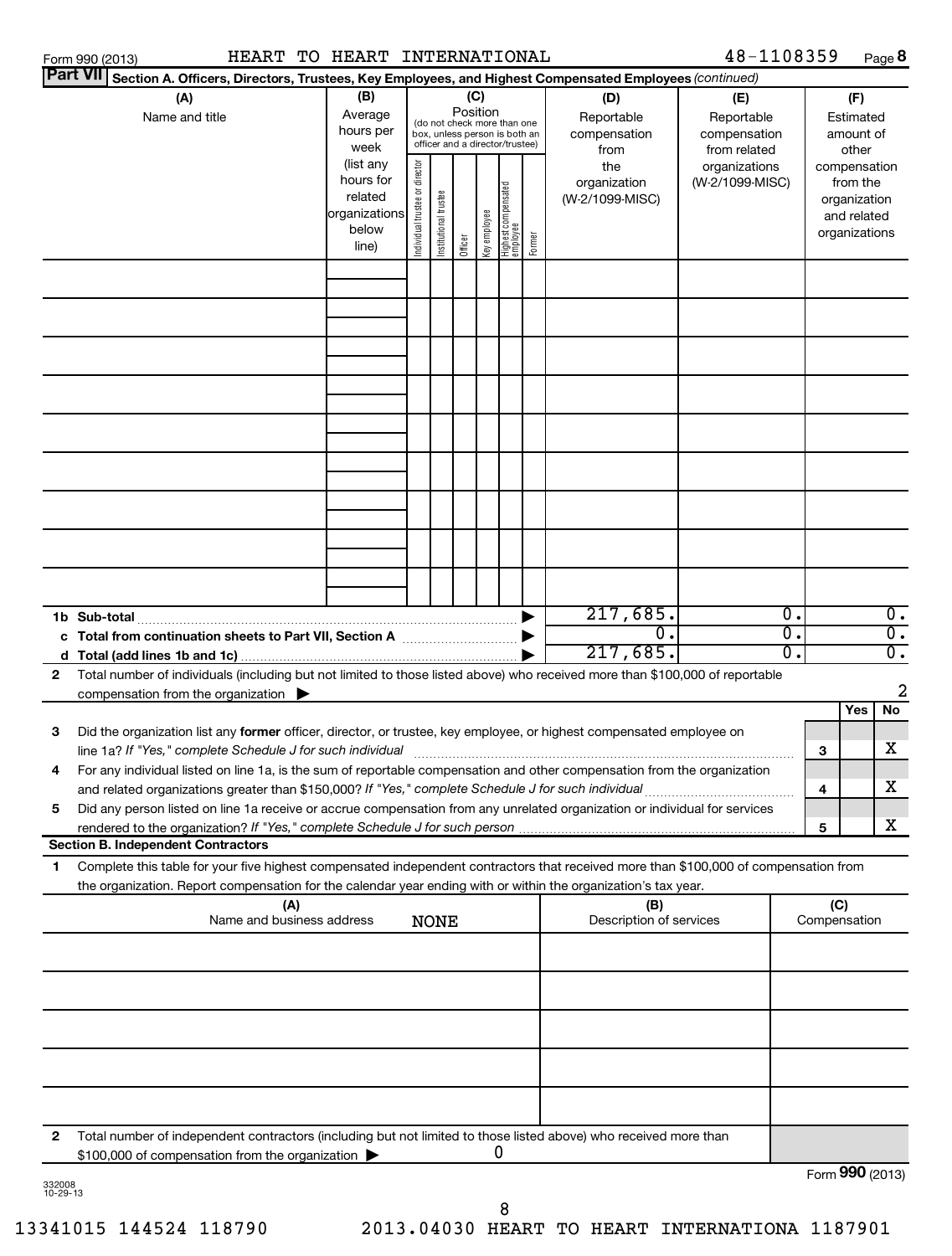| Part VII Section A. Officers, Directors, Trustees, Key Employees, and Highest Compensated Employees (continued)<br>(C)<br>(B)<br>(A)<br>(D)<br>(F)<br>(E)<br>Position<br>Average<br>Name and title<br>Reportable<br>Reportable<br>Estimated<br>(do not check more than one<br>hours per<br>compensation<br>compensation<br>amount of<br>box, unless person is both an<br>officer and a director/trustee)<br>week<br>from related<br>other<br>from<br>(list any<br>Individual trustee or director<br>the<br>organizations<br>compensation<br>hours for<br>organization<br>(W-2/1099-MISC)<br>from the<br>  Highest compensated<br>  employee<br>Institutional trustee<br>related<br>(W-2/1099-MISC)<br>organization<br>organizations<br>key employee<br>and related<br>below<br>organizations<br>Former<br>Officer<br>line)<br>217,685.<br>Ο.<br>0.<br>σ.<br>$\overline{\mathfrak{o}}$ .<br>$\mathbf 0$ .<br>σ.<br>$\overline{\mathfrak{o}}$ .<br>217,685.<br>Total number of individuals (including but not limited to those listed above) who received more than \$100,000 of reportable<br>$\mathbf{2}$<br>2<br>compensation from the organization $\blacktriangleright$<br>No<br>Yes<br>з<br>Did the organization list any former officer, director, or trustee, key employee, or highest compensated employee on<br>x<br>line 1a? If "Yes," complete Schedule J for such individual<br>3<br>For any individual listed on line 1a, is the sum of reportable compensation and other compensation from the organization<br>4<br>x<br>4<br>5<br>Did any person listed on line 1a receive or accrue compensation from any unrelated organization or individual for services<br>x<br>5<br><b>Section B. Independent Contractors</b><br>Complete this table for your five highest compensated independent contractors that received more than \$100,000 of compensation from<br>1<br>the organization. Report compensation for the calendar year ending with or within the organization's tax year.<br>(C)<br>(A)<br>(B)<br>Name and business address<br>Description of services<br><b>NONE</b><br>Compensation<br>$\mathbf{2}$<br>Total number of independent contractors (including but not limited to those listed above) who received more than<br>0<br>\$100,000 of compensation from the organization<br>Form 990 (2013)<br>332008<br>10-29-13 | Form 990 (2013) | HEART TO HEART INTERNATIONAL |  |  |  | 48-1108359 |  | Page 8 |
|---------------------------------------------------------------------------------------------------------------------------------------------------------------------------------------------------------------------------------------------------------------------------------------------------------------------------------------------------------------------------------------------------------------------------------------------------------------------------------------------------------------------------------------------------------------------------------------------------------------------------------------------------------------------------------------------------------------------------------------------------------------------------------------------------------------------------------------------------------------------------------------------------------------------------------------------------------------------------------------------------------------------------------------------------------------------------------------------------------------------------------------------------------------------------------------------------------------------------------------------------------------------------------------------------------------------------------------------------------------------------------------------------------------------------------------------------------------------------------------------------------------------------------------------------------------------------------------------------------------------------------------------------------------------------------------------------------------------------------------------------------------------------------------------------------------------------------------------------------------------------------------------------------------------------------------------------------------------------------------------------------------------------------------------------------------------------------------------------------------------------------------------------------------------------------------------------------------------------------------------------------------------------------------------------------------------------------------------------|-----------------|------------------------------|--|--|--|------------|--|--------|
|                                                                                                                                                                                                                                                                                                                                                                                                                                                                                                                                                                                                                                                                                                                                                                                                                                                                                                                                                                                                                                                                                                                                                                                                                                                                                                                                                                                                                                                                                                                                                                                                                                                                                                                                                                                                                                                                                                                                                                                                                                                                                                                                                                                                                                                                                                                                                   |                 |                              |  |  |  |            |  |        |
|                                                                                                                                                                                                                                                                                                                                                                                                                                                                                                                                                                                                                                                                                                                                                                                                                                                                                                                                                                                                                                                                                                                                                                                                                                                                                                                                                                                                                                                                                                                                                                                                                                                                                                                                                                                                                                                                                                                                                                                                                                                                                                                                                                                                                                                                                                                                                   |                 |                              |  |  |  |            |  |        |
|                                                                                                                                                                                                                                                                                                                                                                                                                                                                                                                                                                                                                                                                                                                                                                                                                                                                                                                                                                                                                                                                                                                                                                                                                                                                                                                                                                                                                                                                                                                                                                                                                                                                                                                                                                                                                                                                                                                                                                                                                                                                                                                                                                                                                                                                                                                                                   |                 |                              |  |  |  |            |  |        |
|                                                                                                                                                                                                                                                                                                                                                                                                                                                                                                                                                                                                                                                                                                                                                                                                                                                                                                                                                                                                                                                                                                                                                                                                                                                                                                                                                                                                                                                                                                                                                                                                                                                                                                                                                                                                                                                                                                                                                                                                                                                                                                                                                                                                                                                                                                                                                   |                 |                              |  |  |  |            |  |        |
|                                                                                                                                                                                                                                                                                                                                                                                                                                                                                                                                                                                                                                                                                                                                                                                                                                                                                                                                                                                                                                                                                                                                                                                                                                                                                                                                                                                                                                                                                                                                                                                                                                                                                                                                                                                                                                                                                                                                                                                                                                                                                                                                                                                                                                                                                                                                                   |                 |                              |  |  |  |            |  |        |
|                                                                                                                                                                                                                                                                                                                                                                                                                                                                                                                                                                                                                                                                                                                                                                                                                                                                                                                                                                                                                                                                                                                                                                                                                                                                                                                                                                                                                                                                                                                                                                                                                                                                                                                                                                                                                                                                                                                                                                                                                                                                                                                                                                                                                                                                                                                                                   |                 |                              |  |  |  |            |  |        |
|                                                                                                                                                                                                                                                                                                                                                                                                                                                                                                                                                                                                                                                                                                                                                                                                                                                                                                                                                                                                                                                                                                                                                                                                                                                                                                                                                                                                                                                                                                                                                                                                                                                                                                                                                                                                                                                                                                                                                                                                                                                                                                                                                                                                                                                                                                                                                   |                 |                              |  |  |  |            |  |        |
|                                                                                                                                                                                                                                                                                                                                                                                                                                                                                                                                                                                                                                                                                                                                                                                                                                                                                                                                                                                                                                                                                                                                                                                                                                                                                                                                                                                                                                                                                                                                                                                                                                                                                                                                                                                                                                                                                                                                                                                                                                                                                                                                                                                                                                                                                                                                                   |                 |                              |  |  |  |            |  |        |
|                                                                                                                                                                                                                                                                                                                                                                                                                                                                                                                                                                                                                                                                                                                                                                                                                                                                                                                                                                                                                                                                                                                                                                                                                                                                                                                                                                                                                                                                                                                                                                                                                                                                                                                                                                                                                                                                                                                                                                                                                                                                                                                                                                                                                                                                                                                                                   |                 |                              |  |  |  |            |  |        |
|                                                                                                                                                                                                                                                                                                                                                                                                                                                                                                                                                                                                                                                                                                                                                                                                                                                                                                                                                                                                                                                                                                                                                                                                                                                                                                                                                                                                                                                                                                                                                                                                                                                                                                                                                                                                                                                                                                                                                                                                                                                                                                                                                                                                                                                                                                                                                   |                 |                              |  |  |  |            |  |        |
|                                                                                                                                                                                                                                                                                                                                                                                                                                                                                                                                                                                                                                                                                                                                                                                                                                                                                                                                                                                                                                                                                                                                                                                                                                                                                                                                                                                                                                                                                                                                                                                                                                                                                                                                                                                                                                                                                                                                                                                                                                                                                                                                                                                                                                                                                                                                                   |                 |                              |  |  |  |            |  |        |
|                                                                                                                                                                                                                                                                                                                                                                                                                                                                                                                                                                                                                                                                                                                                                                                                                                                                                                                                                                                                                                                                                                                                                                                                                                                                                                                                                                                                                                                                                                                                                                                                                                                                                                                                                                                                                                                                                                                                                                                                                                                                                                                                                                                                                                                                                                                                                   |                 |                              |  |  |  |            |  |        |
|                                                                                                                                                                                                                                                                                                                                                                                                                                                                                                                                                                                                                                                                                                                                                                                                                                                                                                                                                                                                                                                                                                                                                                                                                                                                                                                                                                                                                                                                                                                                                                                                                                                                                                                                                                                                                                                                                                                                                                                                                                                                                                                                                                                                                                                                                                                                                   |                 |                              |  |  |  |            |  |        |
|                                                                                                                                                                                                                                                                                                                                                                                                                                                                                                                                                                                                                                                                                                                                                                                                                                                                                                                                                                                                                                                                                                                                                                                                                                                                                                                                                                                                                                                                                                                                                                                                                                                                                                                                                                                                                                                                                                                                                                                                                                                                                                                                                                                                                                                                                                                                                   |                 |                              |  |  |  |            |  |        |
|                                                                                                                                                                                                                                                                                                                                                                                                                                                                                                                                                                                                                                                                                                                                                                                                                                                                                                                                                                                                                                                                                                                                                                                                                                                                                                                                                                                                                                                                                                                                                                                                                                                                                                                                                                                                                                                                                                                                                                                                                                                                                                                                                                                                                                                                                                                                                   |                 |                              |  |  |  |            |  |        |
|                                                                                                                                                                                                                                                                                                                                                                                                                                                                                                                                                                                                                                                                                                                                                                                                                                                                                                                                                                                                                                                                                                                                                                                                                                                                                                                                                                                                                                                                                                                                                                                                                                                                                                                                                                                                                                                                                                                                                                                                                                                                                                                                                                                                                                                                                                                                                   |                 |                              |  |  |  |            |  |        |
|                                                                                                                                                                                                                                                                                                                                                                                                                                                                                                                                                                                                                                                                                                                                                                                                                                                                                                                                                                                                                                                                                                                                                                                                                                                                                                                                                                                                                                                                                                                                                                                                                                                                                                                                                                                                                                                                                                                                                                                                                                                                                                                                                                                                                                                                                                                                                   |                 |                              |  |  |  |            |  |        |
|                                                                                                                                                                                                                                                                                                                                                                                                                                                                                                                                                                                                                                                                                                                                                                                                                                                                                                                                                                                                                                                                                                                                                                                                                                                                                                                                                                                                                                                                                                                                                                                                                                                                                                                                                                                                                                                                                                                                                                                                                                                                                                                                                                                                                                                                                                                                                   |                 |                              |  |  |  |            |  |        |
|                                                                                                                                                                                                                                                                                                                                                                                                                                                                                                                                                                                                                                                                                                                                                                                                                                                                                                                                                                                                                                                                                                                                                                                                                                                                                                                                                                                                                                                                                                                                                                                                                                                                                                                                                                                                                                                                                                                                                                                                                                                                                                                                                                                                                                                                                                                                                   |                 |                              |  |  |  |            |  |        |
|                                                                                                                                                                                                                                                                                                                                                                                                                                                                                                                                                                                                                                                                                                                                                                                                                                                                                                                                                                                                                                                                                                                                                                                                                                                                                                                                                                                                                                                                                                                                                                                                                                                                                                                                                                                                                                                                                                                                                                                                                                                                                                                                                                                                                                                                                                                                                   |                 |                              |  |  |  |            |  |        |
|                                                                                                                                                                                                                                                                                                                                                                                                                                                                                                                                                                                                                                                                                                                                                                                                                                                                                                                                                                                                                                                                                                                                                                                                                                                                                                                                                                                                                                                                                                                                                                                                                                                                                                                                                                                                                                                                                                                                                                                                                                                                                                                                                                                                                                                                                                                                                   |                 |                              |  |  |  |            |  |        |
|                                                                                                                                                                                                                                                                                                                                                                                                                                                                                                                                                                                                                                                                                                                                                                                                                                                                                                                                                                                                                                                                                                                                                                                                                                                                                                                                                                                                                                                                                                                                                                                                                                                                                                                                                                                                                                                                                                                                                                                                                                                                                                                                                                                                                                                                                                                                                   |                 |                              |  |  |  |            |  |        |
|                                                                                                                                                                                                                                                                                                                                                                                                                                                                                                                                                                                                                                                                                                                                                                                                                                                                                                                                                                                                                                                                                                                                                                                                                                                                                                                                                                                                                                                                                                                                                                                                                                                                                                                                                                                                                                                                                                                                                                                                                                                                                                                                                                                                                                                                                                                                                   |                 |                              |  |  |  |            |  |        |
|                                                                                                                                                                                                                                                                                                                                                                                                                                                                                                                                                                                                                                                                                                                                                                                                                                                                                                                                                                                                                                                                                                                                                                                                                                                                                                                                                                                                                                                                                                                                                                                                                                                                                                                                                                                                                                                                                                                                                                                                                                                                                                                                                                                                                                                                                                                                                   |                 |                              |  |  |  |            |  |        |
|                                                                                                                                                                                                                                                                                                                                                                                                                                                                                                                                                                                                                                                                                                                                                                                                                                                                                                                                                                                                                                                                                                                                                                                                                                                                                                                                                                                                                                                                                                                                                                                                                                                                                                                                                                                                                                                                                                                                                                                                                                                                                                                                                                                                                                                                                                                                                   |                 |                              |  |  |  |            |  |        |
|                                                                                                                                                                                                                                                                                                                                                                                                                                                                                                                                                                                                                                                                                                                                                                                                                                                                                                                                                                                                                                                                                                                                                                                                                                                                                                                                                                                                                                                                                                                                                                                                                                                                                                                                                                                                                                                                                                                                                                                                                                                                                                                                                                                                                                                                                                                                                   |                 |                              |  |  |  |            |  |        |
|                                                                                                                                                                                                                                                                                                                                                                                                                                                                                                                                                                                                                                                                                                                                                                                                                                                                                                                                                                                                                                                                                                                                                                                                                                                                                                                                                                                                                                                                                                                                                                                                                                                                                                                                                                                                                                                                                                                                                                                                                                                                                                                                                                                                                                                                                                                                                   |                 |                              |  |  |  |            |  |        |
|                                                                                                                                                                                                                                                                                                                                                                                                                                                                                                                                                                                                                                                                                                                                                                                                                                                                                                                                                                                                                                                                                                                                                                                                                                                                                                                                                                                                                                                                                                                                                                                                                                                                                                                                                                                                                                                                                                                                                                                                                                                                                                                                                                                                                                                                                                                                                   |                 |                              |  |  |  |            |  |        |
|                                                                                                                                                                                                                                                                                                                                                                                                                                                                                                                                                                                                                                                                                                                                                                                                                                                                                                                                                                                                                                                                                                                                                                                                                                                                                                                                                                                                                                                                                                                                                                                                                                                                                                                                                                                                                                                                                                                                                                                                                                                                                                                                                                                                                                                                                                                                                   |                 |                              |  |  |  |            |  |        |
|                                                                                                                                                                                                                                                                                                                                                                                                                                                                                                                                                                                                                                                                                                                                                                                                                                                                                                                                                                                                                                                                                                                                                                                                                                                                                                                                                                                                                                                                                                                                                                                                                                                                                                                                                                                                                                                                                                                                                                                                                                                                                                                                                                                                                                                                                                                                                   |                 |                              |  |  |  |            |  |        |
|                                                                                                                                                                                                                                                                                                                                                                                                                                                                                                                                                                                                                                                                                                                                                                                                                                                                                                                                                                                                                                                                                                                                                                                                                                                                                                                                                                                                                                                                                                                                                                                                                                                                                                                                                                                                                                                                                                                                                                                                                                                                                                                                                                                                                                                                                                                                                   |                 |                              |  |  |  |            |  |        |
|                                                                                                                                                                                                                                                                                                                                                                                                                                                                                                                                                                                                                                                                                                                                                                                                                                                                                                                                                                                                                                                                                                                                                                                                                                                                                                                                                                                                                                                                                                                                                                                                                                                                                                                                                                                                                                                                                                                                                                                                                                                                                                                                                                                                                                                                                                                                                   |                 |                              |  |  |  |            |  |        |
|                                                                                                                                                                                                                                                                                                                                                                                                                                                                                                                                                                                                                                                                                                                                                                                                                                                                                                                                                                                                                                                                                                                                                                                                                                                                                                                                                                                                                                                                                                                                                                                                                                                                                                                                                                                                                                                                                                                                                                                                                                                                                                                                                                                                                                                                                                                                                   |                 |                              |  |  |  |            |  |        |
|                                                                                                                                                                                                                                                                                                                                                                                                                                                                                                                                                                                                                                                                                                                                                                                                                                                                                                                                                                                                                                                                                                                                                                                                                                                                                                                                                                                                                                                                                                                                                                                                                                                                                                                                                                                                                                                                                                                                                                                                                                                                                                                                                                                                                                                                                                                                                   |                 |                              |  |  |  |            |  |        |
|                                                                                                                                                                                                                                                                                                                                                                                                                                                                                                                                                                                                                                                                                                                                                                                                                                                                                                                                                                                                                                                                                                                                                                                                                                                                                                                                                                                                                                                                                                                                                                                                                                                                                                                                                                                                                                                                                                                                                                                                                                                                                                                                                                                                                                                                                                                                                   |                 |                              |  |  |  |            |  |        |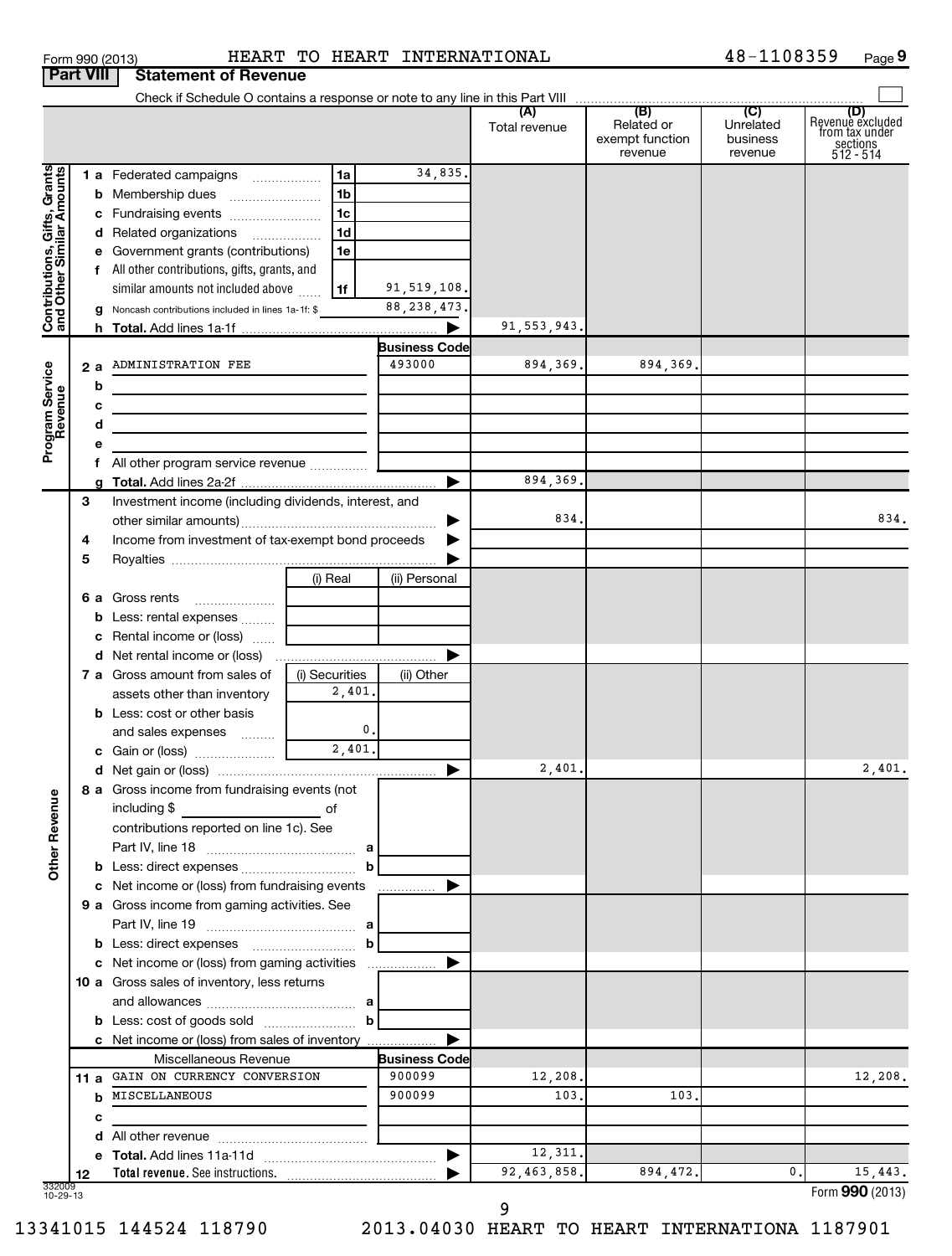| Form 990 (2013) |                                       | HEART T |  |
|-----------------|---------------------------------------|---------|--|
|                 | <b>Part VIII Statement of Revenue</b> |         |  |

### Form 990 (2013) HEART TO HEART INTERNATIONAL 4 8-1108359 Page

48-1108359 Page 9

|                                                           |    | Check if Schedule O contains a response or note to any line in this Part VIII |                   |                                |               |                                                 |                                         |                                                                    |
|-----------------------------------------------------------|----|-------------------------------------------------------------------------------|-------------------|--------------------------------|---------------|-------------------------------------------------|-----------------------------------------|--------------------------------------------------------------------|
|                                                           |    |                                                                               |                   |                                | Total revenue | (B)<br>Related or<br>exempt function<br>revenue | (C)<br>Unrelated<br>business<br>revenue | (D)<br>Revenue excluded<br>from tax under<br>sections<br>512 - 514 |
|                                                           |    | 1 a Federated campaigns                                                       | 1a                | 34,835.                        |               |                                                 |                                         |                                                                    |
|                                                           |    |                                                                               | 1 <sub>b</sub>    |                                |               |                                                 |                                         |                                                                    |
|                                                           |    | c Fundraising events                                                          | 1c                |                                |               |                                                 |                                         |                                                                    |
|                                                           |    | d Related organizations                                                       | 1 <sub>d</sub>    |                                |               |                                                 |                                         |                                                                    |
|                                                           |    | e Government grants (contributions)                                           | 1e                |                                |               |                                                 |                                         |                                                                    |
|                                                           |    | f All other contributions, gifts, grants, and                                 |                   |                                |               |                                                 |                                         |                                                                    |
|                                                           |    | similar amounts not included above                                            | 1f                | 91,519,108.                    |               |                                                 |                                         |                                                                    |
| Contributions, Gifts, Grants<br>and Other Similar Amounts |    | g Noncash contributions included in lines 1a-1f: \$                           |                   | 88, 238, 473.                  |               |                                                 |                                         |                                                                    |
|                                                           |    |                                                                               |                   |                                | 91, 553, 943. |                                                 |                                         |                                                                    |
|                                                           |    |                                                                               |                   | <b>Business Code</b>           |               |                                                 |                                         |                                                                    |
|                                                           | 2a | ADMINISTRATION FEE                                                            |                   | 493000                         | 894,369.      | 894,369.                                        |                                         |                                                                    |
| Program Service<br>Revenue                                | b  |                                                                               |                   |                                |               |                                                 |                                         |                                                                    |
|                                                           | с  |                                                                               |                   |                                |               |                                                 |                                         |                                                                    |
|                                                           | d  |                                                                               |                   |                                |               |                                                 |                                         |                                                                    |
|                                                           | е  |                                                                               |                   |                                |               |                                                 |                                         |                                                                    |
|                                                           |    |                                                                               |                   |                                |               |                                                 |                                         |                                                                    |
|                                                           | g  |                                                                               |                   |                                | 894,369.      |                                                 |                                         |                                                                    |
|                                                           | 3  | Investment income (including dividends, interest, and                         |                   |                                |               |                                                 |                                         |                                                                    |
|                                                           |    |                                                                               |                   |                                | 834.          |                                                 |                                         | 834.                                                               |
|                                                           | 4  | Income from investment of tax-exempt bond proceeds                            |                   |                                |               |                                                 |                                         |                                                                    |
|                                                           | 5  |                                                                               |                   |                                |               |                                                 |                                         |                                                                    |
|                                                           |    |                                                                               | (i) Real          | (ii) Personal                  |               |                                                 |                                         |                                                                    |
|                                                           |    | 6 a Gross rents                                                               |                   |                                |               |                                                 |                                         |                                                                    |
|                                                           |    | <b>b</b> Less: rental expenses                                                |                   |                                |               |                                                 |                                         |                                                                    |
|                                                           |    | c Rental income or (loss)                                                     |                   |                                |               |                                                 |                                         |                                                                    |
|                                                           |    |                                                                               |                   |                                |               |                                                 |                                         |                                                                    |
|                                                           |    | 7 a Gross amount from sales of                                                | (i) Securities    | (ii) Other                     |               |                                                 |                                         |                                                                    |
|                                                           |    | assets other than inventory                                                   | 2,401.            |                                |               |                                                 |                                         |                                                                    |
|                                                           |    | <b>b</b> Less: cost or other basis                                            |                   |                                |               |                                                 |                                         |                                                                    |
|                                                           |    | and sales expenses                                                            | 0.                |                                |               |                                                 |                                         |                                                                    |
|                                                           |    |                                                                               | $\frac{1}{2,401}$ |                                |               |                                                 |                                         |                                                                    |
|                                                           |    |                                                                               |                   | ▶                              | 2,401         |                                                 |                                         | 2,401.                                                             |
| g                                                         |    | 8 a Gross income from fundraising events (not                                 |                   |                                |               |                                                 |                                         |                                                                    |
|                                                           |    | including \$                                                                  | οf                |                                |               |                                                 |                                         |                                                                    |
|                                                           |    | contributions reported on line 1c). See                                       |                   |                                |               |                                                 |                                         |                                                                    |
|                                                           |    |                                                                               |                   |                                |               |                                                 |                                         |                                                                    |
| Other Reven                                               |    |                                                                               | b                 |                                |               |                                                 |                                         |                                                                    |
|                                                           |    | c Net income or (loss) from fundraising events                                |                   |                                |               |                                                 |                                         |                                                                    |
|                                                           |    | 9 a Gross income from gaming activities. See                                  |                   |                                |               |                                                 |                                         |                                                                    |
|                                                           |    |                                                                               |                   |                                |               |                                                 |                                         |                                                                    |
|                                                           |    | <b>b</b> Less: direct expenses <b>manually contained</b>                      | b                 |                                |               |                                                 |                                         |                                                                    |
|                                                           |    | c Net income or (loss) from gaming activities                                 |                   |                                |               |                                                 |                                         |                                                                    |
|                                                           |    | 10 a Gross sales of inventory, less returns                                   |                   |                                |               |                                                 |                                         |                                                                    |
|                                                           |    |                                                                               |                   |                                |               |                                                 |                                         |                                                                    |
|                                                           |    |                                                                               |                   |                                |               |                                                 |                                         |                                                                    |
|                                                           |    | c Net income or (loss) from sales of inventory                                |                   |                                |               |                                                 |                                         |                                                                    |
|                                                           |    | Miscellaneous Revenue<br>11 a GAIN ON CURRENCY CONVERSION                     |                   | <b>Business Code</b><br>900099 | 12,208.       |                                                 |                                         | 12,208.                                                            |
|                                                           |    | MISCELLANEOUS                                                                 |                   | 900099                         | 103.          | 103.                                            |                                         |                                                                    |
|                                                           | b  |                                                                               |                   |                                |               |                                                 |                                         |                                                                    |
|                                                           | с  |                                                                               |                   |                                |               |                                                 |                                         |                                                                    |
|                                                           | d  |                                                                               |                   | ▶                              | 12,311.       |                                                 |                                         |                                                                    |
|                                                           | 12 |                                                                               |                   |                                | 92, 463, 858. | 894,472.                                        | 0.                                      | 15,443.                                                            |
| 332009<br>10-29-13                                        |    |                                                                               |                   |                                |               |                                                 |                                         | Form 990 (2013)                                                    |

9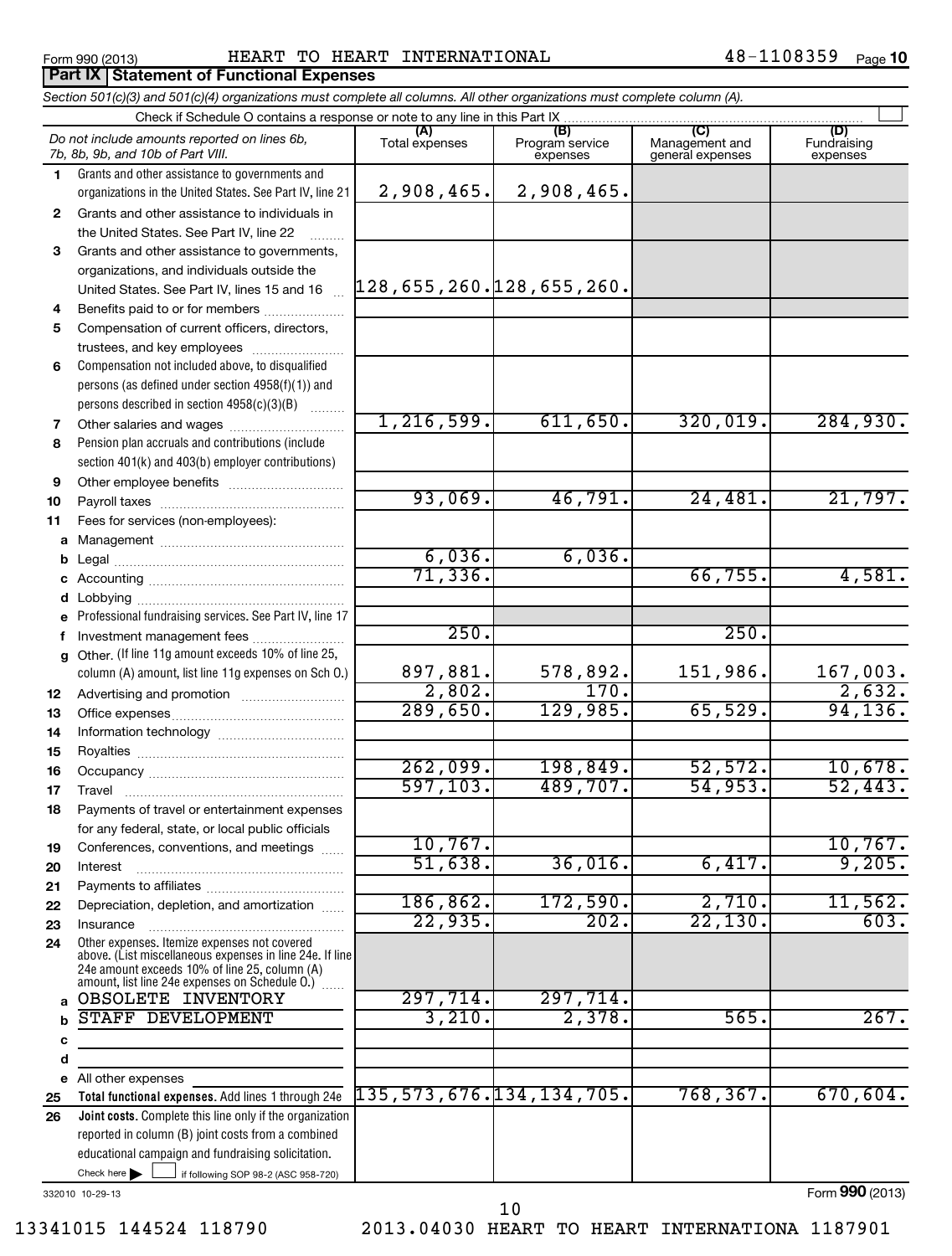**Part IX Statement of Functional Expenses**

### Form 990 (2013) Page HEART TO HEART INTERNATIONAL 48-1108359

*Section 501(c)(3) and 501(c)(4) organizations must complete all columns. All other organizations must complete column (A).*

### If following SOP 98-2 (ASC 958-720) **Total functional expenses.**  Add lines 1 through 24e **Joint costs.** Complete this line only if the organization **(A) (B) (C) (D) 1 2 3 4 5 6 7 8 9 10 11 a** Management ~~~~~~~~~~~~~~~~ **b c d e f g 12 13 14 15 16 17 18 19 20 21 22 23 24 a b c d e 25 26** Grants and other assistance to governments and organizations in the United States. See Part IV, line 21 Compensation not included above, to disqualified persons (as defined under section 4958(f)(1)) and persons described in section 4958(c)(3)(B)  $\quad \quad \ldots \ldots \ldots$ Pension plan accruals and contributions (include section 401(k) and 403(b) employer contributions) Professional fundraising services. See Part IV, line 17 Other. (If line 11g amount exceeds 10% of line 25, column (A) amount, list line 11g expenses on Sch O.) Other expenses. Itemize expenses not covered above. (List miscellaneous expenses in line 24e. If line 24e amount exceeds 10% of line 25, column (A) amount, list line 24e expenses on Schedule O.)  $\, \ldots \,$ reported in column (B) joint costs from a combined educational campaign and fundraising solicitation. Check if Schedule O contains a response or note to any line in this Part IX [11] CONCORDITY CONCORDITY CONCORDI<br>
CONCORDITY CONCORDITY CONCORDITY CONCORDITY CONCORDITY CONCORDITY CONCORDITY CONCORDITY CONCORDITY CONCORDITY Total expenses | Program service expenses Management and general expenses Fundraising expenses Grants and other assistance to individuals in the United States. See Part IV, line 22 Grants and other assistance to governments, organizations, and individuals outside the United States. See Part IV, lines 15 and 16 ~ Benefits paid to or for members ............. Compensation of current officers, directors, trustees, and key employees ......................... Other salaries and wages ~~~~~~~~~~ Other employee benefits ~~~~~~~~~~ Payroll taxes ~~~~~~~~~~~~~~~~ Fees for services (non-employees): Legal ~~~~~~~~~~~~~~~~~~~~ Accounting ~~~~~~~~~~~~~~~~~ Lobbying ~~~~~~~~~~~~~~~~~~ Investment management fees ........................ Advertising and promotion .......................... Office expenses ~~~~~~~~~~~~~~~ Information technology ~~~~~~~~~~~ Royalties ~~~~~~~~~~~~~~~~~~ Occupancy ~~~~~~~~~~~~~~~~~ Travel ………………………………………………… Payments of travel or entertainment expenses for any federal, state, or local public officials Conferences, conventions, and meetings ...... Interest Payments to affiliates ~~~~~~~~~~~~ ~~~~~~~~~~~~~~~~~~ Depreciation, depletion, and amortization ...... Insurance ~~~~~~~~~~~~~~~~~ All other expenses Check here  $\blacktriangleright$ *Do not include amounts reported on lines 6b, 7b, 8b, 9b, and 10b of Part VIII.*  $\sim$  $\Box$ 2,908,465. 2,908,465. 128,655,260.128,655,260. 1,216,599. 611,650. 320,019. 284,930. 93,069. 46,791. 24,481. 21,797. 6,036. 6,036. 71,336. 66,755. 4,581. 250. 250. 897,881. 578,892. 151,986. 167,003.  $2,802.$  170. 2,632. 289,650. 129,985. 65,529. 94,136. 262,099. 198,849. 52,572. 10,678. 597,103. 489,707. 54,953. 52,443. 10,767. 10,767. 51,638. 36,016. 6,417. 9,205. 186,862. 172,590. 2,710. 11,562.  $22,935.$  202.  $22,130.$  603. OBSOLETE INVENTORY 297,714. 297,714. STAFF DEVELOPMENT **3,210.** 2,378. 565. 267. 135,573,676.134,134,705. 768,367. 670,604.

332010 10-29-13

13341015 144524 118790 2013.04030 HEART TO HEART INTERNATIONA 1187901

10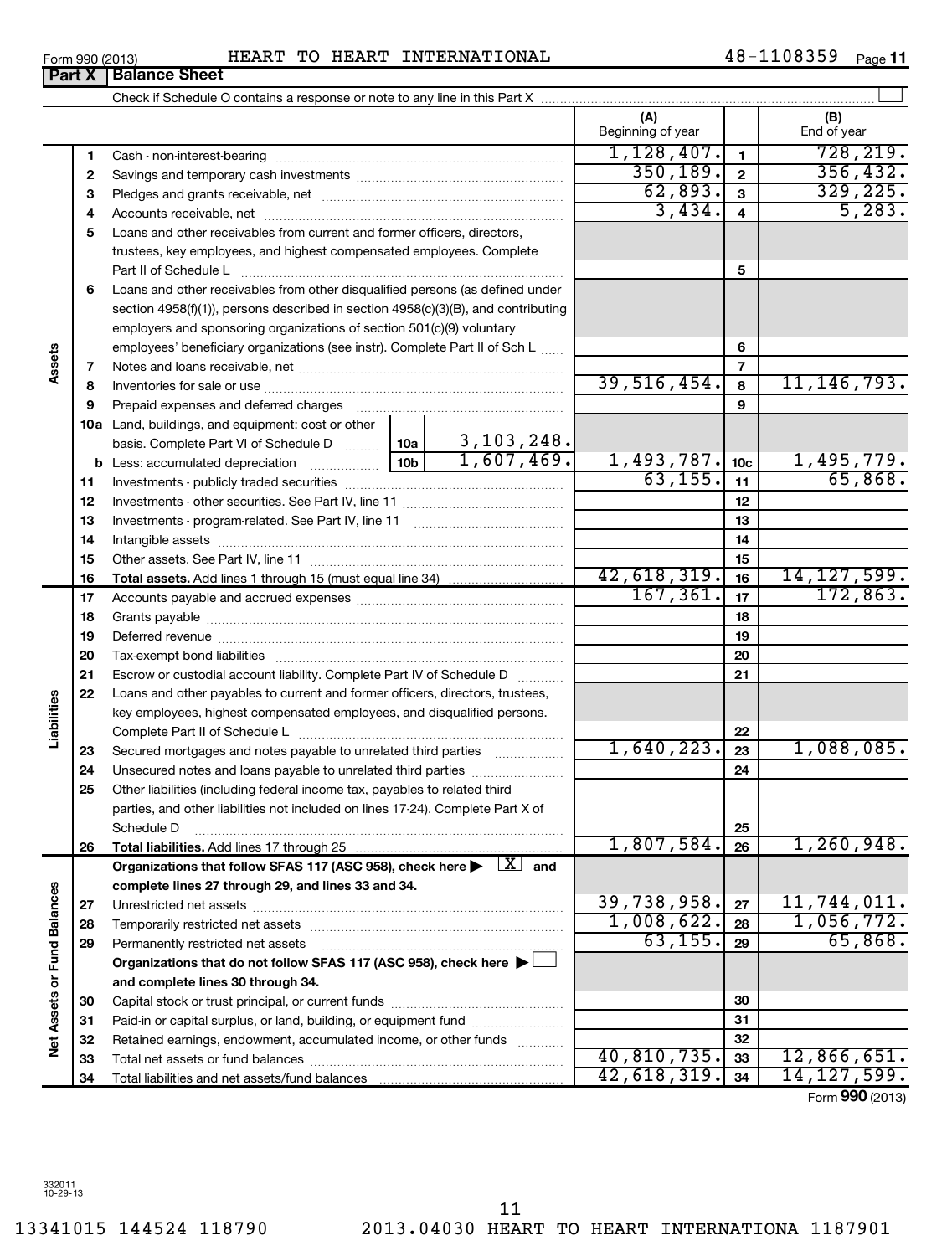**Net Assets or Fund Balances**

Net Assets or Fund Balances

13341015 144524 118790 2013.04030 HEART TO HEART INTERNATIONA 1187901 11

Form 990 (2013) Page HEART TO HEART INTERNATIONAL 48-1108359 **Part X Balance Sheet** 

|    |                                                                                                                         | (A)<br>Beginning of year     |                          | (B)<br>End of year           |
|----|-------------------------------------------------------------------------------------------------------------------------|------------------------------|--------------------------|------------------------------|
| 1  |                                                                                                                         | 1,128,407.                   | $\mathbf{1}$             | 728, 219.                    |
| 2  |                                                                                                                         | 350, 189.                    | $\overline{2}$           | 356, 432.                    |
| 3  |                                                                                                                         | 62,893.                      | $\overline{\mathbf{3}}$  | 329, 225.                    |
| 4  |                                                                                                                         | 3,434.                       | $\overline{\mathbf{4}}$  | 5,283.                       |
| 5  | Loans and other receivables from current and former officers, directors,                                                |                              |                          |                              |
|    | trustees, key employees, and highest compensated employees. Complete                                                    |                              |                          |                              |
|    | Part II of Schedule L                                                                                                   |                              | 5                        |                              |
| 6  | Loans and other receivables from other disqualified persons (as defined under                                           |                              |                          |                              |
|    | section 4958(f)(1)), persons described in section 4958(c)(3)(B), and contributing                                       |                              |                          |                              |
|    | employers and sponsoring organizations of section 501(c)(9) voluntary                                                   |                              |                          |                              |
|    | employees' beneficiary organizations (see instr). Complete Part II of Sch L                                             |                              | 6                        |                              |
| 7  |                                                                                                                         |                              | $\overline{\phantom{a}}$ |                              |
| 8  |                                                                                                                         | 39,516,454.                  | 8                        | 11, 146, 793.                |
| 9  | Prepaid expenses and deferred charges                                                                                   |                              | 9                        |                              |
|    | 10a Land, buildings, and equipment: cost or other                                                                       |                              |                          |                              |
|    | $\frac{3,103,248.}{1,607,469.}$<br>basis. Complete Part VI of Schedule D  10a                                           |                              |                          |                              |
|    | 10 <sub>b</sub><br><b>b</b> Less: accumulated depreciation<br>. 1                                                       | $\frac{1,493,787.}{63,155.}$ | 10 <sub>c</sub>          | $\frac{1,495,779.}{65,868.}$ |
| 11 |                                                                                                                         |                              | 11                       |                              |
| 12 |                                                                                                                         |                              | 12                       |                              |
| 13 |                                                                                                                         |                              | 13                       |                              |
| 14 |                                                                                                                         |                              | 14                       |                              |
| 15 |                                                                                                                         |                              | 15                       |                              |
| 16 |                                                                                                                         | 42,618,319.                  | 16                       | 14, 127, 599.                |
| 17 |                                                                                                                         | 167, 361.                    | 17                       | 172,863.                     |
| 18 |                                                                                                                         |                              | 18                       |                              |
| 19 |                                                                                                                         |                              | 19                       |                              |
| 20 |                                                                                                                         |                              | 20                       |                              |
| 21 | Escrow or custodial account liability. Complete Part IV of Schedule D                                                   |                              | 21                       |                              |
| 22 | Loans and other payables to current and former officers, directors, trustees,                                           |                              |                          |                              |
|    | key employees, highest compensated employees, and disqualified persons.                                                 |                              |                          |                              |
|    | Complete Part II of Schedule L                                                                                          | 1,640,223.                   | 22                       | 1,088,085.                   |
| 23 | Secured mortgages and notes payable to unrelated third parties                                                          |                              | 23                       |                              |
| 24 | Unsecured notes and loans payable to unrelated third parties                                                            |                              | 24                       |                              |
| 25 | Other liabilities (including federal income tax, payables to related third                                              |                              |                          |                              |
|    | parties, and other liabilities not included on lines 17-24). Complete Part X of                                         |                              | 25                       |                              |
| 26 | Schedule D                                                                                                              | 1,807,584.                   | 26                       | 1,260,948.                   |
|    | Organizations that follow SFAS 117 (ASC 958), check here $\blacktriangleright \begin{array}{c} \perp X \end{array}$ and |                              |                          |                              |
|    | complete lines 27 through 29, and lines 33 and 34.                                                                      |                              |                          |                              |
| 27 |                                                                                                                         | 39,738,958.                  | 27                       | 11,744,011.                  |
| 28 |                                                                                                                         | 1,008,622.                   | 28                       | 1,056,772.                   |
| 29 | Permanently restricted net assets                                                                                       | 63, 155.                     | 29                       | 65,868.                      |
|    | Organizations that do not follow SFAS 117 (ASC 958), check here >                                                       |                              |                          |                              |
|    | and complete lines 30 through 34.                                                                                       |                              |                          |                              |
| 30 |                                                                                                                         |                              | 30                       |                              |
| 31 | Paid-in or capital surplus, or land, building, or equipment fund                                                        |                              | 31                       |                              |
| 32 | Retained earnings, endowment, accumulated income, or other funds                                                        |                              | 32                       |                              |
| 33 |                                                                                                                         | 40,810,735.                  | 33                       | 12,866,651.                  |
| 34 |                                                                                                                         | 42,618,319.                  | 34                       | 14, 127, 599.                |

Form (2013) **990**

**Assets**

**Liabilities**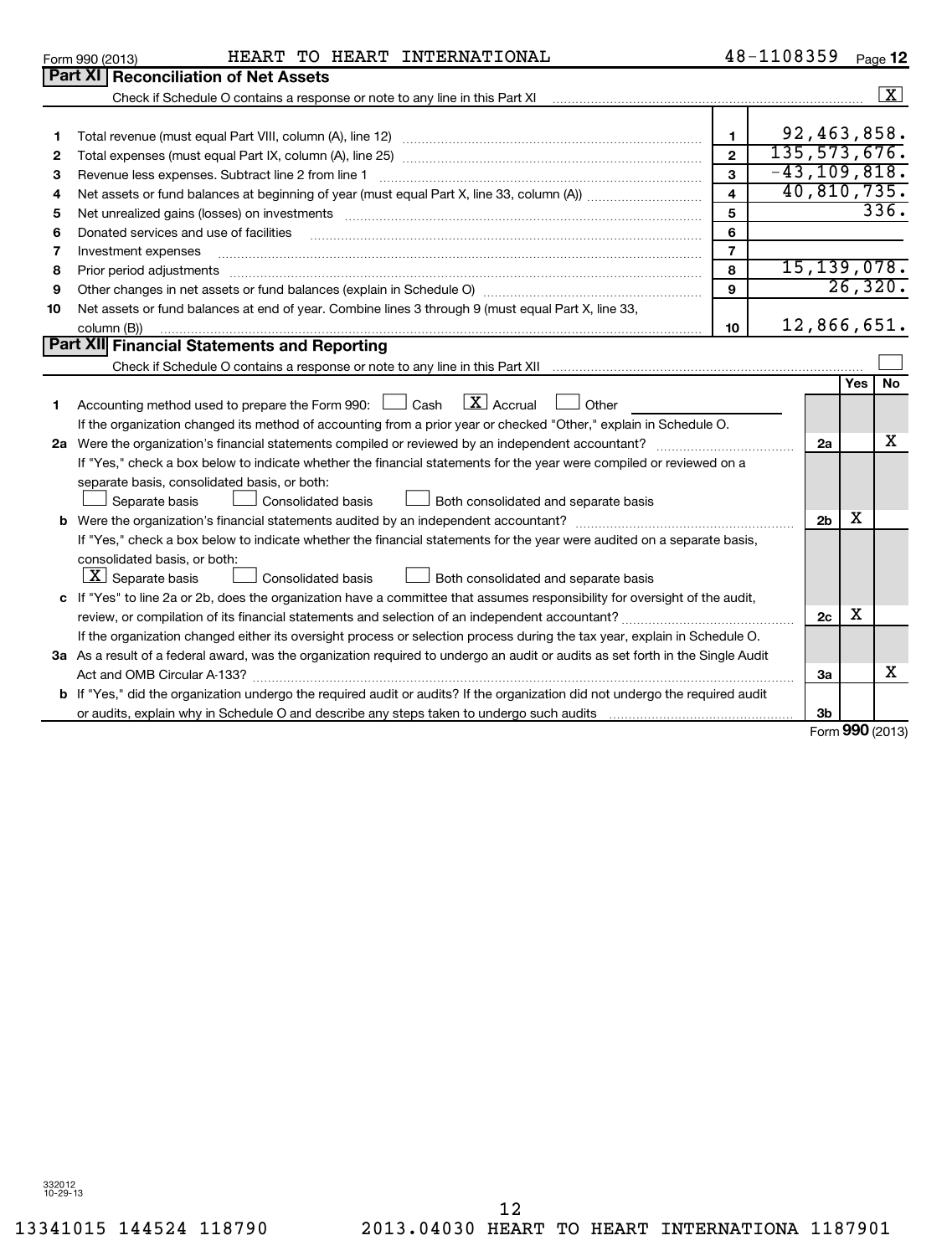12

|  | HEART TO HEART INTERNATIONAL | 48-1108359 |
|--|------------------------------|------------|

| 48-1108359 | Page $12$ |
|------------|-----------|
|------------|-----------|

|    | Form 990 (2013)<br>HEART TO HEART INTERNATIONAL                                                                                 |                         | 48-1108359   |                  |         | Page 12             |
|----|---------------------------------------------------------------------------------------------------------------------------------|-------------------------|--------------|------------------|---------|---------------------|
|    | <b>Part XI Reconciliation of Net Assets</b>                                                                                     |                         |              |                  |         |                     |
|    |                                                                                                                                 |                         |              |                  |         | $\lfloor x \rfloor$ |
|    |                                                                                                                                 |                         |              |                  |         |                     |
| 1. |                                                                                                                                 | $\mathbf{1}$            |              | 92,463,858.      |         |                     |
| 2  |                                                                                                                                 | $\overline{2}$          | 135,573,676. |                  |         |                     |
| З  | Revenue less expenses. Subtract line 2 from line 1                                                                              | $\overline{\mathbf{3}}$ |              | $-43, 109, 818.$ |         |                     |
| 4  |                                                                                                                                 | $\overline{4}$          |              | 40,810,735.      |         |                     |
| 5  | Net unrealized gains (losses) on investments [111] www.martime.community.community.community.community.communi                  | 5                       |              |                  |         | 336.                |
| 6  | Donated services and use of facilities                                                                                          | 6                       |              |                  |         |                     |
| 7  | Investment expenses                                                                                                             | $\overline{7}$          |              |                  |         |                     |
| 8  | Prior period adjustments                                                                                                        | 8                       |              | 15, 139, 078.    |         |                     |
| 9  |                                                                                                                                 | $\mathbf{9}$            |              |                  | 26,320. |                     |
| 10 | Net assets or fund balances at end of year. Combine lines 3 through 9 (must equal Part X, line 33,                              |                         |              |                  |         |                     |
|    | column (B))                                                                                                                     | 10 <sup>10</sup>        |              | 12,866,651.      |         |                     |
|    | <b>Part XII Financial Statements and Reporting</b>                                                                              |                         |              |                  |         |                     |
|    |                                                                                                                                 |                         |              |                  |         |                     |
|    |                                                                                                                                 |                         |              |                  | Yes     | No                  |
| 1  | $X$ Accrual<br>Accounting method used to prepare the Form 990: $\Box$ Cash<br>Other                                             |                         |              |                  |         |                     |
|    | If the organization changed its method of accounting from a prior year or checked "Other," explain in Schedule O.               |                         |              |                  |         |                     |
|    |                                                                                                                                 |                         |              | 2a               |         | X                   |
|    | If "Yes," check a box below to indicate whether the financial statements for the year were compiled or reviewed on a            |                         |              |                  |         |                     |
|    | separate basis, consolidated basis, or both:                                                                                    |                         |              |                  |         |                     |
|    | Consolidated basis<br>Separate basis<br>Both consolidated and separate basis                                                    |                         |              |                  |         |                     |
| b  |                                                                                                                                 |                         |              | 2 <sub>b</sub>   | х       |                     |
|    | If "Yes," check a box below to indicate whether the financial statements for the year were audited on a separate basis,         |                         |              |                  |         |                     |
|    | consolidated basis, or both:                                                                                                    |                         |              |                  |         |                     |
|    | $\lfloor \underline{X} \rfloor$ Separate basis<br>Consolidated basis<br>Both consolidated and separate basis                    |                         |              |                  |         |                     |
|    | c If "Yes" to line 2a or 2b, does the organization have a committee that assumes responsibility for oversight of the audit,     |                         |              |                  |         |                     |
|    |                                                                                                                                 |                         |              | 2c               | х       |                     |
|    | If the organization changed either its oversight process or selection process during the tax year, explain in Schedule O.       |                         |              |                  |         |                     |
|    | 3a As a result of a federal award, was the organization required to undergo an audit or audits as set forth in the Single Audit |                         |              |                  |         |                     |
|    | Act and OMB Circular A-133?                                                                                                     |                         |              | За               |         | X                   |
|    | b If "Yes," did the organization undergo the required audit or audits? If the organization did not undergo the required audit   |                         |              |                  |         |                     |
|    | or audits, explain why in Schedule O and describe any steps taken to undergo such audits                                        |                         |              | 3b               |         |                     |
|    |                                                                                                                                 |                         |              |                  |         | Form 990 (2013)     |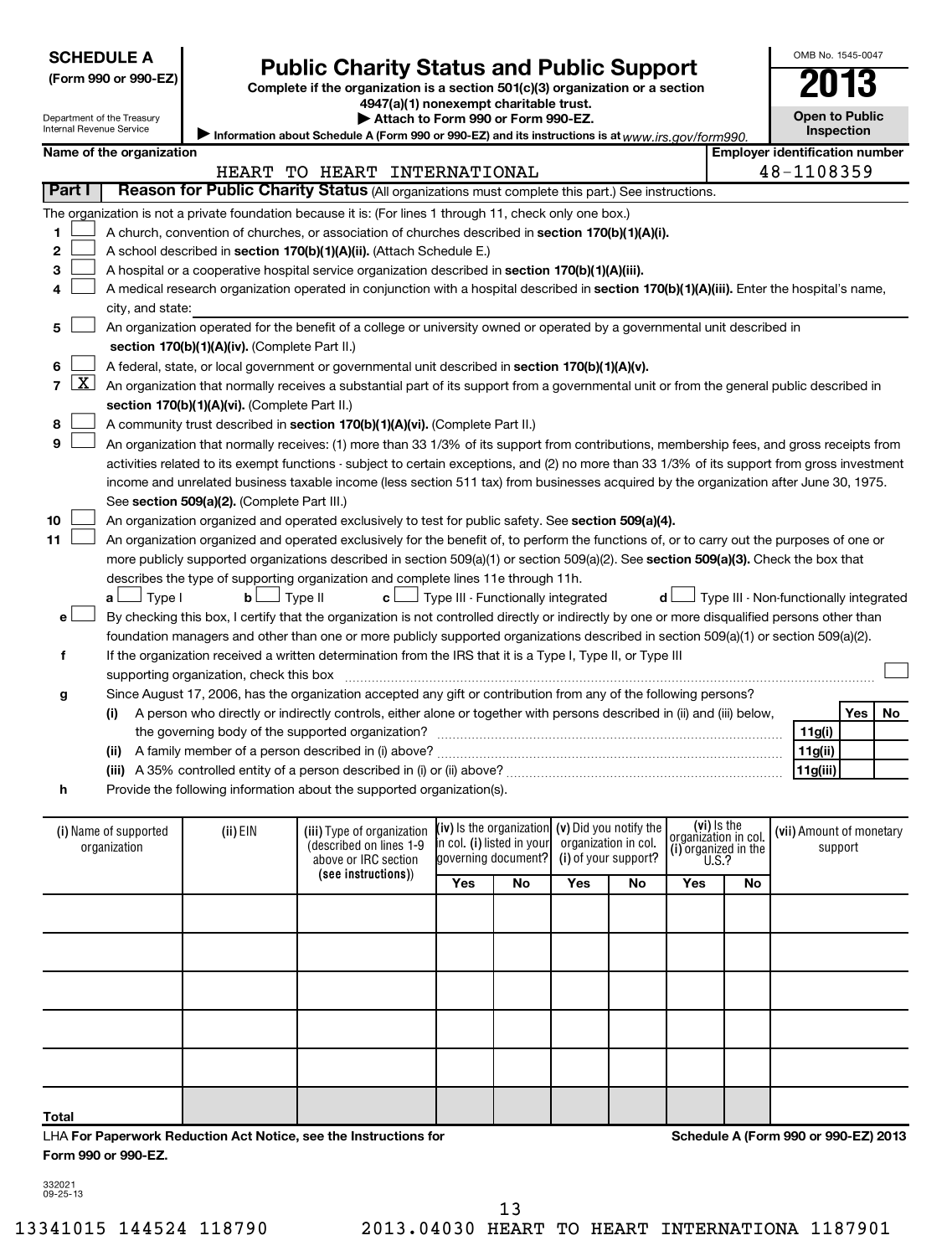| <b>SCHEDULE A</b> |
|-------------------|
|-------------------|

## **Public Charity Status and Public Support**

**(Form 990 or 990-EZ) Complete if the organization is a section 501(c)(3) organization or a section**

**4947(a)(1) nonexempt charitable trust.**

**Open to Public Inspection**

OMB No. 1545-0047

Department of the Treasury Internal Revenue Service

**|** 

|                                                                                                           | Attach to Form 990 or Form 990-EZ. |  |
|-----------------------------------------------------------------------------------------------------------|------------------------------------|--|
| Information about Schedule A (Form 990 or 990-EZ) and its instructions is at $_{WWV}.$ irs. $aov/form990$ |                                    |  |

(i) Name of supported | (ii) EIN (iii) Type of organization **[IV**) Is the organization**] (V)** DIQ you notify the **consignation** in col **[(Vii)** Amount of monetary **(see instructions)** ) **(iv)** Is the organization **i**n col. **(i)** listed in your **(v)**  Did you notify the **(i)**  of your support? **(vi)** Is the **(i) Name of the organization Employer identification number 1 2 3 4 5 6 7 8 9 10 11** A church, convention of churches, or association of churches described in section 170(b)(1)(A)(i). A school described in **section 170(b)(1)(A)(ii).** (Attach Schedule E.) A hospital or a cooperative hospital service organization described in section 170(b)(1)(A)(iii). A medical research organization operated in conjunction with a hospital described in **section 170(b)(1)(A)(iii).** Enter the hospital's name, **section 170(b)(1)(A)(iv).**  (Complete Part II.) A federal, state, or local government or governmental unit described in **section 170(b)(1)(A)(v). section 170(b)(1)(A)(vi).** (Complete Part II.) A community trust described in **section 170(b)(1)(A)(vi).** (Complete Part II.) See s**ection 509(a)(2).** (Complete Part III.) An organization organized and operated exclusively to test for public safety. See **section 509(a)(4).** more publicly supported organizations described in section 509(a)(1) or section 509(a)(2). See **section 509(a)(3).** Check the box that **a b c d** Type I Type II Type III - Functionally integrated Type III - Non-functionally integrated † † † † **e f g h (i) (ii)** A family member of a person described in (i) above? ~~~~~~~~~~~~~~~~~~~~~~~~~~~~~~ **(iii)** A 35% controlled entity of a person described in (i) or (ii) above? ~~~~~~~~~~~~~~~~~~~~~~~~ **Yes No 11g(i) 11g(ii) 11g(iii) Yes No Yes No Yes No** (described on lines 1-9 above or IRC section lgoverning document? organization in col. organization in col.<br>(i) organized in the U.S.? (i) Name of supported organization support **Part I** | Reason for Public Charity Status (All organizations must complete this part.) See instructions. The organization is not a private foundation because it is: (For lines 1 through 11, check only one box.) city, and state: An organization operated for the benefit of a college or university owned or operated by a governmental unit described in An organization that normally receives a substantial part of its support from a governmental unit or from the general public described in An organization that normally receives: (1) more than 33 1/3% of its support from contributions, membership fees, and gross receipts from activities related to its exempt functions - subject to certain exceptions, and (2) no more than 33 1/3% of its support from gross investment income and unrelated business taxable income (less section 511 tax) from businesses acquired by the organization after June 30, 1975. An organization organized and operated exclusively for the benefit of, to perform the functions of, or to carry out the purposes of one or describes the type of supporting organization and complete lines 11e through 11h. By checking this box, I certify that the organization is not controlled directly or indirectly by one or more disqualified persons other than foundation managers and other than one or more publicly supported organizations described in section 509(a)(1) or section 509(a)(2). If the organization received a written determination from the IRS that it is a Type I, Type II, or Type III supporting organization, check this box ~~~~~~~~~~~~~~~~~~~~~~~~~~~~~~~~~~~~~~~~~~~~~~ Since August 17, 2006, has the organization accepted any gift or contribution from any of the following persons? A person who directly or indirectly controls, either alone or together with persons described in (ii) and (iii) below, the governing body of the supported organization? ~~~~~~~~~~~~~~~~~~~~~~~~~~~~~~ Provide the following information about the supported organization(s).  $\sim$  $\sim$  $\sim$  $\sim$  $\sim$  $\sim$  $\lfloor x \rfloor$  $\sim$  $\sim$  $\sim$  $\sim$ †  $\left\vert \cdot\right\vert$ HEART TO HEART INTERNATIONAL 48-1108359  $\overline{\text{X}}$ 

**Total**

LHA **For Paperwork Reduction Act Notice, see the Instructions for Form 990 or 990-EZ.**

**Schedule A (Form 990 or 990-EZ) 2013**

332021 09-25-13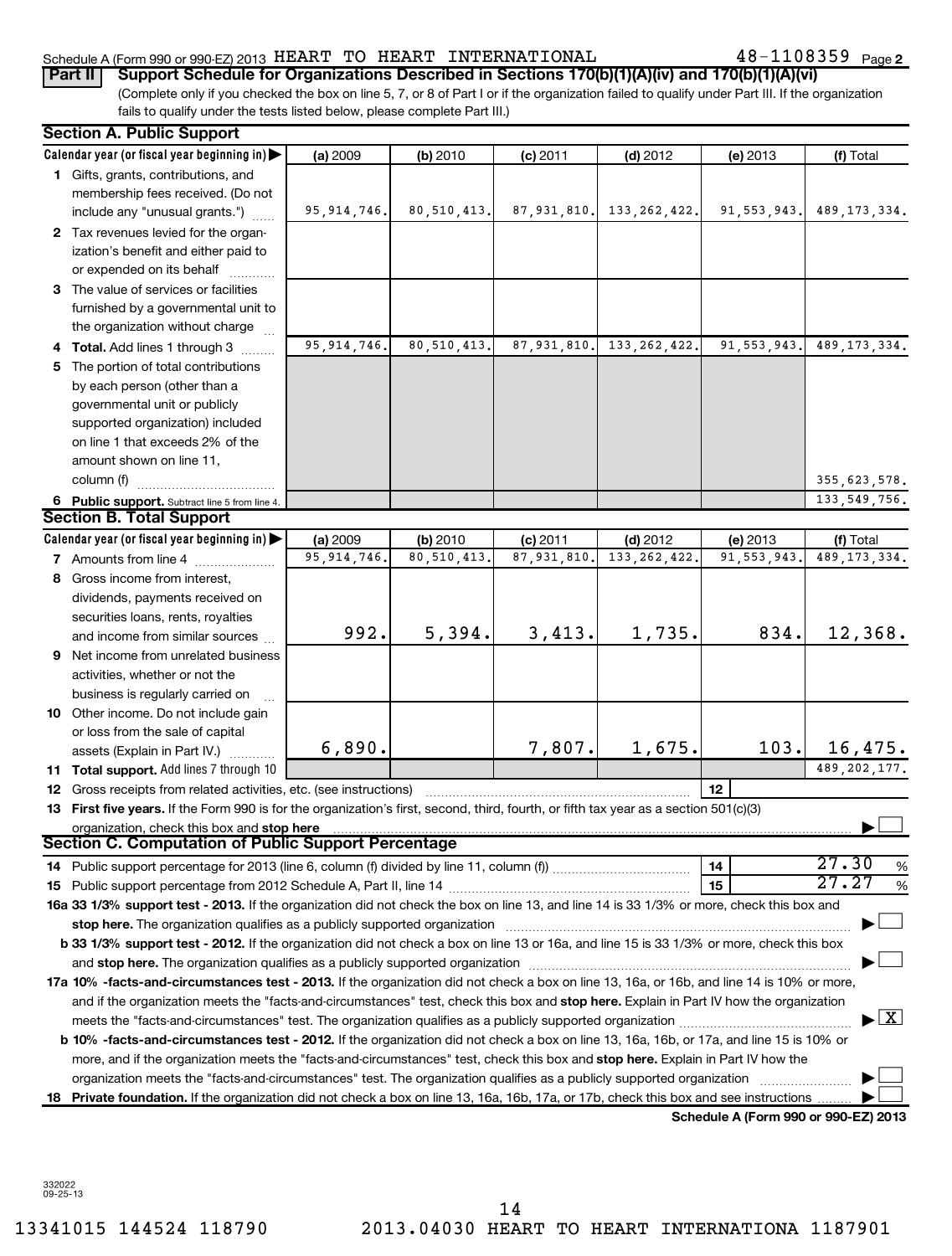### Schedule A (Form 990 or 990-EZ) 2013  ${\tt HERAT}$   ${\tt TO}$   ${\tt HERRT}$   ${\tt INTERNATIONAL}$   $48-1108359$   ${\tt Page}$

(Complete only if you checked the box on line 5, 7, or 8 of Part I or if the organization failed to qualify under Part III. If the organization fails to qualify under the tests listed below, please complete Part III.) **Part II** Support Schedule for Organizations Described in Sections 170(b)(1)(A)(iv) and 170(b)(1)(A)(vi)

|    | <b>Section A. Public Support</b>                                                                                                                                                                                              |                             |                            |               |                |                                      |                                             |
|----|-------------------------------------------------------------------------------------------------------------------------------------------------------------------------------------------------------------------------------|-----------------------------|----------------------------|---------------|----------------|--------------------------------------|---------------------------------------------|
|    | Calendar year (or fiscal year beginning in)                                                                                                                                                                                   | (a) 2009                    | (b) 2010                   | $(c)$ 2011    | $(d)$ 2012     | $(e)$ 2013                           | (f) Total                                   |
|    | 1 Gifts, grants, contributions, and                                                                                                                                                                                           |                             |                            |               |                |                                      |                                             |
|    | membership fees received. (Do not                                                                                                                                                                                             |                             |                            |               |                |                                      |                                             |
|    | include any "unusual grants.")                                                                                                                                                                                                | 95, 914, 746.               | 80, 510, 413.              | 87,931,810.   | 133, 262, 422. | 91, 553, 943.                        | 489, 173, 334.                              |
|    | 2 Tax revenues levied for the organ-                                                                                                                                                                                          |                             |                            |               |                |                                      |                                             |
|    | ization's benefit and either paid to                                                                                                                                                                                          |                             |                            |               |                |                                      |                                             |
|    | or expended on its behalf                                                                                                                                                                                                     |                             |                            |               |                |                                      |                                             |
|    | 3 The value of services or facilities                                                                                                                                                                                         |                             |                            |               |                |                                      |                                             |
|    | furnished by a governmental unit to                                                                                                                                                                                           |                             |                            |               |                |                                      |                                             |
|    | the organization without charge                                                                                                                                                                                               |                             |                            |               |                |                                      |                                             |
|    | 4 Total. Add lines 1 through 3                                                                                                                                                                                                | 95, 914, 746.               | 80, 510, 413.              | 87, 931, 810. | 133, 262, 422. | 91, 553, 943.                        | 489, 173, 334.                              |
| 5. | The portion of total contributions                                                                                                                                                                                            |                             |                            |               |                |                                      |                                             |
|    | by each person (other than a                                                                                                                                                                                                  |                             |                            |               |                |                                      |                                             |
|    | governmental unit or publicly                                                                                                                                                                                                 |                             |                            |               |                |                                      |                                             |
|    | supported organization) included                                                                                                                                                                                              |                             |                            |               |                |                                      |                                             |
|    | on line 1 that exceeds 2% of the                                                                                                                                                                                              |                             |                            |               |                |                                      |                                             |
|    | amount shown on line 11,                                                                                                                                                                                                      |                             |                            |               |                |                                      |                                             |
|    | column (f)                                                                                                                                                                                                                    |                             |                            |               |                |                                      | 355, 623, 578.                              |
|    | 6 Public support. Subtract line 5 from line 4.                                                                                                                                                                                |                             |                            |               |                |                                      | 133, 549, 756.                              |
|    | <b>Section B. Total Support</b>                                                                                                                                                                                               |                             |                            |               |                |                                      |                                             |
|    | Calendar year (or fiscal year beginning in)                                                                                                                                                                                   | (a) 2009                    | (b) 2010                   | $(c)$ 2011    | $(d)$ 2012     | (e) 2013                             | (f) Total                                   |
|    | 7 Amounts from line 4                                                                                                                                                                                                         | $\overline{95}$ , 914, 746. | $\overline{80}$ , 510, 413 | 87, 931, 810. | 133, 262, 422  | 91, 553, 943.                        | 489, 173, 334.                              |
|    | 8 Gross income from interest,                                                                                                                                                                                                 |                             |                            |               |                |                                      |                                             |
|    | dividends, payments received on                                                                                                                                                                                               |                             |                            |               |                |                                      |                                             |
|    | securities loans, rents, royalties                                                                                                                                                                                            |                             |                            |               |                |                                      |                                             |
|    | and income from similar sources                                                                                                                                                                                               | 992.                        | 5,394.                     | 3,413.        | 1,735.         | 834.                                 | 12,368.                                     |
| 9  | Net income from unrelated business                                                                                                                                                                                            |                             |                            |               |                |                                      |                                             |
|    | activities, whether or not the                                                                                                                                                                                                |                             |                            |               |                |                                      |                                             |
|    | business is regularly carried on                                                                                                                                                                                              |                             |                            |               |                |                                      |                                             |
|    | 10 Other income. Do not include gain                                                                                                                                                                                          |                             |                            |               |                |                                      |                                             |
|    | or loss from the sale of capital                                                                                                                                                                                              |                             |                            |               |                |                                      |                                             |
|    | assets (Explain in Part IV.)                                                                                                                                                                                                  | 6,890.                      |                            | 7,807.        | 1,675.         | 103.                                 | 16,475.                                     |
| 11 | Total support. Add lines 7 through 10                                                                                                                                                                                         |                             |                            |               |                |                                      | 489, 202, 177.                              |
|    | 12 Gross receipts from related activities, etc. (see instructions)                                                                                                                                                            |                             |                            |               |                | 12                                   |                                             |
|    | 13 First five years. If the Form 990 is for the organization's first, second, third, fourth, or fifth tax year as a section 501(c)(3)                                                                                         |                             |                            |               |                |                                      |                                             |
|    | organization, check this box and stop here                                                                                                                                                                                    |                             |                            |               |                |                                      |                                             |
|    | <b>Section C. Computation of Public Support Percentage</b>                                                                                                                                                                    |                             |                            |               |                |                                      |                                             |
|    |                                                                                                                                                                                                                               |                             |                            |               |                | 14                                   | 27.30<br>%<br>27.27                         |
|    |                                                                                                                                                                                                                               |                             |                            |               |                | 15                                   | %                                           |
|    | 16a 33 1/3% support test - 2013. If the organization did not check the box on line 13, and line 14 is 33 1/3% or more, check this box and                                                                                     |                             |                            |               |                |                                      |                                             |
|    | stop here. The organization qualifies as a publicly supported organization manufaction manufacture content and the organization manufacture of the organization of the organization of the state of the state of the state of |                             |                            |               |                |                                      |                                             |
|    | b 33 1/3% support test - 2012. If the organization did not check a box on line 13 or 16a, and line 15 is 33 1/3% or more, check this box                                                                                      |                             |                            |               |                |                                      |                                             |
|    |                                                                                                                                                                                                                               |                             |                            |               |                |                                      |                                             |
|    | 17a 10% -facts-and-circumstances test - 2013. If the organization did not check a box on line 13, 16a, or 16b, and line 14 is 10% or more,                                                                                    |                             |                            |               |                |                                      |                                             |
|    | and if the organization meets the "facts-and-circumstances" test, check this box and stop here. Explain in Part IV how the organization                                                                                       |                             |                            |               |                |                                      | $\blacktriangleright$ $\lfloor$ X $\rfloor$ |
|    |                                                                                                                                                                                                                               |                             |                            |               |                |                                      |                                             |
|    | b 10% -facts-and-circumstances test - 2012. If the organization did not check a box on line 13, 16a, 16b, or 17a, and line 15 is 10% or                                                                                       |                             |                            |               |                |                                      |                                             |
|    | more, and if the organization meets the "facts-and-circumstances" test, check this box and stop here. Explain in Part IV how the                                                                                              |                             |                            |               |                |                                      |                                             |
|    | organization meets the "facts-and-circumstances" test. The organization qualifies as a publicly supported organization                                                                                                        |                             |                            |               |                |                                      |                                             |
| 18 | Private foundation. If the organization did not check a box on line 13, 16a, 16b, 17a, or 17b, check this box and see instructions                                                                                            |                             |                            |               |                |                                      |                                             |
|    |                                                                                                                                                                                                                               |                             |                            |               |                | Schedule A (Form 990 or 990-EZ) 2013 |                                             |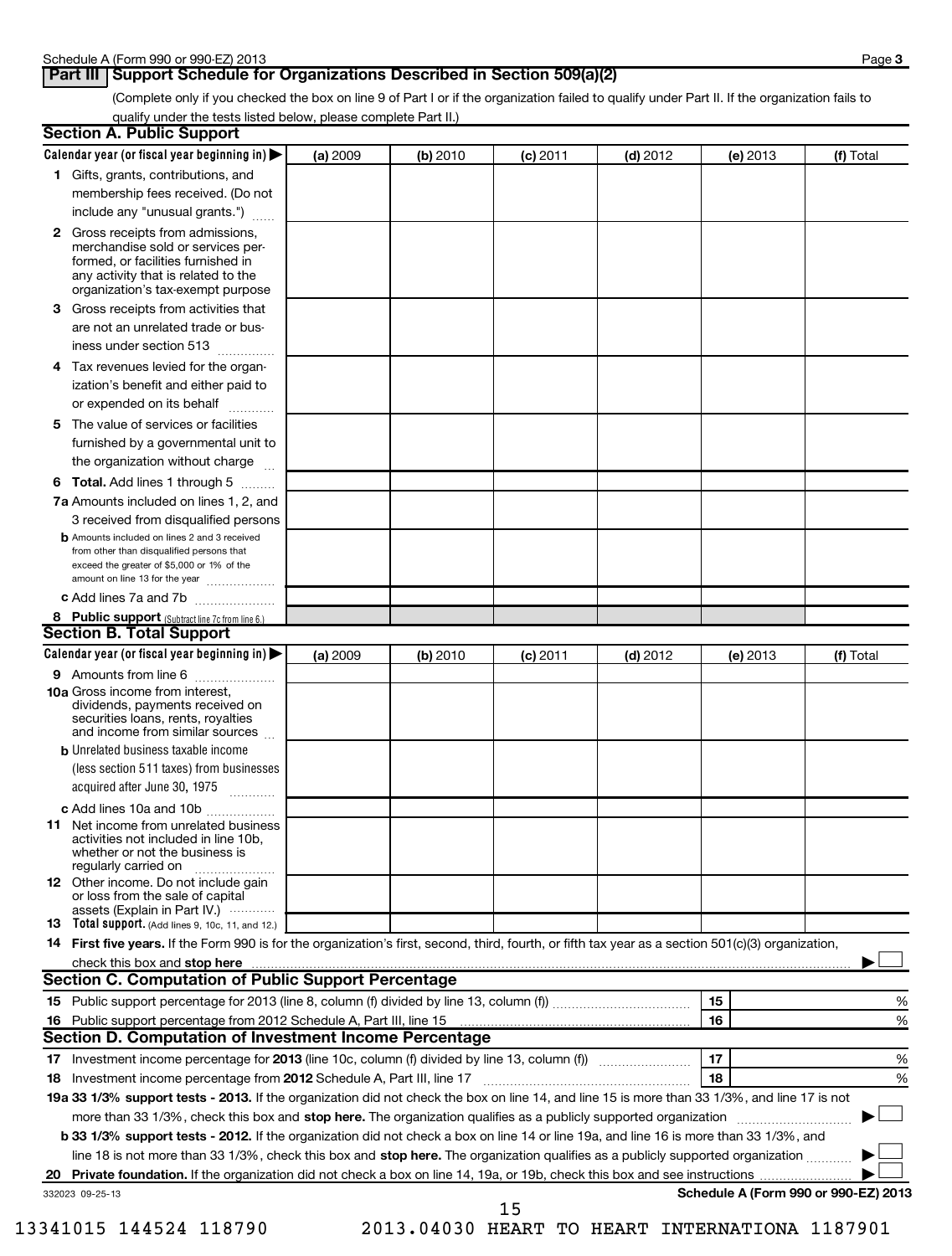### **Part III** Support Schedule for Organizations Described in Section 509(a)(2)

(Complete only if you checked the box on line 9 of Part I or if the organization failed to qualify under Part II. If the organization fails to qualify under the tests listed below, please complete Part II.)

| <b>Section A. Public Support</b>                                                                                                                                                                                               |          |          |            |            |            |                                      |
|--------------------------------------------------------------------------------------------------------------------------------------------------------------------------------------------------------------------------------|----------|----------|------------|------------|------------|--------------------------------------|
| Calendar year (or fiscal year beginning in)                                                                                                                                                                                    | (a) 2009 | (b) 2010 | (c) 2011   | $(d)$ 2012 | (e) 2013   | (f) Total                            |
| 1 Gifts, grants, contributions, and                                                                                                                                                                                            |          |          |            |            |            |                                      |
| membership fees received. (Do not                                                                                                                                                                                              |          |          |            |            |            |                                      |
| include any "unusual grants.")                                                                                                                                                                                                 |          |          |            |            |            |                                      |
| <b>2</b> Gross receipts from admissions,<br>merchandise sold or services per-<br>formed, or facilities furnished in<br>any activity that is related to the<br>organization's tax-exempt purpose                                |          |          |            |            |            |                                      |
| 3 Gross receipts from activities that<br>are not an unrelated trade or bus-                                                                                                                                                    |          |          |            |            |            |                                      |
| iness under section 513                                                                                                                                                                                                        |          |          |            |            |            |                                      |
| Tax revenues levied for the organ-<br>4<br>ization's benefit and either paid to<br>or expended on its behalf                                                                                                                   |          |          |            |            |            |                                      |
|                                                                                                                                                                                                                                |          |          |            |            |            |                                      |
| 5 The value of services or facilities<br>furnished by a governmental unit to<br>the organization without charge                                                                                                                |          |          |            |            |            |                                      |
| <b>6 Total.</b> Add lines 1 through 5                                                                                                                                                                                          |          |          |            |            |            |                                      |
| 7a Amounts included on lines 1, 2, and<br>3 received from disqualified persons                                                                                                                                                 |          |          |            |            |            |                                      |
| <b>b</b> Amounts included on lines 2 and 3 received<br>from other than disqualified persons that<br>exceed the greater of \$5,000 or 1% of the<br>amount on line 13 for the year                                               |          |          |            |            |            |                                      |
| c Add lines 7a and 7b                                                                                                                                                                                                          |          |          |            |            |            |                                      |
| 8 Public support (Subtract line 7c from line 6.)                                                                                                                                                                               |          |          |            |            |            |                                      |
| <b>Section B. Total Support</b>                                                                                                                                                                                                |          |          |            |            |            |                                      |
| Calendar year (or fiscal year beginning in)                                                                                                                                                                                    | (a) 2009 | (b) 2010 | $(c)$ 2011 | $(d)$ 2012 | $(e)$ 2013 | (f) Total                            |
| 9 Amounts from line 6                                                                                                                                                                                                          |          |          |            |            |            |                                      |
| <b>10a</b> Gross income from interest,<br>dividends, payments received on<br>securities loans, rents, royalties<br>and income from similar sources                                                                             |          |          |            |            |            |                                      |
| <b>b</b> Unrelated business taxable income                                                                                                                                                                                     |          |          |            |            |            |                                      |
| (less section 511 taxes) from businesses<br>acquired after June 30, 1975<br>$\overline{\phantom{a}}$                                                                                                                           |          |          |            |            |            |                                      |
| c Add lines 10a and 10b                                                                                                                                                                                                        |          |          |            |            |            |                                      |
| <b>11</b> Net income from unrelated business<br>activities not included in line 10b,<br>whether or not the business is<br>regularly carried on                                                                                 |          |          |            |            |            |                                      |
| 12 Other income. Do not include gain<br>or loss from the sale of capital<br>assets (Explain in Part IV.)                                                                                                                       |          |          |            |            |            |                                      |
| <b>13</b> Total support. (Add lines 9, 10c, 11, and 12.)                                                                                                                                                                       |          |          |            |            |            |                                      |
| 14 First five years. If the Form 990 is for the organization's first, second, third, fourth, or fifth tax year as a section 501(c)(3) organization,                                                                            |          |          |            |            |            |                                      |
| check this box and stop here manufactured and content to the state of the state of the state of the state of the state of the state of the state of the state of the state of the state of the state of the state of the state |          |          |            |            |            |                                      |
| Section C. Computation of Public Support Percentage                                                                                                                                                                            |          |          |            |            |            |                                      |
|                                                                                                                                                                                                                                |          |          |            |            | 15         | %                                    |
|                                                                                                                                                                                                                                |          |          |            |            | 16         | %                                    |
| Section D. Computation of Investment Income Percentage                                                                                                                                                                         |          |          |            |            |            |                                      |
|                                                                                                                                                                                                                                |          |          |            |            | 17         | %                                    |
| 18 Investment income percentage from 2012 Schedule A, Part III, line 17                                                                                                                                                        |          |          |            |            | 18         | %                                    |
| 19a 33 1/3% support tests - 2013. If the organization did not check the box on line 14, and line 15 is more than 33 1/3%, and line 17 is not                                                                                   |          |          |            |            |            |                                      |
| more than 33 1/3%, check this box and stop here. The organization qualifies as a publicly supported organization                                                                                                               |          |          |            |            |            |                                      |
| b 33 1/3% support tests - 2012. If the organization did not check a box on line 14 or line 19a, and line 16 is more than 33 1/3%, and                                                                                          |          |          |            |            |            |                                      |
| line 18 is not more than 33 1/3%, check this box and stop here. The organization qualifies as a publicly supported organization                                                                                                |          |          |            |            |            |                                      |
| 20                                                                                                                                                                                                                             |          |          |            |            |            | Schedule A (Form 990 or 990-EZ) 2013 |
| 332023 09-25-13                                                                                                                                                                                                                |          |          | 15         |            |            |                                      |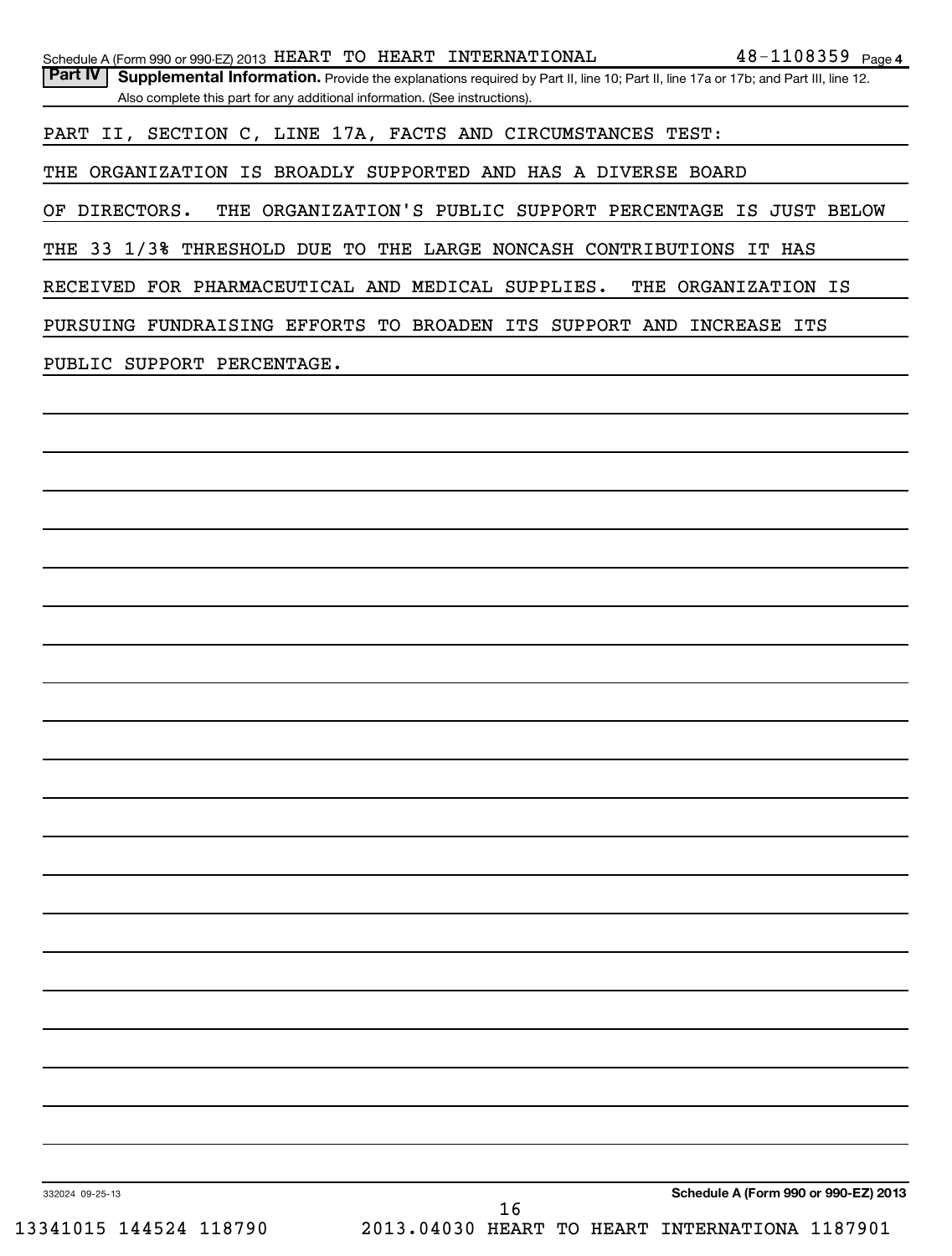| Schedule A (Form 990 or 990-EZ) 2013 HEART TO HEART INTERNATIONAL                             |    | $48 - 1108359$ Page 4                                                                                                             |
|-----------------------------------------------------------------------------------------------|----|-----------------------------------------------------------------------------------------------------------------------------------|
| <b>Part IV</b><br>Also complete this part for any additional information. (See instructions). |    | Supplemental Information. Provide the explanations required by Part II, line 10; Part II, line 17a or 17b; and Part III, line 12. |
| PART II, SECTION C, LINE 17A, FACTS AND CIRCUMSTANCES TEST:                                   |    |                                                                                                                                   |
| THE ORGANIZATION IS BROADLY SUPPORTED AND HAS A DIVERSE BOARD                                 |    |                                                                                                                                   |
| OF DIRECTORS.                                                                                 |    | THE ORGANIZATION'S PUBLIC SUPPORT PERCENTAGE IS JUST BELOW                                                                        |
| THE 33 1/3% THRESHOLD DUE TO THE LARGE NONCASH CONTRIBUTIONS IT HAS                           |    |                                                                                                                                   |
| RECEIVED FOR PHARMACEUTICAL AND MEDICAL SUPPLIES.                                             |    | THE ORGANIZATION IS                                                                                                               |
| PURSUING FUNDRAISING EFFORTS TO BROADEN ITS SUPPORT AND INCREASE ITS                          |    |                                                                                                                                   |
| PUBLIC SUPPORT PERCENTAGE.                                                                    |    |                                                                                                                                   |
|                                                                                               |    |                                                                                                                                   |
|                                                                                               |    |                                                                                                                                   |
|                                                                                               |    |                                                                                                                                   |
|                                                                                               |    |                                                                                                                                   |
|                                                                                               |    |                                                                                                                                   |
|                                                                                               |    |                                                                                                                                   |
|                                                                                               |    |                                                                                                                                   |
|                                                                                               |    |                                                                                                                                   |
|                                                                                               |    |                                                                                                                                   |
|                                                                                               |    |                                                                                                                                   |
|                                                                                               |    |                                                                                                                                   |
|                                                                                               |    |                                                                                                                                   |
|                                                                                               |    |                                                                                                                                   |
|                                                                                               |    |                                                                                                                                   |
|                                                                                               |    |                                                                                                                                   |
|                                                                                               |    |                                                                                                                                   |
|                                                                                               |    |                                                                                                                                   |
|                                                                                               |    |                                                                                                                                   |
|                                                                                               |    |                                                                                                                                   |
|                                                                                               |    |                                                                                                                                   |
|                                                                                               |    |                                                                                                                                   |
| 332024 09-25-13                                                                               |    | Schedule A (Form 990 or 990-EZ) 2013                                                                                              |
| 13341015 144524 118790                                                                        | 16 | 2013.04030 HEART TO HEART INTERNATIONA 1187901                                                                                    |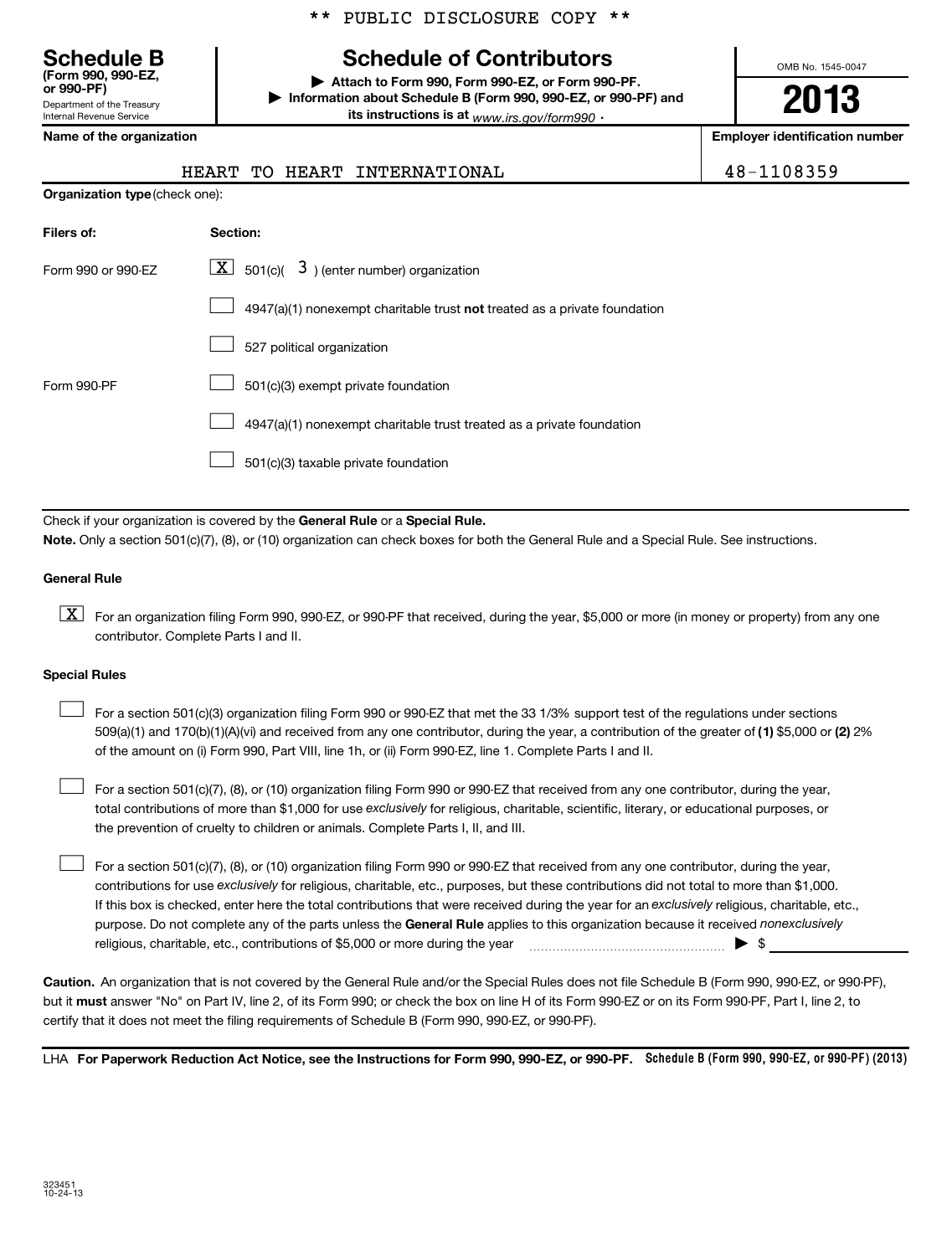# **Schedule B Schedule of Contributors**

**or 990-PF) | Attach to Form 990, Form 990-EZ, or Form 990-PF. | Information about Schedule B (Form 990, 990-EZ, or 990-PF) and its instructions is at** <sub>www.irs.gov/form990  $\cdot$ </sub>

OMB No. 1545-0047

# **2013**

**Name of the organization Employer identification number**

Department of the Treasury Internal Revenue Service

**(Form 990, 990-EZ,**

|                                | HEART INTERNATIONAL<br>HEART<br>TU                                        | 48-1108359 |
|--------------------------------|---------------------------------------------------------------------------|------------|
| Organization type (check one): |                                                                           |            |
| Filers of:                     | <b>Section:</b>                                                           |            |
| Form 990 or 990-EZ             | $\boxed{\mathbf{X}}$ 501(c)( 3) (enter number) organization               |            |
|                                | 4947(a)(1) nonexempt charitable trust not treated as a private foundation |            |
|                                | 527 political organization                                                |            |
| Form 990-PF                    | 501(c)(3) exempt private foundation                                       |            |
|                                | 4947(a)(1) nonexempt charitable trust treated as a private foundation     |            |

501(c)(3) taxable private foundation  $\Box$ 

Check if your organization is covered by the General Rule or a Special Rule. **Note.**  Only a section 501(c)(7), (8), or (10) organization can check boxes for both the General Rule and a Special Rule. See instructions.

### **General Rule**

 $\boxed{\textbf{X}}$  For an organization filing Form 990, 990-EZ, or 990-PF that received, during the year, \$5,000 or more (in money or property) from any one contributor. Complete Parts I and II.

### **Special Rules**

509(a)(1) and 170(b)(1)(A)(vi) and received from any one contributor, during the year, a contribution of the greater of (1**)** \$5,000 or (**2**) 2% For a section 501(c)(3) organization filing Form 990 or 990-EZ that met the 33 1/3% support test of the regulations under sections of the amount on (i) Form 990, Part VIII, line 1h, or (ii) Form 990-EZ, line 1. Complete Parts I and II.  $\left\vert \cdot\right\vert$ 

total contributions of more than \$1,000 for use exclusively for religious, charitable, scientific, literary, or educational purposes, or For a section 501(c)(7), (8), or (10) organization filing Form 990 or 990-EZ that received from any one contributor, during the year, the prevention of cruelty to children or animals. Complete Parts I, II, and III.  $\left\vert \cdot\right\vert$ 

purpose. Do not complete any of the parts unless the General Rule applies to this organization because it received nonexclusively contributions for use exclusively for religious, charitable, etc., purposes, but these contributions did not total to more than \$1,000. If this box is checked, enter here the total contributions that were received during the year for an exclusively religious, charitable, etc., For a section 501(c)(7), (8), or (10) organization filing Form 990 or 990-EZ that received from any one contributor, during the year, religious, charitable, etc., contributions of \$5,000 or more during the year  $\Box$   $\Box$   $\Box$   $\Box$  $\left\vert \cdot\right\vert$ 

**Caution.** An organization that is not covered by the General Rule and/or the Special Rules does not file Schedule B (Form 990, 990-EZ, or 990-PF),  **must** but it answer "No" on Part IV, line 2, of its Form 990; or check the box on line H of its Form 990-EZ or on its Form 990-PF, Part I, line 2, to certify that it does not meet the filing requirements of Schedule B (Form 990, 990-EZ, or 990-PF).

LHA For Paperwork Reduction Act Notice, see the Instructions for Form 990, 990-EZ, or 990-PF. Schedule B (Form 990, 990-EZ, or 990-PF) (2013)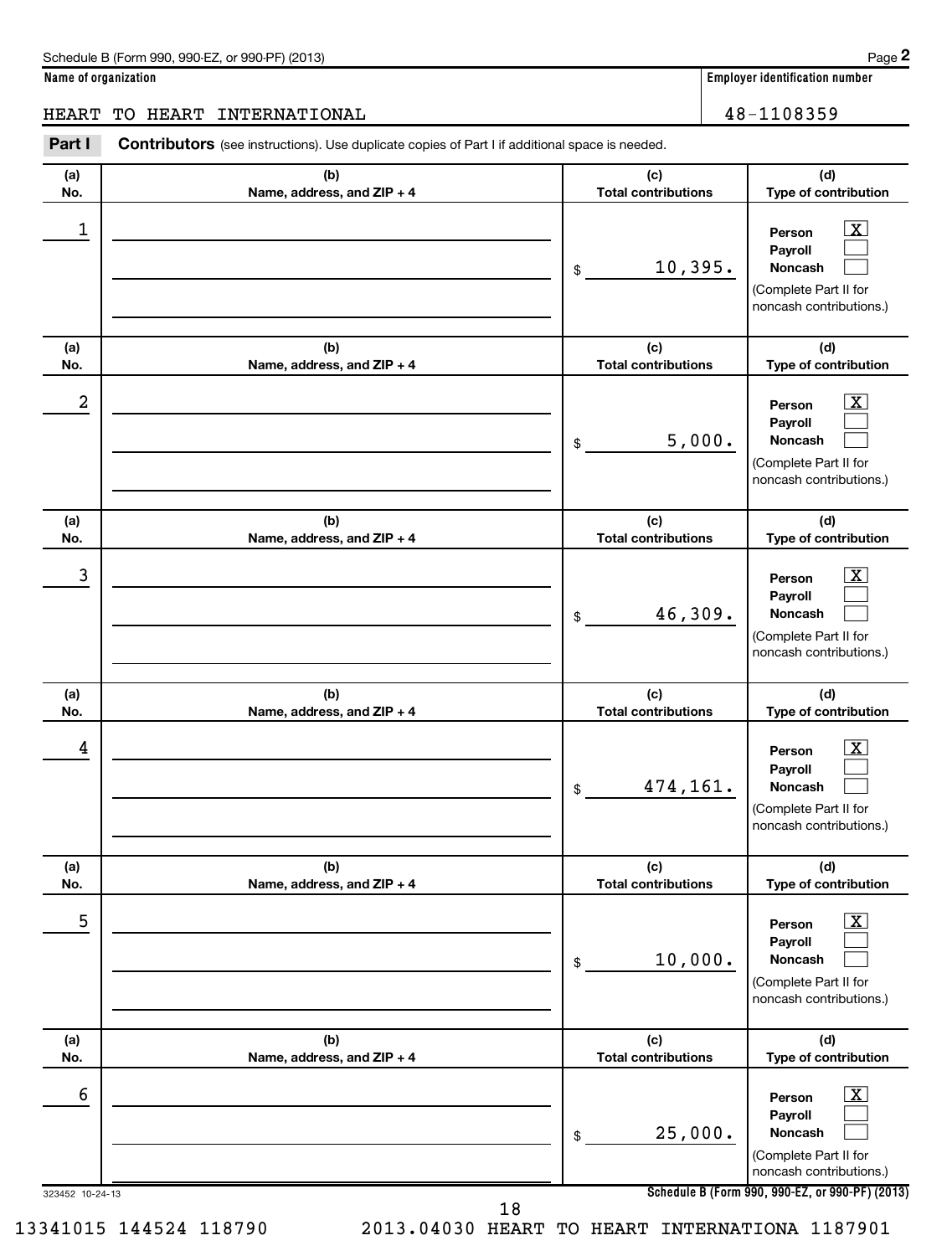**(d)**

 $\boxed{\text{X}}$ 

### HEART TO HEART INTERNATIONAL 16 and 100 million 100 million 100 million 100 million 100 million 100 million 10

**(a) No. (b) Name, address, and ZIP + 4 (c) Total contributions Type of contribution Person** Part I Contributors (see instructions). Use duplicate copies of Part I if additional space is needed. \$ 1 X 10,395.

|                      |                                   | 10,395.<br>\$                     | Payroll<br><b>Noncash</b><br>(Complete Part II for<br>noncash contributions.)                                                                               |
|----------------------|-----------------------------------|-----------------------------------|-------------------------------------------------------------------------------------------------------------------------------------------------------------|
| (a)<br>No.           | (b)<br>Name, address, and ZIP + 4 | (c)<br><b>Total contributions</b> | (d)<br>Type of contribution                                                                                                                                 |
| 2                    |                                   | 5,000.<br>\$                      | $\overline{\mathbf{X}}$<br>Person<br>Payroll<br>Noncash<br>(Complete Part II for<br>noncash contributions.)                                                 |
| (a)<br>No.           | (b)<br>Name, address, and ZIP + 4 | (c)<br><b>Total contributions</b> | (d)<br>Type of contribution                                                                                                                                 |
| 3                    |                                   | 46,309.<br>\$                     | $\overline{\mathbf{X}}$<br>Person<br>Payroll<br>Noncash<br>(Complete Part II for<br>noncash contributions.)                                                 |
| (a)<br>No.           | (b)<br>Name, address, and ZIP + 4 | (c)<br><b>Total contributions</b> | (d)<br>Type of contribution                                                                                                                                 |
| 4                    |                                   | 474,161.<br>\$                    | $\overline{\mathbf{X}}$<br>Person<br>Payroll<br>Noncash<br>(Complete Part II for<br>noncash contributions.)                                                 |
| (a)<br>No.           | (b)<br>Name, address, and ZIP + 4 | (c)<br><b>Total contributions</b> | (d)<br>Type of contribution                                                                                                                                 |
| 5                    |                                   | 10,000.<br>\$.                    | х<br>Person<br>Payroll<br>Noncash<br>لسما<br>(Complete Part II for<br>noncash contributions.)                                                               |
| (a)<br>No.           | (b)<br>Name, address, and ZIP + 4 | (c)<br><b>Total contributions</b> | (d)<br>Type of contribution                                                                                                                                 |
| 6<br>323452 10-24-13 |                                   | 25,000.<br>\$                     | $\boxed{\textbf{X}}$<br>Person<br>Payroll<br>Noncash<br>(Complete Part II for<br>noncash contributions.)<br>Schedule B (Form 990, 990-EZ, or 990-PF) (2013) |
|                      | 18                                |                                   |                                                                                                                                                             |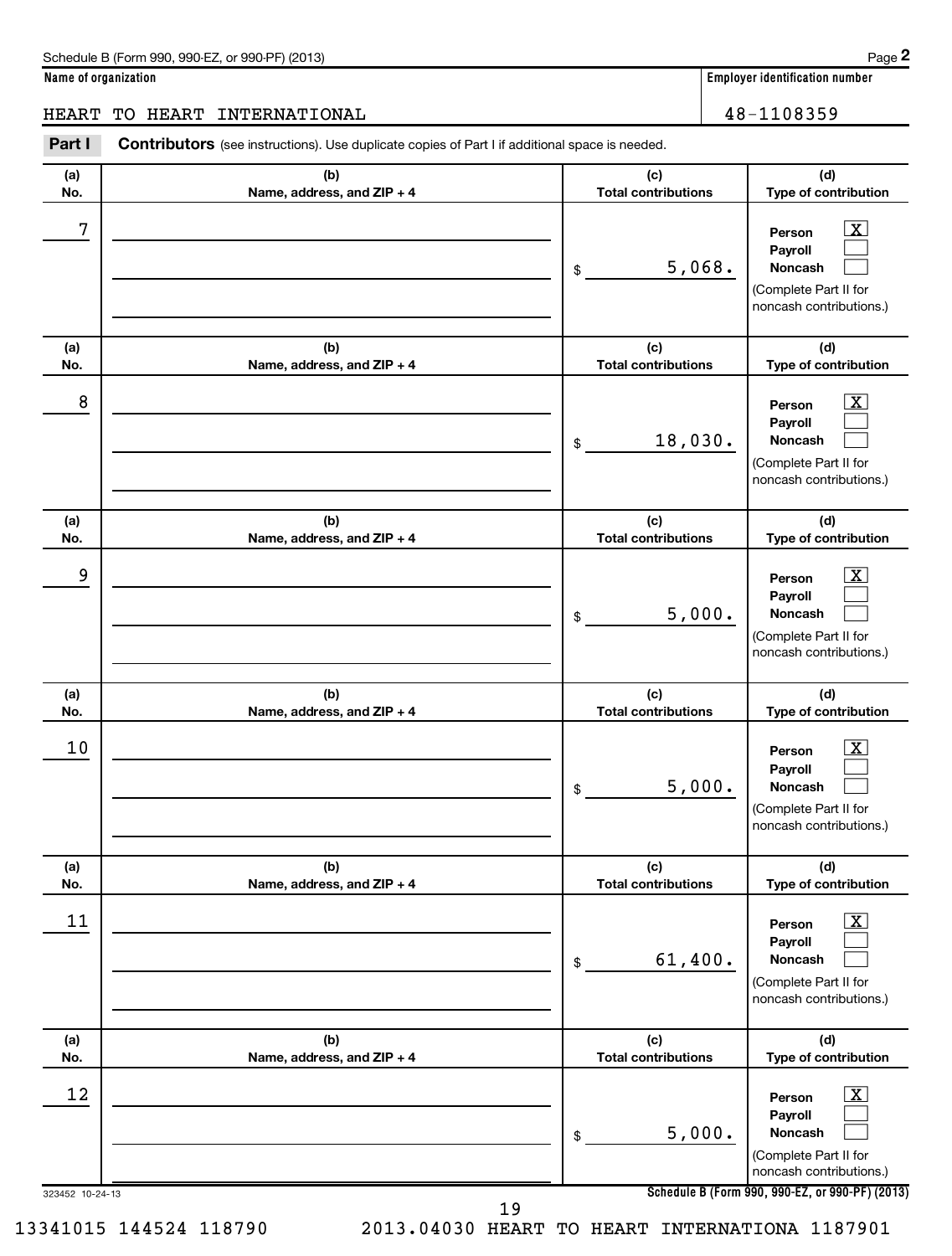**(d)**

 $\boxed{\textbf{X}}$  $\Box$  $\Box$ 

### HEART TO HEART INTERNATIONAL 16 and 100 million 100 million 100 million 100 million 100 million 100 million 10

**(a) No. (b) Name, address, and ZIP + 4 (c) Total contributions Type of contribution Person Payroll Noncash (a) (b) (c)** Part I Contributors (see instructions). Use duplicate copies of Part I if additional space is needed. \$  $7$   $|$  Person  $\overline{\text{X}}$ 5,068.

|                 |                                   |                                   | (Complete Part II for<br>noncash contributions.)                                                            |
|-----------------|-----------------------------------|-----------------------------------|-------------------------------------------------------------------------------------------------------------|
| (a)<br>No.      | (b)<br>Name, address, and ZIP + 4 | (c)<br><b>Total contributions</b> | (d)<br>Type of contribution                                                                                 |
| 8               |                                   | 18,030.<br>\$                     | $\overline{\mathbf{X}}$<br>Person<br>Payroll<br>Noncash<br>(Complete Part II for<br>noncash contributions.) |
| (a)<br>No.      | (b)<br>Name, address, and ZIP + 4 | (c)<br><b>Total contributions</b> | (d)<br>Type of contribution                                                                                 |
| 9               |                                   | 5,000.<br>\$                      | $\mathbf{X}$<br>Person<br>Payroll<br>Noncash<br>(Complete Part II for<br>noncash contributions.)            |
| (a)<br>No.      | (b)<br>Name, address, and ZIP + 4 | (c)<br><b>Total contributions</b> | (d)<br>Type of contribution                                                                                 |
| 10              |                                   | 5,000.<br>\$                      | $\mathbf{X}$<br>Person<br>Payroll<br>Noncash<br>(Complete Part II for<br>noncash contributions.)            |
| (a)<br>No.      | (b)<br>Name, address, and ZIP + 4 | (c)<br><b>Total contributions</b> | (d)<br>Type of contribution                                                                                 |
| 11              |                                   | 61,400.<br>\$                     | х<br>Person<br>Payroll<br>Noncash<br>(Complete Part II for<br>noncash contributions.)                       |
| (a)<br>No.      | (b)<br>Name, address, and ZIP + 4 | (c)<br><b>Total contributions</b> | (d)<br>Type of contribution                                                                                 |
| 12              |                                   | 5,000.<br>\$                      | $\boxed{\text{X}}$<br>Person<br>Payroll<br>Noncash<br>(Complete Part II for<br>noncash contributions.)      |
| 323452 10-24-13 | 19                                |                                   | Schedule B (Form 990, 990-EZ, or 990-PF) (2013)                                                             |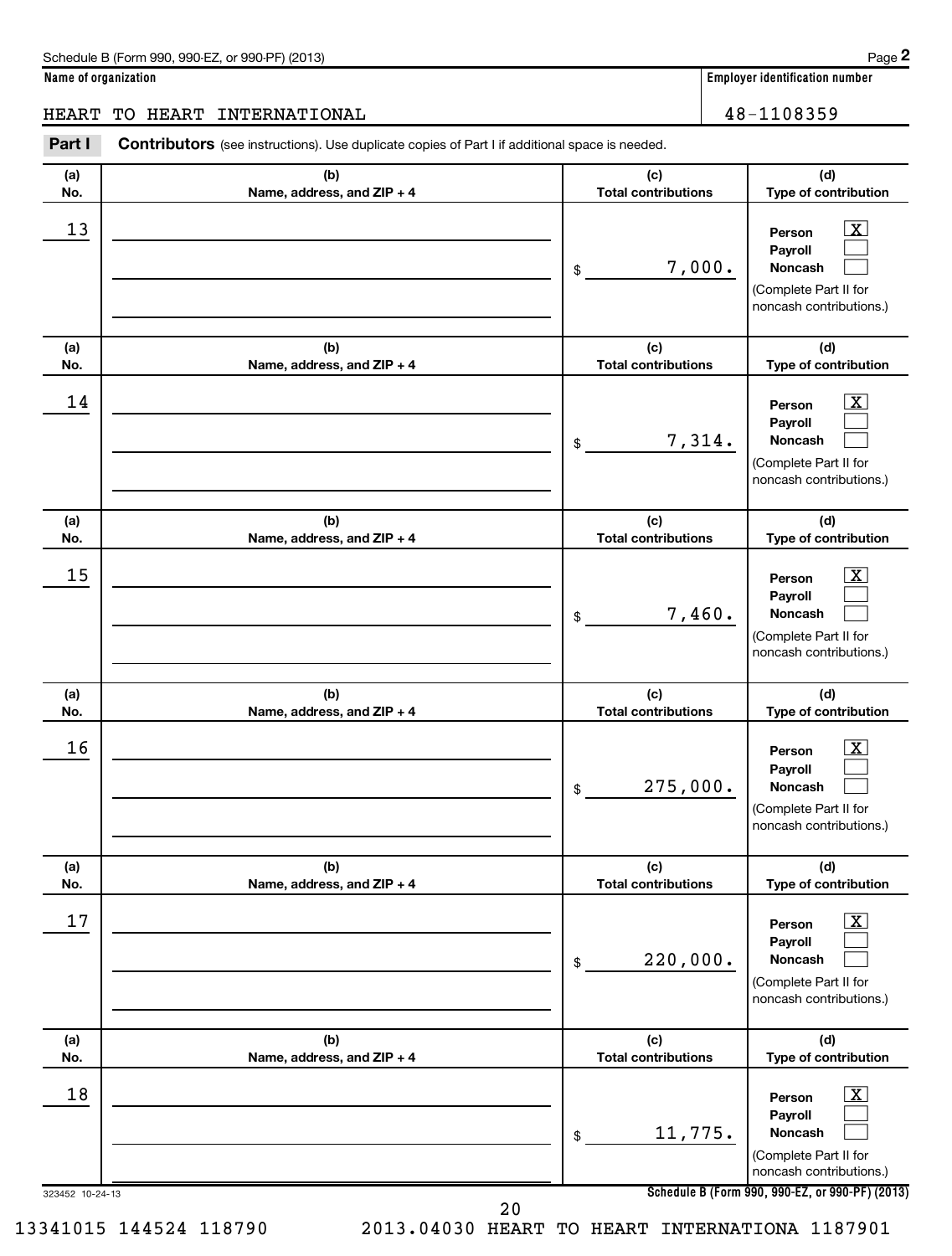**(d)**

 $\boxed{\textbf{X}}$  $\Box$  $\Box$ 

 $\overline{X}$ 

**(d)**

### HEART TO HEART INTERNATIONAL 16 and 18-1108359

**(a) No. (b) Name, address, and ZIP + 4 (c) Total contributions Type of contribution Person Payroll Noncash (a) No. (b) Name, address, and ZIP + 4 (c) Total contributions Type of contribution Person** Part I Contributors (see instructions). Use duplicate copies of Part I if additional space is needed. \$ (Complete Part II for noncash contributions.) \$ 13 X 7,000.  $14$  Person  $\overline{\text{X}}$ 7,314.

|                 |                                   | 7,314.<br>\$                      | JVII<br>Payroll<br>Noncash<br>(Complete Part II for<br>noncash contributions.)                              |
|-----------------|-----------------------------------|-----------------------------------|-------------------------------------------------------------------------------------------------------------|
| (a)<br>No.      | (b)<br>Name, address, and ZIP + 4 | (c)<br><b>Total contributions</b> | (d)<br>Type of contribution                                                                                 |
| 15              |                                   | 7,460.<br>\$                      | $\overline{\mathbf{X}}$<br>Person<br>Payroll<br>Noncash<br>(Complete Part II for<br>noncash contributions.) |
| (a)<br>No.      | (b)<br>Name, address, and ZIP + 4 | (c)<br><b>Total contributions</b> | (d)<br>Type of contribution                                                                                 |
| 16              |                                   | 275,000.<br>\$                    | $\overline{\mathbf{X}}$<br>Person<br>Payroll<br>Noncash<br>(Complete Part II for<br>noncash contributions.) |
| (a)<br>No.      | (b)<br>Name, address, and ZIP + 4 | (c)<br><b>Total contributions</b> | (d)<br>Type of contribution                                                                                 |
| 17              |                                   | 220,000.<br>\$                    | $\mathbf{X}$<br>Person<br>Payroll<br>Noncash<br>(Complete Part II for<br>noncash contributions.)            |
| (a)<br>No.      | (b)<br>Name, address, and ZIP + 4 | (c)<br><b>Total contributions</b> | (d)<br>Type of contribution                                                                                 |
| 18              |                                   | 11,775.<br>\$                     | $\overline{\mathbf{X}}$<br>Person<br>Payroll<br>Noncash<br>(Complete Part II for<br>noncash contributions.) |
| 323452 10-24-13 | 20                                |                                   | Schedule B (Form 990, 990-EZ, or 990-PF) (2013)                                                             |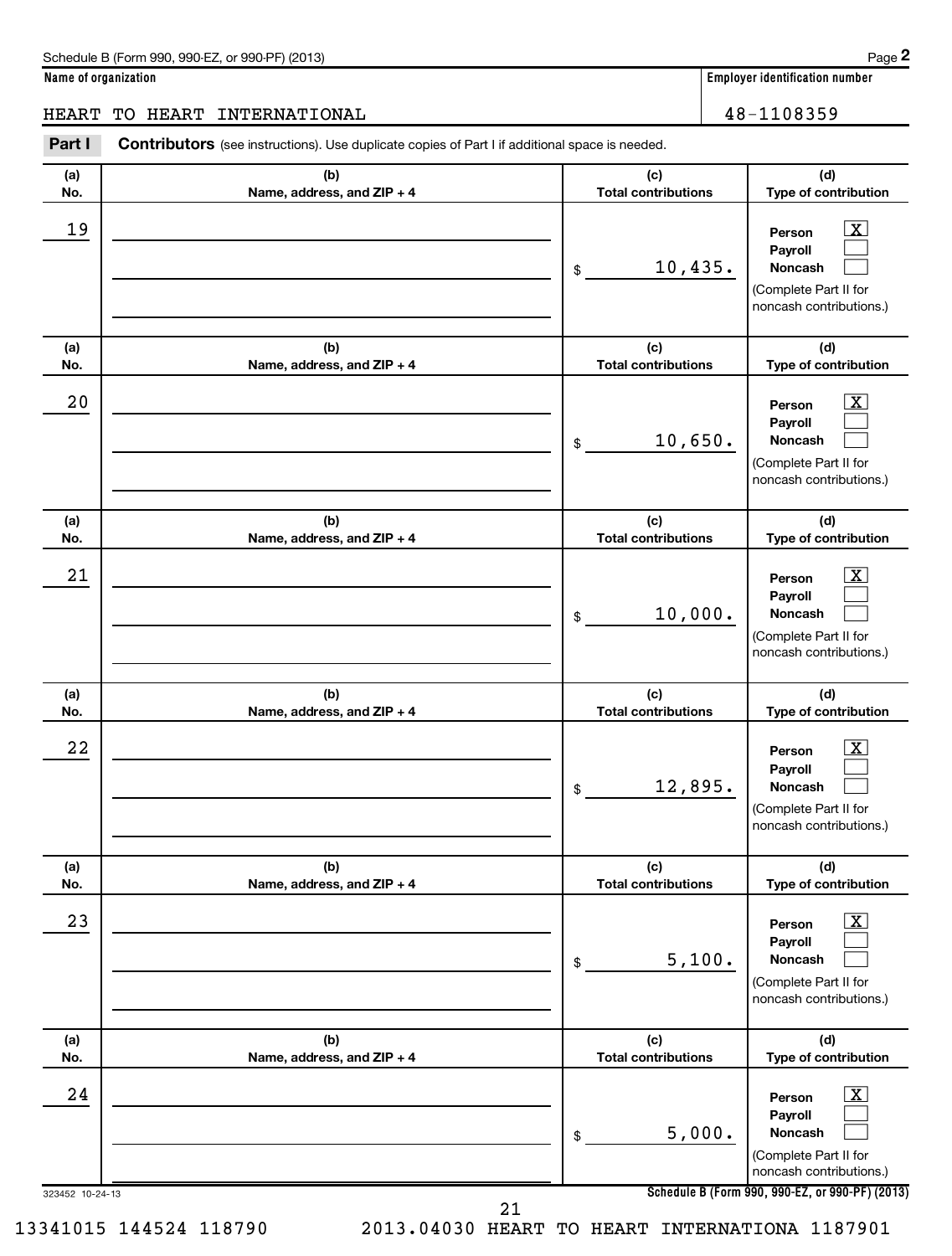**(d)**

 $\boxed{\textbf{X}}$  $\Box$  $\Box$ 

 $\boxed{\mathbf{X}}$  $\Box$ 

**(d)**

**(a) No. (b) Name, address, and ZIP + 4 (c) Total contributions Type of contribution Person Payroll Noncash (a) No. (b) Name, address, and ZIP + 4 (c) Total contributions Type of contribution Person Payroll Noncash (a) No. (b) Name, address, and ZIP + 4 (c) Total contributions** Part I Contributors (see instructions). Use duplicate copies of Part I if additional space is needed. \$ (Complete Part II for noncash contributions.) \$ HEART TO HEART INTERNATIONAL 16 and 100 million 100 million 100 million 100 million 100 million 100 million 10  $19$  Person  $\overline{\text{X}}$ 10,435.  $20$  Person  $\overline{\text{X}}$ 10,650.

|                        |                                   | 10,650.<br>\$                     | Noncash<br>(Complete Part II for<br>noncash contributions.)                                                        |
|------------------------|-----------------------------------|-----------------------------------|--------------------------------------------------------------------------------------------------------------------|
| (a)<br>No.             | (b)<br>Name, address, and ZIP + 4 | (c)<br><b>Total contributions</b> | (d)<br>Type of contribution                                                                                        |
| 21                     |                                   | 10,000.<br>\$                     | $\boxed{\textbf{X}}$<br>Person<br>Payroll<br><b>Noncash</b><br>(Complete Part II for<br>noncash contributions.)    |
| (a)<br>No.             | (b)<br>Name, address, and ZIP + 4 | (c)<br><b>Total contributions</b> | (d)<br>Type of contribution                                                                                        |
| 22                     |                                   | 12,895.<br>\$                     | $\mathbf{X}$<br>Person<br>Payroll<br>Noncash<br>(Complete Part II for<br>noncash contributions.)                   |
| (a)<br>No.             | (b)<br>Name, address, and ZIP + 4 | (c)<br><b>Total contributions</b> | (d)<br>Type of contribution                                                                                        |
| 23                     |                                   | 5,100.<br>\$                      | $\overline{\mathbf{X}}$<br>Person<br>Payroll<br><b>Noncash</b><br>(Complete Part II for<br>noncash contributions.) |
| (a)<br>No.             | (b)<br>Name, address, and ZIP + 4 | (c)<br><b>Total contributions</b> | (d)<br>Type of contribution                                                                                        |
| 24                     |                                   | 5,000.<br>\$                      | $\boxed{\textbf{X}}$<br>Person<br>Payroll<br><b>Noncash</b><br>(Complete Part II for<br>noncash contributions.)    |
| 323452 10-24-13        |                                   | 21                                | Schedule B (Form 990, 990-EZ, or 990-PF) (2013)                                                                    |
| 13341015 144524 118790 | 2013.04030 HEART                  | TO HEART                          | INTERNATIONA 1187901                                                                                               |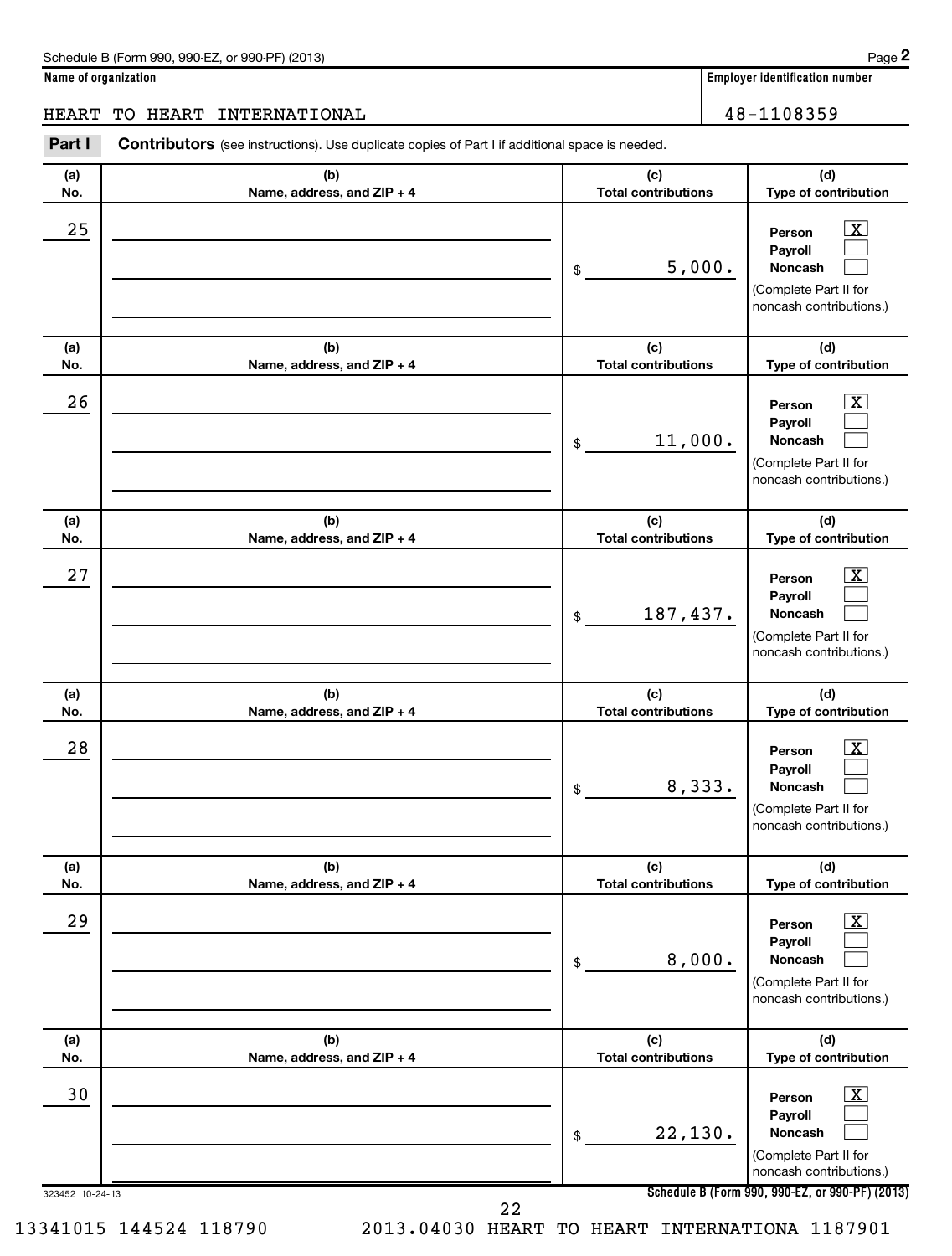**(d)**

 $\overline{X}$  $\Box$  $\Box$ 

 $\boxed{\text{X}}$  $\Box$  $\Box$ 

 $\vert$  X  $\vert$  $\Box$  $\Box$ 

**(d)**

**(d)**

**(d)**

**Name of organization Employer identification number (a) No. (b) Name, address, and ZIP + 4 (c) Total contributions Type of contribution Person Payroll Noncash (a) No. (b) Name, address, and ZIP + 4 (c) Total contributions Type of contribution Person Payroll Noncash (a) No. (b) Name, address, and ZIP + 4 (c) Total contributions Type of contribution Person Payroll Noncash (a) No. (b) Name, address, and ZIP + 4 (c) Total contributions Type of contribution** Part I Contributors (see instructions). Use duplicate copies of Part I if additional space is needed. \$ (Complete Part II for noncash contributions.) \$ (Complete Part II for noncash contributions.) \$ (Complete Part II for noncash contributions.) HEART TO HEART INTERNATIONAL 48-1108359  $25$  Person  $\overline{\text{X}}$ 5,000.  $26$  Person  $\overline{\text{X}}$ 11,000.  $27$  Person  $\overline{\text{X}}$ 187,437.

323452 10-24-13 **Schedule B (Form 990, 990-EZ, or 990-PF) (2013) Person Payroll Noncash No. (b) Name, address, and ZIP + 4 (c) Total contributions (d) Type of contribution Person Payroll Noncash No. (b) Name, address, and ZIP + 4 (c) Total contributions (d) Type of contribution Person Payroll Noncash** \$ (Complete Part II for noncash contributions.) \$ (Complete Part II for noncash contributions.) \$ (Complete Part II for noncash contributions.)  $\overline{X}$  $\Box$  $\Box$  $\lfloor x \rfloor$  $\Box$  $\Box$  $\vert$  X  $\vert$  $\Box$  $\Box$  $28$  Person  $\overline{\text{X}}$ 8,333.  $29$  Person  $\overline{\text{X}}$ 8,000. 30 X 22,130. 22

**(a)**

**(a)**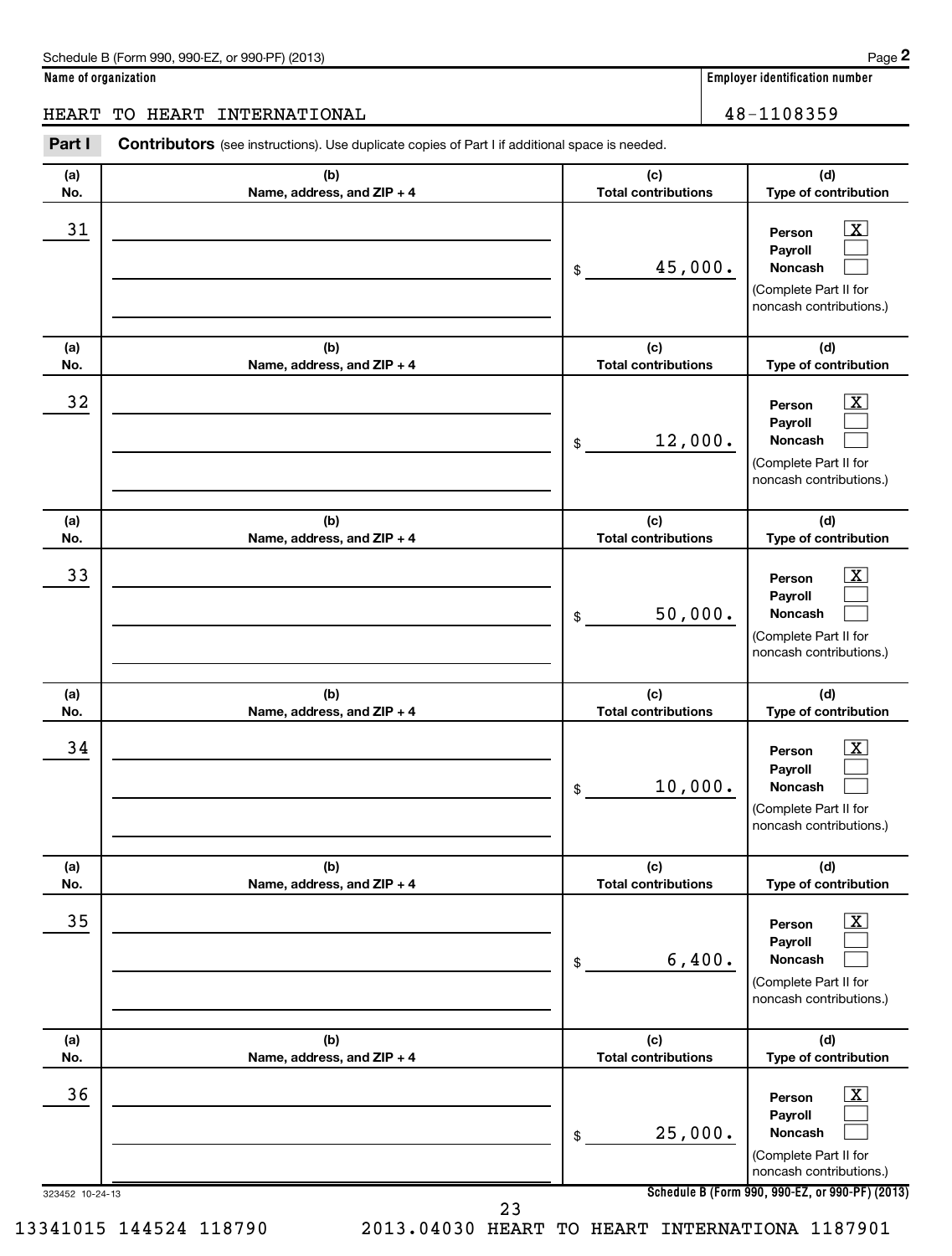**(d)**

 $\boxed{\mathrm{X}}$  $\Box$  $\Box$ 

 $\boxed{\mathbf{X}}$  $\Box$  $\Box$ 

 $\boxed{\textbf{X}}$  $\Box$  $\Box$ 

**(d)**

**(d)**

**Name of organization Employer identification number (a) No. (b) Name, address, and ZIP + 4 (c) Total contributions Type of contribution Person Payroll Noncash (a) No. (b) Name, address, and ZIP + 4 (c) Total contributions Type of contribution Person Payroll Noncash (a) No. (b) Name, address, and ZIP + 4 (c) Total contributions Type of contribution Person Payroll Noncash (a) No.**  $\overline{(\mathbf{h})}$ **Name, address, and ZIP + 4**  $\overline{I_{c}}$ **Total contributions** Part I Contributors (see instructions). Use duplicate copies of Part I if additional space is needed. \$ (Complete Part II for noncash contributions.) \$ (Complete Part II for noncash contributions.) \$ (Complete Part II for noncash contributions.) HEART TO HEART INTERNATIONAL 16 and 18-1108359 31 X 45,000. 32 X 12,000.  $\overline{33}$  Person  $\overline{\text{X}}$ 50,000.

| (a)                                       | (b)                               | (c)<br>(d)                                                                                                                          |
|-------------------------------------------|-----------------------------------|-------------------------------------------------------------------------------------------------------------------------------------|
| No.                                       | Name, address, and ZIP + 4        | <b>Total contributions</b><br>Type of contribution                                                                                  |
| 34                                        |                                   | $\overline{\mathbf{X}}$<br>Person<br>Payroll<br>10,000.<br><b>Noncash</b><br>\$<br>(Complete Part II for<br>noncash contributions.) |
| (a)                                       | (b)                               | (c)<br>(d)                                                                                                                          |
| No.                                       | Name, address, and ZIP + 4        | <b>Total contributions</b><br>Type of contribution                                                                                  |
| 35                                        |                                   | $\overline{\mathbf{X}}$<br>Person<br>Payroll<br>6,400.<br><b>Noncash</b><br>\$<br>(Complete Part II for<br>noncash contributions.)  |
| (a)<br>No.                                | (b)<br>Name, address, and ZIP + 4 | (d)<br>(c)<br><b>Total contributions</b><br>Type of contribution                                                                    |
| 36                                        |                                   | $\overline{\mathbf{X}}$<br>Person<br>Payroll<br>25,000.<br><b>Noncash</b><br>\$<br>(Complete Part II for<br>noncash contributions.) |
| 323452 10-24-13<br>13341015 144524 118790 | 2013.04030 HEART                  | Schedule B (Form 990, 990-EZ, or 990-PF) (2013)<br>23<br>TO<br>INTERNATIONA 1187901<br>HEART                                        |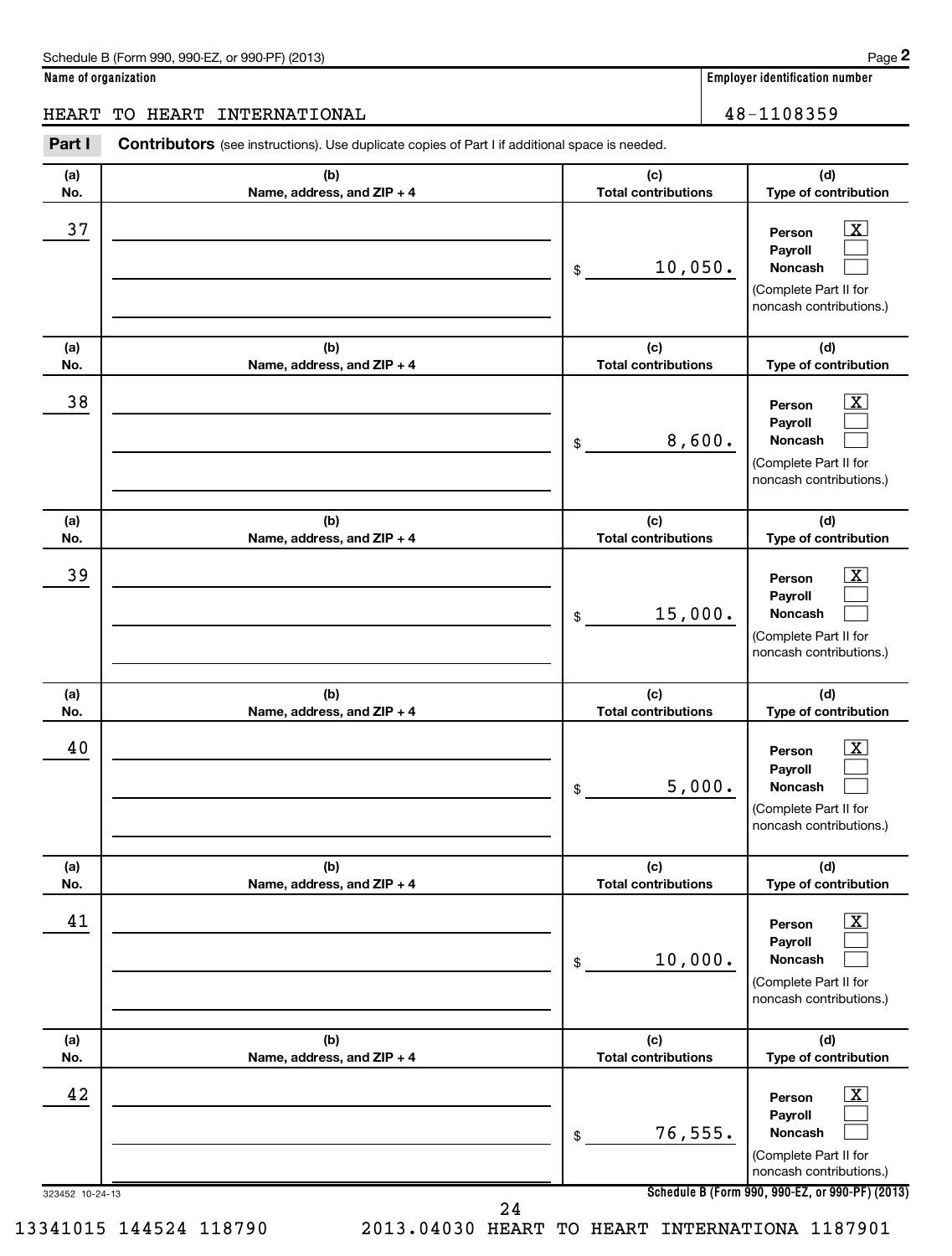**(d)**

 $\overline{X}$  $\Box$  $\Box$ 

 $\boxed{\textbf{X}}$  $\Box$  $\Box$ 

 $\boxed{\text{X}}$  $\Box$  $\Box$ 

 $\overline{X}$  $\Box$  $\Box$ 

**(d)**

**(d)**

**(d)**

**(d)**

**Name of organization Employer identification number (a) No. (b) Name, address, and ZIP + 4 (c) Total contributions Type of contribution Person Payroll Noncash (a) No. (b) Name, address, and ZIP + 4 (c) Total contributions Type of contribution Person Payroll Noncash (a) No. (b) Name, address, and ZIP + 4 (c) Total contributions Type of contribution Person Payroll Noncash (a) No. (b) Name, address, and ZIP + 4 (c) Total contributions Type of contribution Person Payroll Noncash (a) No. (b) Name, address, and ZIP + 4 (c) Total contributions Type of contribution** Part I Contributors (see instructions). Use duplicate copies of Part I if additional space is needed. \$ (Complete Part II for noncash contributions.) \$ (Complete Part II for noncash contributions.) \$ (Complete Part II for noncash contributions.) \$ (Complete Part II for noncash contributions.) \$ HEART TO HEART INTERNATIONAL 48-1108359  $\overline{37}$  Person  $\overline{\text{X}}$ 10,050.  $\overline{38}$  Person  $\overline{\text{X}}$ 8,600.  $\overline{39}$  Person  $\overline{\text{X}}$ 15,000. 40 X 5,000. 10,000.

| .          | $11411101$ agailed $001$ and $211$  | , 963, 99, 86, 86, 97, 8          | <b>I</b> The ALAMINISM IS                                                                                          |
|------------|-------------------------------------|-----------------------------------|--------------------------------------------------------------------------------------------------------------------|
| 41         |                                     | 10,000.<br>\$                     | $\overline{\mathbf{X}}$<br>Person<br>Payroll<br><b>Noncash</b><br>(Complete Part II for<br>noncash contributions.) |
| (a)<br>No. | (b)<br>Name, address, and $ZIP + 4$ | (c)<br><b>Total contributions</b> | (d)<br>Type of contribution                                                                                        |
| 42         |                                     | 76, 555.<br>\$                    | $\overline{\mathbf{X}}$<br>Person<br>Payroll<br>Noncash<br>(Complete Part II for<br>noncash contributions.)        |

**Schedule B (Form 990, 990-EZ, or 990-PF) (2013)**

323452 10-24-13

24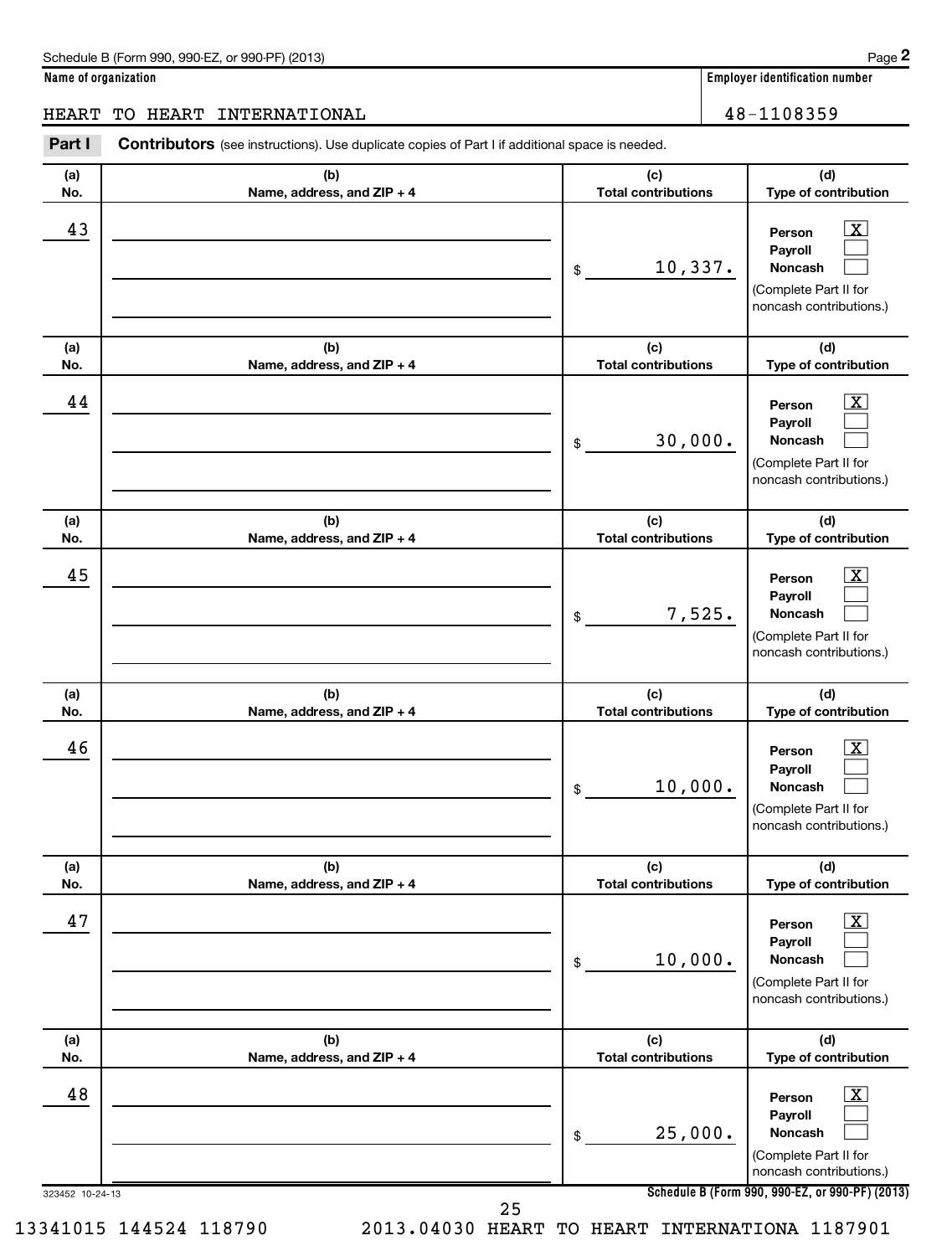$\boxed{\textbf{X}}$  $\Box$  $\Box$ 

### **Name of organization Employer identification number**

### HEART TO HEART INTERNATIONAL 16 and 18-1108359

**(a) No. (b) Name, address, and ZIP + 4 (c) Total contributions (d) Type of contribution Person Payroll Noncash (a) No. (b) Name, address, and ZIP + 4 (c) Total contributions (d) Type of contribution Person Payroll Noncash (a) No. (b) Name, address, and ZIP + 4 (c) Total contributions (d)** Part I Contributors (see instructions). Use duplicate copies of Part I if additional space is needed. \$ (Complete Part II for noncash contributions.) \$ 43 Person X 10,337.  $44$  Person  $\overline{\text{X}}$ 30,000.

| 44              |                                   | 30,000.<br>\$                     | $\lfloor x \rfloor$<br>Person<br>Payroll<br><b>Noncash</b><br>(Complete Part II for<br>noncash contributions.)     |
|-----------------|-----------------------------------|-----------------------------------|--------------------------------------------------------------------------------------------------------------------|
| (a)<br>No.      | (b)<br>Name, address, and ZIP + 4 | (c)<br><b>Total contributions</b> | (d)<br>Type of contribution                                                                                        |
| 45              |                                   | 7,525.<br>\$                      | X<br>Person<br>Payroll<br>Noncash<br>(Complete Part II for<br>noncash contributions.)                              |
| (a)<br>No.      | (b)<br>Name, address, and ZIP + 4 | (c)<br><b>Total contributions</b> | (d)<br>Type of contribution                                                                                        |
| 46              |                                   | 10,000.<br>$\mathsf{\$}$          | $\overline{\mathbf{x}}$<br>Person<br>Payroll<br>Noncash<br>(Complete Part II for<br>noncash contributions.)        |
| (a)<br>No.      | (b)<br>Name, address, and ZIP + 4 | (c)<br><b>Total contributions</b> | (d)<br>Type of contribution                                                                                        |
| 47              |                                   | 10,000.<br>\$                     | $\overline{\mathbf{X}}$<br>Person<br>Payroll<br><b>Noncash</b><br>(Complete Part II for<br>noncash contributions.) |
| (a)<br>No.      | (b)<br>Name, address, and ZIP + 4 | (c)<br><b>Total contributions</b> | (d)<br>Type of contribution                                                                                        |
| 48              |                                   | 25,000.<br>$$\mathbb{S}$$         | x<br>Person<br>Payroll<br>Noncash<br>(Complete Part II for<br>noncash contributions.)                              |
| 323452 10-24-13 | 25                                |                                   | Schedule B (Form 990, 990-EZ, or 990-PF) (2013)                                                                    |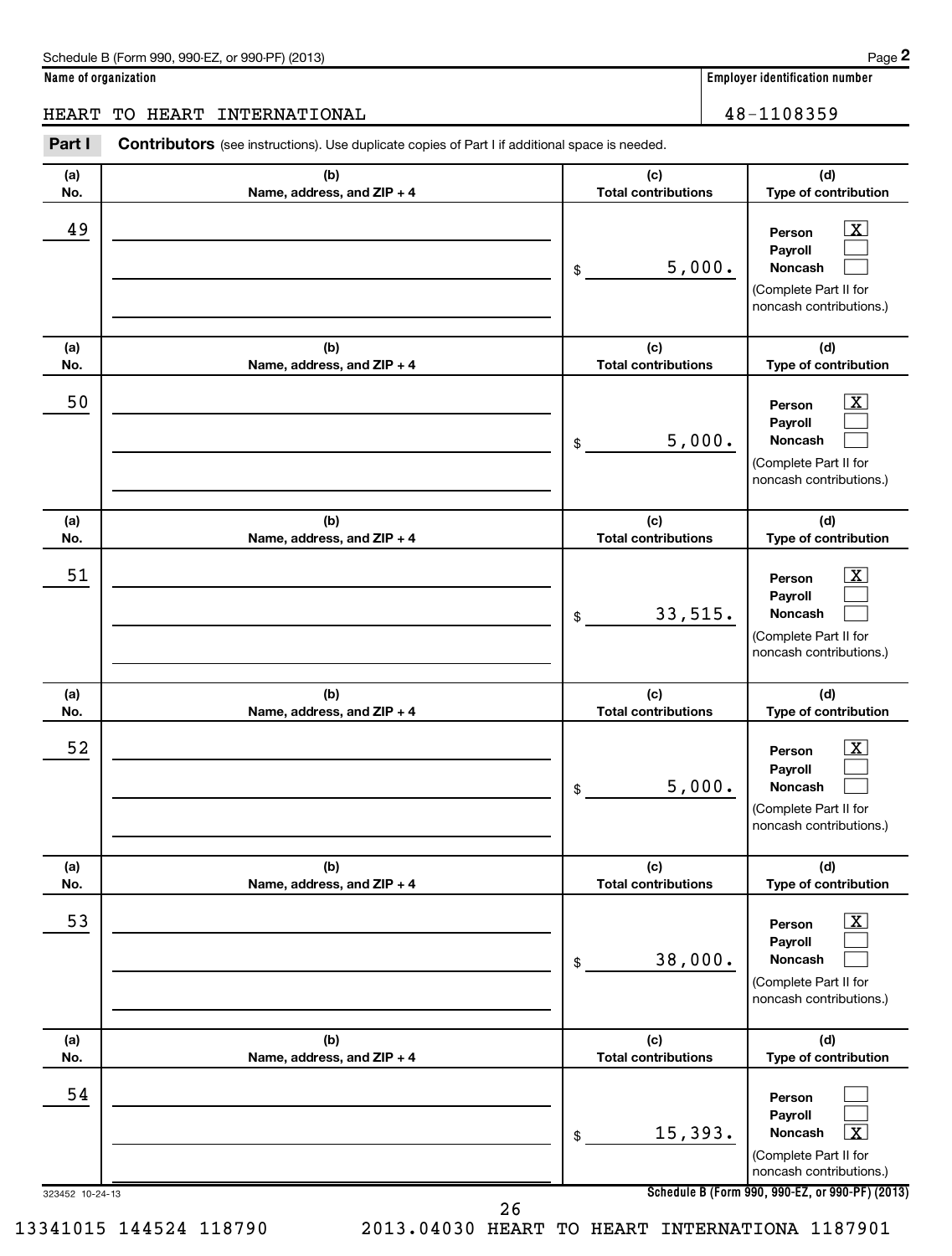HEART TO HEART INTERNATIONAL 48-1108359 Part I Contributors (see instructions). Use duplicate copies of Part I if additional space is needed. Τ ┯ ┱ **(c)**  $\overline{(\mathsf{h})}$ 

| (a)                   | (b)                        | (c)                        | (d)                                                                                                                                                       |
|-----------------------|----------------------------|----------------------------|-----------------------------------------------------------------------------------------------------------------------------------------------------------|
| No.                   | Name, address, and ZIP + 4 | <b>Total contributions</b> | Type of contribution                                                                                                                                      |
| 49                    |                            | 5,000.<br>\$               | $\overline{\text{X}}$<br>Person<br>Payroll<br>Noncash<br>(Complete Part II for<br>noncash contributions.)                                                 |
| (a)                   | (b)                        | (c)                        | (d)                                                                                                                                                       |
| No.                   | Name, address, and ZIP + 4 | <b>Total contributions</b> | Type of contribution                                                                                                                                      |
| 50                    |                            | 5,000.<br>\$               | $\overline{\mathbf{X}}$<br>Person<br>Payroll<br>Noncash<br>(Complete Part II for<br>noncash contributions.)                                               |
| (a)                   | (b)                        | (c)                        | (d)                                                                                                                                                       |
| No.                   | Name, address, and ZIP + 4 | <b>Total contributions</b> | Type of contribution                                                                                                                                      |
| 51                    |                            | 33,515.<br>\$              | х<br>Person<br>Payroll<br>Noncash<br>(Complete Part II for<br>noncash contributions.)                                                                     |
| (a)                   | (b)                        | (c)                        | (d)                                                                                                                                                       |
| No.                   | Name, address, and ZIP + 4 | <b>Total contributions</b> | Type of contribution                                                                                                                                      |
| 52                    |                            | 5,000.<br>\$               | х<br>Person<br>Payroll<br>Noncash<br>(Complete Part II for<br>noncash contributions.)                                                                     |
| (a)                   | (b)                        | (c)                        | (d)                                                                                                                                                       |
| NO.                   | Name, address, and ZIP + 4 | Total contributions        | Type of contribution                                                                                                                                      |
| 53                    |                            | 38,000.<br>\$              | $\overline{\mathbf{X}}$<br>Person<br>Payroll<br>Noncash<br>(Complete Part II for<br>noncash contributions.)                                               |
| (a)                   | (b)                        | (c)                        | (d)                                                                                                                                                       |
| No.                   | Name, address, and ZIP + 4 | <b>Total contributions</b> | Type of contribution                                                                                                                                      |
| 54<br>323452 10-24-13 | $\sim$                     | 15,393.<br>\$              | Person<br>Payroll<br>$\boxed{\text{X}}$<br>Noncash<br>(Complete Part II for<br>noncash contributions.)<br>Schedule B (Form 990, 990-EZ, or 990-PF) (2013) |

13341015 144524 118790 2013.04030 HEART TO HEART INTERNATIONA 1187901

26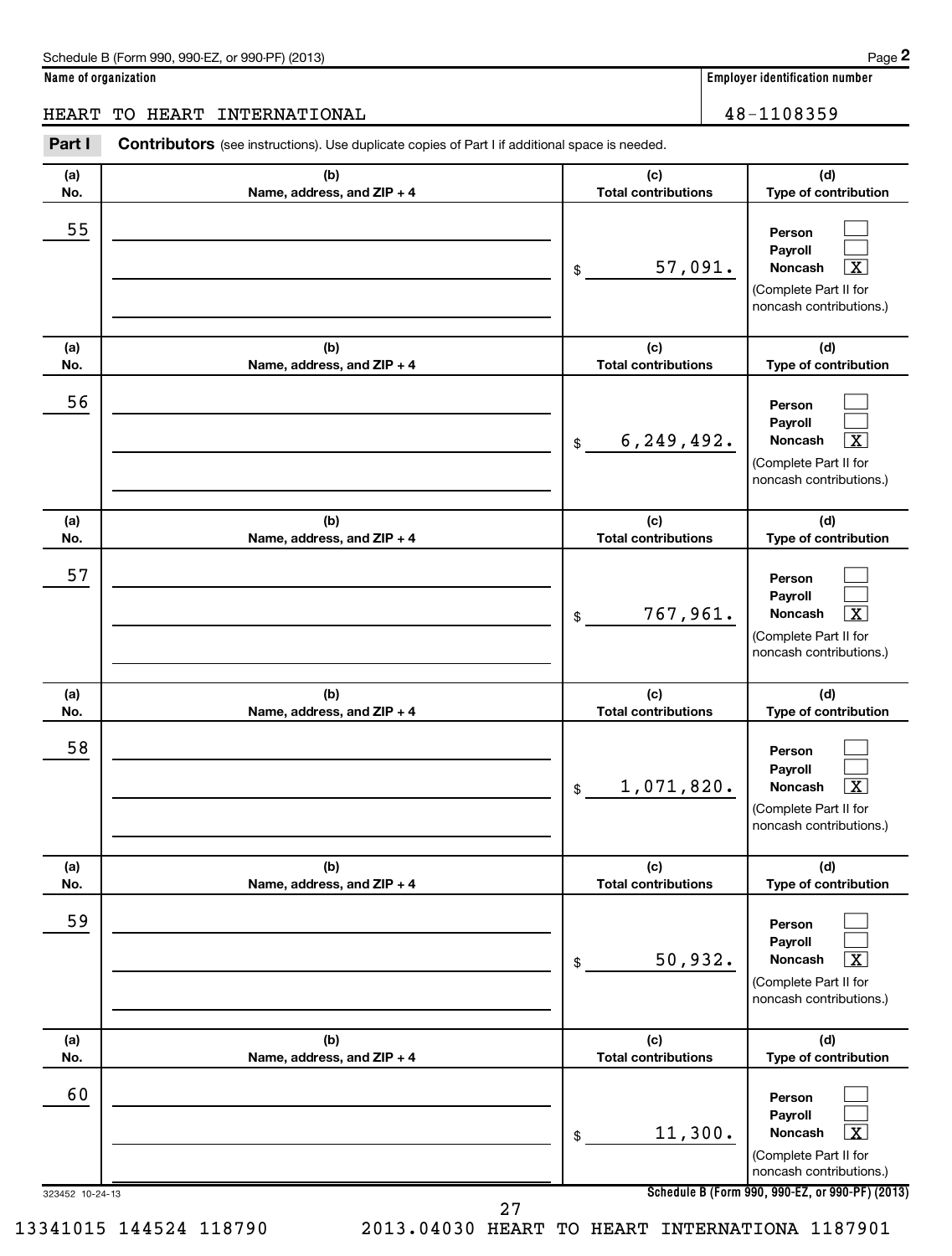$\Box$  $\Box$  $\overline{\mathbf{x}}$ 

 $\Box$  $\Box$  $\overline{\mathtt{r}}$ 

 $\Box$  $\Box$  $\overline{X}$ 

 $\Box$  $\Box$  $\overline{\mathbf{x}}$ 

 $\Box$  $\Box$  $\overline{\mathbf{x}}$ 

 $\Box$  $\Box$  $\boxed{\text{X}}$ 

**Name of organization Employer identification number**

**(a) No. (b) Name, address, and ZIP + 4 (c) Total contributions (d) Type of contribution Person Payroll Noncash (a) No. (b) Name, address, and ZIP + 4 (c) Total contributions (d) Type of contribution Person Payroll Noncash (a) No. (b) Name, address, and ZIP + 4 (c) Total contributions (d) Type of contribution Person Payroll Noncash (a) No. (b) Name, address, and ZIP + 4 (c) Total contributions (d) Type of contribution Person Payroll Noncash (a) No. (b) Name, address, and ZIP + 4 (c) Total contributions (d) Type of contribution Person Payroll Noncash (a) No. (b) Name, address, and ZIP + 4 (c) Total contributions (d) Type of contribution Person Payroll** Part I Contributors (see instructions). Use duplicate copies of Part I if additional space is needed. \$ (Complete Part II for noncash contributions.) \$ (Complete Part II for noncash contributions.) \$ (Complete Part II for noncash contributions.) \$ (Complete Part II for noncash contributions.) \$ (Complete Part II for noncash contributions.) HEART TO HEART INTERNATIONAL 48-1108359 55 57,091. X 56 6,249,492. 57 767,961. X 58 1,071,820. X 59 50,932. X 60

> (Complete Part II for noncash contributions.)

**Noncash**

**Schedule B (Form 990, 990-EZ, or 990-PF) (2013)**

11,300.

27

\$

323452 10-24-13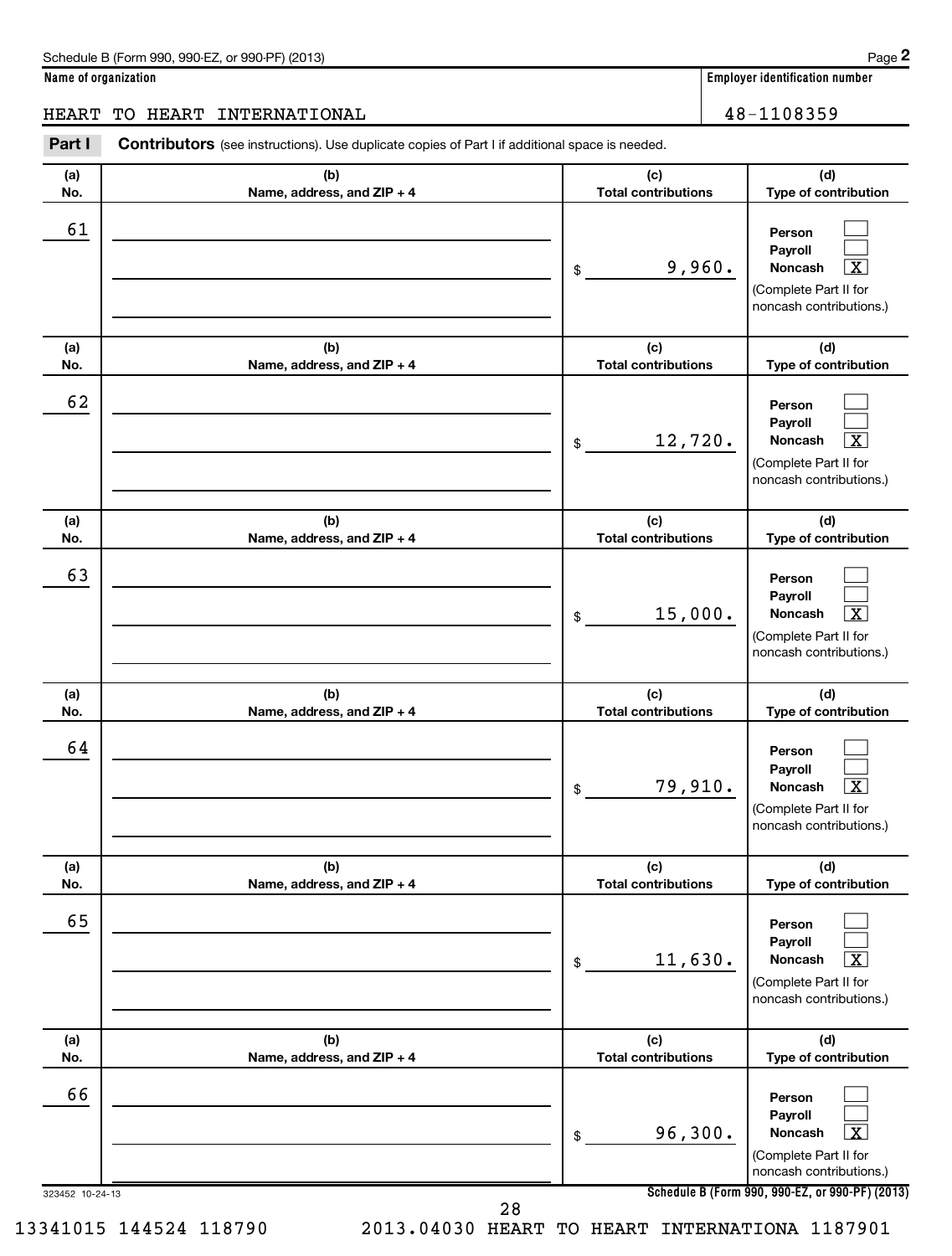**Person Payroll Noncash**

**(d) Type of contribution**

> $\Box$  $\Box$  $\boxed{\text{X}}$

**(d)**

**(a) No. (b) Name, address, and ZIP + 4 (c) Total contributions (a) No. (b) Name, address, and ZIP + 4 (c) Total contributions** Part I Contributors (see instructions). Use duplicate copies of Part I if additional space is needed. \$ (Complete Part II for noncash contributions.) \$ HEART TO HEART INTERNATIONAL 16 and 18-1108359 61 9,960. X 62

| No.        | Name, address, and $ZIP + 4$      | <b>Total contributions</b>        | Type of contribution                                                                                        |
|------------|-----------------------------------|-----------------------------------|-------------------------------------------------------------------------------------------------------------|
| 62         |                                   | 12,720.<br>\$                     | Person<br>Payroll<br>X<br>Noncash<br>(Complete Part II for<br>noncash contributions.)                       |
| (a)<br>No. | (b)<br>Name, address, and ZIP + 4 | (c)<br><b>Total contributions</b> | (d)<br>Type of contribution                                                                                 |
| 63         |                                   | 15,000.<br>\$                     | Person<br>Payroll<br>$\overline{\textbf{X}}$<br>Noncash<br>(Complete Part II for<br>noncash contributions.) |
| (a)<br>No. | (b)<br>Name, address, and ZIP + 4 | (c)<br><b>Total contributions</b> | (d)<br>Type of contribution                                                                                 |
| 64         |                                   | 79,910.<br>\$                     | Person<br>Payroll<br>$\overline{\textbf{X}}$<br>Noncash<br>(Complete Part II for<br>noncash contributions.) |
| (a)<br>No. | (b)<br>Name, address, and ZIP + 4 | (c)<br><b>Total contributions</b> | (d)<br>Type of contribution                                                                                 |
| 65         |                                   | 11,630.<br>\$                     | Person<br>Payroll<br>$\overline{\textbf{x}}$<br>Noncash<br>(Complete Part II for<br>noncash contributions.) |
|            |                                   |                                   |                                                                                                             |
| (a)<br>No. | (b)<br>Name, address, and ZIP + 4 | (c)<br><b>Total contributions</b> | (d)<br>Type of contribution                                                                                 |
| 66         |                                   | 96,300.<br>\$                     | Person<br>Payroll<br>$\overline{\mathbf{x}}$<br>Noncash<br>(Complete Part II for<br>noncash contributions.) |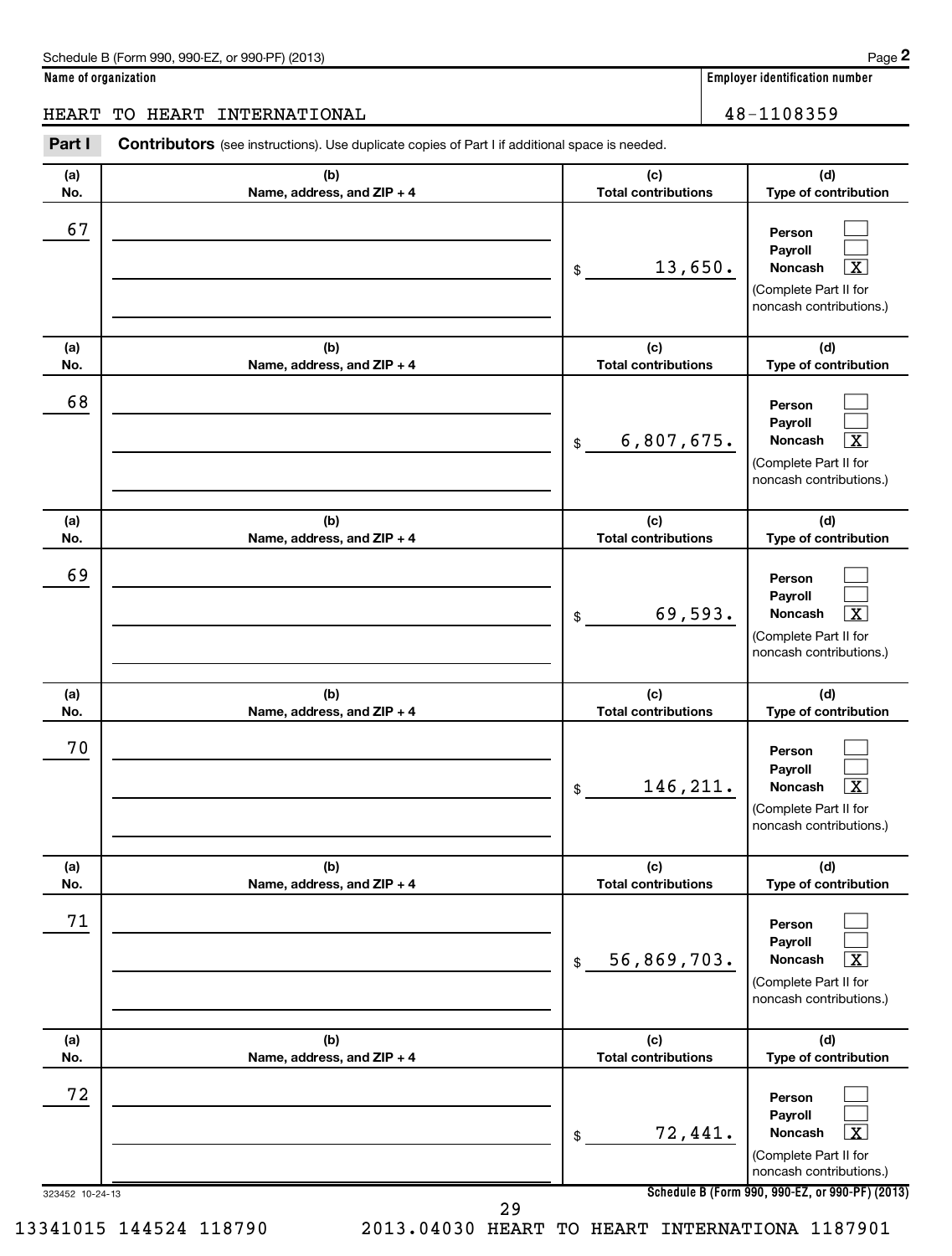**(a) No.**

67

**Name of organization Employer identification number**

**(d)**

 $\Box$  $\Box$ 

### HEART TO HEART INTERNATIONAL 16 and 100 million 100 million 100 million 100 million 100 million 100 million 10

**(b) Name, address, and ZIP + 4 (c) Total contributions Type of contribution Person Payroll** Part I Contributors (see instructions). Use duplicate copies of Part I if additional space is needed. \$

|                 |                                   | 13,650.<br>$\boxed{\text{X}}$<br>Noncash<br>\$                                                                                               |
|-----------------|-----------------------------------|----------------------------------------------------------------------------------------------------------------------------------------------|
|                 |                                   | (Complete Part II for                                                                                                                        |
|                 |                                   | noncash contributions.)                                                                                                                      |
|                 |                                   |                                                                                                                                              |
| (a)             | (b)                               | (d)<br>(c)                                                                                                                                   |
| No.             | Name, address, and ZIP + 4        | <b>Total contributions</b><br>Type of contribution                                                                                           |
| 68              |                                   | Person<br>Payroll<br>6,807,675.<br>$\boxed{\textbf{X}}$<br>Noncash<br>\$                                                                     |
|                 |                                   | (Complete Part II for<br>noncash contributions.)                                                                                             |
| (a)<br>No.      | (b)<br>Name, address, and ZIP + 4 | (c)<br>(d)<br><b>Total contributions</b><br>Type of contribution                                                                             |
| 69              |                                   | Person<br>Payroll<br>69,593.<br>$\overline{\mathbf{x}}$<br>Noncash<br>\$<br>(Complete Part II for<br>noncash contributions.)                 |
| (a)<br>No.      | (b)<br>Name, address, and ZIP + 4 | (d)<br>(c)<br><b>Total contributions</b><br>Type of contribution                                                                             |
| 70              |                                   | Person<br>Payroll<br>146, 211.<br>$\boxed{\text{X}}$<br>Noncash<br>\$<br>(Complete Part II for<br>noncash contributions.)                    |
| (a)<br>No.      | (b)<br>Name, address, and ZIP + 4 | (d)<br>(c)<br><b>Total contributions</b><br>Type of contribution                                                                             |
| 71              |                                   | Person<br>Payroll<br>56,869,703.<br>$\overline{\mathbf{X}}$<br>Noncash<br>$$\mathbb{S}$$<br>(Complete Part II for<br>noncash contributions.) |
| (a)             | (b)                               | (d)<br>(c)                                                                                                                                   |
| No.             | Name, address, and ZIP + 4        | <b>Total contributions</b><br>Type of contribution                                                                                           |
| 72              |                                   | Person<br>Payroll<br>72,441.<br>$\boxed{\textbf{X}}$<br>Noncash<br>\$<br>(Complete Part II for<br>noncash contributions.)                    |
| 323452 10-24-13 |                                   | Schedule B (Form 990, 990-EZ, or 990-PF) (2013)                                                                                              |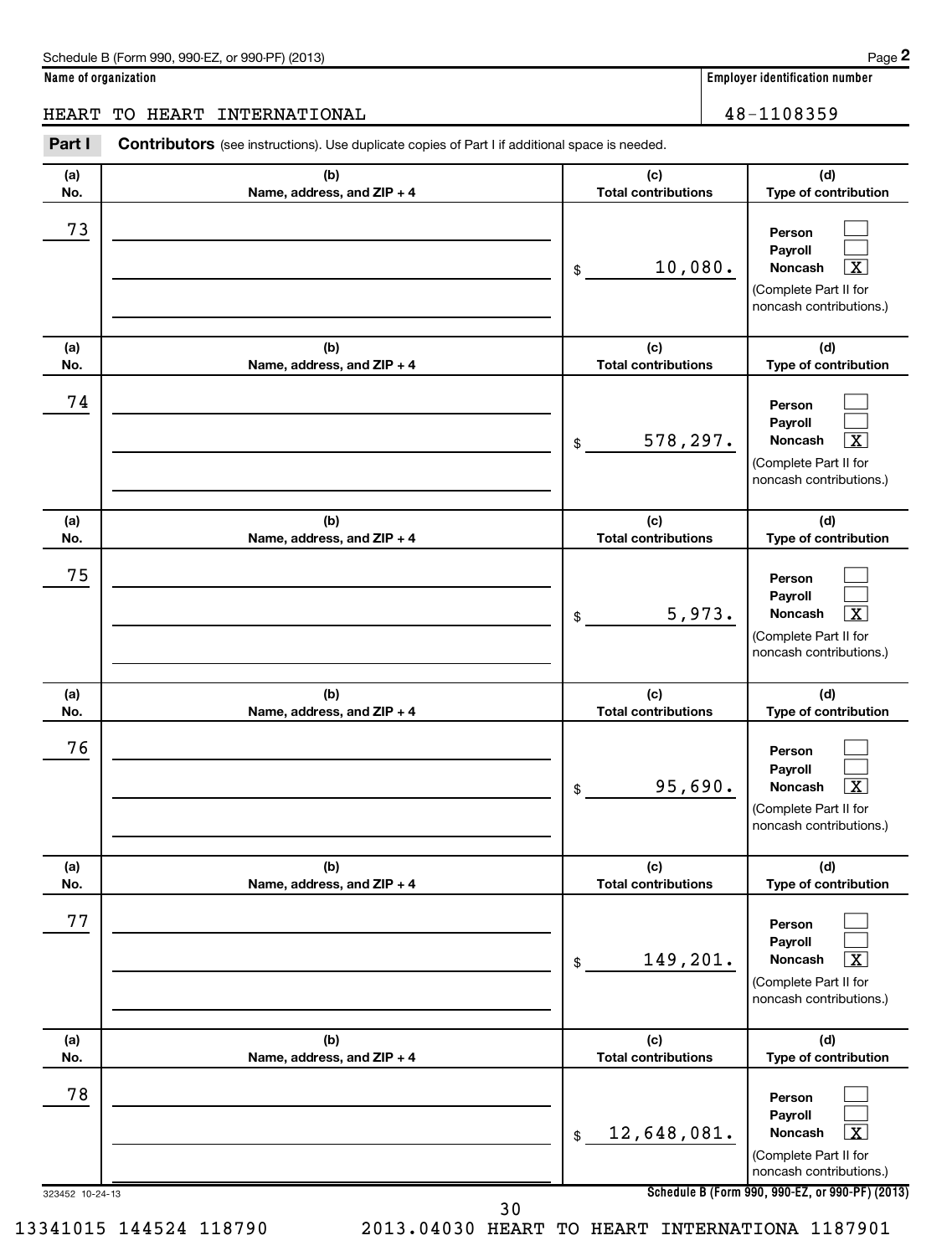$\Box$  $\Box$  $\overline{\mathbf{x}}$ 

 $\Box$  $\Box$  $\overline{\mathtt{r}}$ 

 $\Box$  $\Box$  $\overline{X}$ 

 $\Box$  $\Box$  $\overline{\mathbf{x}}$ 

 $\Box$  $\Box$  $\overline{\mathbf{x}}$ 

 $\Box$  $\Box$  $\boxed{\text{X}}$ 

**Name of organization Employer identification number**

**(a) No. (b) Name, address, and ZIP + 4 (c) Total contributions (d) Type of contribution Person Payroll Noncash (a) No. (b) Name, address, and ZIP + 4 (c) Total contributions (d) Type of contribution Person Payroll Noncash (a) No. (b) Name, address, and ZIP + 4 (c) Total contributions (d) Type of contribution Person Payroll Noncash (a) No. (b) Name, address, and ZIP + 4 (c) Total contributions (d) Type of contribution Person Payroll Noncash (a) No. (b) Name, address, and ZIP + 4 (c) Total contributions (d) Type of contribution Person Payroll Noncash (a) No. (b) Name, address, and ZIP + 4 (c) Total contributions (d) Type of contribution** Part I Contributors (see instructions). Use duplicate copies of Part I if additional space is needed. \$ (Complete Part II for noncash contributions.) \$ (Complete Part II for noncash contributions.) \$ (Complete Part II for noncash contributions.) \$ (Complete Part II for noncash contributions.) \$ (Complete Part II for noncash contributions.) HEART TO HEART INTERNATIONAL 48-1108359 73 10,080. X 74 578,297. X 75 5,973. 76 95,690. X 77 149,201. X

\$ 12,648,081. X

**Person Payroll Noncash**

(Complete Part II for noncash contributions.)

323452 10-24-13

78

30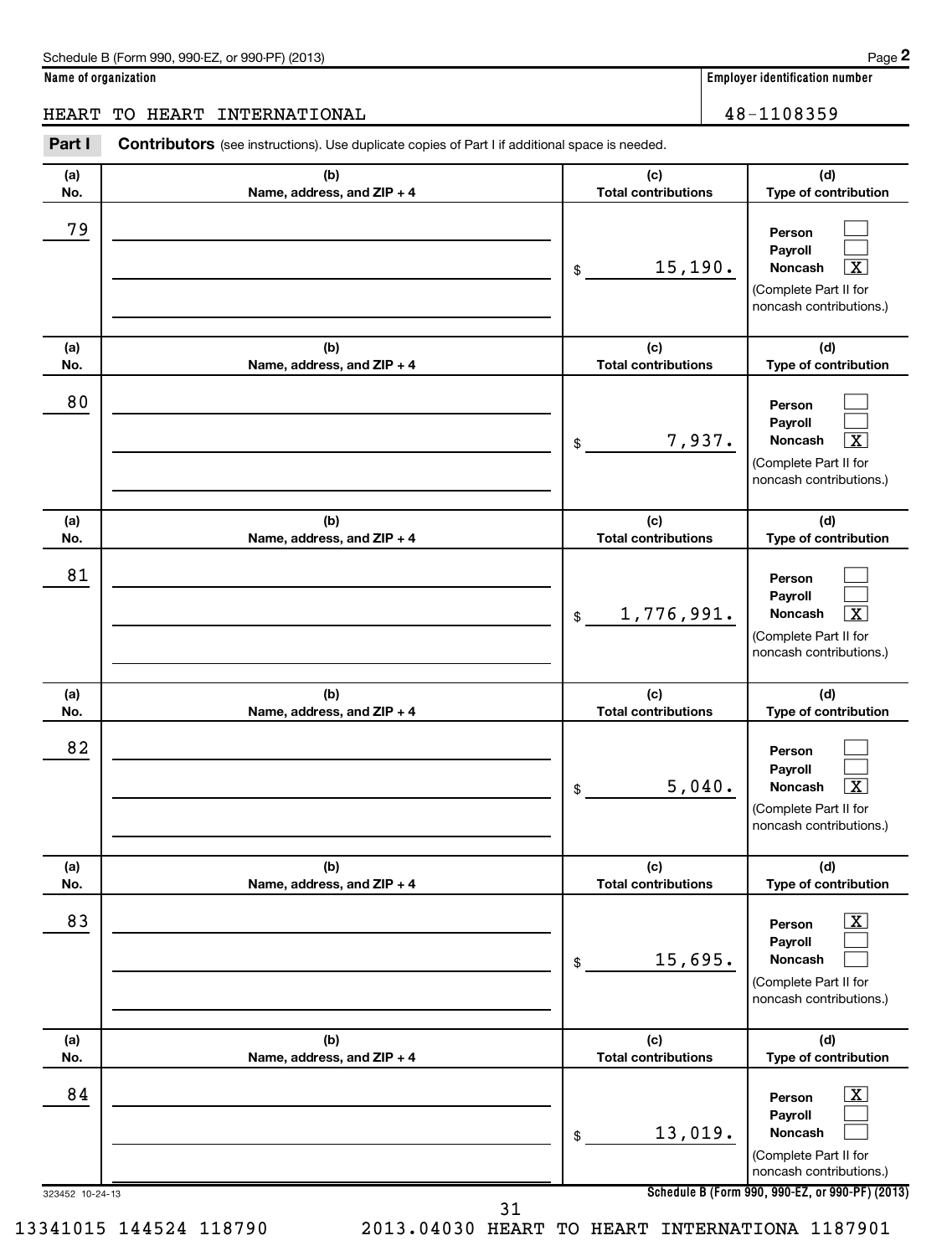HEART TO HEART INTERNATIONAL 16 and 100 million 100 million 100 million 100 million 100 million 100 million 10

| Part I                | <b>Contributors</b> (see instructions). Use duplicate copies of Part I if additional space is needed. |                                   |                                                                                                                                                             |
|-----------------------|-------------------------------------------------------------------------------------------------------|-----------------------------------|-------------------------------------------------------------------------------------------------------------------------------------------------------------|
| (a)<br>No.            | (b)<br>Name, address, and ZIP + 4                                                                     | (c)<br><b>Total contributions</b> | (d)<br>Type of contribution                                                                                                                                 |
| 79                    |                                                                                                       | 15,190.<br>\$                     | Person<br>Payroll<br>X<br>Noncash<br>(Complete Part II for<br>noncash contributions.)                                                                       |
| (a)<br>No.            | (b)<br>Name, address, and ZIP + 4                                                                     | (c)<br><b>Total contributions</b> | (d)<br>Type of contribution                                                                                                                                 |
| 80                    |                                                                                                       | 7,937.<br>\$                      | Person<br>Payroll<br>X<br>Noncash<br>(Complete Part II for<br>noncash contributions.)                                                                       |
| (a)<br>No.            | (b)<br>Name, address, and ZIP + 4                                                                     | (c)<br><b>Total contributions</b> | (d)<br>Type of contribution                                                                                                                                 |
| 81                    |                                                                                                       | 1,776,991.<br>\$                  | Person<br>Payroll<br>X<br>Noncash<br>(Complete Part II for<br>noncash contributions.)                                                                       |
| (a)<br>No.            | (b)<br>Name, address, and ZIP + 4                                                                     | (c)<br><b>Total contributions</b> | (d)<br>Type of contribution                                                                                                                                 |
| 82                    |                                                                                                       | 5,040.<br>\$                      | Person<br>Payroll<br>$\overline{\textbf{x}}$<br>Noncash<br>(Complete Part II for<br>noncash contributions.)                                                 |
| (a)<br>No.            | (b)<br>Name, address, and ZIP + 4                                                                     | (c)<br><b>Total contributions</b> | (d)<br>Type of contribution                                                                                                                                 |
| 83                    |                                                                                                       | 15,695.<br>\$                     | $\boxed{\textbf{X}}$<br>Person<br>Payroll<br>Noncash<br>(Complete Part II for<br>noncash contributions.)                                                    |
| (a)<br>No.            | (b)<br>Name, address, and ZIP + 4                                                                     | (c)<br><b>Total contributions</b> | (d)<br>Type of contribution                                                                                                                                 |
| 84<br>323452 10-24-13 |                                                                                                       | 13,019.<br>\$                     | $\boxed{\textbf{X}}$<br>Person<br>Payroll<br>Noncash<br>(Complete Part II for<br>noncash contributions.)<br>Schedule B (Form 990, 990-EZ, or 990-PF) (2013) |

31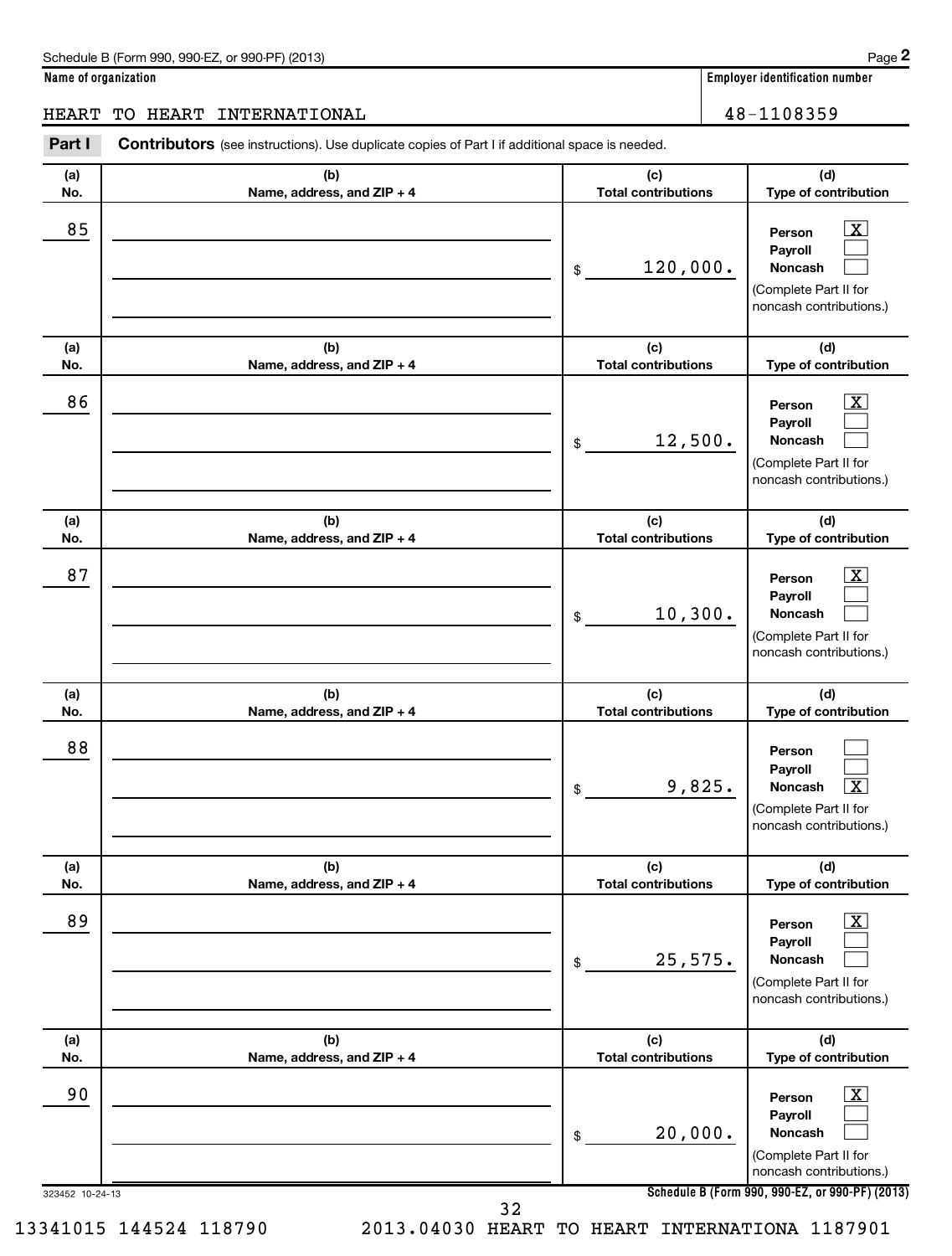**(d)**

 $\overline{X}$  $\Box$  $\Box$ 

 $\lfloor x \rfloor$  $\Box$  $\Box$ 

**(d)**

**(d)**

**(a) No. (b) Name, address, and ZIP + 4 (c) Total contributions Type of contribution Person Payroll Noncash (a) No. (b) Name, address, and ZIP + 4 (c) Total contributions Type of contribution Person Payroll Noncash (a) No. (b) Name, address, and ZIP + 4 (c) Total contributions Type of contribution** Part I Contributors (see instructions). Use duplicate copies of Part I if additional space is needed. \$ (Complete Part II for noncash contributions.) \$ (Complete Part II for noncash contributions.) \$ HEART TO HEART INTERNATIONAL 16 and 18-1108359  $85$  | Person  $\overline{\text{X}}$ 120,000.  $86$  Person  $\overline{\text{X}}$ 12,500. 87 | Person  $\overline{\text{X}}$ 10,300.

| 87              |                                   | 10,300.<br>\$                              | $\overline{\texttt{x}}$<br>Person<br>Payroll<br><b>Noncash</b><br>(Complete Part II for<br>noncash contributions.)                  |
|-----------------|-----------------------------------|--------------------------------------------|-------------------------------------------------------------------------------------------------------------------------------------|
| (a)             | (b)                               | (c)                                        | (d)                                                                                                                                 |
| No.<br>88       | Name, address, and ZIP + 4        | <b>Total contributions</b><br>9,825.<br>\$ | Type of contribution<br>Person<br>Payroll<br>$\overline{\mathbf{x}}$<br>Noncash<br>(Complete Part II for<br>noncash contributions.) |
| (a)<br>No.      | (b)<br>Name, address, and ZIP + 4 | (c)<br><b>Total contributions</b>          | (d)<br>Type of contribution                                                                                                         |
| 89              |                                   | 25,575.<br>\$                              | $\overline{\mathbf{X}}$<br>Person<br>Payroll<br><b>Noncash</b><br>(Complete Part II for<br>noncash contributions.)                  |
| (a)<br>No.      | (b)<br>Name, address, and ZIP + 4 | (c)<br><b>Total contributions</b>          | (d)<br>Type of contribution                                                                                                         |
| 90              |                                   | 20,000.<br>\$                              | $\overline{\mathbf{x}}$<br>Person<br>Payroll<br><b>Noncash</b><br>(Complete Part II for<br>noncash contributions.)                  |
| 323452 10-24-13 | 32                                |                                            | Schedule B (Form 990, 990-EZ, or 990-PF) (2013)                                                                                     |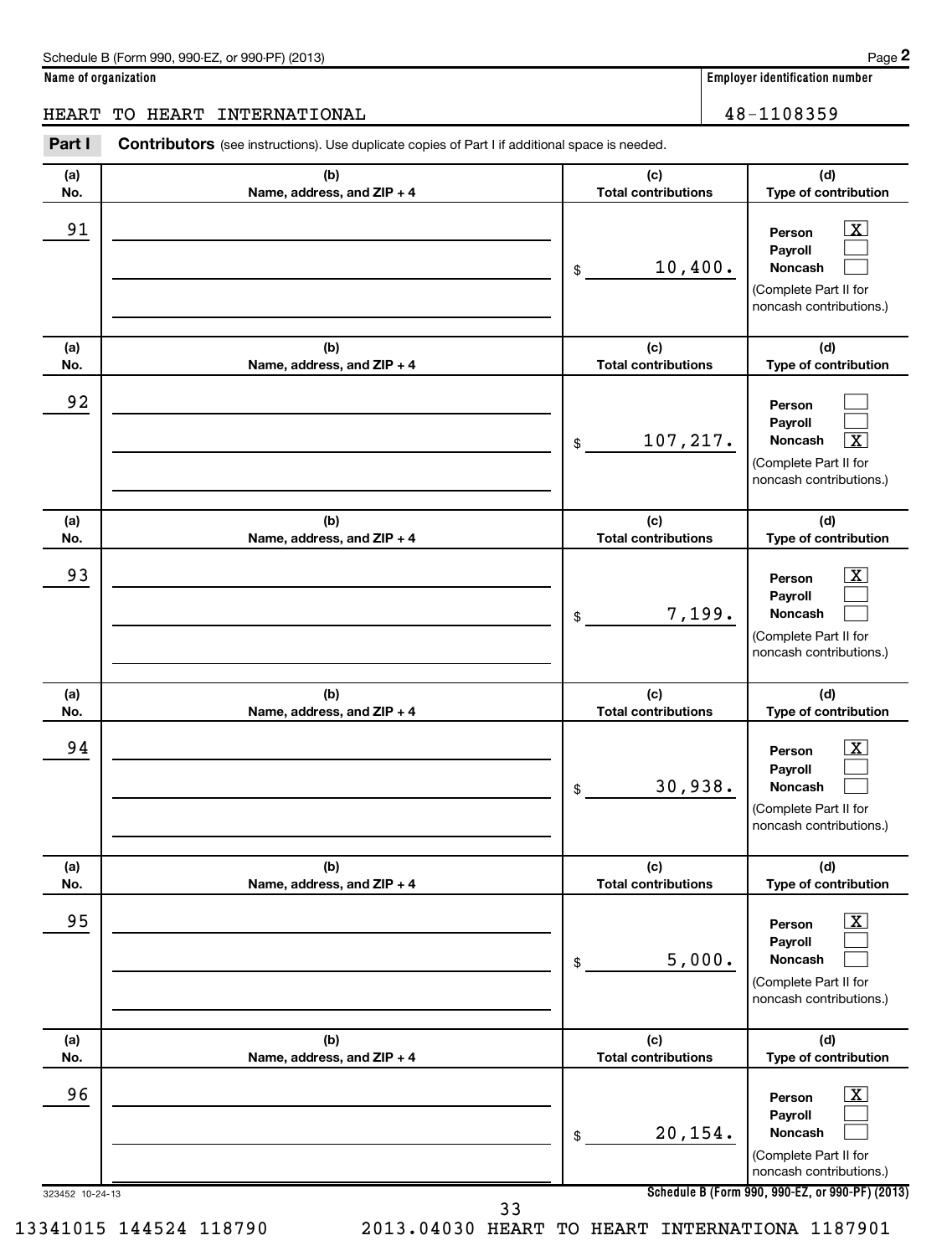**(d)**

 $\boxed{\mathrm{X}}$  $\Box$  $\Box$ 

 $\Box$  $\Box$  $\overline{X}$ 

 $\boxed{\textbf{X}}$  $\Box$ 

**(d)**

**(d)**

**(a) No. (b) Name, address, and ZIP + 4 (c) Total contributions Type of contribution Person Payroll Noncash (a) No. (b) Name, address, and ZIP + 4 (c) Total contributions Type of contribution Person Payroll Noncash (a) No. (b) Name, address, and ZIP + 4 (c) Total contributions Type of contribution Person Payroll Noncash** Part I Contributors (see instructions). Use duplicate copies of Part I if additional space is needed. \$ (Complete Part II for noncash contributions.) \$ (Complete Part II for noncash contributions.)  $\ddot{\phantom{a}}$ HEART TO HEART INTERNATIONAL 16 and 18-1108359 91 Person X 10,400. 92 107,217. X 93 Person March 2014 | Person March 2014 | Person March 2014 | Person March 2014 | Person March 2014 | Person M 7,199.

|            |                                   | 7,199.<br>\$                      | Noncash<br>(Complete Part II for<br>noncash contributions.)                                                      |
|------------|-----------------------------------|-----------------------------------|------------------------------------------------------------------------------------------------------------------|
| (a)<br>No. | (b)<br>Name, address, and ZIP + 4 | (c)<br><b>Total contributions</b> | (d)<br>Type of contribution                                                                                      |
| 94         |                                   | 30,938.<br>\$                     | $\overline{\mathbf{X}}$<br>Person<br>Payroll<br>Noncash<br>(Complete Part II for<br>noncash contributions.)      |
| (a)<br>No. | (b)<br>Name, address, and ZIP + 4 | (c)<br><b>Total contributions</b> | (d)<br>Type of contribution                                                                                      |
| 95         |                                   | 5,000.<br>\$                      | $\overline{\text{X}}$<br>Person<br>Payroll<br><b>Noncash</b><br>(Complete Part II for<br>noncash contributions.) |
| (a)<br>No. | (b)<br>Name, address, and ZIP + 4 | (c)<br><b>Total contributions</b> | (d)<br>Type of contribution                                                                                      |
| 96         |                                   | 20,154.<br>\$                     | $\overline{\text{X}}$<br>Person<br>Payroll<br><b>Noncash</b><br>(Complete Part II for<br>noncash contributions.) |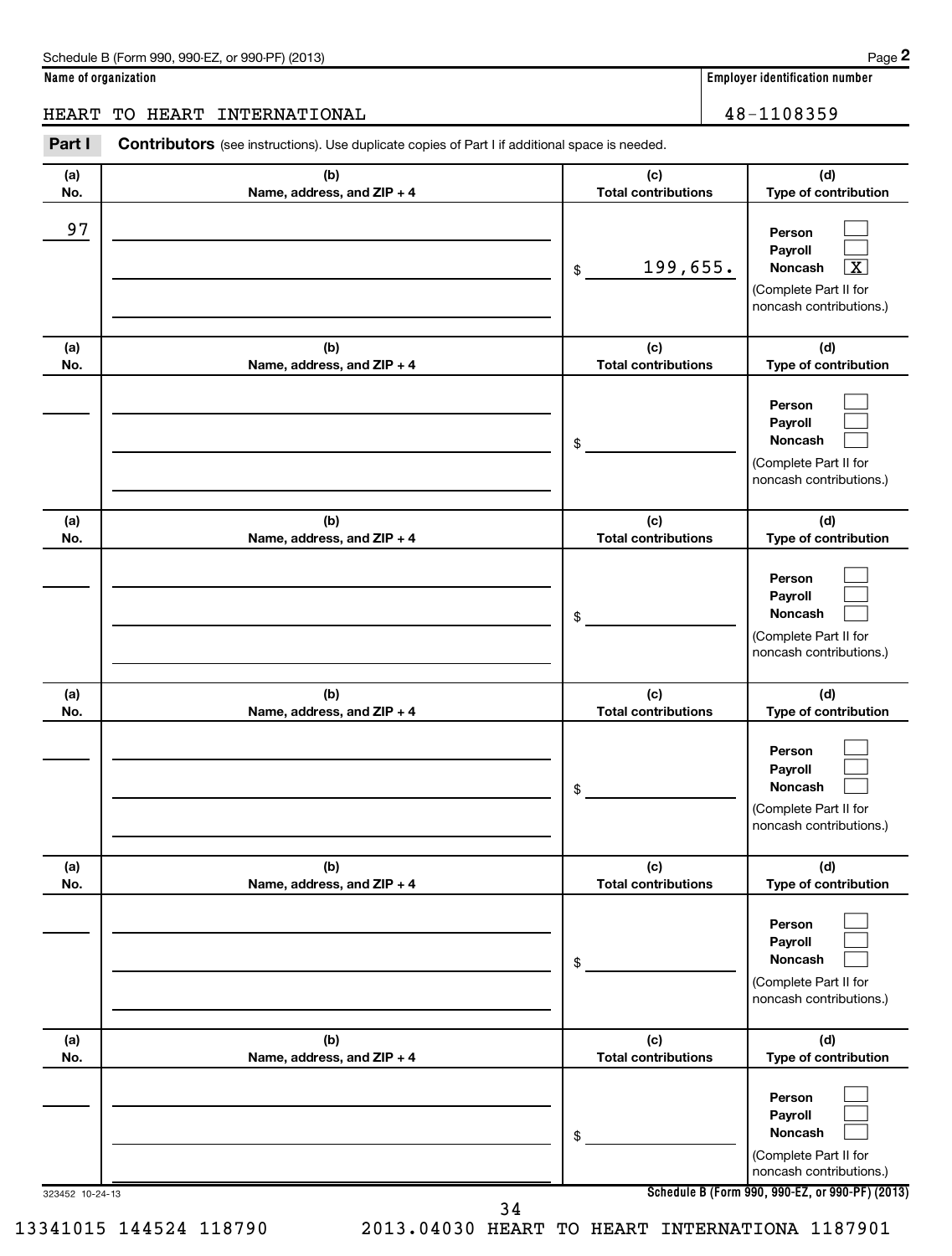**(d)**

 $\Box$  $\Box$  $\boxed{\text{X}}$ 

 $\Box$  $\Box$ 

**(d)**

### HEART TO HEART INTERNATIONAL 16 and 18-1108359

**(a) No. (b) Name, address, and ZIP + 4 (c) Total contributions Type of contribution Person Payroll Noncash (a) No. (b) Name, address, and ZIP + 4 (c) Total contributions Type of contribution Person Payroll** Part I Contributors (see instructions). Use duplicate copies of Part I if additional space is needed. \$ (Complete Part II for noncash contributions.) \$ 97 199,655. X

|                 |                                   | \$                                | Noncash                                                                          |
|-----------------|-----------------------------------|-----------------------------------|----------------------------------------------------------------------------------|
|                 |                                   |                                   | (Complete Part II for<br>noncash contributions.)                                 |
| (a)<br>No.      | (b)<br>Name, address, and ZIP + 4 | (c)<br><b>Total contributions</b> | (d)<br>Type of contribution                                                      |
|                 |                                   | \$                                | Person<br>Payroll<br>Noncash<br>(Complete Part II for<br>noncash contributions.) |
| (a)<br>No.      | (b)<br>Name, address, and ZIP + 4 | (c)<br><b>Total contributions</b> | (d)<br>Type of contribution                                                      |
|                 |                                   | \$                                | Person<br>Payroll<br>Noncash<br>(Complete Part II for<br>noncash contributions.) |
| (a)<br>No.      | (b)<br>Name, address, and ZIP + 4 | (c)<br><b>Total contributions</b> | (d)<br>Type of contribution                                                      |
|                 |                                   | \$                                | Person<br>Payroll<br>Noncash<br>(Complete Part II for<br>noncash contributions.) |
| (a)<br>No.      | (b)<br>Name, address, and ZIP + 4 | (c)<br><b>Total contributions</b> | (d)<br>Type of contribution                                                      |
|                 |                                   | \$                                | Person<br>Payroll<br>Noncash<br>(Complete Part II for<br>noncash contributions.) |
| 323452 10-24-13 |                                   | 34                                | Schedule B (Form 990, 990-EZ, or 990-PF) (2013)                                  |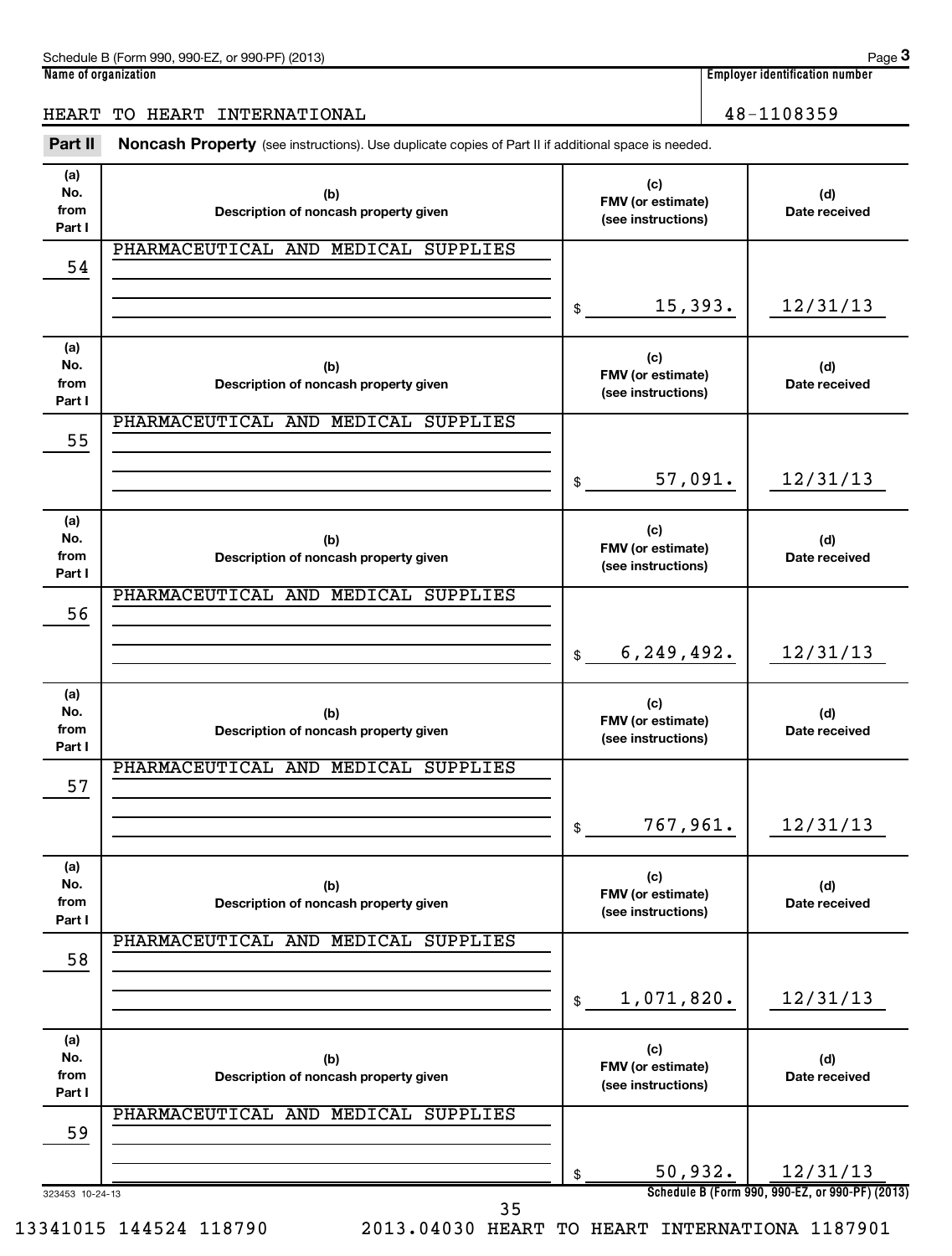| (2013)<br>$.990-F7$<br>Schedule B (Form<br>or 990-PF<br>$-990$ | Paɑe                                             |
|----------------------------------------------------------------|--------------------------------------------------|
| Name<br>e of organization                                      | 1 1 1 1<br>، identification number ،<br>Emplover |

**3**

### HEART TO HEART INTERNATIONAL 48-1108359

Part II Noncash Property (see instructions). Use duplicate copies of Part II if additional space is needed.

| (a)<br>No.<br>from<br>Part I | (b)<br>Description of noncash property given | (c)<br>FMV (or estimate)<br>(see instructions) | (d)<br>Date received                                        |
|------------------------------|----------------------------------------------|------------------------------------------------|-------------------------------------------------------------|
| 54                           | PHARMACEUTICAL AND MEDICAL SUPPLIES          |                                                |                                                             |
|                              |                                              | \$<br>15,393.                                  | 12/31/13                                                    |
| (a)<br>No.<br>from<br>Part I | (b)<br>Description of noncash property given | (c)<br>FMV (or estimate)<br>(see instructions) | (d)<br>Date received                                        |
| 55                           | PHARMACEUTICAL AND MEDICAL SUPPLIES          |                                                |                                                             |
|                              |                                              | \$<br>57,091.                                  | 12/31/13                                                    |
| (a)<br>No.<br>from<br>Part I | (b)<br>Description of noncash property given | (c)<br>FMV (or estimate)<br>(see instructions) | (d)<br>Date received                                        |
| 56                           | PHARMACEUTICAL AND MEDICAL SUPPLIES          |                                                |                                                             |
|                              |                                              | \$<br>6, 249, 492.                             | 12/31/13                                                    |
| (a)<br>No.<br>from<br>Part I | (b)<br>Description of noncash property given | (c)<br>FMV (or estimate)<br>(see instructions) | (d)<br>Date received                                        |
| 57                           | PHARMACEUTICAL AND MEDICAL SUPPLIES          |                                                |                                                             |
|                              |                                              | \$<br>767,961.                                 | 12/31/13                                                    |
| (a)<br>No.<br>from<br>Part I | (b)<br>Description of noncash property given | (c)<br>FMV (or estimate)<br>(see instructions) | (d)<br>Date received                                        |
| 58                           | PHARMACEUTICAL AND MEDICAL SUPPLIES          |                                                |                                                             |
|                              |                                              | \$<br>1,071,820.                               | 12/31/13                                                    |
| (a)<br>No.<br>from<br>Part I | (b)<br>Description of noncash property given | (c)<br>FMV (or estimate)<br>(see instructions) | (d)<br>Date received                                        |
| 59                           | PHARMACEUTICAL AND MEDICAL SUPPLIES          |                                                |                                                             |
| 323453 10-24-13              |                                              | \$<br>50,932.                                  | 12/31/13<br>Schedule B (Form 990, 990-EZ, or 990-PF) (2013) |

35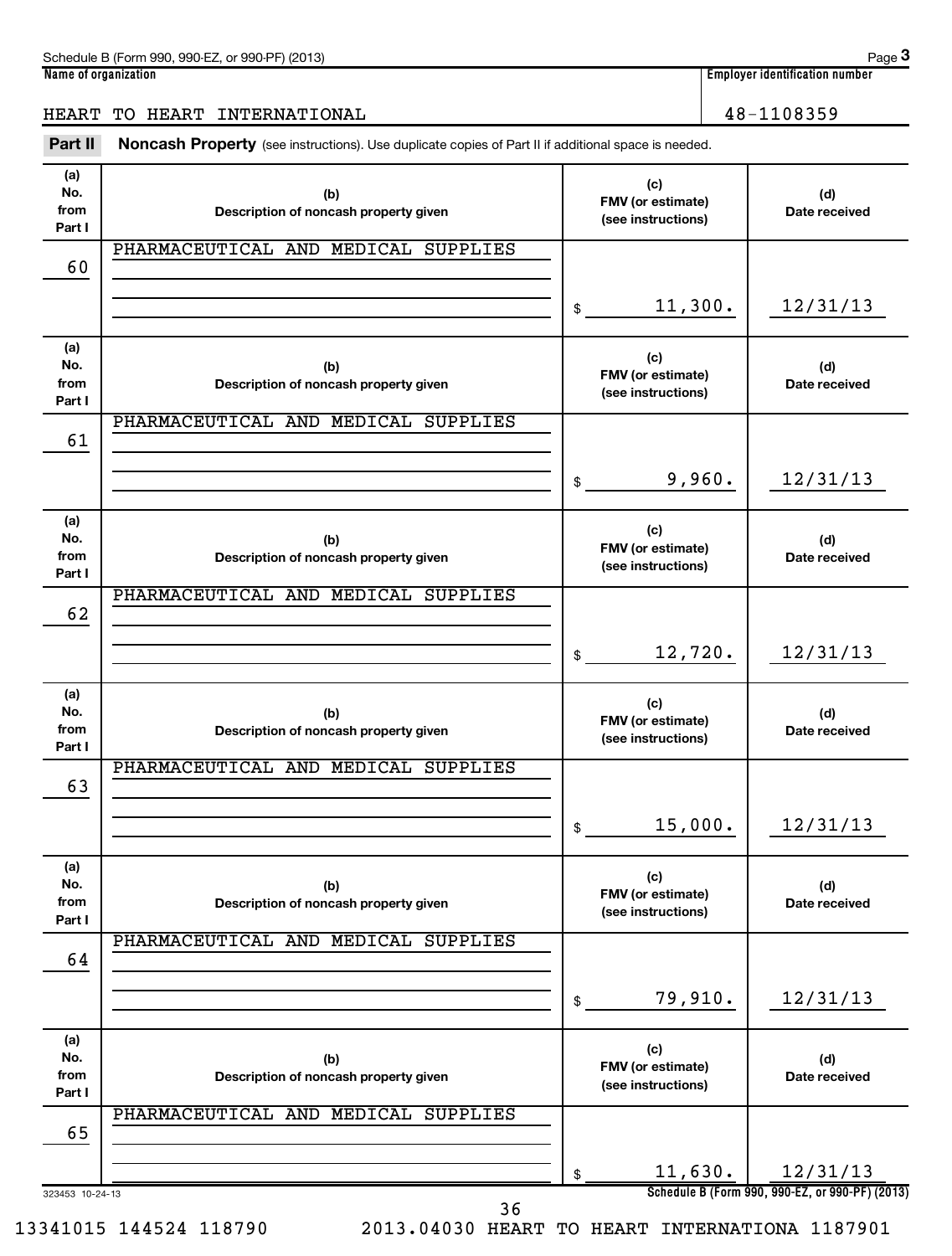| (2013)<br>$.990-F7$<br>Schedule B (Form<br>or 990-PF<br>$-990$ | Paɑe                                             |
|----------------------------------------------------------------|--------------------------------------------------|
| Name<br>e of organization                                      | 1 1 1 1<br>، identification number ،<br>Emplover |

**3**

### HEART TO HEART INTERNATIONAL 16 and 100 million 100 million 100 million 100 million 100 million 100 million 10

Part II Noncash Property (see instructions). Use duplicate copies of Part II if additional space is needed.

| (a)<br>No.<br>from<br>Part I | (b)<br>Description of noncash property given |                | (c)<br>FMV (or estimate)<br>(see instructions) | (d)<br>Date received                            |
|------------------------------|----------------------------------------------|----------------|------------------------------------------------|-------------------------------------------------|
|                              | PHARMACEUTICAL AND MEDICAL SUPPLIES          |                |                                                |                                                 |
| 60                           |                                              |                |                                                |                                                 |
|                              |                                              | \$             | 11,300.                                        | 12/31/13                                        |
| (a)<br>No.<br>from<br>Part I | (b)<br>Description of noncash property given |                | (c)<br>FMV (or estimate)<br>(see instructions) | (d)<br>Date received                            |
|                              | PHARMACEUTICAL AND MEDICAL SUPPLIES          |                |                                                |                                                 |
| 61                           |                                              |                |                                                |                                                 |
|                              |                                              | $\mathfrak{S}$ | 9,960.                                         | 12/31/13                                        |
| (a)<br>No.<br>from<br>Part I | (b)<br>Description of noncash property given |                | (c)<br>FMV (or estimate)<br>(see instructions) | (d)<br>Date received                            |
|                              | PHARMACEUTICAL AND MEDICAL SUPPLIES          |                |                                                |                                                 |
| 62                           |                                              |                |                                                |                                                 |
|                              |                                              | $\frac{1}{2}$  | 12,720.                                        | 12/31/13                                        |
| (a)<br>No.<br>from<br>Part I | (b)<br>Description of noncash property given |                | (c)<br>FMV (or estimate)<br>(see instructions) | (d)<br>Date received                            |
|                              | PHARMACEUTICAL AND MEDICAL SUPPLIES          |                |                                                |                                                 |
| 63                           |                                              |                |                                                |                                                 |
|                              |                                              | \$             | 15,000.                                        | 12/31/13                                        |
| (a)<br>No.<br>from<br>Part I | (b)<br>Description of noncash property given |                | (c)<br>FMV (or estimate)<br>(see instructions) | (d)<br>Date received                            |
|                              | PHARMACEUTICAL AND MEDICAL SUPPLIES          |                |                                                |                                                 |
| 64                           |                                              |                |                                                |                                                 |
|                              |                                              | \$             | 79,910.                                        | 12/31/13                                        |
| (a)<br>No.                   |                                              |                | (c)                                            |                                                 |
| from                         | (b)<br>Description of noncash property given |                | FMV (or estimate)<br>(see instructions)        | (d)<br>Date received                            |
| Part I                       | PHARMACEUTICAL AND MEDICAL SUPPLIES          |                |                                                |                                                 |
| 65                           |                                              |                |                                                |                                                 |
|                              |                                              | \$             | 11,630.                                        | 12/31/13                                        |
| 323453 10-24-13              |                                              |                |                                                | Schedule B (Form 990, 990-EZ, or 990-PF) (2013) |

36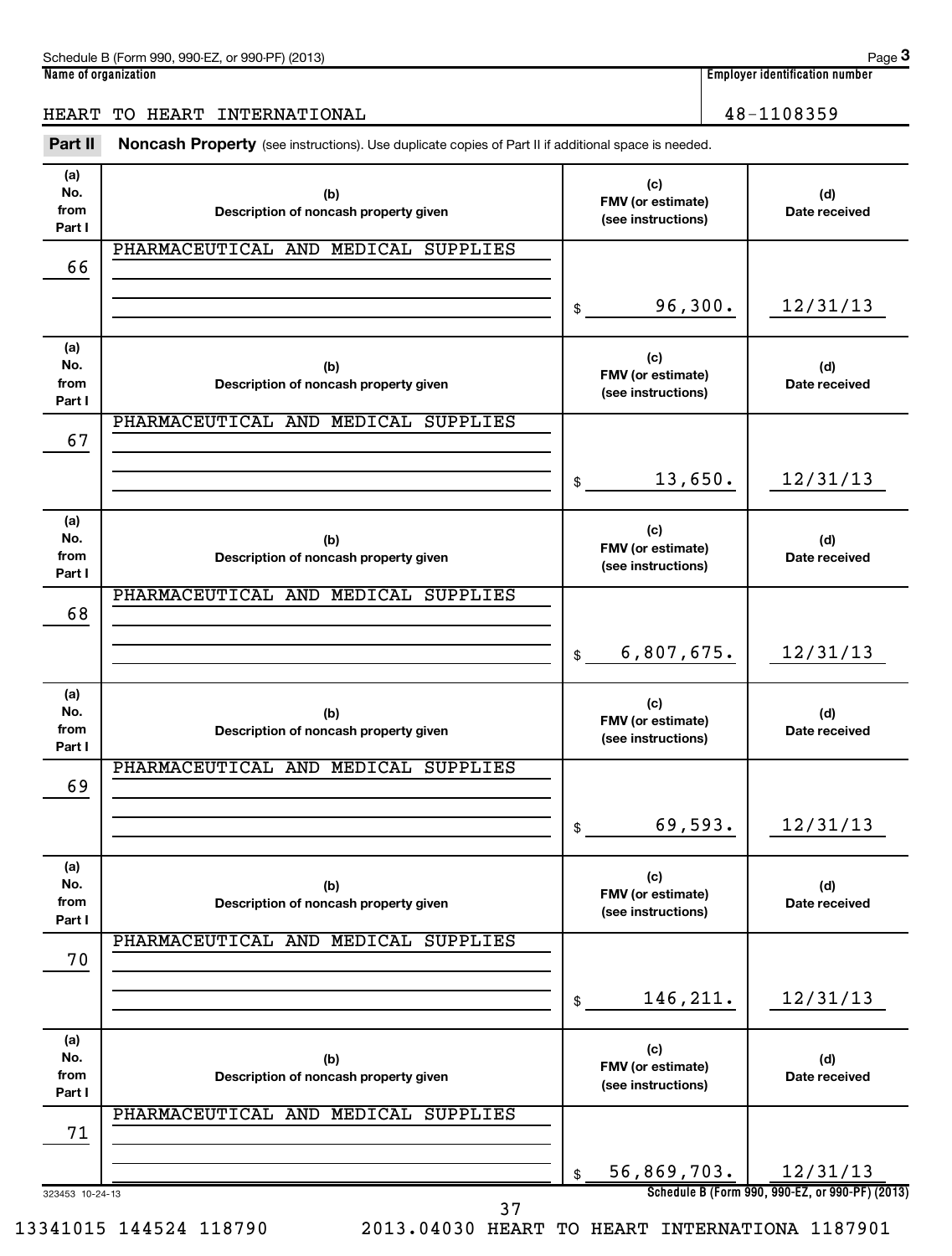| (2013)<br>$.990-F7$<br>Schedule B (Form<br>or 990-PF<br>$-990$ | Paɑe                                             |
|----------------------------------------------------------------|--------------------------------------------------|
| Name<br>e of organization                                      | 1 1 1 1<br>، identification number ،<br>Emplover |

## HEART TO HEART INTERNATIONAL 48-1108359

Part II Noncash Property (see instructions). Use duplicate copies of Part II if additional space is needed.

| (a)<br>No.<br>from | (b)<br>Description of noncash property given | (c)<br>FMV (or estimate)<br>(see instructions) | (d)<br>Date received                            |
|--------------------|----------------------------------------------|------------------------------------------------|-------------------------------------------------|
| Part I             | PHARMACEUTICAL AND MEDICAL SUPPLIES          |                                                |                                                 |
| 66                 |                                              |                                                |                                                 |
|                    |                                              | 96,300.<br>\$                                  | 12/31/13                                        |
|                    |                                              |                                                |                                                 |
| (a)<br>No.         |                                              | (c)                                            |                                                 |
| from               | (b)<br>Description of noncash property given | FMV (or estimate)<br>(see instructions)        | (d)<br>Date received                            |
| Part I             |                                              |                                                |                                                 |
| 67                 | PHARMACEUTICAL AND MEDICAL SUPPLIES          |                                                |                                                 |
|                    |                                              |                                                |                                                 |
|                    |                                              | 13,650.<br>$\mathsf{\$}$                       | 12/31/13                                        |
| (a)                |                                              | (c)                                            |                                                 |
| No.<br>from        | (b)<br>Description of noncash property given | FMV (or estimate)                              | (d)<br>Date received                            |
| Part I             |                                              | (see instructions)                             |                                                 |
|                    | PHARMACEUTICAL AND MEDICAL SUPPLIES          |                                                |                                                 |
| 68                 |                                              |                                                |                                                 |
|                    |                                              | 6,807,675.<br>$\mathfrak{S}$                   | 12/31/13                                        |
|                    |                                              |                                                |                                                 |
| (a)<br>No.         | (b)                                          | (c)<br>FMV (or estimate)                       | (d)                                             |
| from<br>Part I     | Description of noncash property given        | (see instructions)                             | Date received                                   |
|                    | PHARMACEUTICAL AND MEDICAL SUPPLIES          |                                                |                                                 |
| 69                 |                                              |                                                |                                                 |
|                    |                                              | 69,593.<br>\$                                  | 12/31/13                                        |
|                    |                                              |                                                |                                                 |
| (a)<br>No.         |                                              | (c)                                            |                                                 |
| from               | (b)<br>Description of noncash property given | FMV (or estimate)<br>(see instructions)        | (d)<br>Date received                            |
| Part I             |                                              |                                                |                                                 |
| 70                 | PHARMACEUTICAL AND MEDICAL SUPPLIES          |                                                |                                                 |
|                    |                                              |                                                |                                                 |
|                    |                                              | 146,211.<br>\$                                 | 12/31/13                                        |
| (a)                |                                              | (c)                                            |                                                 |
| No.<br>from        | (b)<br>Description of noncash property given | FMV (or estimate)                              | (d)<br>Date received                            |
| Part I             |                                              | (see instructions)                             |                                                 |
|                    | PHARMACEUTICAL AND MEDICAL SUPPLIES          |                                                |                                                 |
| 71                 |                                              |                                                |                                                 |
|                    |                                              | 56,869,703.<br>\$                              | 12/31/13                                        |
| 323453 10-24-13    |                                              |                                                | Schedule B (Form 990, 990-EZ, or 990-PF) (2013) |

37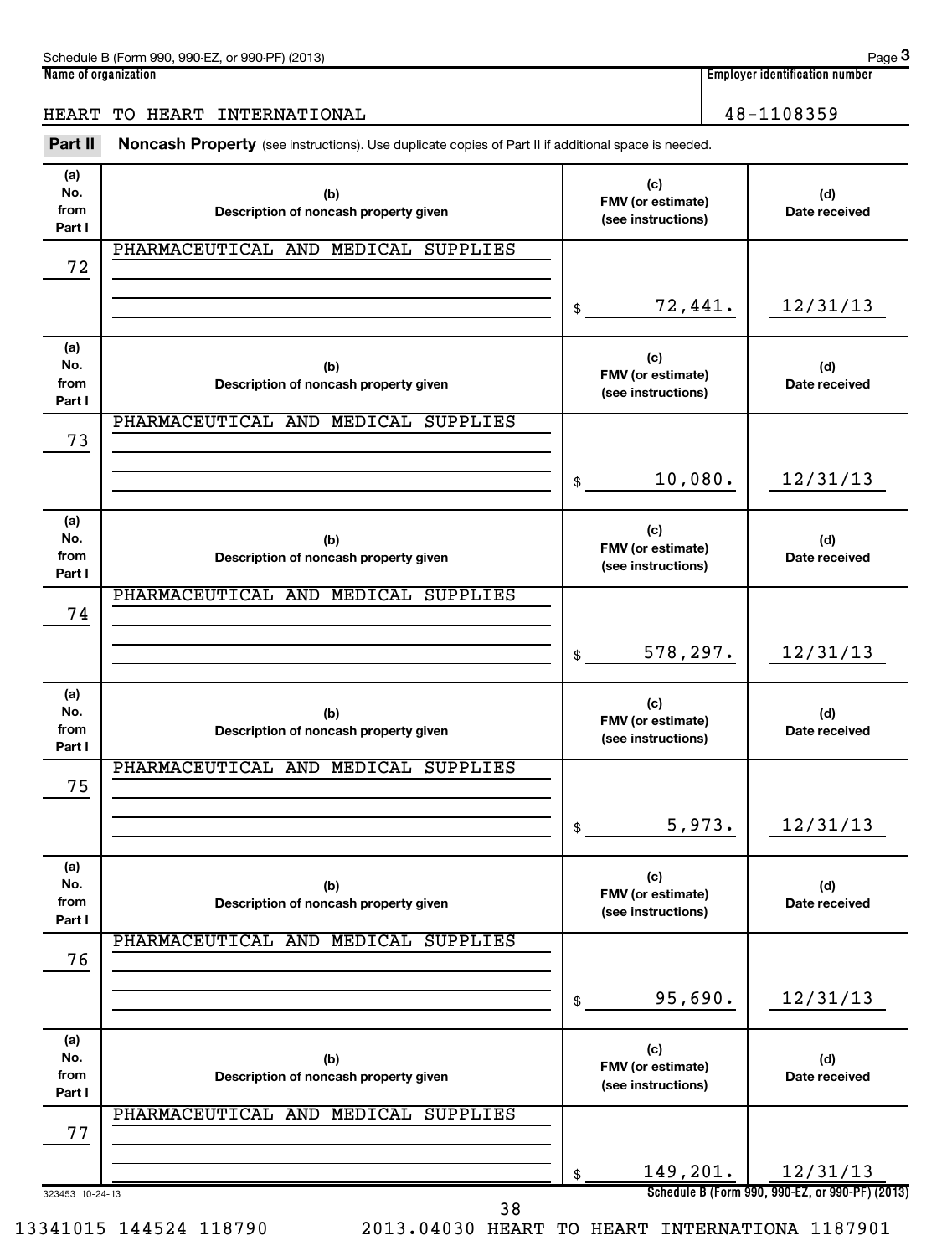| (2013)<br>$.990-F7$<br>Schedule B (Form<br>or 990-PF<br>$-990$ | Paɑe                                             |
|----------------------------------------------------------------|--------------------------------------------------|
| Name<br>e of organization ?                                    | 1 1 1 1<br>، identification number ،<br>Emplover |

#### HEART TO HEART INTERNATIONAL 48-1108359

Part II Noncash Property (see instructions). Use duplicate copies of Part II if additional space is needed.

| (a)<br>No.<br>from<br>Part I | (b)<br>Description of noncash property given | (c)<br>FMV (or estimate)<br>(see instructions) | (d)<br>Date received                                        |
|------------------------------|----------------------------------------------|------------------------------------------------|-------------------------------------------------------------|
| 72                           | PHARMACEUTICAL AND MEDICAL SUPPLIES          |                                                |                                                             |
|                              |                                              | 72,441.<br>$\mathfrak{S}$                      | 12/31/13                                                    |
| (a)<br>No.<br>from<br>Part I | (b)<br>Description of noncash property given | (c)<br>FMV (or estimate)<br>(see instructions) | (d)<br>Date received                                        |
| 73                           | PHARMACEUTICAL AND MEDICAL SUPPLIES          |                                                |                                                             |
|                              |                                              | 10,080.<br>$\mathfrak{S}$                      | 12/31/13                                                    |
| (a)<br>No.<br>from<br>Part I | (b)<br>Description of noncash property given | (c)<br>FMV (or estimate)<br>(see instructions) | (d)<br>Date received                                        |
| 74                           | PHARMACEUTICAL AND MEDICAL SUPPLIES          |                                                |                                                             |
|                              |                                              | 578,297.<br>\$                                 | 12/31/13                                                    |
| (a)<br>No.<br>from<br>Part I | (b)<br>Description of noncash property given | (c)<br>FMV (or estimate)<br>(see instructions) | (d)<br>Date received                                        |
| 75                           | PHARMACEUTICAL AND MEDICAL SUPPLIES          |                                                |                                                             |
|                              |                                              | 5,973.<br>\$                                   | 12/31/13                                                    |
| (a)<br>No.<br>from<br>Part I | (b)<br>Description of noncash property given | (c)<br>FMV (or estimate)<br>(see instructions) | (d)<br>Date received                                        |
| 76                           | PHARMACEUTICAL AND MEDICAL SUPPLIES          |                                                |                                                             |
|                              |                                              | 95,690.<br>\$                                  | 12/31/13                                                    |
| (a)<br>No.<br>from<br>Part I | (b)<br>Description of noncash property given | (c)<br>FMV (or estimate)<br>(see instructions) | (d)<br>Date received                                        |
| 77                           | PHARMACEUTICAL AND MEDICAL SUPPLIES          |                                                |                                                             |
| 323453 10-24-13              |                                              | 149,201.<br>\$                                 | 12/31/13<br>Schedule B (Form 990, 990-EZ, or 990-PF) (2013) |

38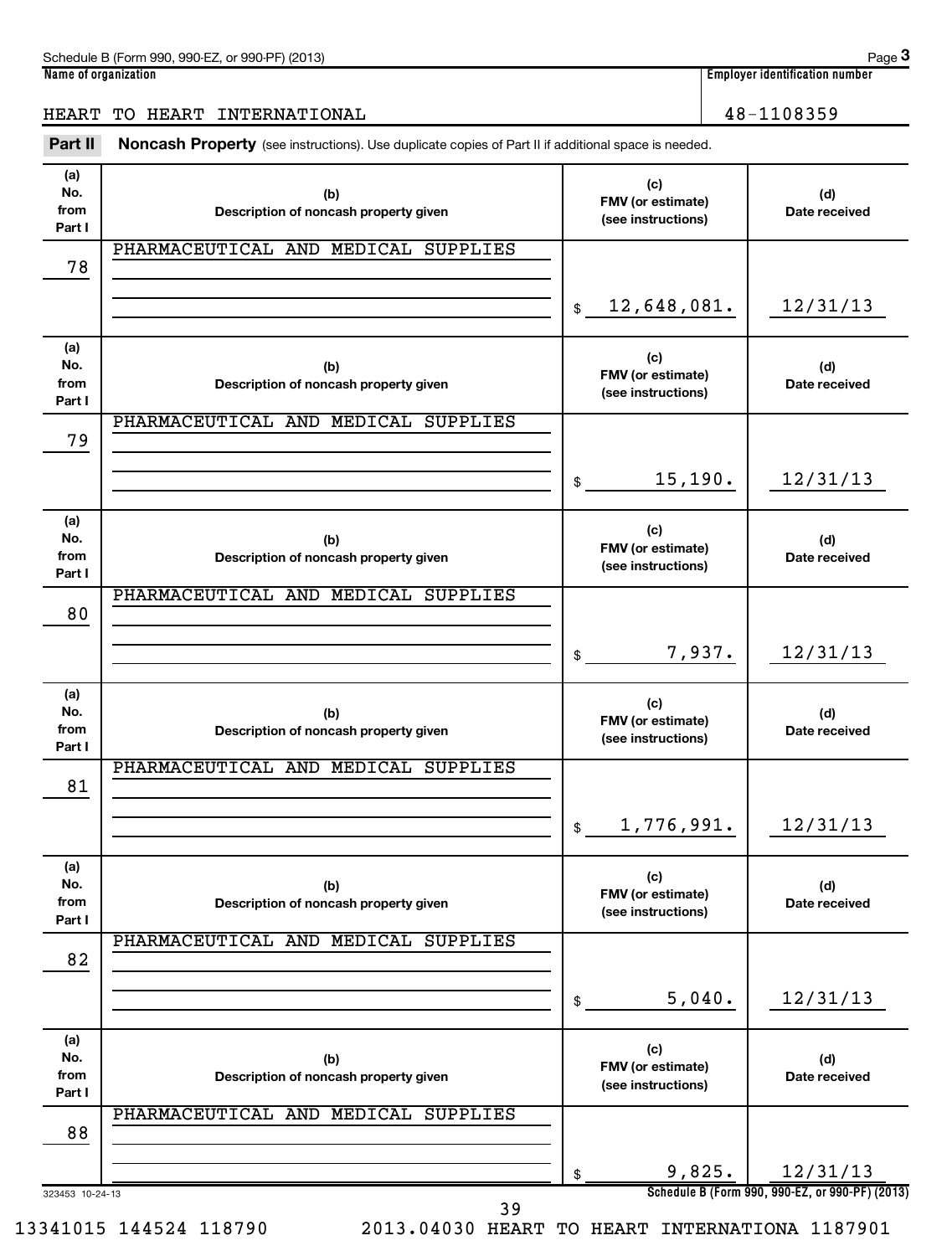| (2013)<br>$.990-F7$<br>Schedule B (Form<br>or 990-PF<br>$-990$ | Paɑe                                             |
|----------------------------------------------------------------|--------------------------------------------------|
| Name<br>e of organization ?                                    | 1 1 1 1<br>، identification number ،<br>Emplover |

## HEART TO HEART INTERNATIONAL 16 and 100 million 100 million 100 million 100 million 100 million 100 million 10

Part II Noncash Property (see instructions). Use duplicate copies of Part II if additional space is needed.

| (a)<br>No.<br>from<br>Part I | (b)<br>Description of noncash property given | (c)<br>FMV (or estimate)<br>(see instructions) | (d)<br>Date received                                        |
|------------------------------|----------------------------------------------|------------------------------------------------|-------------------------------------------------------------|
| 78                           | PHARMACEUTICAL AND MEDICAL SUPPLIES          |                                                |                                                             |
|                              |                                              | \$12,648,081.                                  | 12/31/13                                                    |
| (a)<br>No.<br>from<br>Part I | (b)<br>Description of noncash property given | (c)<br>FMV (or estimate)<br>(see instructions) | (d)<br>Date received                                        |
| 79                           | PHARMACEUTICAL AND MEDICAL SUPPLIES          |                                                |                                                             |
|                              |                                              | 15, 190.<br>$\frac{1}{2}$                      | 12/31/13                                                    |
| (a)<br>No.<br>from<br>Part I | (b)<br>Description of noncash property given | (c)<br>FMV (or estimate)<br>(see instructions) | (d)<br>Date received                                        |
| 80                           | PHARMACEUTICAL AND MEDICAL SUPPLIES          |                                                |                                                             |
|                              |                                              | 7,937.<br>$\frac{1}{2}$                        | 12/31/13                                                    |
| (a)<br>No.<br>from<br>Part I | (b)<br>Description of noncash property given | (c)<br>FMV (or estimate)<br>(see instructions) | (d)<br>Date received                                        |
| 81                           | PHARMACEUTICAL AND MEDICAL SUPPLIES          |                                                |                                                             |
|                              |                                              | 1,776,991.<br>\$                               | 12/31/13                                                    |
| (a)<br>No.<br>from<br>Part I | (b)<br>Description of noncash property given | (c)<br>FMV (or estimate)<br>(see instructions) | (d)<br>Date received                                        |
| 82                           | PHARMACEUTICAL AND MEDICAL SUPPLIES          |                                                |                                                             |
|                              |                                              | 5,040.<br>\$                                   | 12/31/13                                                    |
| (a)<br>No.<br>from<br>Part I | (b)<br>Description of noncash property given | (c)<br>FMV (or estimate)<br>(see instructions) | (d)<br>Date received                                        |
| 88                           | PHARMACEUTICAL AND MEDICAL SUPPLIES          |                                                |                                                             |
| 323453 10-24-13              |                                              | 9,825.<br>\$                                   | 12/31/13<br>Schedule B (Form 990, 990-EZ, or 990-PF) (2013) |

39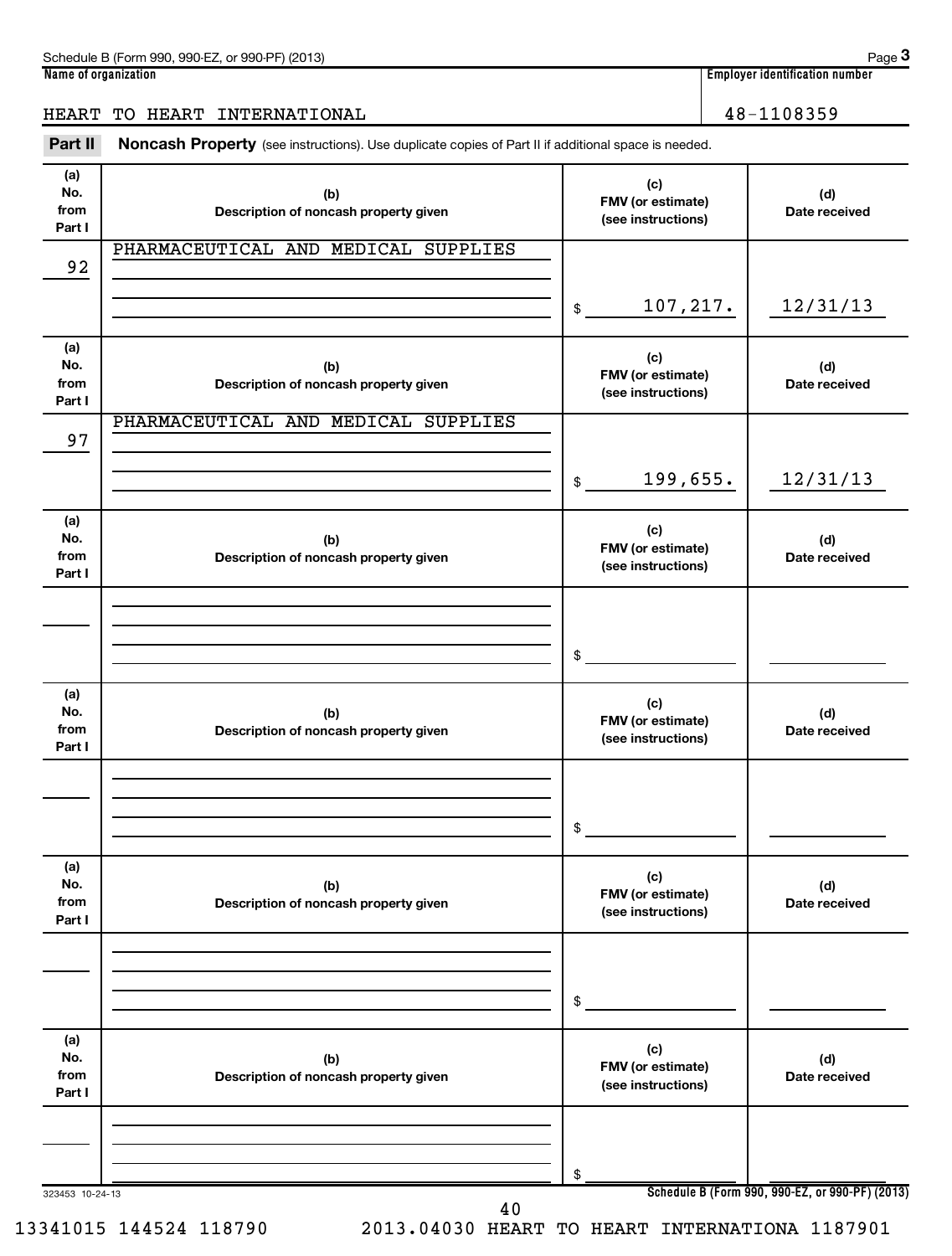| (2013)<br>$.990-F7$<br>Schedule B (Form<br>or 990-PF<br>$-990$ | Paɑe                                             |
|----------------------------------------------------------------|--------------------------------------------------|
| Name<br>e of organization ?                                    | 1 1 1 1<br>، identification number ،<br>Emplover |

#### HEART TO HEART INTERNATIONAL 48-1108359

Part II Noncash Property (see instructions). Use duplicate copies of Part II if additional space is needed.

| (a)<br>No.<br>from<br>Part I | (b)<br>Description of noncash property given | (c)<br>FMV (or estimate)<br>(see instructions) | (d)<br>Date received                            |
|------------------------------|----------------------------------------------|------------------------------------------------|-------------------------------------------------|
| 92                           | PHARMACEUTICAL AND MEDICAL SUPPLIES          |                                                |                                                 |
|                              |                                              | 107,217.<br>\$                                 | 12/31/13                                        |
| (a)<br>No.<br>from<br>Part I | (b)<br>Description of noncash property given | (c)<br>FMV (or estimate)<br>(see instructions) | (d)<br>Date received                            |
| 97                           | PHARMACEUTICAL AND MEDICAL SUPPLIES          |                                                |                                                 |
|                              |                                              | 199,655.<br>$$\mathbb{S}$$                     | 12/31/13                                        |
| (a)<br>No.<br>from<br>Part I | (b)<br>Description of noncash property given | (c)<br>FMV (or estimate)<br>(see instructions) | (d)<br>Date received                            |
|                              |                                              |                                                |                                                 |
|                              |                                              | \$                                             |                                                 |
| (a)<br>No.<br>from<br>Part I | (b)<br>Description of noncash property given | (c)<br>FMV (or estimate)<br>(see instructions) | (d)<br>Date received                            |
|                              |                                              |                                                |                                                 |
|                              |                                              | \$                                             |                                                 |
| (a)<br>No.<br>from<br>Part I | (b)<br>Description of noncash property given | (c)<br>FMV (or estimate)<br>(see instructions) | (d)<br>Date received                            |
|                              |                                              |                                                |                                                 |
|                              |                                              | \$                                             |                                                 |
| (a)<br>No.<br>from<br>Part I | (b)<br>Description of noncash property given | (c)<br>FMV (or estimate)<br>(see instructions) | (d)<br>Date received                            |
|                              |                                              |                                                |                                                 |
| 323453 10-24-13              |                                              | \$                                             | Schedule B (Form 990, 990-EZ, or 990-PF) (2013) |
|                              |                                              |                                                |                                                 |

40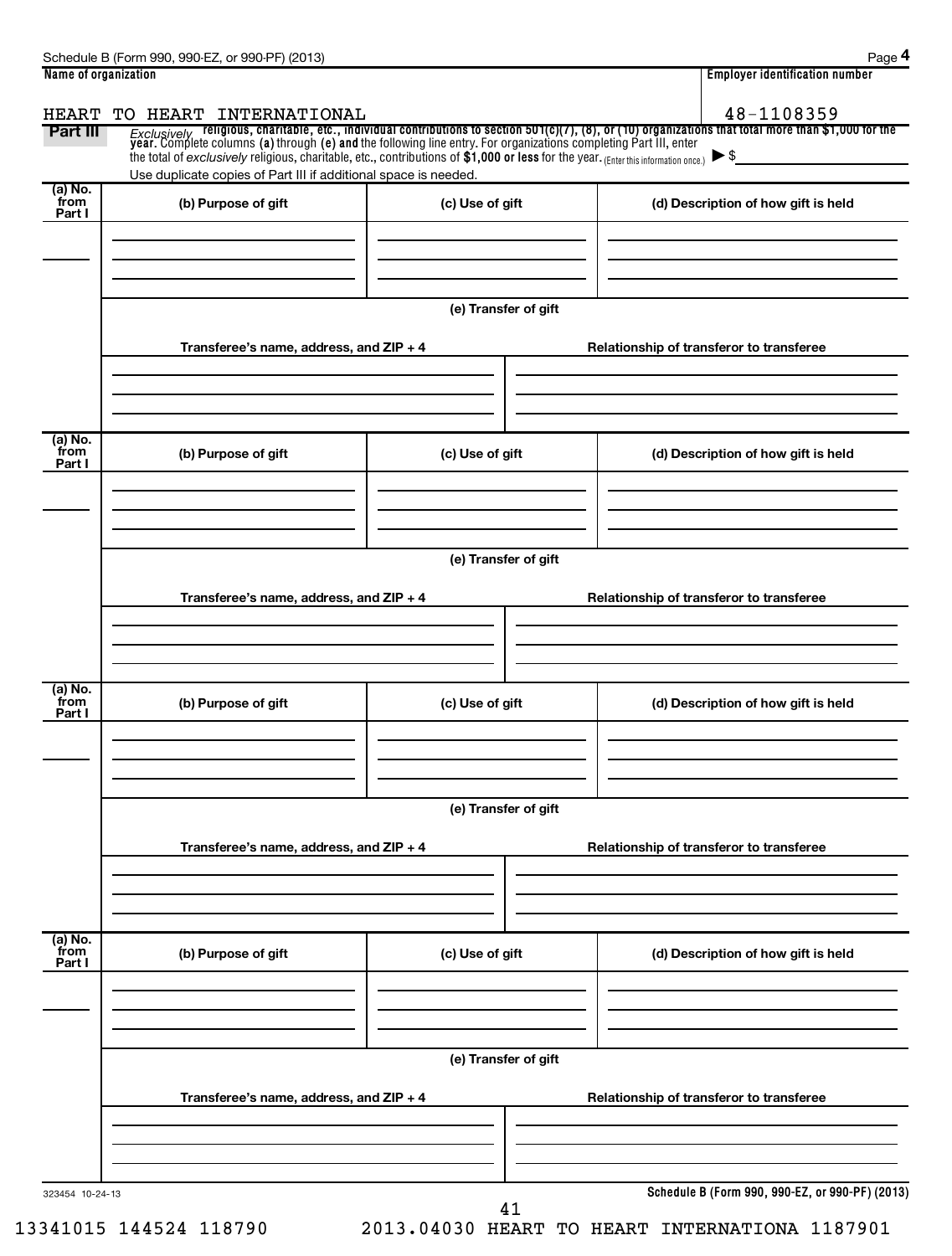| Name of organization      |                                                                                                                                                                                                        |                      | <b>Employer identification number</b>                                                                                                                                                                                                            |
|---------------------------|--------------------------------------------------------------------------------------------------------------------------------------------------------------------------------------------------------|----------------------|--------------------------------------------------------------------------------------------------------------------------------------------------------------------------------------------------------------------------------------------------|
| <b>HEART</b><br>Part III  | TO HEART INTERNATIONAL                                                                                                                                                                                 |                      | 48-1108359<br>Exclusively religious, charitable, etc., individual contributions to section 501(c)(7), (8), or (10) organizations that total more than \$1,000 for the<br>year. Complete columns (a) through (e) and the following line entry. Fo |
|                           | the total of exclusively religious, charitable, etc., contributions of \$1,000 or less for the year. (Enter this information once.)<br>Use duplicate copies of Part III if additional space is needed. |                      |                                                                                                                                                                                                                                                  |
| (a) No.<br>from<br>Part I | (b) Purpose of gift                                                                                                                                                                                    | (c) Use of gift      | (d) Description of how gift is held                                                                                                                                                                                                              |
|                           |                                                                                                                                                                                                        | (e) Transfer of gift |                                                                                                                                                                                                                                                  |
|                           | Transferee's name, address, and ZIP + 4                                                                                                                                                                |                      | Relationship of transferor to transferee                                                                                                                                                                                                         |
| (a) No.<br>from<br>Part I | (b) Purpose of gift                                                                                                                                                                                    | (c) Use of gift      | (d) Description of how gift is held                                                                                                                                                                                                              |
|                           | Transferee's name, address, and ZIP + 4                                                                                                                                                                | (e) Transfer of gift | Relationship of transferor to transferee                                                                                                                                                                                                         |
|                           |                                                                                                                                                                                                        |                      |                                                                                                                                                                                                                                                  |
| (a) No.<br>from<br>Part I | (b) Purpose of gift                                                                                                                                                                                    | (c) Use of gift      | (d) Description of how gift is held                                                                                                                                                                                                              |
|                           |                                                                                                                                                                                                        |                      |                                                                                                                                                                                                                                                  |
|                           | Transferee's name, address, and ZIP + 4                                                                                                                                                                | (e) Transfer of gift | Relationship of transferor to transferee                                                                                                                                                                                                         |
| (a) No.<br>from<br>Part I | (b) Purpose of gift                                                                                                                                                                                    | (c) Use of gift      | (d) Description of how gift is held                                                                                                                                                                                                              |
|                           |                                                                                                                                                                                                        | (e) Transfer of gift |                                                                                                                                                                                                                                                  |
|                           | Transferee's name, address, and ZIP + 4                                                                                                                                                                |                      | Relationship of transferor to transferee                                                                                                                                                                                                         |
| 323454 10-24-13           |                                                                                                                                                                                                        | 41                   | Schedule B (Form 990, 990-EZ, or 990-PF) (2013)                                                                                                                                                                                                  |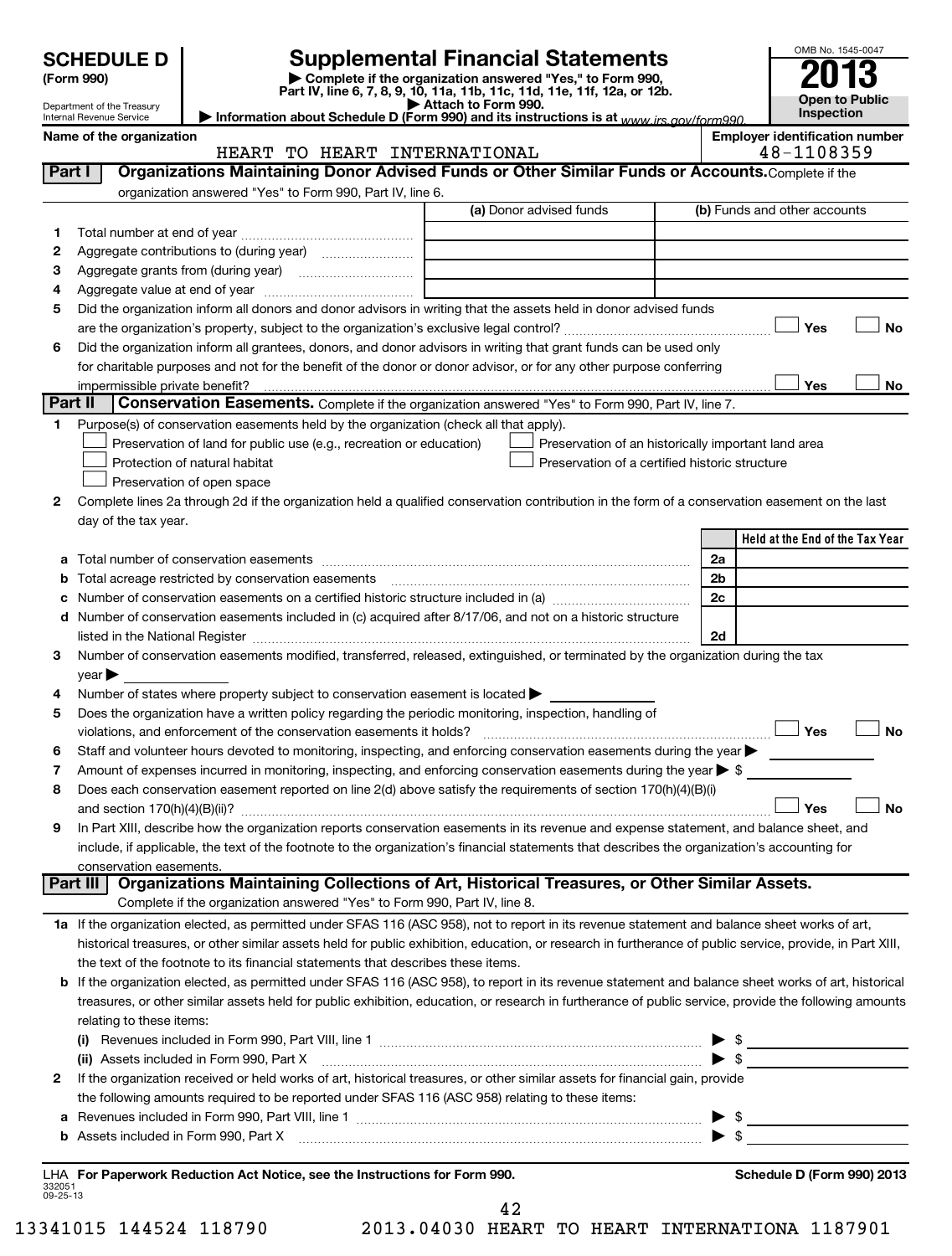|                | <b>SCHEDULE D</b><br>(Form 990)                        |                                                                                                                                                                                                                               |                     | <b>Supplemental Financial Statements</b><br>Complete if the organization answered "Yes," to Form 990, |                                     | OMB No. 1545-0047                                   |  |  |
|----------------|--------------------------------------------------------|-------------------------------------------------------------------------------------------------------------------------------------------------------------------------------------------------------------------------------|---------------------|-------------------------------------------------------------------------------------------------------|-------------------------------------|-----------------------------------------------------|--|--|
|                | Department of the Treasury<br>Internal Revenue Service | Information about Schedule D (Form 990) and its instructions is at www irs gov/form990                                                                                                                                        | Attach to Form 990. | Part IV, line 6, 7, 8, 9, 10, 11a, 11b, 11c, 11d, 11e, 11f, 12a, or 12b.                              | <b>Open to Public</b><br>Inspection |                                                     |  |  |
|                | Name of the organization                               | HEART TO HEART INTERNATIONAL                                                                                                                                                                                                  |                     |                                                                                                       |                                     | <b>Employer identification number</b><br>48-1108359 |  |  |
| Part I         |                                                        | Organizations Maintaining Donor Advised Funds or Other Similar Funds or Accounts. Complete if the                                                                                                                             |                     |                                                                                                       |                                     |                                                     |  |  |
|                |                                                        | organization answered "Yes" to Form 990, Part IV, line 6.                                                                                                                                                                     |                     |                                                                                                       |                                     |                                                     |  |  |
|                |                                                        |                                                                                                                                                                                                                               |                     | (a) Donor advised funds                                                                               |                                     | (b) Funds and other accounts                        |  |  |
| 1              |                                                        |                                                                                                                                                                                                                               |                     |                                                                                                       |                                     |                                                     |  |  |
| 2              |                                                        | Aggregate contributions to (during year)                                                                                                                                                                                      |                     |                                                                                                       |                                     |                                                     |  |  |
| 3              |                                                        | Aggregate grants from (during year) [10] [10] Aggregate grants from (during year)                                                                                                                                             |                     |                                                                                                       |                                     |                                                     |  |  |
| 4              |                                                        |                                                                                                                                                                                                                               |                     |                                                                                                       |                                     |                                                     |  |  |
| 5              |                                                        | Did the organization inform all donors and donor advisors in writing that the assets held in donor advised funds                                                                                                              |                     |                                                                                                       |                                     |                                                     |  |  |
|                |                                                        |                                                                                                                                                                                                                               |                     |                                                                                                       |                                     | Yes<br>No                                           |  |  |
| 6              |                                                        | Did the organization inform all grantees, donors, and donor advisors in writing that grant funds can be used only                                                                                                             |                     |                                                                                                       |                                     |                                                     |  |  |
|                |                                                        | for charitable purposes and not for the benefit of the donor or donor advisor, or for any other purpose conferring                                                                                                            |                     |                                                                                                       |                                     |                                                     |  |  |
|                |                                                        | impermissible private benefit?                                                                                                                                                                                                |                     |                                                                                                       |                                     | Yes<br>No                                           |  |  |
| <b>Part II</b> |                                                        | Conservation Easements. Complete if the organization answered "Yes" to Form 990, Part IV, line 7.                                                                                                                             |                     |                                                                                                       |                                     |                                                     |  |  |
| 1              |                                                        | Purpose(s) of conservation easements held by the organization (check all that apply).                                                                                                                                         |                     |                                                                                                       |                                     |                                                     |  |  |
|                |                                                        | Preservation of land for public use (e.g., recreation or education)                                                                                                                                                           |                     | Preservation of an historically important land area                                                   |                                     |                                                     |  |  |
|                |                                                        | Protection of natural habitat                                                                                                                                                                                                 |                     | Preservation of a certified historic structure                                                        |                                     |                                                     |  |  |
|                |                                                        | Preservation of open space                                                                                                                                                                                                    |                     |                                                                                                       |                                     |                                                     |  |  |
| 2              |                                                        | Complete lines 2a through 2d if the organization held a qualified conservation contribution in the form of a conservation easement on the last                                                                                |                     |                                                                                                       |                                     |                                                     |  |  |
|                | day of the tax year.                                   |                                                                                                                                                                                                                               |                     |                                                                                                       |                                     |                                                     |  |  |
|                |                                                        |                                                                                                                                                                                                                               |                     |                                                                                                       |                                     | Held at the End of the Tax Year                     |  |  |
|                |                                                        |                                                                                                                                                                                                                               |                     |                                                                                                       | 2a                                  |                                                     |  |  |
|                |                                                        | Total acreage restricted by conservation easements                                                                                                                                                                            |                     |                                                                                                       | 2 <sub>b</sub><br>2c                |                                                     |  |  |
| d              |                                                        | Number of conservation easements included in (c) acquired after 8/17/06, and not on a historic structure                                                                                                                      |                     |                                                                                                       |                                     |                                                     |  |  |
|                |                                                        | listed in the National Register [111] Marshall Register [11] Marshall Register [11] Marshall Register [11] Marshall Register [11] Marshall Register [11] Marshall Register [11] Marshall Register [11] Marshall Register [11] |                     |                                                                                                       | 2d                                  |                                                     |  |  |
| З              |                                                        | Number of conservation easements modified, transferred, released, extinguished, or terminated by the organization during the tax                                                                                              |                     |                                                                                                       |                                     |                                                     |  |  |
|                | $\vee$ ear $\blacktriangleright$                       |                                                                                                                                                                                                                               |                     |                                                                                                       |                                     |                                                     |  |  |
| 4              |                                                        | Number of states where property subject to conservation easement is located $\blacktriangleright$                                                                                                                             |                     |                                                                                                       |                                     |                                                     |  |  |
| 5              |                                                        | Does the organization have a written policy regarding the periodic monitoring, inspection, handling of                                                                                                                        |                     |                                                                                                       |                                     |                                                     |  |  |
|                |                                                        | violations, and enforcement of the conservation easements it holds?                                                                                                                                                           |                     |                                                                                                       |                                     | Yes<br>No                                           |  |  |
| 6              |                                                        | Staff and volunteer hours devoted to monitoring, inspecting, and enforcing conservation easements during the year                                                                                                             |                     |                                                                                                       |                                     |                                                     |  |  |
| 7              |                                                        | Amount of expenses incurred in monitoring, inspecting, and enforcing conservation easements during the year $\triangleright$ \$                                                                                               |                     |                                                                                                       |                                     |                                                     |  |  |
| 8              |                                                        | Does each conservation easement reported on line 2(d) above satisfy the requirements of section 170(h)(4)(B)(i)                                                                                                               |                     |                                                                                                       |                                     |                                                     |  |  |
|                |                                                        | and section $170(h)(4)(B)(ii)$ ?                                                                                                                                                                                              |                     |                                                                                                       |                                     | Yes<br>No                                           |  |  |
| 9              |                                                        | In Part XIII, describe how the organization reports conservation easements in its revenue and expense statement, and balance sheet, and                                                                                       |                     |                                                                                                       |                                     |                                                     |  |  |
|                |                                                        | include, if applicable, the text of the footnote to the organization's financial statements that describes the organization's accounting for                                                                                  |                     |                                                                                                       |                                     |                                                     |  |  |
|                | conservation easements.<br>Part III                    | Organizations Maintaining Collections of Art, Historical Treasures, or Other Similar Assets.                                                                                                                                  |                     |                                                                                                       |                                     |                                                     |  |  |
|                |                                                        | Complete if the organization answered "Yes" to Form 990, Part IV, line 8.                                                                                                                                                     |                     |                                                                                                       |                                     |                                                     |  |  |
|                |                                                        | 1a If the organization elected, as permitted under SFAS 116 (ASC 958), not to report in its revenue statement and balance sheet works of art,                                                                                 |                     |                                                                                                       |                                     |                                                     |  |  |
|                |                                                        | historical treasures, or other similar assets held for public exhibition, education, or research in furtherance of public service, provide, in Part XIII,                                                                     |                     |                                                                                                       |                                     |                                                     |  |  |
|                |                                                        | the text of the footnote to its financial statements that describes these items.                                                                                                                                              |                     |                                                                                                       |                                     |                                                     |  |  |
| b              |                                                        | If the organization elected, as permitted under SFAS 116 (ASC 958), to report in its revenue statement and balance sheet works of art, historical                                                                             |                     |                                                                                                       |                                     |                                                     |  |  |
|                |                                                        | treasures, or other similar assets held for public exhibition, education, or research in furtherance of public service, provide the following amounts                                                                         |                     |                                                                                                       |                                     |                                                     |  |  |
|                | relating to these items:                               |                                                                                                                                                                                                                               |                     |                                                                                                       |                                     |                                                     |  |  |
|                |                                                        |                                                                                                                                                                                                                               |                     |                                                                                                       |                                     | \$                                                  |  |  |
|                |                                                        | (ii) Assets included in Form 990, Part X                                                                                                                                                                                      |                     |                                                                                                       |                                     | \$                                                  |  |  |
| 2              |                                                        | If the organization received or held works of art, historical treasures, or other similar assets for financial gain, provide                                                                                                  |                     |                                                                                                       |                                     |                                                     |  |  |
|                |                                                        | the following amounts required to be reported under SFAS 116 (ASC 958) relating to these items:                                                                                                                               |                     |                                                                                                       |                                     |                                                     |  |  |
| а              |                                                        |                                                                                                                                                                                                                               |                     |                                                                                                       |                                     | \$                                                  |  |  |

| . gan<br>Part<br>orr<br>$\sim$ $\sim$ $\sim$ | $\cdots$ |  |  |
|----------------------------------------------|----------|--|--|
|                                              |          |  |  |

332051 09-25-13 **For Paperwork Reduction Act Notice, see the Instructions for Form 990. Schedule D (Form 990) 2013** LHA

42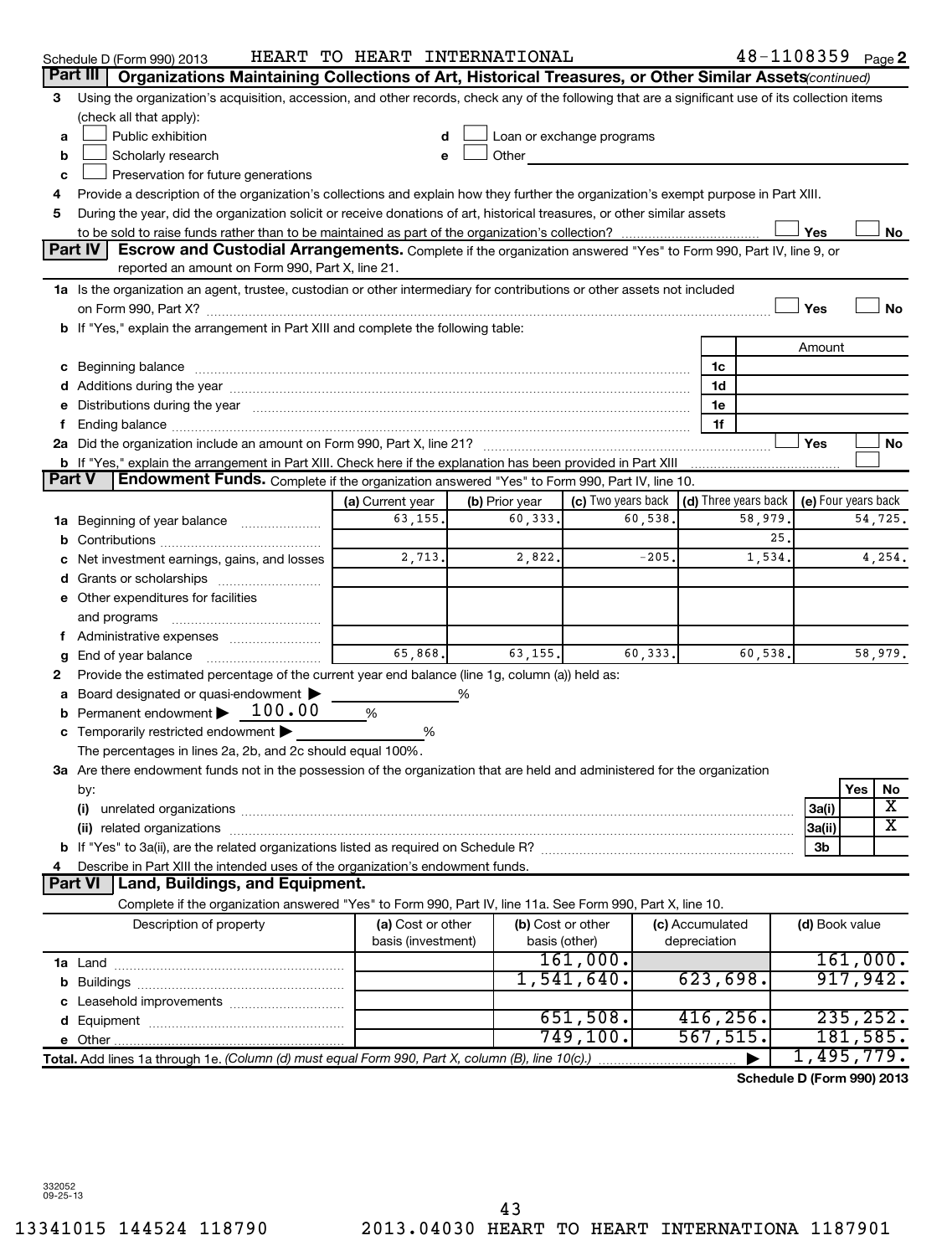|               | Schedule D (Form 990) 2013                                                                                                                                                                                                     | HEART TO HEART INTERNATIONAL |                   |                    |  |                      | $48 - 1108359$ Page 2      |            |                         |
|---------------|--------------------------------------------------------------------------------------------------------------------------------------------------------------------------------------------------------------------------------|------------------------------|-------------------|--------------------|--|----------------------|----------------------------|------------|-------------------------|
| Part III      | Organizations Maintaining Collections of Art, Historical Treasures, or Other Similar Assets (continued)                                                                                                                        |                              |                   |                    |  |                      |                            |            |                         |
| 3             | Using the organization's acquisition, accession, and other records, check any of the following that are a significant use of its collection items                                                                              |                              |                   |                    |  |                      |                            |            |                         |
|               | (check all that apply):                                                                                                                                                                                                        |                              |                   |                    |  |                      |                            |            |                         |
| a             | Public exhibition<br>Loan or exchange programs<br>d                                                                                                                                                                            |                              |                   |                    |  |                      |                            |            |                         |
| b             | Scholarly research                                                                                                                                                                                                             | е                            | Other             |                    |  |                      |                            |            |                         |
| c             | Preservation for future generations                                                                                                                                                                                            |                              |                   |                    |  |                      |                            |            |                         |
| 4             | Provide a description of the organization's collections and explain how they further the organization's exempt purpose in Part XIII.                                                                                           |                              |                   |                    |  |                      |                            |            |                         |
| 5             | During the year, did the organization solicit or receive donations of art, historical treasures, or other similar assets                                                                                                       |                              |                   |                    |  |                      |                            |            |                         |
|               |                                                                                                                                                                                                                                |                              |                   |                    |  |                      | Yes                        |            | No                      |
|               | Part IV<br>Escrow and Custodial Arrangements. Complete if the organization answered "Yes" to Form 990, Part IV, line 9, or<br>reported an amount on Form 990, Part X, line 21.                                                 |                              |                   |                    |  |                      |                            |            |                         |
|               |                                                                                                                                                                                                                                |                              |                   |                    |  |                      |                            |            |                         |
|               | 1a Is the organization an agent, trustee, custodian or other intermediary for contributions or other assets not included                                                                                                       |                              |                   |                    |  |                      | Yes                        |            | No                      |
|               | b If "Yes," explain the arrangement in Part XIII and complete the following table:                                                                                                                                             |                              |                   |                    |  |                      |                            |            |                         |
|               |                                                                                                                                                                                                                                |                              |                   |                    |  |                      | Amount                     |            |                         |
|               | c Beginning balance measurements and the contract of the contract of the contract of the contract of the contract of the contract of the contract of the contract of the contract of the contract of the contract of the contr |                              |                   |                    |  | 1c                   |                            |            |                         |
|               |                                                                                                                                                                                                                                |                              |                   |                    |  | 1d                   |                            |            |                         |
|               | Distributions during the year manufactured and an account of the year manufactured and the year manufactured and the year manufactured and the year manufactured and the year manufactured and the year manufactured and the y |                              |                   |                    |  | 1e                   |                            |            |                         |
|               |                                                                                                                                                                                                                                |                              |                   |                    |  | 1f                   |                            |            |                         |
|               |                                                                                                                                                                                                                                |                              |                   |                    |  |                      | Yes                        |            | No                      |
|               | b If "Yes," explain the arrangement in Part XIII. Check here if the explanation has been provided in Part XIII                                                                                                                 |                              |                   |                    |  |                      |                            |            |                         |
| <b>Part V</b> | Endowment Funds. Complete if the organization answered "Yes" to Form 990, Part IV, line 10.                                                                                                                                    |                              |                   |                    |  |                      |                            |            |                         |
|               |                                                                                                                                                                                                                                | (a) Current year             | (b) Prior year    | (c) Two years back |  | (d) Three years back | (e) Four years back        |            |                         |
| 1a            | Beginning of year balance                                                                                                                                                                                                      | 63,155.                      | 60,333.           | 60,538             |  | 58,979               |                            |            | 54,725.                 |
|               |                                                                                                                                                                                                                                |                              |                   |                    |  | 25.                  |                            |            |                         |
|               | Net investment earnings, gains, and losses                                                                                                                                                                                     | 2,713.                       | 2,822.            | $-205$             |  | 1,534                |                            |            | 4,254.                  |
|               | Grants or scholarships                                                                                                                                                                                                         |                              |                   |                    |  |                      |                            |            |                         |
|               | e Other expenditures for facilities                                                                                                                                                                                            |                              |                   |                    |  |                      |                            |            |                         |
|               | and programs                                                                                                                                                                                                                   |                              |                   |                    |  |                      |                            |            |                         |
|               |                                                                                                                                                                                                                                |                              |                   |                    |  |                      |                            |            |                         |
| g             | End of year balance                                                                                                                                                                                                            | 65,868.                      | 63,155.           | 60,333.            |  | 60,538               |                            |            | 58,979.                 |
| 2             | Provide the estimated percentage of the current year end balance (line 1g, column (a)) held as:                                                                                                                                |                              |                   |                    |  |                      |                            |            |                         |
|               | Board designated or quasi-endowment<br>Permanent endowment > 100.00                                                                                                                                                            |                              |                   |                    |  |                      |                            |            |                         |
| b             |                                                                                                                                                                                                                                | %                            |                   |                    |  |                      |                            |            |                         |
|               | Temporarily restricted endowment<br>The percentages in lines 2a, 2b, and 2c should equal 100%.                                                                                                                                 | %                            |                   |                    |  |                      |                            |            |                         |
|               | 3a Are there endowment funds not in the possession of the organization that are held and administered for the organization                                                                                                     |                              |                   |                    |  |                      |                            |            |                         |
|               | by:                                                                                                                                                                                                                            |                              |                   |                    |  |                      |                            | <b>Yes</b> | No                      |
|               | (i)                                                                                                                                                                                                                            |                              |                   |                    |  |                      | 3a(i)                      |            | х                       |
|               | (ii)                                                                                                                                                                                                                           |                              |                   |                    |  |                      | 3a(ii)                     |            | $\overline{\texttt{x}}$ |
|               |                                                                                                                                                                                                                                |                              |                   |                    |  |                      | 3b                         |            |                         |
|               | Describe in Part XIII the intended uses of the organization's endowment funds.                                                                                                                                                 |                              |                   |                    |  |                      |                            |            |                         |
|               | <b>Part VI</b><br>Land, Buildings, and Equipment.                                                                                                                                                                              |                              |                   |                    |  |                      |                            |            |                         |
|               | Complete if the organization answered "Yes" to Form 990, Part IV, line 11a. See Form 990, Part X, line 10.                                                                                                                     |                              |                   |                    |  |                      |                            |            |                         |
|               | Description of property                                                                                                                                                                                                        | (a) Cost or other            | (b) Cost or other |                    |  | (c) Accumulated      | (d) Book value             |            |                         |
|               |                                                                                                                                                                                                                                | basis (investment)           |                   | basis (other)      |  | depreciation         |                            |            |                         |
|               |                                                                                                                                                                                                                                |                              |                   | 161,000.           |  |                      |                            |            | 161,000.                |
|               |                                                                                                                                                                                                                                |                              |                   | 1,541,640.         |  | 623,698.             |                            | 917,942.   |                         |
|               |                                                                                                                                                                                                                                |                              |                   |                    |  |                      |                            |            |                         |
|               |                                                                                                                                                                                                                                |                              |                   | 651,508.           |  | 416, 256.            |                            | 235, 252.  |                         |
|               |                                                                                                                                                                                                                                |                              |                   | 749, 100.          |  | 567, 515.            |                            | 181,585.   |                         |
|               | Total. Add lines 1a through 1e. (Column (d) must equal Form 990, Part X, column (B), line 10(c).)                                                                                                                              |                              |                   |                    |  |                      | 1,495,779.                 |            |                         |
|               |                                                                                                                                                                                                                                |                              |                   |                    |  |                      | Schedule D (Form 990) 2013 |            |                         |

332052 09-25-13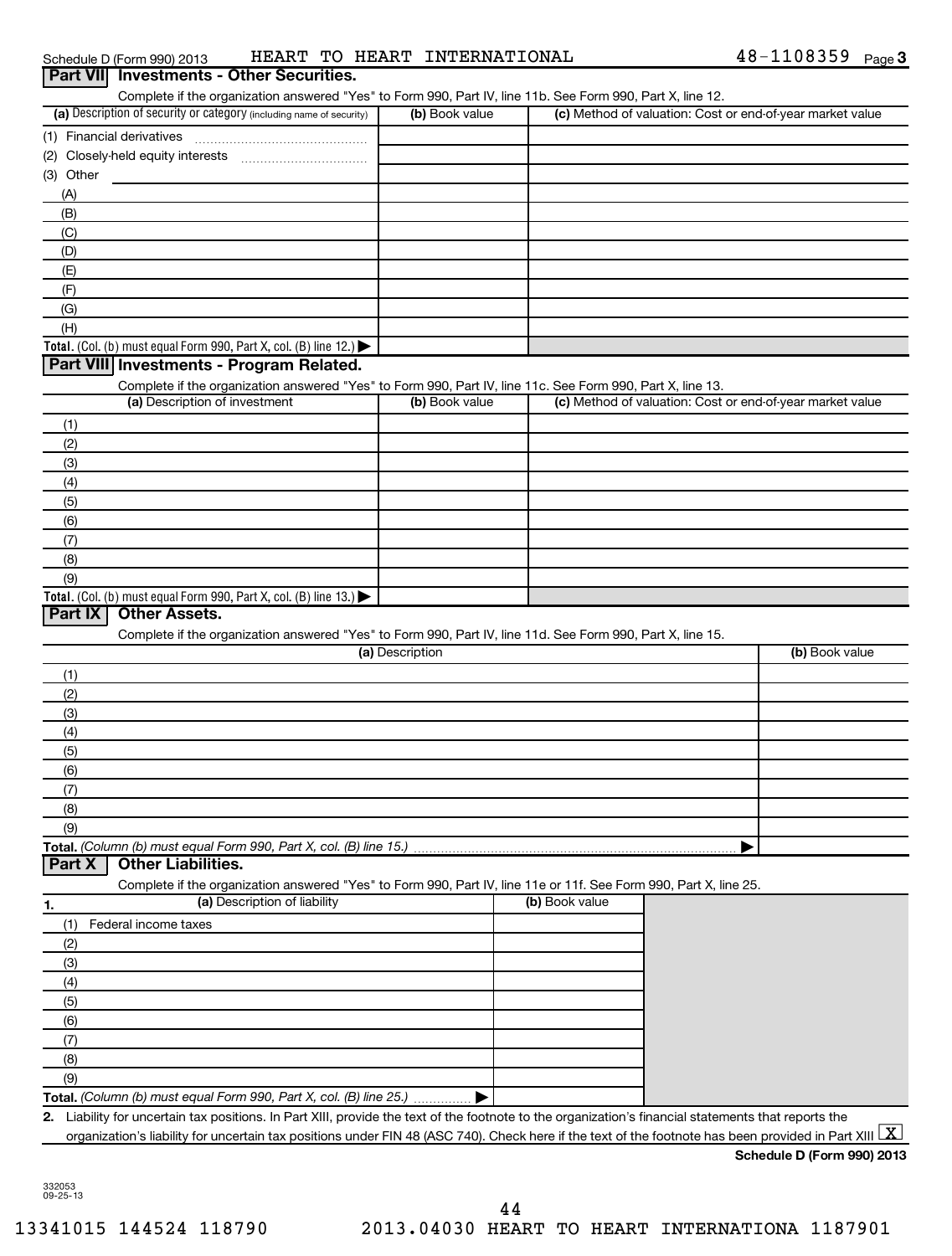| Schedule D (Form 990) : |
|-------------------------|
|-------------------------|

Schedule D (Form 990) 2013  $\qquad$  HEART TO HEART INTERNATIONAL  $\qquad \qquad \qquad 48-1108359$  Page

| Part VII Investments - Other Securities.                                                                                                                              |                 |                |                                                           |
|-----------------------------------------------------------------------------------------------------------------------------------------------------------------------|-----------------|----------------|-----------------------------------------------------------|
| Complete if the organization answered "Yes" to Form 990, Part IV, line 11b. See Form 990, Part X, line 12.                                                            |                 |                |                                                           |
| (a) Description of security or category (including name of security)                                                                                                  | (b) Book value  |                | (c) Method of valuation: Cost or end-of-year market value |
| (1) Financial derivatives                                                                                                                                             |                 |                |                                                           |
|                                                                                                                                                                       |                 |                |                                                           |
| (3) Other                                                                                                                                                             |                 |                |                                                           |
| (A)                                                                                                                                                                   |                 |                |                                                           |
| (B)                                                                                                                                                                   |                 |                |                                                           |
| (C)                                                                                                                                                                   |                 |                |                                                           |
| (D)<br>(E)                                                                                                                                                            |                 |                |                                                           |
| (F)                                                                                                                                                                   |                 |                |                                                           |
| (G)                                                                                                                                                                   |                 |                |                                                           |
| (H)                                                                                                                                                                   |                 |                |                                                           |
| Total. (Col. (b) must equal Form 990, Part X, col. (B) line 12.) $\blacktriangleright$                                                                                |                 |                |                                                           |
| Part VIII Investments - Program Related.                                                                                                                              |                 |                |                                                           |
| Complete if the organization answered "Yes" to Form 990, Part IV, line 11c. See Form 990, Part X, line 13.                                                            |                 |                |                                                           |
| (a) Description of investment                                                                                                                                         | (b) Book value  |                | (c) Method of valuation: Cost or end-of-year market value |
| (1)                                                                                                                                                                   |                 |                |                                                           |
| (2)                                                                                                                                                                   |                 |                |                                                           |
| (3)                                                                                                                                                                   |                 |                |                                                           |
| (4)                                                                                                                                                                   |                 |                |                                                           |
| (5)                                                                                                                                                                   |                 |                |                                                           |
| (6)                                                                                                                                                                   |                 |                |                                                           |
| (7)                                                                                                                                                                   |                 |                |                                                           |
| (8)                                                                                                                                                                   |                 |                |                                                           |
| (9)                                                                                                                                                                   |                 |                |                                                           |
| Total. (Col. (b) must equal Form 990, Part X, col. (B) line 13.) $\blacktriangleright$                                                                                |                 |                |                                                           |
| Part IX<br><b>Other Assets.</b>                                                                                                                                       |                 |                |                                                           |
| Complete if the organization answered "Yes" to Form 990, Part IV, line 11d. See Form 990, Part X, line 15.                                                            | (a) Description |                | (b) Book value                                            |
| (1)                                                                                                                                                                   |                 |                |                                                           |
| (2)                                                                                                                                                                   |                 |                |                                                           |
| (3)                                                                                                                                                                   |                 |                |                                                           |
| (4)                                                                                                                                                                   |                 |                |                                                           |
| (5)                                                                                                                                                                   |                 |                |                                                           |
| (6)                                                                                                                                                                   |                 |                |                                                           |
| (7)                                                                                                                                                                   |                 |                |                                                           |
| (8)                                                                                                                                                                   |                 |                |                                                           |
| (9)                                                                                                                                                                   |                 |                |                                                           |
| Total. (Column (b) must equal Form 990, Part X, col. (B) line 15.)                                                                                                    |                 |                |                                                           |
| <b>Other Liabilities.</b><br>Part X                                                                                                                                   |                 |                |                                                           |
| Complete if the organization answered "Yes" to Form 990, Part IV, line 11e or 11f. See Form 990, Part X, line 25.                                                     |                 |                |                                                           |
| (a) Description of liability<br>1.                                                                                                                                    |                 | (b) Book value |                                                           |
| Federal income taxes<br>(1)                                                                                                                                           |                 |                |                                                           |
| (2)                                                                                                                                                                   |                 |                |                                                           |
| (3)                                                                                                                                                                   |                 |                |                                                           |
| (4)                                                                                                                                                                   |                 |                |                                                           |
| (5)                                                                                                                                                                   |                 |                |                                                           |
| (6)                                                                                                                                                                   |                 |                |                                                           |
| (7)                                                                                                                                                                   |                 |                |                                                           |
| (8)<br>(9)                                                                                                                                                            |                 |                |                                                           |
| Total. (Column (b) must equal Form 990, Part X, col. (B) line 25.)                                                                                                    |                 |                |                                                           |
| 2. Liability for uncertain tax positions. In Part XIII, provide the text of the footnote to the organization's financial statements that reports the                  |                 |                |                                                           |
| organization's liability for uncertain tax positions under FIN 48 (ASC 740). Check here if the text of the footnote has been provided in Part XIII $\boxed{\text{X}}$ |                 |                |                                                           |
|                                                                                                                                                                       |                 |                | Schedule D (Form 990) 2013                                |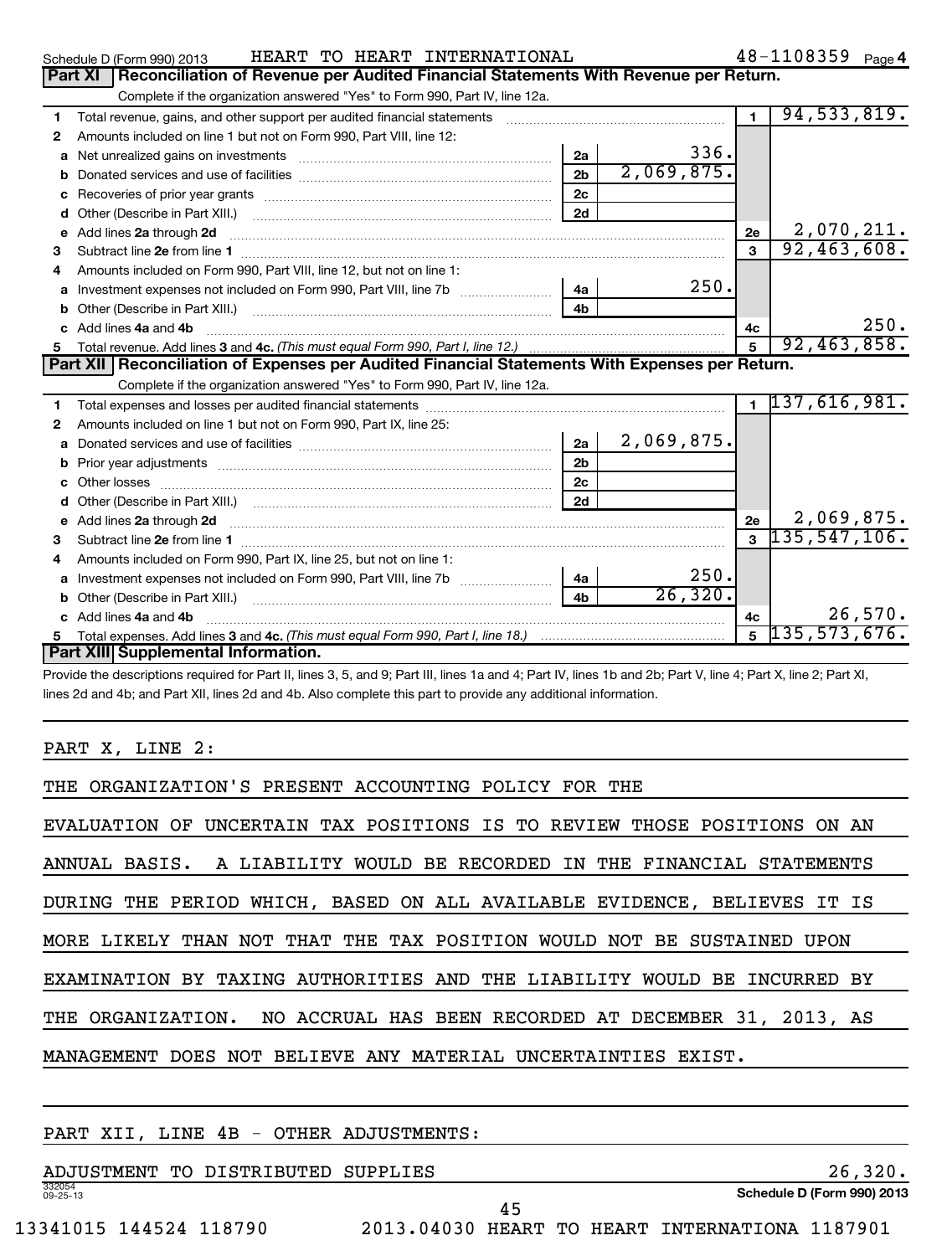|   | HEART TO HEART INTERNATIONAL<br>Schedule D (Form 990) 2013                                                                                                                                                                          |                |            |      |                         | 48-1108359 Page 4 |            |
|---|-------------------------------------------------------------------------------------------------------------------------------------------------------------------------------------------------------------------------------------|----------------|------------|------|-------------------------|-------------------|------------|
|   | Part XI   Reconciliation of Revenue per Audited Financial Statements With Revenue per Return.                                                                                                                                       |                |            |      |                         |                   |            |
|   | Complete if the organization answered "Yes" to Form 990, Part IV, line 12a.                                                                                                                                                         |                |            |      |                         |                   |            |
| 1 | Total revenue, gains, and other support per audited financial statements [11] [11] Total revenue, gains, and other support per audited financial statements                                                                         |                |            |      | $\mathbf{1}$            | 94, 533, 819.     |            |
| 2 | Amounts included on line 1 but not on Form 990, Part VIII, line 12:                                                                                                                                                                 |                |            |      |                         |                   |            |
| a |                                                                                                                                                                                                                                     | 2a             |            | 336. |                         |                   |            |
| b |                                                                                                                                                                                                                                     | 2 <sub>b</sub> | 2,069,875. |      |                         |                   |            |
| c | Recoveries of prior year grants [11,111] Recoveries of prior year grants [11,111] Recoveries of prior year grants                                                                                                                   | 2c             |            |      |                         |                   |            |
| d | Other (Describe in Part XIII.)                                                                                                                                                                                                      | 2d             |            |      |                         |                   |            |
| е | Add lines 2a through 2d                                                                                                                                                                                                             |                |            | 2e   |                         | 2,070,211.        |            |
| 3 |                                                                                                                                                                                                                                     |                |            |      | $\overline{\mathbf{3}}$ | 92,463,608.       |            |
|   | Amounts included on Form 990, Part VIII, line 12, but not on line 1:                                                                                                                                                                |                |            |      |                         |                   |            |
| a |                                                                                                                                                                                                                                     | 4a             |            | 250. |                         |                   |            |
| b |                                                                                                                                                                                                                                     | 4 <sub>b</sub> |            |      |                         |                   |            |
|   | Add lines 4a and 4b                                                                                                                                                                                                                 |                |            | 4c   |                         |                   | 250.       |
|   |                                                                                                                                                                                                                                     |                |            |      |                         | 92,463,858.       |            |
| 5 |                                                                                                                                                                                                                                     |                |            |      |                         |                   |            |
|   | Part XII   Reconciliation of Expenses per Audited Financial Statements With Expenses per Return.                                                                                                                                    |                |            |      |                         |                   |            |
|   | Complete if the organization answered "Yes" to Form 990, Part IV, line 12a.                                                                                                                                                         |                |            |      |                         |                   |            |
| 1 |                                                                                                                                                                                                                                     |                |            |      |                         | 1137,616,981.     |            |
| 2 | Amounts included on line 1 but not on Form 990, Part IX, line 25:                                                                                                                                                                   |                |            |      |                         |                   |            |
| a |                                                                                                                                                                                                                                     | 2a             | 2,069,875. |      |                         |                   |            |
| b |                                                                                                                                                                                                                                     | 2 <sub>b</sub> |            |      |                         |                   |            |
| c |                                                                                                                                                                                                                                     | 2c             |            |      |                         |                   |            |
|   |                                                                                                                                                                                                                                     | 2d             |            |      |                         |                   |            |
| e | Add lines 2a through 2d <b>[10]</b> University contracts and the set of the set of the set of the set of the set of the set of the set of the set of the set of the set of the set of the set of the set of the set of the set of t |                |            | 2e   |                         |                   | 2,069,875. |
| 3 |                                                                                                                                                                                                                                     |                |            |      |                         | $3\;135,547,106.$ |            |
| 4 | Amounts included on Form 990, Part IX, line 25, but not on line 1:                                                                                                                                                                  |                |            |      |                         |                   |            |
| a |                                                                                                                                                                                                                                     | 4a             |            | 250. |                         |                   |            |
| b |                                                                                                                                                                                                                                     | 4 <sub>b</sub> | 26, 320.   |      |                         |                   |            |
|   | Add lines 4a and 4b                                                                                                                                                                                                                 |                |            | 4c   |                         |                   | 26,570.    |
| 5 | Part XIII Supplemental Information.                                                                                                                                                                                                 |                |            |      | 5                       | 135,573,676.      |            |

Provide the descriptions required for Part II, lines 3, 5, and 9; Part III, lines 1a and 4; Part IV, lines 1b and 2b; Part V, line 4; Part X, line 2; Part XI, lines 2d and 4b; and Part XII, lines 2d and 4b. Also complete this part to provide any additional information.

PART X, LINE 2:

| THE ORGANIZATION'S PRESENT ACCOUNTING POLICY FOR THE                     |
|--------------------------------------------------------------------------|
| EVALUATION OF UNCERTAIN TAX POSITIONS IS TO REVIEW THOSE POSITIONS ON AN |
| ANNUAL BASIS. A LIABILITY WOULD BE RECORDED IN THE FINANCIAL STATEMENTS  |
| DURING THE PERIOD WHICH, BASED ON ALL AVAILABLE EVIDENCE, BELIEVES IT IS |
| MORE LIKELY THAN NOT THAT THE TAX POSITION WOULD NOT BE SUSTAINED UPON   |
| EXAMINATION BY TAXING AUTHORITIES AND THE LIABILITY WOULD BE INCURRED BY |
| THE ORGANIZATION. NO ACCRUAL HAS BEEN RECORDED AT DECEMBER 31, 2013, AS  |
| MANAGEMENT DOES NOT BELIEVE ANY MATERIAL UNCERTAINTIES EXIST.            |
|                                                                          |

## PART XII, LINE 4B - OTHER ADJUSTMENTS:

332054 09-25-13 ADJUSTMENT TO DISTRIBUTED SUPPLIES 26,320.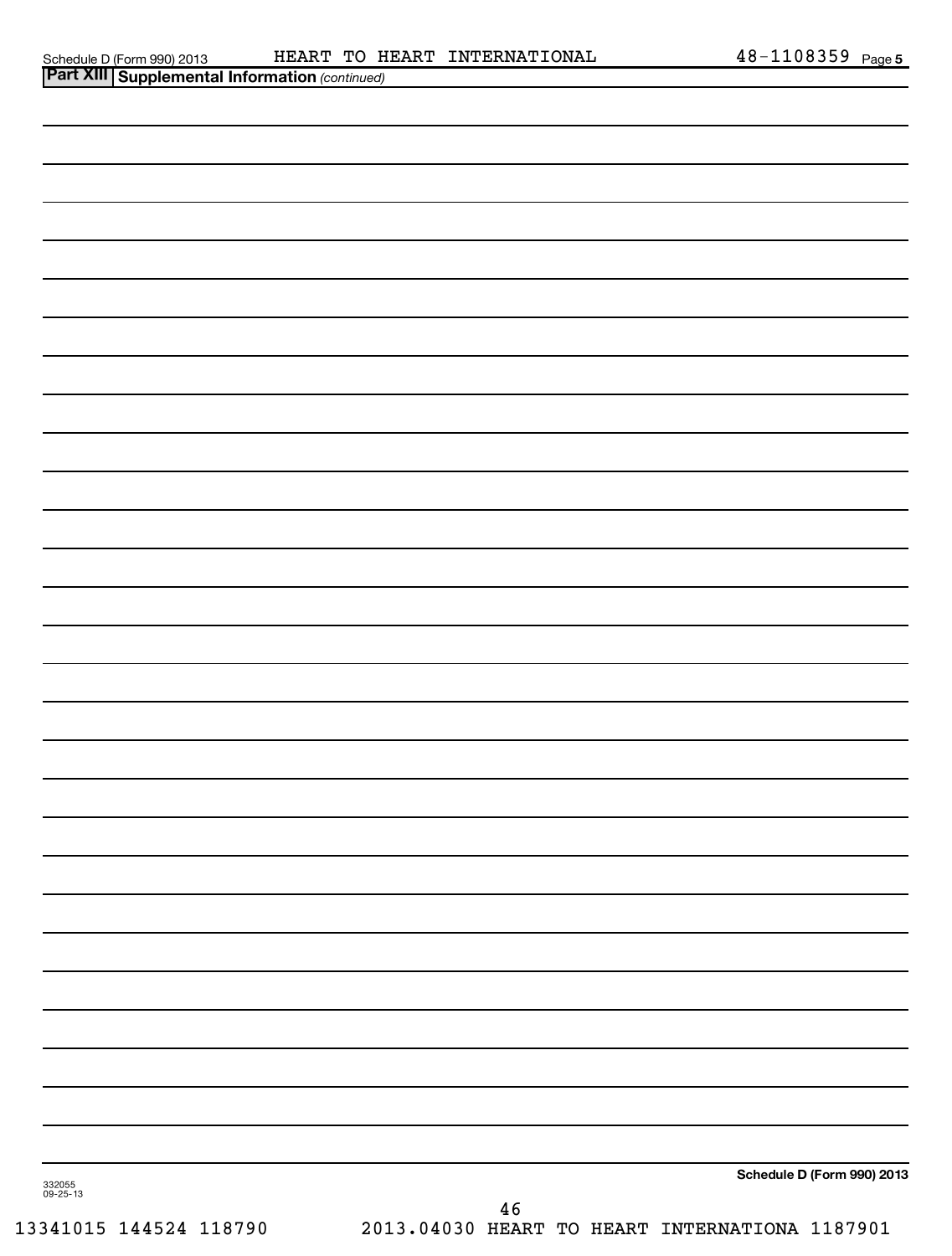|                    | <b>Part XIII Supplemental Information (continued)</b> |    |                            |
|--------------------|-------------------------------------------------------|----|----------------------------|
|                    |                                                       |    |                            |
|                    |                                                       |    |                            |
|                    |                                                       |    |                            |
|                    |                                                       |    |                            |
|                    |                                                       |    |                            |
|                    |                                                       |    |                            |
|                    |                                                       |    |                            |
|                    |                                                       |    |                            |
|                    |                                                       |    |                            |
|                    |                                                       |    |                            |
|                    |                                                       |    |                            |
|                    |                                                       |    |                            |
|                    |                                                       |    |                            |
|                    |                                                       |    |                            |
|                    |                                                       |    |                            |
|                    |                                                       |    |                            |
|                    |                                                       |    |                            |
|                    |                                                       |    |                            |
|                    |                                                       |    |                            |
|                    |                                                       |    |                            |
|                    |                                                       |    |                            |
|                    |                                                       |    |                            |
|                    |                                                       |    |                            |
|                    |                                                       |    |                            |
|                    |                                                       |    |                            |
|                    |                                                       |    |                            |
|                    |                                                       |    |                            |
|                    |                                                       |    |                            |
| 332055<br>09-25-13 |                                                       | 46 | Schedule D (Form 990) 2013 |
|                    |                                                       |    |                            |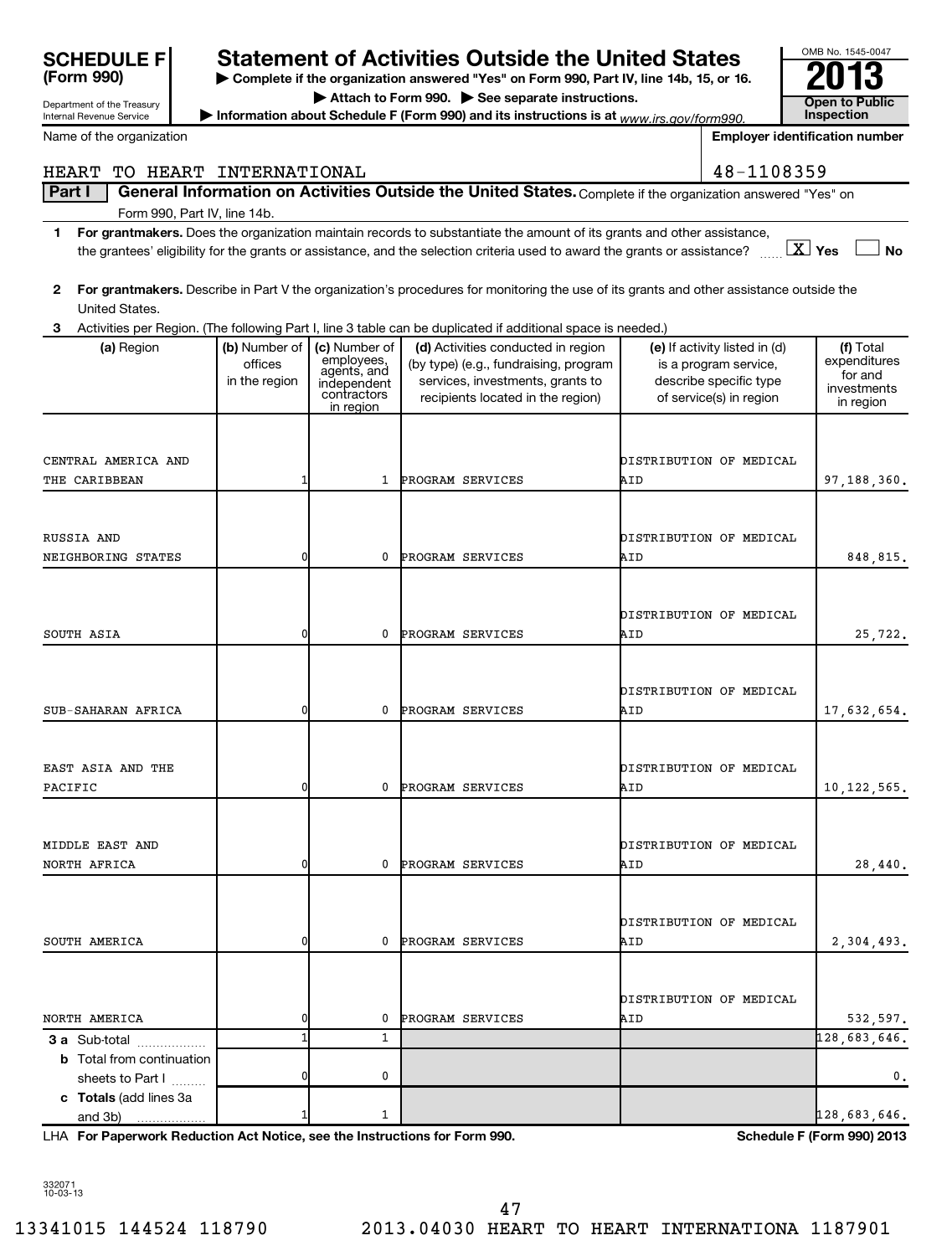| <b>SCHEDULE F</b>                                      |                          |                             | <b>Statement of Activities Outside the United States</b>                                                                                     |     |                                                 | OMB No. 1545-0047                     |
|--------------------------------------------------------|--------------------------|-----------------------------|----------------------------------------------------------------------------------------------------------------------------------------------|-----|-------------------------------------------------|---------------------------------------|
| (Form 990)                                             |                          |                             | Complete if the organization answered "Yes" on Form 990, Part IV, line 14b, 15, or 16.                                                       |     |                                                 |                                       |
| Department of the Treasury<br>Internal Revenue Service |                          |                             | Attach to Form 990. See separate instructions.<br>Information about Schedule F (Form 990) and its instructions is at $www.irs.gov/form990$ . |     |                                                 | Open to Public<br><b>Inspection</b>   |
| Name of the organization                               |                          |                             |                                                                                                                                              |     |                                                 | <b>Employer identification number</b> |
|                                                        |                          |                             |                                                                                                                                              |     |                                                 |                                       |
| HEART                                                  | TO HEART INTERNATIONAL   |                             |                                                                                                                                              |     | 48-1108359                                      |                                       |
| Part I<br>Form 990, Part IV, line 14b.                 |                          |                             | General Information on Activities Outside the United States. Complete if the organization answered "Yes" on                                  |     |                                                 |                                       |
| 1                                                      |                          |                             | For grantmakers. Does the organization maintain records to substantiate the amount of its grants and other assistance,                       |     |                                                 |                                       |
|                                                        |                          |                             | the grantees' eligibility for the grants or assistance, and the selection criteria used to award the grants or assistance?                   |     |                                                 | $X$ Yes<br><b>No</b>                  |
|                                                        |                          |                             | For grantmakers. Describe in Part V the organization's procedures for monitoring the use of its grants and other assistance outside the      |     |                                                 |                                       |
| 2<br>United States.                                    |                          |                             |                                                                                                                                              |     |                                                 |                                       |
| 3                                                      |                          |                             | Activities per Region. (The following Part I, line 3 table can be duplicated if additional space is needed.)                                 |     |                                                 |                                       |
| (a) Region                                             | (b) Number of            | (c) Number of<br>employees, | (d) Activities conducted in region                                                                                                           |     | (e) If activity listed in (d)                   | (f) Total<br>expenditures             |
|                                                        | offices<br>in the region | agents, and<br>independent  | (by type) (e.g., fundraising, program<br>services, investments, grants to                                                                    |     | is a program service,<br>describe specific type | for and                               |
|                                                        |                          | contractors<br>in region    | recipients located in the region)                                                                                                            |     | of service(s) in region                         | investments<br>in region              |
|                                                        |                          |                             |                                                                                                                                              |     |                                                 |                                       |
|                                                        |                          |                             |                                                                                                                                              |     |                                                 |                                       |
| CENTRAL AMERICA AND<br>THE CARIBBEAN                   | 1                        | $\mathbf{1}$                | PROGRAM SERVICES                                                                                                                             | AID | DISTRIBUTION OF MEDICAL                         | 97,188,360.                           |
|                                                        |                          |                             |                                                                                                                                              |     |                                                 |                                       |
|                                                        |                          |                             |                                                                                                                                              |     |                                                 |                                       |
| RUSSIA AND                                             |                          |                             |                                                                                                                                              |     | DISTRIBUTION OF MEDICAL                         |                                       |
| NEIGHBORING STATES                                     | 0                        | 0                           | PROGRAM SERVICES                                                                                                                             | AID |                                                 | 848,815.                              |
|                                                        |                          |                             |                                                                                                                                              |     |                                                 |                                       |
|                                                        |                          |                             |                                                                                                                                              |     | DISTRIBUTION OF MEDICAL                         |                                       |
| SOUTH ASIA                                             | 0                        | 0                           | PROGRAM SERVICES                                                                                                                             | AID |                                                 | 25,722.                               |
|                                                        |                          |                             |                                                                                                                                              |     |                                                 |                                       |
|                                                        |                          |                             |                                                                                                                                              |     | DISTRIBUTION OF MEDICAL                         |                                       |
| SUB-SAHARAN AFRICA                                     | 0                        | 0                           | PROGRAM SERVICES                                                                                                                             | AID |                                                 | 17,632,654.                           |
|                                                        |                          |                             |                                                                                                                                              |     |                                                 |                                       |
| EAST ASIA AND THE                                      |                          |                             |                                                                                                                                              |     | DISTRIBUTION OF MEDICAL                         |                                       |
| PACIFIC                                                | 0                        | 0                           | PROGRAM SERVICES                                                                                                                             | AID |                                                 | 10,122,565.                           |
|                                                        |                          |                             |                                                                                                                                              |     |                                                 |                                       |
|                                                        |                          |                             |                                                                                                                                              |     |                                                 |                                       |
| MIDDLE EAST AND<br>NORTH AFRICA                        | 0                        | 0                           | PROGRAM SERVICES                                                                                                                             | AID | DISTRIBUTION OF MEDICAL                         | 28,440.                               |
|                                                        |                          |                             |                                                                                                                                              |     |                                                 |                                       |
|                                                        |                          |                             |                                                                                                                                              |     |                                                 |                                       |
|                                                        | 0                        | 0                           |                                                                                                                                              |     | DISTRIBUTION OF MEDICAL                         |                                       |
| SOUTH AMERICA                                          |                          |                             | PROGRAM SERVICES                                                                                                                             | AID |                                                 | 2,304,493.                            |
|                                                        |                          |                             |                                                                                                                                              |     |                                                 |                                       |
|                                                        |                          |                             |                                                                                                                                              |     | DISTRIBUTION OF MEDICAL                         |                                       |
| NORTH AMERICA                                          | 0<br>$\mathbf{1}$        | 0<br>1                      | PROGRAM SERVICES                                                                                                                             | AID |                                                 | 532,597.                              |
| 3 a Sub-total<br><b>b</b> Total from continuation      |                          |                             |                                                                                                                                              |     |                                                 | 128,683,646.                          |
| sheets to Part I                                       | 0                        | 0                           |                                                                                                                                              |     |                                                 | 0.                                    |
| c Totals (add lines 3a                                 |                          |                             |                                                                                                                                              |     |                                                 |                                       |
| and 3b)                                                |                          | 1                           |                                                                                                                                              |     |                                                 | 128,683,646.                          |

**For Paperwork Reduction Act Notice, see the Instructions for Form 990. Schedule F (Form 990) 2013** LHA

332071 10-03-13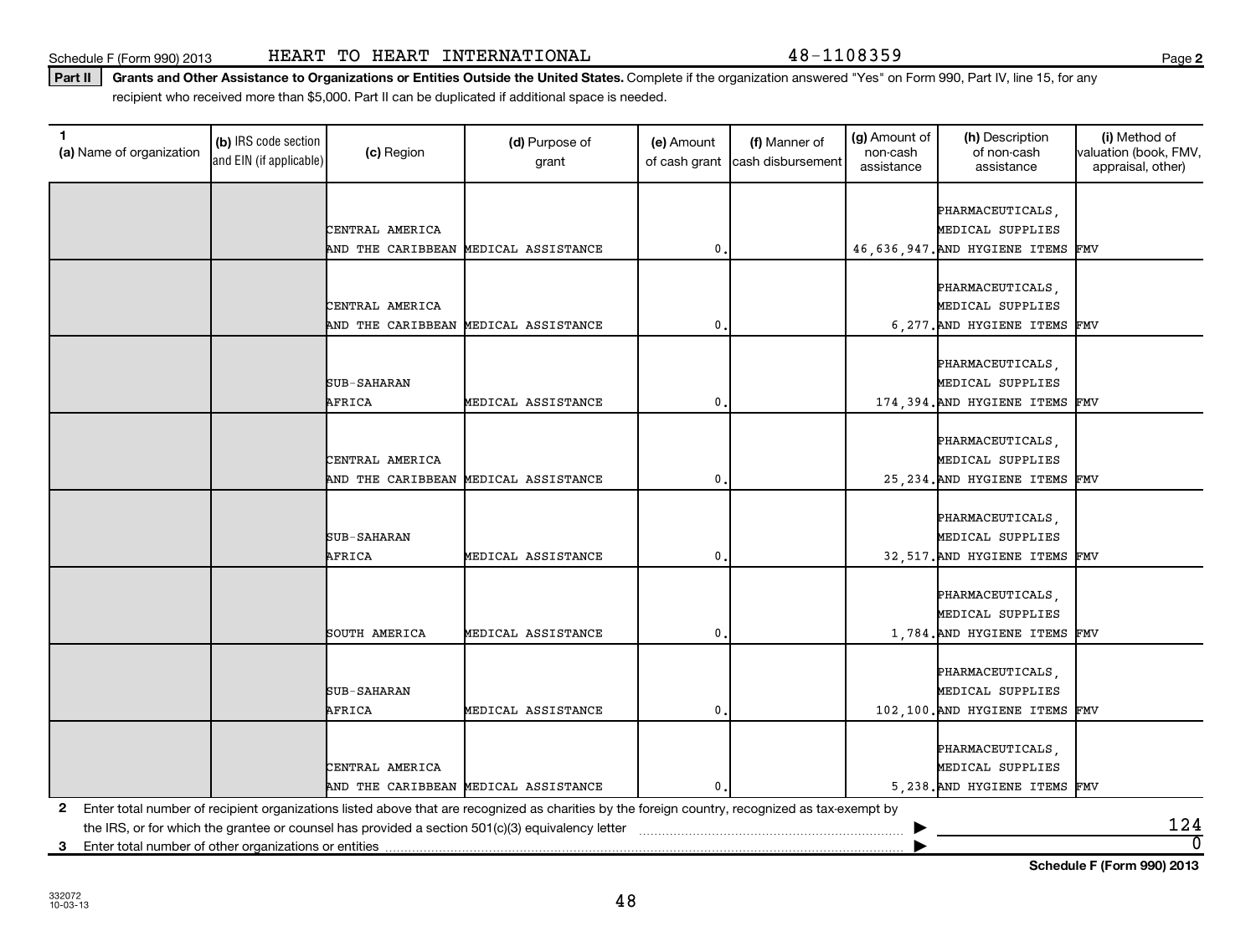Schedule F (Form 990) 2013 Page HEART TO HEART INTERNATIONAL 48-1108359

Part II | Grants and Other Assistance to Organizations or Entities Outside the United States. Complete if the organization answered "Yes" on Form 990, Part IV, line 15, for any recipient who received more than \$5,000. Part II can be duplicated if additional space is needed.

| 1<br>(a) Name of organization                              | (b) IRS code section<br>and EIN (if applicable) | (c) Region                           | (d) Purpose of<br>grant                                                                                                                         | (e) Amount<br>of cash grant | (f) Manner of<br>cash disbursement | (g) Amount of<br>non-cash<br>assistance | (h) Description<br>of non-cash<br>assistance | (i) Method of<br>valuation (book, FMV,<br>appraisal, other) |
|------------------------------------------------------------|-------------------------------------------------|--------------------------------------|-------------------------------------------------------------------------------------------------------------------------------------------------|-----------------------------|------------------------------------|-----------------------------------------|----------------------------------------------|-------------------------------------------------------------|
|                                                            |                                                 |                                      |                                                                                                                                                 |                             |                                    |                                         |                                              |                                                             |
|                                                            |                                                 |                                      |                                                                                                                                                 |                             |                                    |                                         | PHARMACEUTICALS,                             |                                                             |
|                                                            |                                                 | CENTRAL AMERICA                      |                                                                                                                                                 |                             |                                    |                                         | MEDICAL SUPPLIES                             |                                                             |
|                                                            |                                                 | AND THE CARIBBEAN                    | MEDICAL ASSISTANCE                                                                                                                              | $\mathbf{0}$                |                                    |                                         | 46,636,947. AND HYGIENE ITEMS                | FMV                                                         |
|                                                            |                                                 |                                      |                                                                                                                                                 |                             |                                    |                                         |                                              |                                                             |
|                                                            |                                                 |                                      |                                                                                                                                                 |                             |                                    |                                         | PHARMACEUTICALS,                             |                                                             |
|                                                            |                                                 | CENTRAL AMERICA                      |                                                                                                                                                 |                             |                                    |                                         | MEDICAL SUPPLIES                             |                                                             |
|                                                            |                                                 | AND THE CARIBBEAN                    | MEDICAL ASSISTANCE                                                                                                                              | 0                           |                                    |                                         | 6, 277. AND HYGIENE ITEMS FMV                |                                                             |
|                                                            |                                                 |                                      |                                                                                                                                                 |                             |                                    |                                         |                                              |                                                             |
|                                                            |                                                 |                                      |                                                                                                                                                 |                             |                                    |                                         | PHARMACEUTICALS,                             |                                                             |
|                                                            |                                                 | <b>SUB-SAHARAN</b>                   |                                                                                                                                                 |                             |                                    |                                         | MEDICAL SUPPLIES                             |                                                             |
|                                                            |                                                 | AFRICA                               | MEDICAL ASSISTANCE                                                                                                                              | 0                           |                                    |                                         | 174, 394. AND HYGIENE ITEMS FMV              |                                                             |
|                                                            |                                                 |                                      |                                                                                                                                                 |                             |                                    |                                         |                                              |                                                             |
|                                                            |                                                 | CENTRAL AMERICA                      |                                                                                                                                                 |                             |                                    |                                         | PHARMACEUTICALS,<br>MEDICAL SUPPLIES         |                                                             |
|                                                            |                                                 | AND THE CARIBBEAN                    | MEDICAL ASSISTANCE                                                                                                                              | 0                           |                                    |                                         | 25, 234. AND HYGIENE ITEMS FMV               |                                                             |
|                                                            |                                                 |                                      |                                                                                                                                                 |                             |                                    |                                         |                                              |                                                             |
|                                                            |                                                 |                                      |                                                                                                                                                 |                             |                                    |                                         | PHARMACEUTICALS,                             |                                                             |
|                                                            |                                                 | <b>SUB-SAHARAN</b>                   |                                                                                                                                                 |                             |                                    |                                         | MEDICAL SUPPLIES                             |                                                             |
|                                                            |                                                 | AFRICA                               | MEDICAL ASSISTANCE                                                                                                                              | 0                           |                                    |                                         | 32,517. AND HYGIENE ITEMS FMV                |                                                             |
|                                                            |                                                 |                                      |                                                                                                                                                 |                             |                                    |                                         |                                              |                                                             |
|                                                            |                                                 |                                      |                                                                                                                                                 |                             |                                    |                                         | PHARMACEUTICALS,                             |                                                             |
|                                                            |                                                 |                                      |                                                                                                                                                 |                             |                                    |                                         | MEDICAL SUPPLIES                             |                                                             |
|                                                            |                                                 | SOUTH AMERICA                        | MEDICAL ASSISTANCE                                                                                                                              | $\mathbf{0}$                |                                    |                                         | 1,784. AND HYGIENE ITEMS FMV                 |                                                             |
|                                                            |                                                 |                                      |                                                                                                                                                 |                             |                                    |                                         |                                              |                                                             |
|                                                            |                                                 |                                      |                                                                                                                                                 |                             |                                    |                                         | PHARMACEUTICALS,                             |                                                             |
|                                                            |                                                 | SUB-SAHARAN                          |                                                                                                                                                 |                             |                                    |                                         | MEDICAL SUPPLIES                             |                                                             |
|                                                            |                                                 | AFRICA                               | MEDICAL ASSISTANCE                                                                                                                              | 0                           |                                    |                                         | 102,100. AND HYGIENE ITEMS FMV               |                                                             |
|                                                            |                                                 |                                      |                                                                                                                                                 |                             |                                    |                                         |                                              |                                                             |
|                                                            |                                                 |                                      |                                                                                                                                                 |                             |                                    |                                         | PHARMACEUTICALS,                             |                                                             |
|                                                            |                                                 | CENTRAL AMERICA                      |                                                                                                                                                 |                             |                                    |                                         | MEDICAL SUPPLIES                             |                                                             |
|                                                            |                                                 | AND THE CARIBBEAN MEDICAL ASSISTANCE |                                                                                                                                                 | $\mathbf{0}$ .              |                                    |                                         | 5, 238. AND HYGIENE ITEMS FMV                |                                                             |
| $\mathbf{2}$                                               |                                                 |                                      | Enter total number of recipient organizations listed above that are recognized as charities by the foreign country, recognized as tax-exempt by |                             |                                    |                                         |                                              |                                                             |
|                                                            |                                                 |                                      | the IRS, or for which the grantee or counsel has provided a section 501(c)(3) equivalency letter                                                |                             |                                    |                                         |                                              | 124                                                         |
| Enter total number of other organizations or entities<br>3 |                                                 |                                      |                                                                                                                                                 |                             |                                    |                                         |                                              | $\overline{0}$                                              |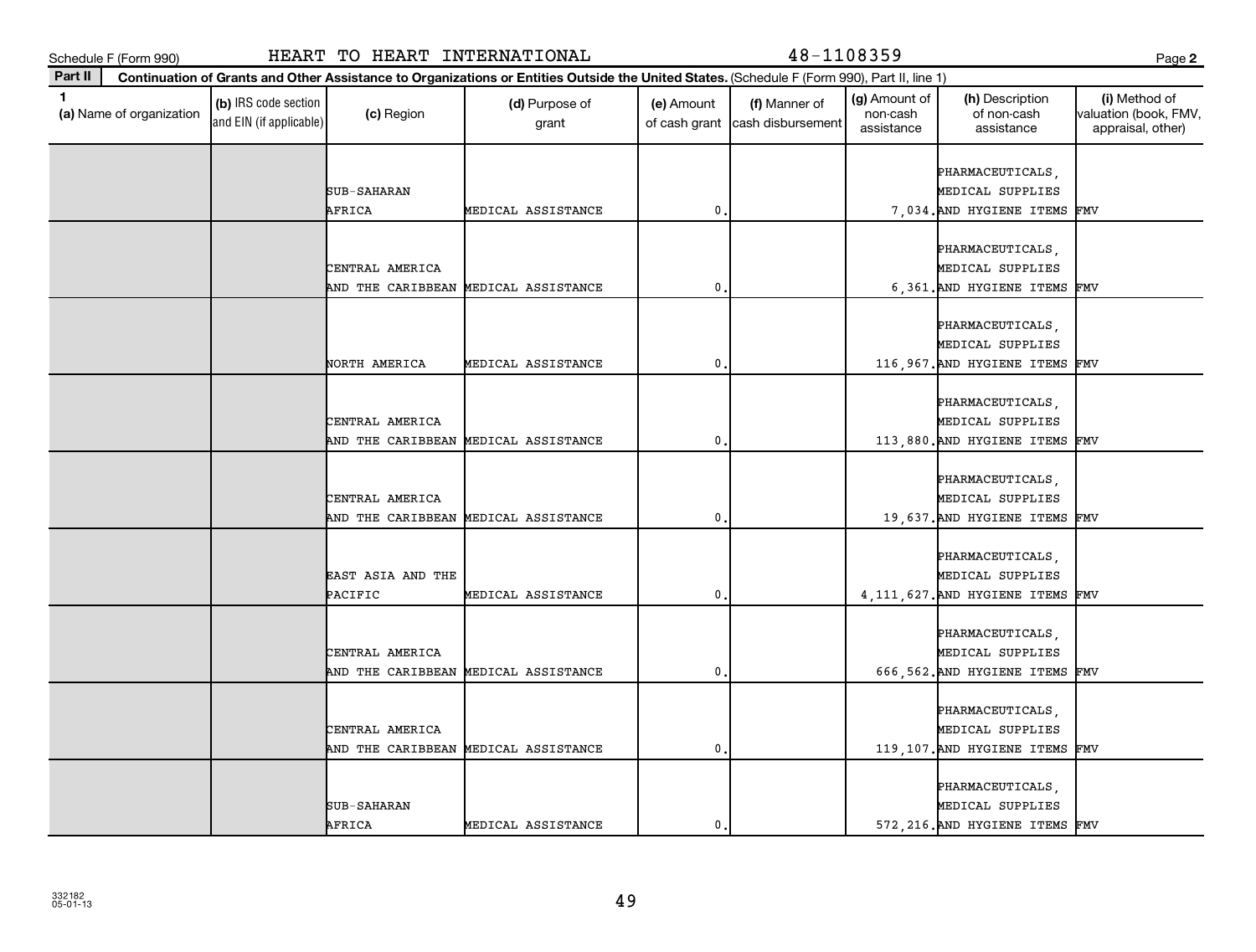**Part II**

| ×<br>I<br>v |
|-------------|
|-------------|

| 1<br>(a) Name of organization | (b) IRS code section<br>and EIN (if applicable) | (c) Region         | (d) Purpose of<br>grant              | (e) Amount<br>of cash grant | (f) Manner of<br>cash disbursement | (g) Amount of<br>non-cash<br>assistance | (h) Description<br>of non-cash<br>assistance | (i) Method of<br>valuation (book, FMV,<br>appraisal, other) |
|-------------------------------|-------------------------------------------------|--------------------|--------------------------------------|-----------------------------|------------------------------------|-----------------------------------------|----------------------------------------------|-------------------------------------------------------------|
|                               |                                                 |                    |                                      |                             |                                    |                                         | PHARMACEUTICALS,                             |                                                             |
|                               |                                                 | SUB-SAHARAN        |                                      |                             |                                    |                                         | MEDICAL SUPPLIES                             |                                                             |
|                               |                                                 | AFRICA             | MEDICAL ASSISTANCE                   | $\mathbf{0}$                |                                    |                                         | 7,034. AND HYGIENE ITEMS                     | FMV                                                         |
|                               |                                                 |                    |                                      |                             |                                    |                                         |                                              |                                                             |
|                               |                                                 |                    |                                      |                             |                                    |                                         | PHARMACEUTICALS,                             |                                                             |
|                               |                                                 | CENTRAL AMERICA    |                                      |                             |                                    |                                         | MEDICAL SUPPLIES                             |                                                             |
|                               |                                                 | AND THE CARIBBEAN  | MEDICAL ASSISTANCE                   | $\mathbf{0}$                |                                    |                                         | 6,361. AND HYGIENE ITEMS                     | FMV                                                         |
|                               |                                                 |                    |                                      |                             |                                    |                                         |                                              |                                                             |
|                               |                                                 |                    |                                      |                             |                                    |                                         | PHARMACEUTICALS,<br>MEDICAL SUPPLIES         |                                                             |
|                               |                                                 | NORTH AMERICA      | MEDICAL ASSISTANCE                   | $\mathbf{0}$                |                                    |                                         | 116,967. AND HYGIENE ITEMS                   | FMV                                                         |
|                               |                                                 |                    |                                      |                             |                                    |                                         |                                              |                                                             |
|                               |                                                 |                    |                                      |                             |                                    |                                         | PHARMACEUTICALS,                             |                                                             |
|                               |                                                 | CENTRAL AMERICA    |                                      |                             |                                    |                                         | MEDICAL SUPPLIES                             |                                                             |
|                               |                                                 |                    | AND THE CARIBBEAN MEDICAL ASSISTANCE | $\mathbf{0}$                |                                    |                                         | 113,880. AND HYGIENE ITEMS FMV               |                                                             |
|                               |                                                 |                    |                                      |                             |                                    |                                         |                                              |                                                             |
|                               |                                                 |                    |                                      |                             |                                    |                                         | PHARMACEUTICALS,                             |                                                             |
|                               |                                                 | CENTRAL AMERICA    |                                      |                             |                                    |                                         | MEDICAL SUPPLIES                             |                                                             |
|                               |                                                 | AND THE CARIBBEAN  | MEDICAL ASSISTANCE                   | $\mathbf{0}$                |                                    |                                         | 19,637. AND HYGIENE ITEMS                    | FMV                                                         |
|                               |                                                 |                    |                                      |                             |                                    |                                         |                                              |                                                             |
|                               |                                                 |                    |                                      |                             |                                    |                                         | PHARMACEUTICALS,                             |                                                             |
|                               |                                                 | EAST ASIA AND THE  |                                      |                             |                                    |                                         | MEDICAL SUPPLIES                             |                                                             |
|                               |                                                 | PACIFIC            | MEDICAL ASSISTANCE                   | $\mathbf{0}$                |                                    |                                         | 4, 111, 627. AND HYGIENE ITEMS               | FMV                                                         |
|                               |                                                 |                    |                                      |                             |                                    |                                         |                                              |                                                             |
|                               |                                                 |                    |                                      |                             |                                    |                                         | PHARMACEUTICALS,                             |                                                             |
|                               |                                                 | CENTRAL AMERICA    |                                      |                             |                                    |                                         | MEDICAL SUPPLIES                             |                                                             |
|                               |                                                 | AND THE CARIBBEAN  | MEDICAL ASSISTANCE                   | $\mathbf 0$                 |                                    |                                         | 666,562. AND HYGIENE ITEMS                   | FMV                                                         |
|                               |                                                 |                    |                                      |                             |                                    |                                         |                                              |                                                             |
|                               |                                                 |                    |                                      |                             |                                    |                                         | PHARMACEUTICALS,                             |                                                             |
|                               |                                                 | CENTRAL AMERICA    |                                      |                             |                                    |                                         | MEDICAL SUPPLIES                             |                                                             |
|                               |                                                 |                    | AND THE CARIBBEAN MEDICAL ASSISTANCE | $\mathbf{0}$                |                                    |                                         | 119,107. AND HYGIENE ITEMS                   | FMV                                                         |
|                               |                                                 |                    |                                      |                             |                                    |                                         |                                              |                                                             |
|                               |                                                 |                    |                                      |                             |                                    |                                         | PHARMACEUTICALS,                             |                                                             |
|                               |                                                 | <b>SUB-SAHARAN</b> |                                      |                             |                                    |                                         | MEDICAL SUPPLIES                             |                                                             |
|                               |                                                 | AFRICA             | MEDICAL ASSISTANCE                   | $\mathbf{0}$                |                                    |                                         | 572, 216. AND HYGIENE ITEMS FMV              |                                                             |
|                               |                                                 |                    |                                      |                             |                                    |                                         |                                              |                                                             |

**Continuation of Grants and Other Assistance to Organizations or Entities Outside the United States.**  (Schedule F (Form 990), Part II, line 1)

(g) Amount of non-cash

(h) Description of non-cash

**2**

(i) Method of valuation (book, FMV,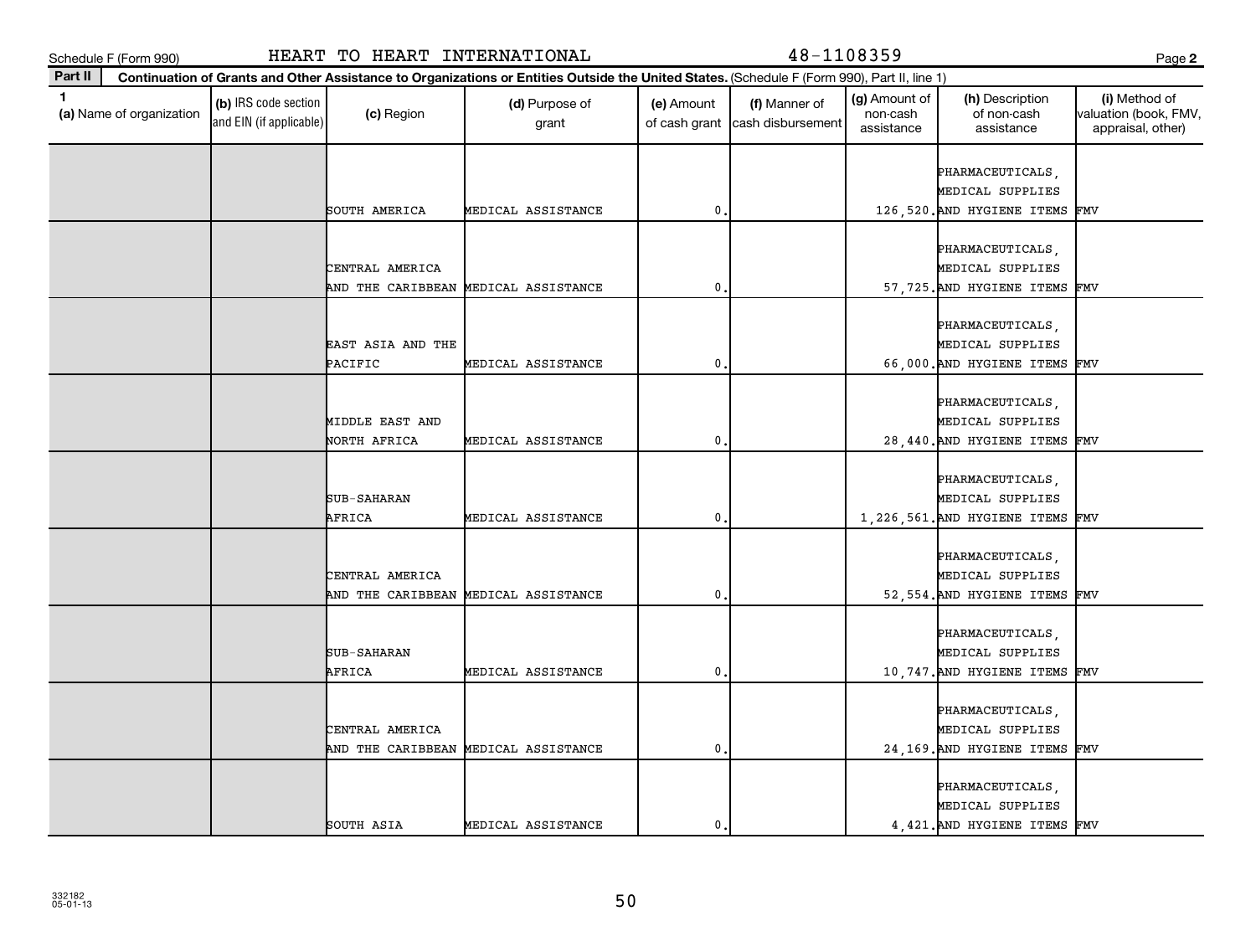**Part II**

**(a)**  Name of organization

and EIN (if applicable)

| and EIN (if applicable) |                       | grant                                |             | of cash grant   cash disbursement | assistance | assistance                           | appraisal, other) |
|-------------------------|-----------------------|--------------------------------------|-------------|-----------------------------------|------------|--------------------------------------|-------------------|
|                         |                       |                                      |             |                                   |            |                                      |                   |
|                         |                       |                                      |             |                                   |            | PHARMACEUTICALS,                     |                   |
|                         |                       |                                      |             |                                   |            | MEDICAL SUPPLIES                     |                   |
|                         | SOUTH AMERICA         | MEDICAL ASSISTANCE                   | 0           |                                   |            | 126,520. AND HYGIENE ITEMS FMV       |                   |
|                         |                       |                                      |             |                                   |            |                                      |                   |
|                         | CENTRAL AMERICA       |                                      |             |                                   |            | PHARMACEUTICALS,<br>MEDICAL SUPPLIES |                   |
|                         | AND THE CARIBBEAN     | MEDICAL ASSISTANCE                   | 0           |                                   |            | 57, 725. AND HYGIENE ITEMS FMV       |                   |
|                         |                       |                                      |             |                                   |            |                                      |                   |
|                         |                       |                                      |             |                                   |            | PHARMACEUTICALS,                     |                   |
|                         | EAST ASIA AND THE     |                                      |             |                                   |            | MEDICAL SUPPLIES                     |                   |
|                         | PACIFIC               | MEDICAL ASSISTANCE                   | 0           |                                   |            | 66,000. AND HYGIENE ITEMS FMV        |                   |
|                         |                       |                                      |             |                                   |            |                                      |                   |
|                         |                       |                                      |             |                                   |            | PHARMACEUTICALS,                     |                   |
|                         | MIDDLE EAST AND       |                                      |             |                                   |            | MEDICAL SUPPLIES                     |                   |
|                         | NORTH AFRICA          | MEDICAL ASSISTANCE                   | 0           |                                   |            | 28,440. AND HYGIENE ITEMS FMV        |                   |
|                         |                       |                                      |             |                                   |            |                                      |                   |
|                         |                       |                                      |             |                                   |            | PHARMACEUTICALS,                     |                   |
|                         | SUB-SAHARAN           |                                      |             |                                   |            | MEDICAL SUPPLIES                     |                   |
|                         | AFRICA                | MEDICAL ASSISTANCE                   | $\pmb{0}$   |                                   |            | 1,226,561. AND HYGIENE ITEMS FMV     |                   |
|                         |                       |                                      |             |                                   |            |                                      |                   |
|                         |                       |                                      |             |                                   |            | PHARMACEUTICALS,                     |                   |
|                         | CENTRAL AMERICA       |                                      |             |                                   |            | MEDICAL SUPPLIES                     |                   |
|                         |                       | AND THE CARIBBEAN MEDICAL ASSISTANCE | $\mathbf 0$ |                                   |            | 52,554. AND HYGIENE ITEMS FMV        |                   |
|                         |                       |                                      |             |                                   |            |                                      |                   |
|                         |                       |                                      |             |                                   |            | PHARMACEUTICALS,                     |                   |
|                         | SUB-SAHARAN<br>AFRICA |                                      | 0           |                                   |            | MEDICAL SUPPLIES                     |                   |
|                         |                       | MEDICAL ASSISTANCE                   |             |                                   |            | 10,747. AND HYGIENE ITEMS FMV        |                   |
|                         |                       |                                      |             |                                   |            | PHARMACEUTICALS,                     |                   |
|                         | CENTRAL AMERICA       |                                      |             |                                   |            | MEDICAL SUPPLIES                     |                   |
|                         |                       | AND THE CARIBBEAN MEDICAL ASSISTANCE | $\pmb{0}$   |                                   |            | 24, 169. AND HYGIENE ITEMS FMV       |                   |
|                         |                       |                                      |             |                                   |            |                                      |                   |
|                         |                       |                                      |             |                                   |            | PHARMACEUTICALS,                     |                   |
|                         |                       |                                      |             |                                   |            | MEDICAL SUPPLIES                     |                   |
|                         | SOUTH ASIA            | MEDICAL ASSISTANCE                   | 0           |                                   |            | 4, 421. AND HYGIENE ITEMS FMV        |                   |
|                         |                       |                                      |             |                                   |            |                                      |                   |

## Schedule F (Form 990) HEART TO HEART INTERNATIONAL 48-1108359 Page

**Continuation of Grants and Other Assistance to Organizations or Entities Outside the United States.**  (Schedule F (Form 990), Part II, line 1)

grant

 $\begin{array}{|c|c|c|}\n\hline\n\text{(c) Region} & \text{(d) Purpose of} \\
\hline\n\end{array}$ 

**(a)** Name of organization (b) IRS code section (c) Region (c) Region (d) Purpose of (e) Amount (f) Manner of (g) Amount of (g) Amount of (h) Description (h) Manner of (g) Amount of (h) Description (i) (c) Region (c) Regio

(e) Amount

(g) Amount of

(h) Description of non-cash

(f) Manner of

**2**

(i) Method of valuation (book, FMV,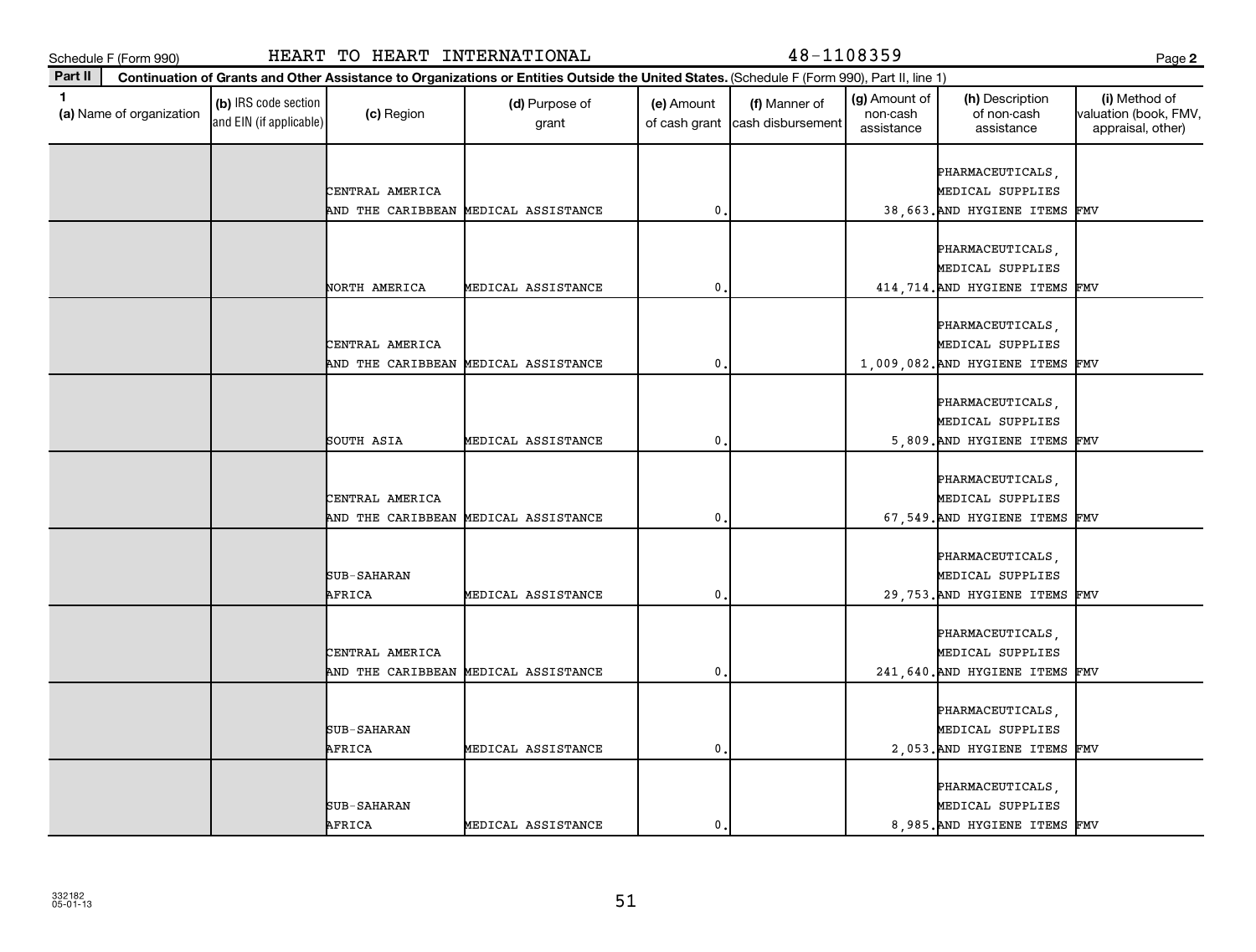**Part II**

**(a)**  Name of organization

and EIN (if applicable)

| ٠<br>. .    | ۰. |
|-------------|----|
| ×<br>i<br>v |    |

|                 |                                      |                |  | PHARMACEUTICALS,                 |  |
|-----------------|--------------------------------------|----------------|--|----------------------------------|--|
| CENTRAL AMERICA |                                      |                |  | MEDICAL SUPPLIES                 |  |
|                 | AND THE CARIBBEAN MEDICAL ASSISTANCE | $\mathbf 0$    |  | 38,663. AND HYGIENE ITEMS FMV    |  |
|                 |                                      |                |  |                                  |  |
|                 |                                      |                |  | PHARMACEUTICALS,                 |  |
|                 |                                      |                |  | MEDICAL SUPPLIES                 |  |
| NORTH AMERICA   | MEDICAL ASSISTANCE                   | 0.             |  | 414, 714. AND HYGIENE ITEMS FMV  |  |
|                 |                                      |                |  |                                  |  |
|                 |                                      |                |  | PHARMACEUTICALS,                 |  |
| CENTRAL AMERICA |                                      |                |  | MEDICAL SUPPLIES                 |  |
|                 | AND THE CARIBBEAN MEDICAL ASSISTANCE | 0.             |  | 1,009,082. AND HYGIENE ITEMS FMV |  |
|                 |                                      |                |  |                                  |  |
|                 |                                      |                |  | PHARMACEUTICALS,                 |  |
|                 |                                      |                |  | MEDICAL SUPPLIES                 |  |
| SOUTH ASIA      | MEDICAL ASSISTANCE                   | $\mathbf 0$    |  | 5,809. AND HYGIENE ITEMS FMV     |  |
|                 |                                      |                |  |                                  |  |
|                 |                                      |                |  | PHARMACEUTICALS,                 |  |
|                 |                                      |                |  |                                  |  |
| CENTRAL AMERICA |                                      |                |  | MEDICAL SUPPLIES                 |  |
|                 | AND THE CARIBBEAN MEDICAL ASSISTANCE | 0,             |  | 67,549. AND HYGIENE ITEMS FMV    |  |
|                 |                                      |                |  |                                  |  |
|                 |                                      |                |  | PHARMACEUTICALS,                 |  |
| SUB-SAHARAN     |                                      |                |  | MEDICAL SUPPLIES                 |  |
| AFRICA          | MEDICAL ASSISTANCE                   | 0.             |  | 29, 753. AND HYGIENE ITEMS FMV   |  |
|                 |                                      |                |  |                                  |  |
|                 |                                      |                |  | PHARMACEUTICALS,                 |  |
| CENTRAL AMERICA |                                      |                |  | MEDICAL SUPPLIES                 |  |
|                 | AND THE CARIBBEAN MEDICAL ASSISTANCE | $\mathbf 0$    |  | 241, 640. AND HYGIENE ITEMS FMV  |  |
|                 |                                      |                |  |                                  |  |
|                 |                                      |                |  | PHARMACEUTICALS,                 |  |
| SUB-SAHARAN     |                                      |                |  | MEDICAL SUPPLIES                 |  |
| AFRICA          | MEDICAL ASSISTANCE                   | $\mathbf{0}$ . |  | 2,053. AND HYGIENE ITEMS FMV     |  |
|                 |                                      |                |  |                                  |  |
|                 |                                      |                |  | PHARMACEUTICALS,                 |  |
| SUB-SAHARAN     |                                      |                |  | MEDICAL SUPPLIES                 |  |
| AFRICA          | MEDICAL ASSISTANCE                   | 0.             |  | 8,985. AND HYGIENE ITEMS FMV     |  |
|                 |                                      |                |  |                                  |  |

Schedule F (Form 990) HEART TO HEART INTERNATIONAL 48-1108359 Page

**Continuation of Grants and Other Assistance to Organizations or Entities Outside the United States.**  (Schedule F (Form 990), Part II, line 1)

grant

 $\begin{array}{|c|c|c|}\n\hline\n\text{(c) Region} & \text{(d) Purpose of} \\
\hline\n\end{array}$ 

**1 (b)** IRS code section **(c)** Region **(d)** Purpose of **(e)** Amount **(f)** Manner of **(g)** Amount of **(h)** Description **(i) (a)** Name of organization **(h)** Description **(i) (c)** Region **(d)** Purpose of **(d)** Amount **(** 

(e) Amount

of cash grant | cash disbursement

(f) Manner of

(g) Amount of non-cash assistance

(h) Description of non-cash assistance

**2**

(i) Method of valuation (book, FMV, appraisal, other)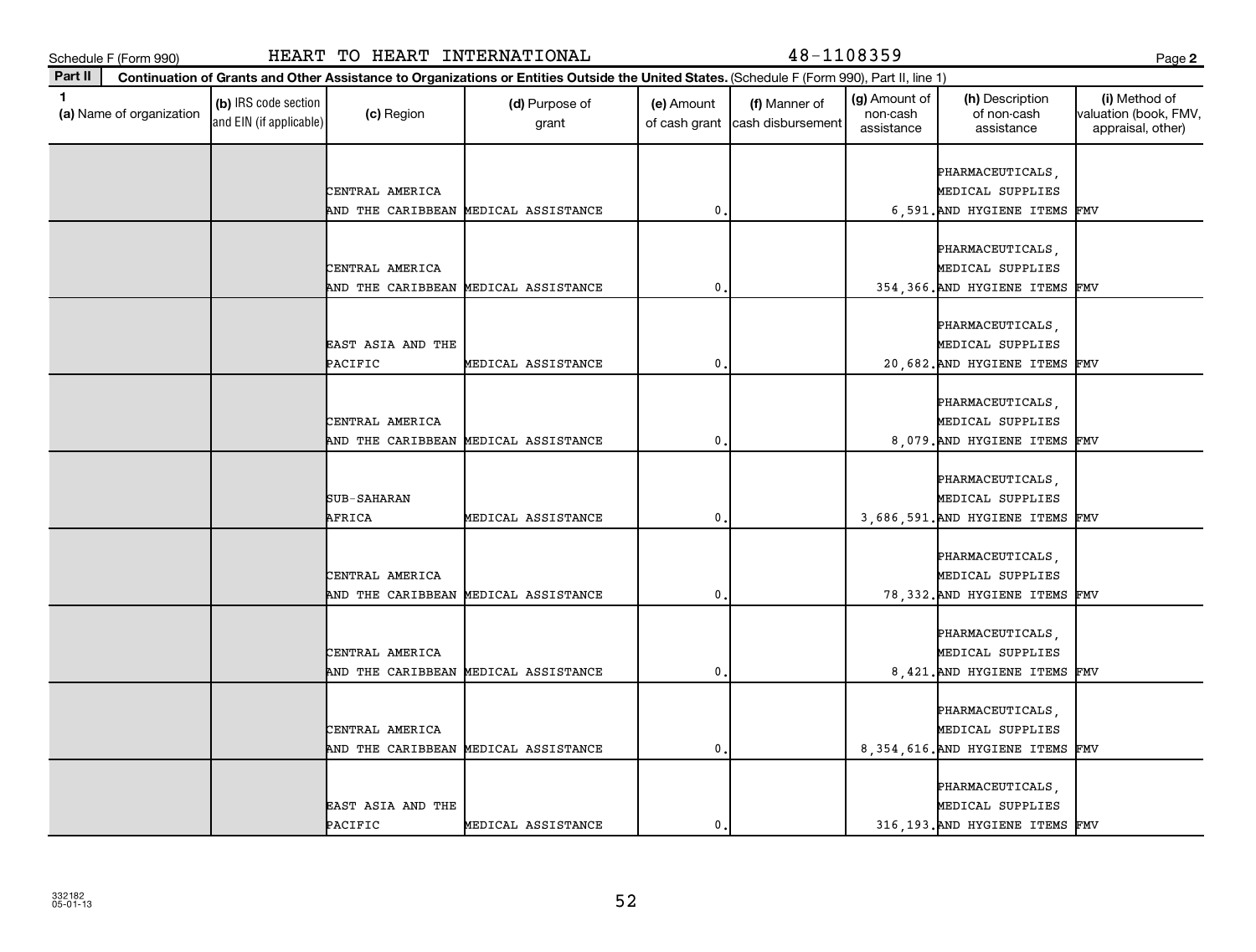**Part II**

| . .<br>×<br>v |  |
|---------------|--|
|---------------|--|

| 1.<br>(a) Name of organization | (b) IRS code section<br>and EIN (if applicable) | (c) Region            | (d) Purpose of<br>grant              | (e) Amount<br>of cash grant | (f) Manner of<br>cash disbursement | (g) Amount of<br>non-cash<br>assistance | (h) Description<br>of non-cash<br>assistance | (i) Method of<br>valuation (book, FMV<br>appraisal, other) |
|--------------------------------|-------------------------------------------------|-----------------------|--------------------------------------|-----------------------------|------------------------------------|-----------------------------------------|----------------------------------------------|------------------------------------------------------------|
|                                |                                                 |                       |                                      |                             |                                    |                                         | PHARMACEUTICALS,                             |                                                            |
|                                |                                                 | CENTRAL AMERICA       |                                      |                             |                                    |                                         | MEDICAL SUPPLIES                             |                                                            |
|                                |                                                 |                       | AND THE CARIBBEAN MEDICAL ASSISTANCE | $\mathbf{0}$                |                                    |                                         | 6,591. AND HYGIENE ITEMS                     | FMV                                                        |
|                                |                                                 |                       |                                      |                             |                                    |                                         |                                              |                                                            |
|                                |                                                 |                       |                                      |                             |                                    |                                         | PHARMACEUTICALS,                             |                                                            |
|                                |                                                 | CENTRAL AMERICA       |                                      |                             |                                    |                                         | MEDICAL SUPPLIES                             |                                                            |
|                                |                                                 | AND THE CARIBBEAN     | MEDICAL ASSISTANCE                   | $\mathbf{0}$                |                                    |                                         | 354, 366. AND HYGIENE ITEMS                  | FMV                                                        |
|                                |                                                 |                       |                                      |                             |                                    |                                         |                                              |                                                            |
|                                |                                                 |                       |                                      |                             |                                    |                                         | PHARMACEUTICALS,                             |                                                            |
|                                |                                                 | EAST ASIA AND THE     |                                      |                             |                                    |                                         | MEDICAL SUPPLIES                             |                                                            |
|                                |                                                 | PACIFIC               | MEDICAL ASSISTANCE                   | $\mathbf{0}$                |                                    |                                         | 20,682. AND HYGIENE ITEMS                    | FMV                                                        |
|                                |                                                 |                       |                                      |                             |                                    |                                         |                                              |                                                            |
|                                |                                                 |                       |                                      |                             |                                    |                                         | PHARMACEUTICALS,                             |                                                            |
|                                |                                                 | CENTRAL AMERICA       |                                      |                             |                                    |                                         | MEDICAL SUPPLIES                             |                                                            |
|                                |                                                 |                       | AND THE CARIBBEAN MEDICAL ASSISTANCE | $\mathbf{0}$                |                                    |                                         | 8,079. AND HYGIENE ITEMS FMV                 |                                                            |
|                                |                                                 |                       |                                      |                             |                                    |                                         |                                              |                                                            |
|                                |                                                 |                       |                                      |                             |                                    |                                         | PHARMACEUTICALS,                             |                                                            |
|                                |                                                 | SUB-SAHARAN<br>AFRICA |                                      | $\mathbf{0}$                |                                    |                                         | MEDICAL SUPPLIES                             |                                                            |
|                                |                                                 |                       | MEDICAL ASSISTANCE                   |                             |                                    |                                         | 3,686,591. AND HYGIENE ITEMS                 | FMV                                                        |
|                                |                                                 |                       |                                      |                             |                                    |                                         | PHARMACEUTICALS,                             |                                                            |
|                                |                                                 | CENTRAL AMERICA       |                                      |                             |                                    |                                         | MEDICAL SUPPLIES                             |                                                            |
|                                |                                                 |                       | AND THE CARIBBEAN MEDICAL ASSISTANCE | $\mathbf{0}$                |                                    |                                         | 78, 332. AND HYGIENE ITEMS                   | FMV                                                        |
|                                |                                                 |                       |                                      |                             |                                    |                                         |                                              |                                                            |
|                                |                                                 |                       |                                      |                             |                                    |                                         | PHARMACEUTICALS,                             |                                                            |
|                                |                                                 | CENTRAL AMERICA       |                                      |                             |                                    |                                         | MEDICAL SUPPLIES                             |                                                            |
|                                |                                                 |                       | AND THE CARIBBEAN MEDICAL ASSISTANCE | $\mathbf{0}$                |                                    |                                         | 8,421. AND HYGIENE ITEMS                     | FMV                                                        |
|                                |                                                 |                       |                                      |                             |                                    |                                         |                                              |                                                            |
|                                |                                                 |                       |                                      |                             |                                    |                                         | PHARMACEUTICALS,                             |                                                            |
|                                |                                                 | CENTRAL AMERICA       |                                      |                             |                                    |                                         | MEDICAL SUPPLIES                             |                                                            |
|                                |                                                 |                       | AND THE CARIBBEAN MEDICAL ASSISTANCE | $\mathbf{0}$                |                                    |                                         | 8, 354, 616. AND HYGIENE ITEMS               | FMV                                                        |
|                                |                                                 |                       |                                      |                             |                                    |                                         |                                              |                                                            |
|                                |                                                 |                       |                                      |                             |                                    |                                         | PHARMACEUTICALS,                             |                                                            |
|                                |                                                 | EAST ASIA AND THE     |                                      |                             |                                    |                                         | MEDICAL SUPPLIES                             |                                                            |
|                                |                                                 | PACIFIC               | MEDICAL ASSISTANCE                   | 0                           |                                    |                                         | 316, 193. AND HYGIENE ITEMS FMV              |                                                            |
|                                |                                                 |                       |                                      |                             |                                    |                                         |                                              |                                                            |

Schedule F (Form 990) HEART TO HEART INTERNATIONAL 48-1108359 Page

**Continuation of Grants and Other Assistance to Organizations or Entities Outside the United States.**  (Schedule F (Form 990), Part II, line 1)

(g) Amount of

(h) Description

**2**

(i) Method of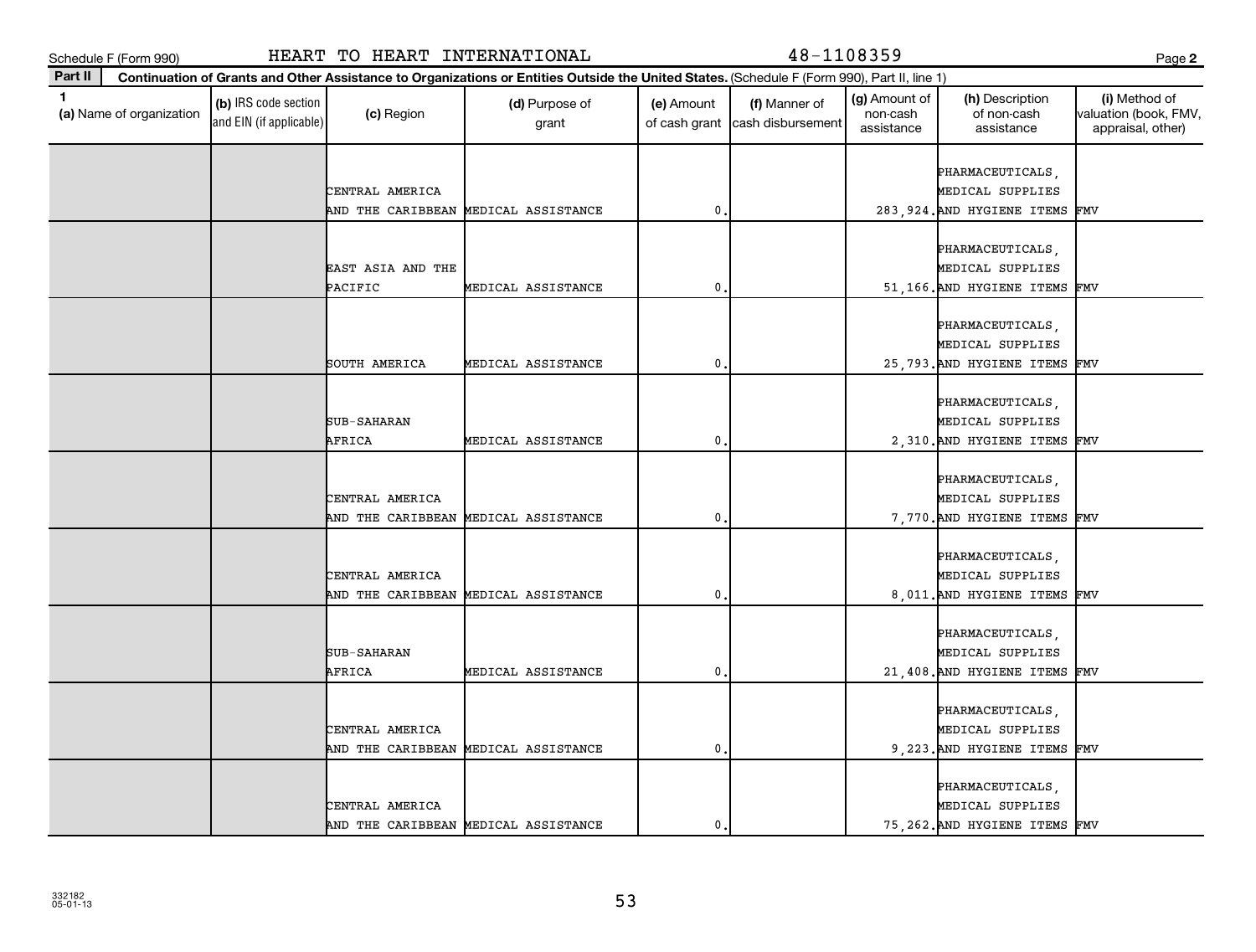**Part II**

**(a)**  Name of organization

and EIN (if applicable)

|                   |                                      |           |  | <b>PHARMACEUTICALS</b>          |  |
|-------------------|--------------------------------------|-----------|--|---------------------------------|--|
| CENTRAL AMERICA   |                                      |           |  | MEDICAL SUPPLIES                |  |
|                   | AND THE CARIBBEAN MEDICAL ASSISTANCE | 0         |  | 283, 924. AND HYGIENE ITEMS FMV |  |
|                   |                                      |           |  |                                 |  |
|                   |                                      |           |  | PHARMACEUTICALS,                |  |
| EAST ASIA AND THE |                                      |           |  | MEDICAL SUPPLIES                |  |
| PACIFIC           | MEDICAL ASSISTANCE                   | 0         |  | 51,166. AND HYGIENE ITEMS FMV   |  |
|                   |                                      |           |  |                                 |  |
|                   |                                      |           |  | PHARMACEUTICALS,                |  |
|                   |                                      |           |  | MEDICAL SUPPLIES                |  |
| SOUTH AMERICA     | MEDICAL ASSISTANCE                   | 0         |  | 25,793. AND HYGIENE ITEMS FMV   |  |
|                   |                                      |           |  |                                 |  |
|                   |                                      |           |  | PHARMACEUTICALS,                |  |
| SUB-SAHARAN       |                                      |           |  | MEDICAL SUPPLIES                |  |
| AFRICA            | MEDICAL ASSISTANCE                   | 0         |  | 2,310. AND HYGIENE ITEMS FMV    |  |
|                   |                                      |           |  |                                 |  |
|                   |                                      |           |  | PHARMACEUTICALS,                |  |
| CENTRAL AMERICA   |                                      |           |  | MEDICAL SUPPLIES                |  |
|                   | AND THE CARIBBEAN MEDICAL ASSISTANCE | 0         |  | 7,770. AND HYGIENE ITEMS FMV    |  |
|                   |                                      |           |  |                                 |  |
|                   |                                      |           |  | PHARMACEUTICALS,                |  |
| CENTRAL AMERICA   |                                      |           |  | MEDICAL SUPPLIES                |  |
|                   | AND THE CARIBBEAN MEDICAL ASSISTANCE | 0         |  | 8,011. AND HYGIENE ITEMS FMV    |  |
|                   |                                      |           |  |                                 |  |
|                   |                                      |           |  | PHARMACEUTICALS,                |  |
| SUB-SAHARAN       |                                      |           |  | MEDICAL SUPPLIES                |  |
| AFRICA            | MEDICAL ASSISTANCE                   | 0         |  | 21, 408. AND HYGIENE ITEMS FMV  |  |
|                   |                                      |           |  |                                 |  |
|                   |                                      |           |  | PHARMACEUTICALS,                |  |
| CENTRAL AMERICA   |                                      |           |  | MEDICAL SUPPLIES                |  |
|                   | AND THE CARIBBEAN MEDICAL ASSISTANCE | $\pmb{0}$ |  | 9, 223. AND HYGIENE ITEMS FMV   |  |
|                   |                                      |           |  |                                 |  |
|                   |                                      |           |  | PHARMACEUTICALS,                |  |
| CENTRAL AMERICA   |                                      |           |  | MEDICAL SUPPLIES                |  |
|                   | AND THE CARIBBEAN MEDICAL ASSISTANCE | 0         |  | 75, 262. AND HYGIENE ITEMS FMV  |  |
|                   |                                      |           |  |                                 |  |

Schedule F (Form 990) HEART TO HEART INTERNATIONAL 48-1108359 Page

**Continuation of Grants and Other Assistance to Organizations or Entities Outside the United States.**  (Schedule F (Form 990), Part II, line 1)

grant

 $\begin{array}{|c|c|c|}\n\hline\n\text{(c) Region} & \text{(d) Purpose of} \\
\hline\n\end{array}$ 

**1 (b)** IRS code section **(c)** Region **(d)** Purpose of **(e)** Amount **(f)** Manner of **(g)** Amount of **(h)** Description **(i) (a)** Name of organization **(h)** Description **(i) (c)** Region **(d)** Purpose of **(d)** Amount **(** 

(e) Amount

of cash grant | cash disbursement

(f) Manner of

(g) Amount of non-cash assistance

(h) Description of non-cash assistance

**2**

(i) Method of valuation (book, FMV, appraisal, other)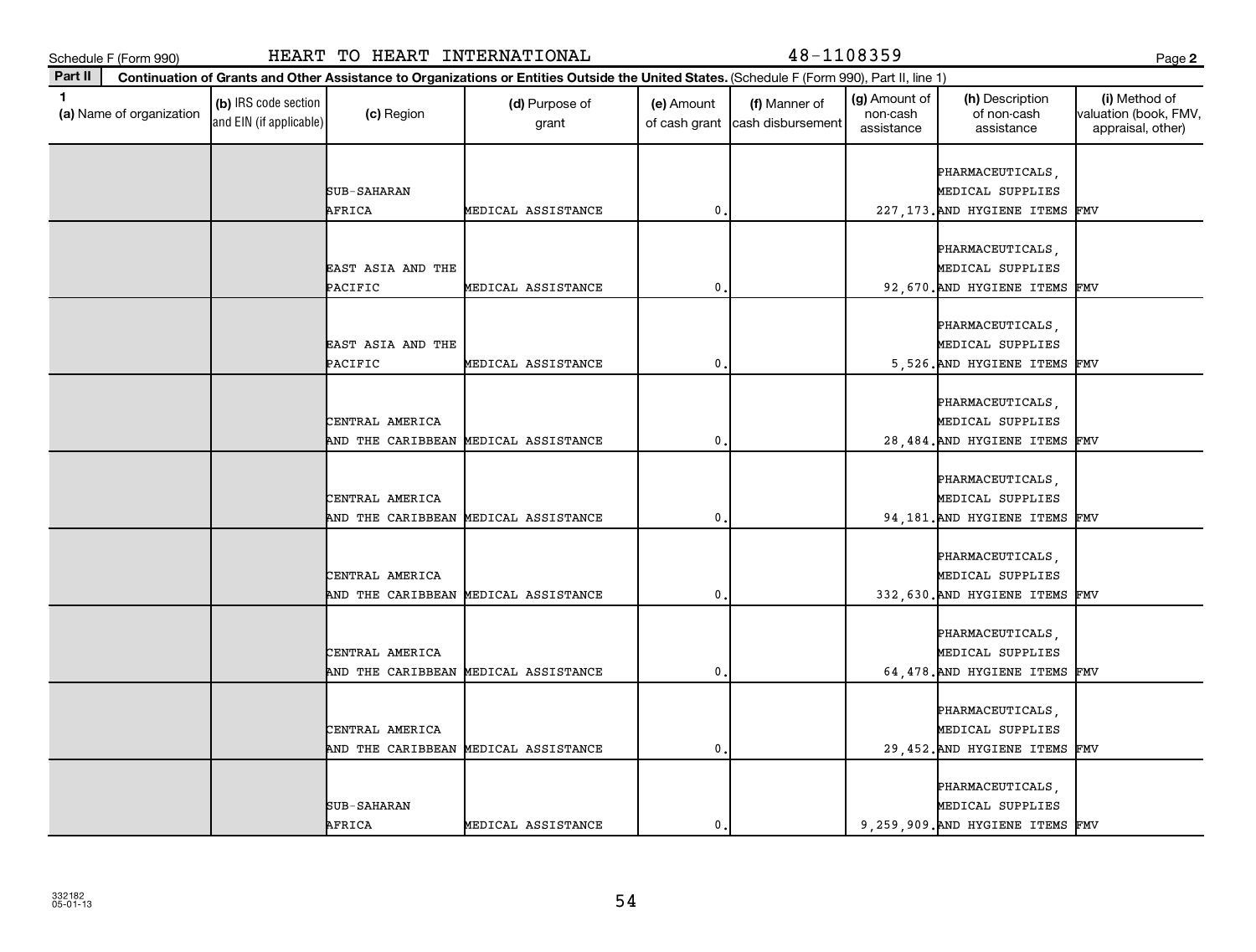**Part II**

**(a)**  Name of organization

and EIN (if applicable)

| --<br>. .<br>×<br>۰.<br>v |  |
|---------------------------|--|
|---------------------------|--|

| <b>U</b> Isamo or organization | and EIN (if applicable) | $\omega$ , region            | grant                                |               | of cash grant cash disbursement | <b>TIOTI</b> COUT<br>assistance | 01 1101 1 0001 1<br>assistance       | waluation (DOOR, I IVI)<br>appraisal, other) |
|--------------------------------|-------------------------|------------------------------|--------------------------------------|---------------|---------------------------------|---------------------------------|--------------------------------------|----------------------------------------------|
|                                |                         |                              |                                      |               |                                 |                                 |                                      |                                              |
|                                |                         |                              |                                      |               |                                 |                                 | PHARMACEUTICALS,                     |                                              |
|                                |                         | SUB-SAHARAN                  |                                      |               |                                 |                                 | MEDICAL SUPPLIES                     |                                              |
|                                |                         | AFRICA                       | MEDICAL ASSISTANCE                   | $\mathbf 0$ . |                                 |                                 | 227, 173. AND HYGIENE ITEMS FMV      |                                              |
|                                |                         |                              |                                      |               |                                 |                                 |                                      |                                              |
|                                |                         |                              |                                      |               |                                 |                                 | PHARMACEUTICALS,<br>MEDICAL SUPPLIES |                                              |
|                                |                         | EAST ASIA AND THE<br>PACIFIC | MEDICAL ASSISTANCE                   | 0             |                                 |                                 | 92, 670. AND HYGIENE ITEMS FMV       |                                              |
|                                |                         |                              |                                      |               |                                 |                                 |                                      |                                              |
|                                |                         |                              |                                      |               |                                 |                                 | PHARMACEUTICALS,                     |                                              |
|                                |                         | EAST ASIA AND THE            |                                      |               |                                 |                                 | MEDICAL SUPPLIES                     |                                              |
|                                |                         | PACIFIC                      | MEDICAL ASSISTANCE                   | 0             |                                 |                                 | 5,526. AND HYGIENE ITEMS FMV         |                                              |
|                                |                         |                              |                                      |               |                                 |                                 |                                      |                                              |
|                                |                         |                              |                                      |               |                                 |                                 | PHARMACEUTICALS,                     |                                              |
|                                |                         | CENTRAL AMERICA              |                                      |               |                                 |                                 | MEDICAL SUPPLIES                     |                                              |
|                                |                         | AND THE CARIBBEAN            | MEDICAL ASSISTANCE                   | 0             |                                 |                                 | 28, 484. AND HYGIENE ITEMS FMV       |                                              |
|                                |                         |                              |                                      |               |                                 |                                 |                                      |                                              |
|                                |                         |                              |                                      |               |                                 |                                 | PHARMACEUTICALS,                     |                                              |
|                                |                         | CENTRAL AMERICA              |                                      |               |                                 |                                 | MEDICAL SUPPLIES                     |                                              |
|                                |                         |                              | AND THE CARIBBEAN MEDICAL ASSISTANCE | 0             |                                 |                                 | 94, 181. AND HYGIENE ITEMS FMV       |                                              |
|                                |                         |                              |                                      |               |                                 |                                 |                                      |                                              |
|                                |                         |                              |                                      |               |                                 |                                 | PHARMACEUTICALS,                     |                                              |
|                                |                         | CENTRAL AMERICA              |                                      |               |                                 |                                 | MEDICAL SUPPLIES                     |                                              |
|                                |                         |                              | AND THE CARIBBEAN MEDICAL ASSISTANCE | $\mathbf 0$ . |                                 |                                 | 332, 630. AND HYGIENE ITEMS FMV      |                                              |
|                                |                         |                              |                                      |               |                                 |                                 |                                      |                                              |
|                                |                         |                              |                                      |               |                                 |                                 | PHARMACEUTICALS,                     |                                              |
|                                |                         | CENTRAL AMERICA              |                                      |               |                                 |                                 | MEDICAL SUPPLIES                     |                                              |
|                                |                         |                              | AND THE CARIBBEAN MEDICAL ASSISTANCE | 0             |                                 |                                 | 64, 478. AND HYGIENE ITEMS FMV       |                                              |
|                                |                         |                              |                                      |               |                                 |                                 | PHARMACEUTICALS,                     |                                              |
|                                |                         | CENTRAL AMERICA              |                                      |               |                                 |                                 | MEDICAL SUPPLIES                     |                                              |
|                                |                         |                              | AND THE CARIBBEAN MEDICAL ASSISTANCE | 0             |                                 |                                 | 29,452. AND HYGIENE ITEMS FMV        |                                              |
|                                |                         |                              |                                      |               |                                 |                                 |                                      |                                              |
|                                |                         |                              |                                      |               |                                 |                                 | PHARMACEUTICALS,                     |                                              |
|                                |                         | SUB-SAHARAN                  |                                      |               |                                 |                                 | MEDICAL SUPPLIES                     |                                              |
|                                |                         | AFRICA                       | MEDICAL ASSISTANCE                   | 0             |                                 |                                 | 9,259,909. AND HYGIENE ITEMS FMV     |                                              |
|                                |                         |                              |                                      |               |                                 |                                 |                                      |                                              |

(c) Region (d) Purpose of

**Continuation of Grants and Other Assistance to Organizations or Entities Outside the United States.**  (Schedule F (Form 990), Part II, line 1)

**1 (b)** IRS code section **(c)** Region **(d)** Purpose of **(e)** Amount **(f)** Manner of **(g)** Amount of **(h)** Description **(i) (a)** Name of organization **(h)** Description **(i) (c)** Region **(d)** Purpose of **(d)** Amount **(** 

(e) Amount

(g) Amount of non-cash

(h) Description of non-cash

(f) Manner of

**2**

(i) Method of valuation (book, FMV,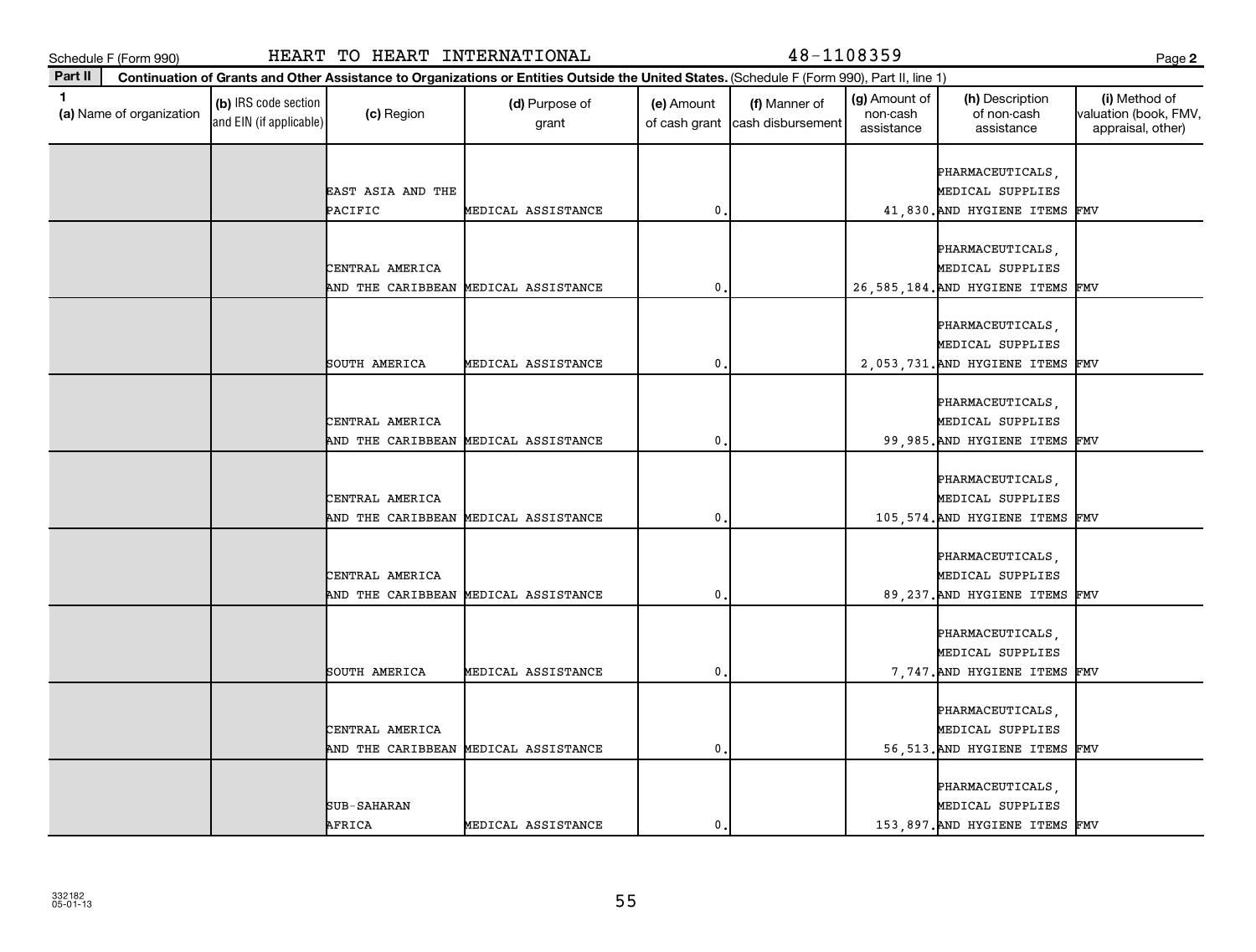**Part II**

| ×<br>×<br>I<br>i |
|------------------|
|------------------|

| 1<br>(a) Name of organization | (b) IRS code section<br>and EIN (if applicable) | (c) Region        | (d) Purpose of<br>grant              | (e) Amount<br>of cash grant | (f) Manner of<br>cash disbursement | (g) Amount of<br>non-cash<br>assistance | (h) Description<br>of non-cash<br>assistance | (i) Method of<br>valuation (book, FMV<br>appraisal, other) |
|-------------------------------|-------------------------------------------------|-------------------|--------------------------------------|-----------------------------|------------------------------------|-----------------------------------------|----------------------------------------------|------------------------------------------------------------|
|                               |                                                 |                   |                                      |                             |                                    |                                         | PHARMACEUTICALS,                             |                                                            |
|                               |                                                 | EAST ASIA AND THE |                                      |                             |                                    |                                         | MEDICAL SUPPLIES                             |                                                            |
|                               |                                                 | PACIFIC           | MEDICAL ASSISTANCE                   | $\mathbf{0}$                |                                    |                                         | 41,830. AND HYGIENE ITEMS                    | FMV                                                        |
|                               |                                                 |                   |                                      |                             |                                    |                                         |                                              |                                                            |
|                               |                                                 |                   |                                      |                             |                                    |                                         | PHARMACEUTICALS,                             |                                                            |
|                               |                                                 | CENTRAL AMERICA   |                                      |                             |                                    |                                         | MEDICAL SUPPLIES                             |                                                            |
|                               |                                                 | AND THE CARIBBEAN | MEDICAL ASSISTANCE                   | $\mathbf{0}$                |                                    |                                         | 26, 585, 184. AND HYGIENE ITEMS              | FMV                                                        |
|                               |                                                 |                   |                                      |                             |                                    |                                         |                                              |                                                            |
|                               |                                                 |                   |                                      |                             |                                    |                                         | PHARMACEUTICALS,                             |                                                            |
|                               |                                                 |                   |                                      |                             |                                    |                                         | MEDICAL SUPPLIES                             |                                                            |
|                               |                                                 | SOUTH AMERICA     | MEDICAL ASSISTANCE                   | $\mathbf{0}$                |                                    |                                         | 2,053,731. AND HYGIENE ITEMS                 | FMV                                                        |
|                               |                                                 |                   |                                      |                             |                                    |                                         |                                              |                                                            |
|                               |                                                 |                   |                                      |                             |                                    |                                         | PHARMACEUTICALS,                             |                                                            |
|                               |                                                 | CENTRAL AMERICA   |                                      |                             |                                    |                                         | MEDICAL SUPPLIES                             |                                                            |
|                               |                                                 | AND THE CARIBBEAN | MEDICAL ASSISTANCE                   | $\mathbf 0$                 |                                    |                                         | 99,985. AND HYGIENE ITEMS                    | FMV                                                        |
|                               |                                                 |                   |                                      |                             |                                    |                                         | PHARMACEUTICALS,                             |                                                            |
|                               |                                                 | CENTRAL AMERICA   |                                      |                             |                                    |                                         | MEDICAL SUPPLIES                             |                                                            |
|                               |                                                 |                   | AND THE CARIBBEAN MEDICAL ASSISTANCE | $\mathbf{0}$                |                                    |                                         | 105,574. AND HYGIENE ITEMS                   | FMV                                                        |
|                               |                                                 |                   |                                      |                             |                                    |                                         |                                              |                                                            |
|                               |                                                 |                   |                                      |                             |                                    |                                         | PHARMACEUTICALS,                             |                                                            |
|                               |                                                 | CENTRAL AMERICA   |                                      |                             |                                    |                                         | MEDICAL SUPPLIES                             |                                                            |
|                               |                                                 | AND THE CARIBBEAN | MEDICAL ASSISTANCE                   | $\mathbf 0$                 |                                    |                                         | 89, 237. AND HYGIENE ITEMS                   | FMV                                                        |
|                               |                                                 |                   |                                      |                             |                                    |                                         |                                              |                                                            |
|                               |                                                 |                   |                                      |                             |                                    |                                         | PHARMACEUTICALS,                             |                                                            |
|                               |                                                 |                   |                                      |                             |                                    |                                         | MEDICAL SUPPLIES                             |                                                            |
|                               |                                                 | SOUTH AMERICA     | MEDICAL ASSISTANCE                   | $\mathbf{0}$                |                                    |                                         | 7,747. AND HYGIENE ITEMS                     | FMV                                                        |
|                               |                                                 |                   |                                      |                             |                                    |                                         |                                              |                                                            |
|                               |                                                 |                   |                                      |                             |                                    |                                         | PHARMACEUTICALS,                             |                                                            |
|                               |                                                 | CENTRAL AMERICA   |                                      |                             |                                    |                                         | MEDICAL SUPPLIES                             |                                                            |
|                               |                                                 |                   | AND THE CARIBBEAN MEDICAL ASSISTANCE | $\mathbf{0}$                |                                    |                                         | 56,513. AND HYGIENE ITEMS FMV                |                                                            |
|                               |                                                 |                   |                                      |                             |                                    |                                         |                                              |                                                            |
|                               |                                                 |                   |                                      |                             |                                    |                                         | PHARMACEUTICALS,                             |                                                            |
|                               |                                                 | SUB-SAHARAN       |                                      |                             |                                    |                                         | MEDICAL SUPPLIES                             |                                                            |
|                               |                                                 | AFRICA            | MEDICAL ASSISTANCE                   | $\mathbf{0}$                |                                    |                                         | 153,897. AND HYGIENE ITEMS FMV               |                                                            |
|                               |                                                 |                   |                                      |                             |                                    |                                         |                                              |                                                            |

# Schedule F (Form 990) HEART TO HEART INTERNATIONAL 48-1108359 Page

**Continuation of Grants and Other Assistance to Organizations or Entities Outside the United States.**  (Schedule F (Form 990), Part II, line 1)

(g) Amount of non-cash

(h) Description of non-cash

**2**

(i) Method of valuation (book, FMV,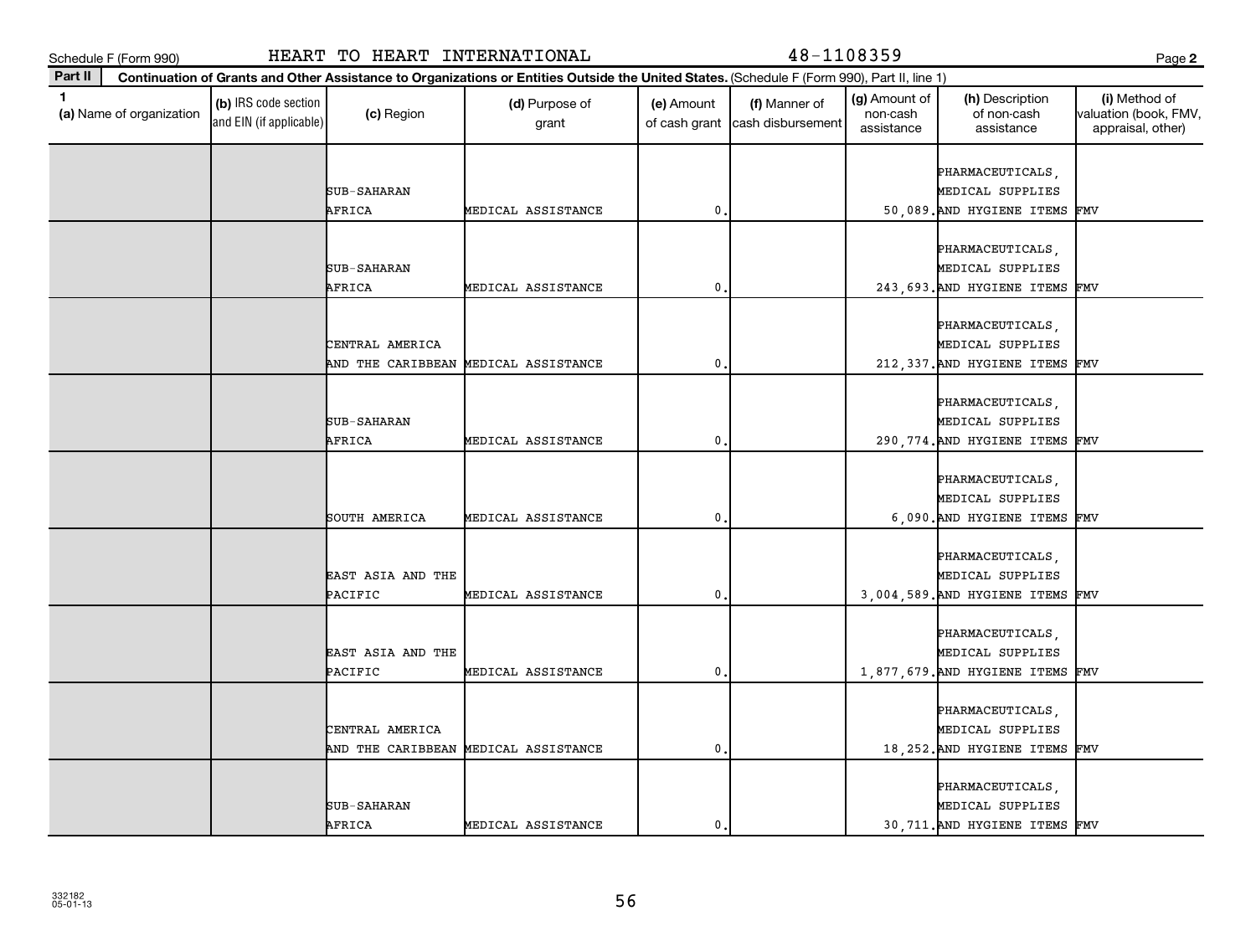| ×<br>۰.<br>I<br>۰,<br>v<br>× |
|------------------------------|
|------------------------------|

| Part II<br>Continuation of Grants and Other Assistance to Organizations or Entities Outside the United States. (Schedule F (Form 990), Part II, line 1) |                                                        |                                    |                                         |                                              |                                                             |
|---------------------------------------------------------------------------------------------------------------------------------------------------------|--------------------------------------------------------|------------------------------------|-----------------------------------------|----------------------------------------------|-------------------------------------------------------------|
| 1<br>(b) IRS code section<br>(a) Name of organization<br>(c) Region<br>and EIN (if applicable)                                                          | (d) Purpose of<br>(e) Amount<br>of cash grant<br>grant | (f) Manner of<br>cash disbursement | (g) Amount of<br>non-cash<br>assistance | (h) Description<br>of non-cash<br>assistance | (i) Method of<br>valuation (book, FMV,<br>appraisal, other) |
|                                                                                                                                                         |                                                        |                                    |                                         | PHARMACEUTICALS,                             |                                                             |
| SUB-SAHARAN                                                                                                                                             |                                                        |                                    |                                         | MEDICAL SUPPLIES                             |                                                             |
| AFRICA                                                                                                                                                  | MEDICAL ASSISTANCE                                     | $\mathbf 0$                        |                                         | 50,089. AND HYGIENE ITEMS                    | FMV                                                         |
|                                                                                                                                                         |                                                        |                                    |                                         |                                              |                                                             |
|                                                                                                                                                         |                                                        |                                    |                                         | PHARMACEUTICALS,                             |                                                             |
| SUB-SAHARAN                                                                                                                                             |                                                        |                                    |                                         | MEDICAL SUPPLIES                             |                                                             |
| AFRICA                                                                                                                                                  | MEDICAL ASSISTANCE                                     | 0                                  |                                         | 243, 693. AND HYGIENE ITEMS                  | FMV                                                         |
|                                                                                                                                                         |                                                        |                                    |                                         |                                              |                                                             |
|                                                                                                                                                         |                                                        |                                    |                                         | PHARMACEUTICALS,                             |                                                             |
| CENTRAL AMERICA                                                                                                                                         |                                                        |                                    |                                         | MEDICAL SUPPLIES                             |                                                             |
| AND THE CARIBBEAN MEDICAL ASSISTANCE                                                                                                                    |                                                        | 0                                  |                                         | 212, 337. AND HYGIENE ITEMS FMV              |                                                             |
|                                                                                                                                                         |                                                        |                                    |                                         | PHARMACEUTICALS,                             |                                                             |
| SUB-SAHARAN                                                                                                                                             |                                                        |                                    |                                         | MEDICAL SUPPLIES                             |                                                             |
| AFRICA                                                                                                                                                  | MEDICAL ASSISTANCE                                     | 0                                  |                                         | 290, 774. AND HYGIENE ITEMS                  | FMV                                                         |
|                                                                                                                                                         |                                                        |                                    |                                         |                                              |                                                             |
|                                                                                                                                                         |                                                        |                                    |                                         | PHARMACEUTICALS,                             |                                                             |
|                                                                                                                                                         |                                                        |                                    |                                         |                                              |                                                             |
|                                                                                                                                                         |                                                        |                                    |                                         | MEDICAL SUPPLIES                             |                                                             |
| SOUTH AMERICA                                                                                                                                           | MEDICAL ASSISTANCE                                     | $\mathbf 0$                        |                                         | 6,090. AND HYGIENE ITEMS                     | FMV                                                         |
|                                                                                                                                                         |                                                        |                                    |                                         | PHARMACEUTICALS,                             |                                                             |
| EAST ASIA AND THE                                                                                                                                       |                                                        |                                    |                                         | MEDICAL SUPPLIES                             |                                                             |
| PACIFIC                                                                                                                                                 | MEDICAL ASSISTANCE                                     | 0                                  |                                         | 3,004,589. AND HYGIENE ITEMS                 | FMV                                                         |
|                                                                                                                                                         |                                                        |                                    |                                         |                                              |                                                             |
|                                                                                                                                                         |                                                        |                                    |                                         | PHARMACEUTICALS,                             |                                                             |
| EAST ASIA AND THE                                                                                                                                       |                                                        |                                    |                                         | MEDICAL SUPPLIES                             |                                                             |
| PACIFIC                                                                                                                                                 | MEDICAL ASSISTANCE                                     | $\mathbf 0$                        |                                         | 1,877,679. AND HYGIENE ITEMS FMV             |                                                             |
|                                                                                                                                                         |                                                        |                                    |                                         |                                              |                                                             |
|                                                                                                                                                         |                                                        |                                    |                                         | PHARMACEUTICALS,                             |                                                             |
| CENTRAL AMERICA                                                                                                                                         |                                                        |                                    |                                         | MEDICAL SUPPLIES                             |                                                             |
| AND THE CARIBBEAN                                                                                                                                       | MEDICAL ASSISTANCE                                     | 0                                  |                                         | 18, 252. AND HYGIENE ITEMS                   | FMV                                                         |
|                                                                                                                                                         |                                                        |                                    |                                         |                                              |                                                             |
|                                                                                                                                                         |                                                        |                                    |                                         | PHARMACEUTICALS,                             |                                                             |
| SUB-SAHARAN                                                                                                                                             |                                                        |                                    |                                         | MEDICAL SUPPLIES                             |                                                             |
| AFRICA                                                                                                                                                  | MEDICAL ASSISTANCE                                     | $\mathbf{0}$                       |                                         | 30,711. AND HYGIENE ITEMS FMV                |                                                             |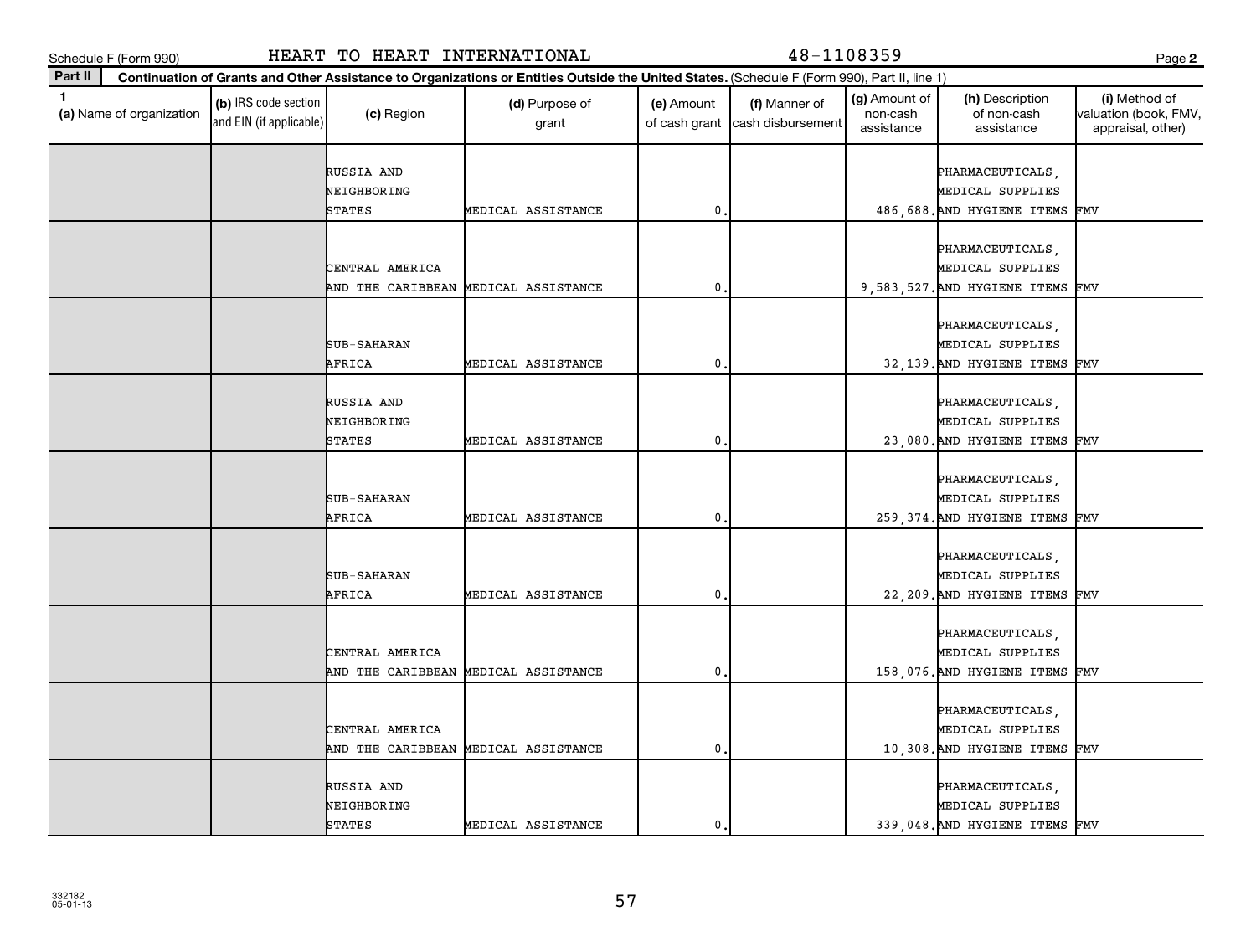| . .          |  |
|--------------|--|
| ×<br>۰.<br>v |  |

| Part II      |                          |                                                 |                                            | Continuation of Grants and Other Assistance to Organizations or Entities Outside the United States. (Schedule F (Form 990), Part II, line 1) |                             |                                    |                                         |                                                                        |                                                             |
|--------------|--------------------------|-------------------------------------------------|--------------------------------------------|----------------------------------------------------------------------------------------------------------------------------------------------|-----------------------------|------------------------------------|-----------------------------------------|------------------------------------------------------------------------|-------------------------------------------------------------|
| $\mathbf{1}$ | (a) Name of organization | (b) IRS code section<br>and EIN (if applicable) | (c) Region                                 | (d) Purpose of<br>grant                                                                                                                      | (e) Amount<br>of cash grant | (f) Manner of<br>cash disbursement | (g) Amount of<br>non-cash<br>assistance | (h) Description<br>of non-cash<br>assistance                           | (i) Method of<br>valuation (book, FMV,<br>appraisal, other) |
|              |                          |                                                 | RUSSIA AND<br>NEIGHBORING                  |                                                                                                                                              |                             |                                    |                                         | PHARMACEUTICALS,<br>MEDICAL SUPPLIES                                   |                                                             |
|              |                          |                                                 | <b>STATES</b>                              | MEDICAL ASSISTANCE                                                                                                                           | 0                           |                                    |                                         | 486,688. AND HYGIENE ITEMS                                             | FMV                                                         |
|              |                          |                                                 | CENTRAL AMERICA<br>AND THE CARIBBEAN       | MEDICAL ASSISTANCE                                                                                                                           | $\mathbf{0}$                |                                    |                                         | PHARMACEUTICALS,<br>MEDICAL SUPPLIES<br>9,583,527. AND HYGIENE ITEMS   | FMV                                                         |
|              |                          |                                                 | SUB-SAHARAN<br>AFRICA                      | MEDICAL ASSISTANCE                                                                                                                           | 0                           |                                    |                                         | PHARMACEUTICALS,<br>MEDICAL SUPPLIES<br>32,139. AND HYGIENE ITEMS      | FMV                                                         |
|              |                          |                                                 | RUSSIA AND<br>NEIGHBORING<br><b>STATES</b> | MEDICAL ASSISTANCE                                                                                                                           | $\mathbf{0}$                |                                    |                                         | PHARMACEUTICALS,<br>MEDICAL SUPPLIES<br>23,080. AND HYGIENE ITEMS      | FMV                                                         |
|              |                          |                                                 | SUB-SAHARAN<br>AFRICA                      | MEDICAL ASSISTANCE                                                                                                                           | $\mathbf 0$                 |                                    |                                         | PHARMACEUTICALS,<br>MEDICAL SUPPLIES<br>259, 374. AND HYGIENE ITEMS    | FMV                                                         |
|              |                          |                                                 | SUB-SAHARAN<br>AFRICA                      | MEDICAL ASSISTANCE                                                                                                                           | $\mathbf 0$                 |                                    |                                         | PHARMACEUTICALS,<br>MEDICAL SUPPLIES<br>22, 209. AND HYGIENE ITEMS     | FMV                                                         |
|              |                          |                                                 | CENTRAL AMERICA                            | AND THE CARIBBEAN MEDICAL ASSISTANCE                                                                                                         | $\mathbf 0$                 |                                    |                                         | PHARMACEUTICALS,<br>MEDICAL SUPPLIES<br>158,076. AND HYGIENE ITEMS     | FMV                                                         |
|              |                          |                                                 | CENTRAL AMERICA                            | AND THE CARIBBEAN MEDICAL ASSISTANCE                                                                                                         | $\mathbf{0}$                |                                    |                                         | PHARMACEUTICALS,<br>MEDICAL SUPPLIES<br>10,308. AND HYGIENE ITEMS      | FMV                                                         |
|              |                          |                                                 | RUSSIA AND<br>NEIGHBORING<br><b>STATES</b> | MEDICAL ASSISTANCE                                                                                                                           | $\mathbf{0}$                |                                    |                                         | PHARMACEUTICALS,<br>MEDICAL SUPPLIES<br>339.048. AND HYGIENE ITEMS FMV |                                                             |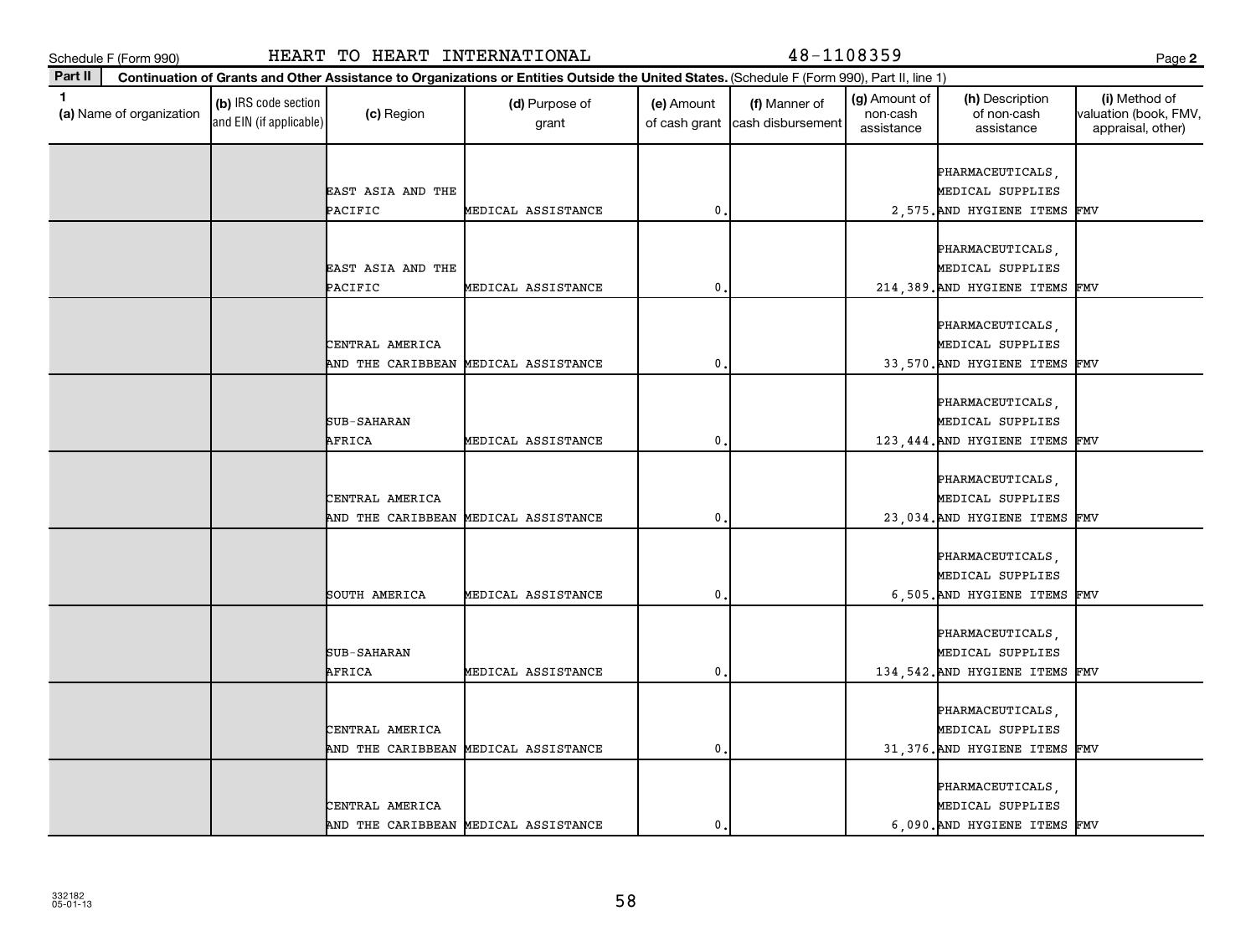**Part II**

| 1<br>(a) Name of organization | (b) IRS code section<br>and EIN (if applicable) | (c) Region                   | (d) Purpose of<br>grant              | (e) Amount<br>of cash grant | (f) Manner of<br>cash disbursement | (g) Amount of<br>non-cash<br>assistance | (h) Description<br>of non-cash<br>assistance | (i) Method of<br>valuation (book, FMV,<br>appraisal, other) |
|-------------------------------|-------------------------------------------------|------------------------------|--------------------------------------|-----------------------------|------------------------------------|-----------------------------------------|----------------------------------------------|-------------------------------------------------------------|
|                               |                                                 |                              |                                      |                             |                                    |                                         | PHARMACEUTICALS,                             |                                                             |
|                               |                                                 | EAST ASIA AND THE<br>PACIFIC | MEDICAL ASSISTANCE                   | $\mathbf 0$                 |                                    |                                         | MEDICAL SUPPLIES<br>2,575. AND HYGIENE ITEMS | FMV                                                         |
|                               |                                                 |                              |                                      |                             |                                    |                                         |                                              |                                                             |
|                               |                                                 |                              |                                      |                             |                                    |                                         | PHARMACEUTICALS,                             |                                                             |
|                               |                                                 | EAST ASIA AND THE            |                                      |                             |                                    |                                         | MEDICAL SUPPLIES                             |                                                             |
|                               |                                                 | PACIFIC                      | MEDICAL ASSISTANCE                   | $\mathbf{0}$                |                                    |                                         | 214,389. AND HYGIENE ITEMS                   | FMV                                                         |
|                               |                                                 |                              |                                      |                             |                                    |                                         |                                              |                                                             |
|                               |                                                 |                              |                                      |                             |                                    |                                         | PHARMACEUTICALS,                             |                                                             |
|                               |                                                 | CENTRAL AMERICA              |                                      |                             |                                    |                                         | MEDICAL SUPPLIES                             |                                                             |
|                               |                                                 | AND THE CARIBBEAN            | MEDICAL ASSISTANCE                   | $\mathbf{0}$                |                                    |                                         | 33,570. AND HYGIENE ITEMS FMV                |                                                             |
|                               |                                                 |                              |                                      |                             |                                    |                                         | PHARMACEUTICALS,                             |                                                             |
|                               |                                                 | SUB-SAHARAN                  |                                      |                             |                                    |                                         | MEDICAL SUPPLIES                             |                                                             |
|                               |                                                 | AFRICA                       | MEDICAL ASSISTANCE                   | $\mathbf 0$                 |                                    |                                         | 123, 444. AND HYGIENE ITEMS                  | FMV                                                         |
|                               |                                                 |                              |                                      |                             |                                    |                                         |                                              |                                                             |
|                               |                                                 |                              |                                      |                             |                                    |                                         | PHARMACEUTICALS,                             |                                                             |
|                               |                                                 | CENTRAL AMERICA              |                                      |                             |                                    |                                         | MEDICAL SUPPLIES                             |                                                             |
|                               |                                                 |                              | AND THE CARIBBEAN MEDICAL ASSISTANCE | $\mathbf{0}$                |                                    |                                         | 23,034. AND HYGIENE ITEMS                    | FMV                                                         |
|                               |                                                 |                              |                                      |                             |                                    |                                         |                                              |                                                             |
|                               |                                                 |                              |                                      |                             |                                    |                                         | PHARMACEUTICALS,<br>MEDICAL SUPPLIES         |                                                             |
|                               |                                                 | SOUTH AMERICA                | MEDICAL ASSISTANCE                   | $\mathbf 0$                 |                                    |                                         | 6,505. AND HYGIENE ITEMS                     | FMV                                                         |
|                               |                                                 |                              |                                      |                             |                                    |                                         |                                              |                                                             |
|                               |                                                 |                              |                                      |                             |                                    |                                         | PHARMACEUTICALS,                             |                                                             |
|                               |                                                 | SUB-SAHARAN                  |                                      |                             |                                    |                                         | MEDICAL SUPPLIES                             |                                                             |
|                               |                                                 | AFRICA                       | MEDICAL ASSISTANCE                   | $\mathbf{0}$                |                                    |                                         | 134, 542. AND HYGIENE ITEMS                  | FMV                                                         |
|                               |                                                 |                              |                                      |                             |                                    |                                         |                                              |                                                             |
|                               |                                                 | CENTRAL AMERICA              |                                      |                             |                                    |                                         | PHARMACEUTICALS,<br>MEDICAL SUPPLIES         |                                                             |
|                               |                                                 |                              | AND THE CARIBBEAN MEDICAL ASSISTANCE | $\mathbf 0$                 |                                    |                                         | 31,376. AND HYGIENE ITEMS                    | FMV                                                         |
|                               |                                                 |                              |                                      |                             |                                    |                                         |                                              |                                                             |
|                               |                                                 |                              |                                      |                             |                                    |                                         | PHARMACEUTICALS,                             |                                                             |
|                               |                                                 | CENTRAL AMERICA              |                                      |                             |                                    |                                         | MEDICAL SUPPLIES                             |                                                             |
|                               |                                                 |                              | AND THE CARIBBEAN MEDICAL ASSISTANCE | 0                           |                                    |                                         | 6,090. AND HYGIENE ITEMS FMV                 |                                                             |

# Schedule F (Form 990) HEART TO HEART INTERNATIONAL 48-1108359 Page

**Continuation of Grants and Other Assistance to Organizations or Entities Outside the United States.**  (Schedule F (Form 990), Part II, line 1)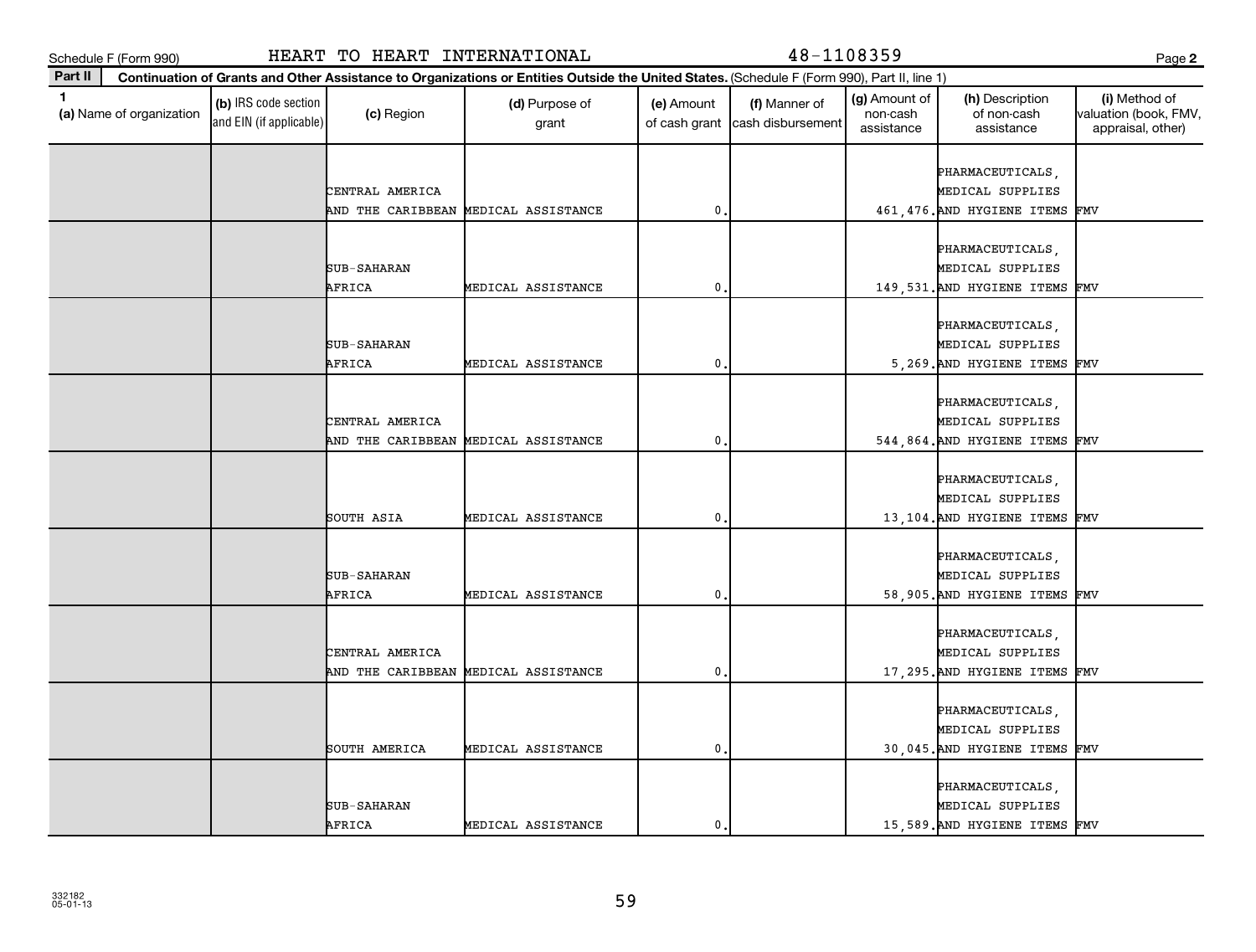| --<br>. .<br>×<br>v | ×<br>۰.<br>v |
|---------------------|--------------|
|---------------------|--------------|

| Part II |                          |                                                 |                                      | Continuation of Grants and Other Assistance to Organizations or Entities Outside the United States. (Schedule F (Form 990), Part II, line 1) |              |                                                  |                                         |                                                                        |                                                             |
|---------|--------------------------|-------------------------------------------------|--------------------------------------|----------------------------------------------------------------------------------------------------------------------------------------------|--------------|--------------------------------------------------|-----------------------------------------|------------------------------------------------------------------------|-------------------------------------------------------------|
| 1       | (a) Name of organization | (b) IRS code section<br>and EIN (if applicable) | (c) Region                           | (d) Purpose of<br>grant                                                                                                                      | (e) Amount   | (f) Manner of<br>of cash grant cash disbursement | (g) Amount of<br>non-cash<br>assistance | (h) Description<br>of non-cash<br>assistance                           | (i) Method of<br>valuation (book, FMV,<br>appraisal, other) |
|         |                          |                                                 | CENTRAL AMERICA                      | AND THE CARIBBEAN MEDICAL ASSISTANCE                                                                                                         | $\mathbf{0}$ |                                                  |                                         | PHARMACEUTICALS,<br>MEDICAL SUPPLIES<br>461, 476. AND HYGIENE ITEMS    | FMV                                                         |
|         |                          |                                                 |                                      |                                                                                                                                              |              |                                                  |                                         |                                                                        |                                                             |
|         |                          |                                                 | SUB-SAHARAN<br>AFRICA                | MEDICAL ASSISTANCE                                                                                                                           | $\mathbf 0$  |                                                  |                                         | PHARMACEUTICALS,<br>MEDICAL SUPPLIES<br>149,531. AND HYGIENE ITEMS     | FMV                                                         |
|         |                          |                                                 | <b>SUB-SAHARAN</b><br>AFRICA         | MEDICAL ASSISTANCE                                                                                                                           | $\mathbf 0$  |                                                  |                                         | PHARMACEUTICALS,<br>MEDICAL SUPPLIES<br>5,269. AND HYGIENE ITEMS FMV   |                                                             |
|         |                          |                                                 | CENTRAL AMERICA<br>AND THE CARIBBEAN | MEDICAL ASSISTANCE                                                                                                                           | $\mathbf 0$  |                                                  |                                         | PHARMACEUTICALS,<br>MEDICAL SUPPLIES<br>544,864. AND HYGIENE ITEMS FMV |                                                             |
|         |                          |                                                 | SOUTH ASIA                           | MEDICAL ASSISTANCE                                                                                                                           | $\mathbf{0}$ |                                                  |                                         | PHARMACEUTICALS,<br>MEDICAL SUPPLIES<br>13,104. AND HYGIENE ITEMS      | FMV                                                         |
|         |                          |                                                 | SUB-SAHARAN<br>AFRICA                | MEDICAL ASSISTANCE                                                                                                                           | $\mathbf 0$  |                                                  |                                         | PHARMACEUTICALS,<br>MEDICAL SUPPLIES<br>58,905. AND HYGIENE ITEMS      | FMV                                                         |
|         |                          |                                                 | CENTRAL AMERICA                      | AND THE CARIBBEAN MEDICAL ASSISTANCE                                                                                                         | $\mathbf 0$  |                                                  |                                         | PHARMACEUTICALS,<br>MEDICAL SUPPLIES<br>17,295. AND HYGIENE ITEMS FMV  |                                                             |
|         |                          |                                                 | SOUTH AMERICA                        | MEDICAL ASSISTANCE                                                                                                                           | $\mathbf{0}$ |                                                  |                                         | PHARMACEUTICALS,<br>MEDICAL SUPPLIES<br>30,045. AND HYGIENE ITEMS FMV  |                                                             |
|         |                          |                                                 | SUB-SAHARAN<br>AFRICA                | MEDICAL ASSISTANCE                                                                                                                           | $\mathbf{0}$ |                                                  |                                         | PHARMACEUTICALS,<br>MEDICAL SUPPLIES<br>15,589. AND HYGIENE ITEMS FMV  |                                                             |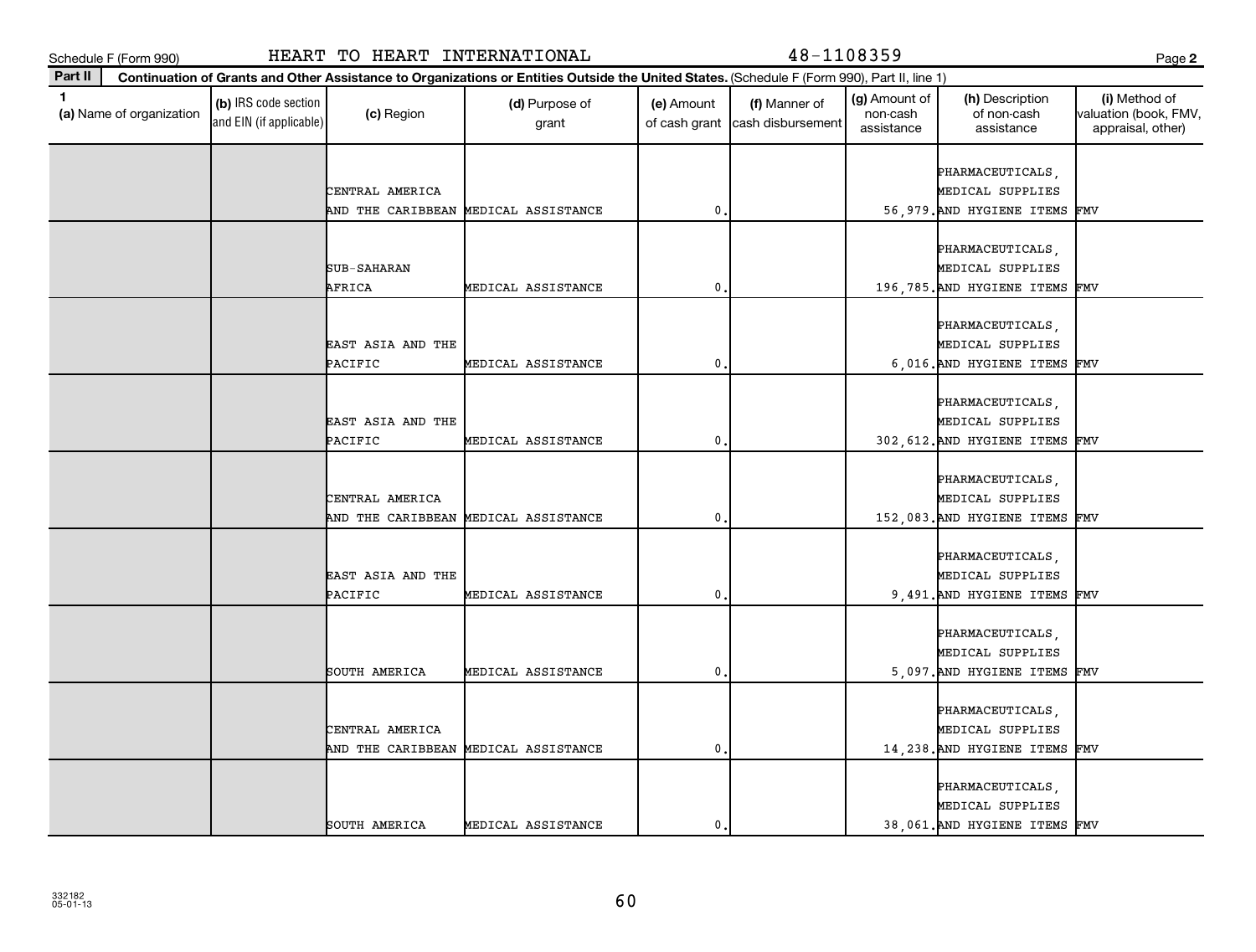**Part II**

| v<br>۰. | ×<br>۰. |
|---------|---------|

| and EIN (if applicable) | (c) Region        | (d) Purpose of<br>grant              | (e) Amount<br>of cash grant | (f) Manner of<br>cash disbursement | (g) Amount of<br>non-cash<br>assistance | (h) Description<br>of non-cash<br>assistance | (i) Method of<br>valuation (book, FMV<br>appraisal, other) |
|-------------------------|-------------------|--------------------------------------|-----------------------------|------------------------------------|-----------------------------------------|----------------------------------------------|------------------------------------------------------------|
|                         |                   |                                      |                             |                                    |                                         | PHARMACEUTICALS                              |                                                            |
|                         | CENTRAL AMERICA   |                                      |                             |                                    |                                         | MEDICAL SUPPLIES                             |                                                            |
|                         |                   | AND THE CARIBBEAN MEDICAL ASSISTANCE | $\mathbf{0}$                |                                    |                                         | 56,979. AND HYGIENE ITEMS                    | FMV                                                        |
|                         |                   |                                      |                             |                                    |                                         |                                              |                                                            |
|                         |                   |                                      |                             |                                    |                                         | PHARMACEUTICALS                              |                                                            |
|                         | SUB-SAHARAN       |                                      |                             |                                    |                                         | MEDICAL SUPPLIES                             |                                                            |
|                         | AFRICA            | MEDICAL ASSISTANCE                   | $\mathbf 0$                 |                                    |                                         | 196,785. AND HYGIENE ITEMS                   | FMV                                                        |
|                         |                   |                                      |                             |                                    |                                         |                                              |                                                            |
|                         | EAST ASIA AND THE |                                      |                             |                                    |                                         | PHARMACEUTICALS,<br>MEDICAL SUPPLIES         |                                                            |
|                         | PACIFIC           | MEDICAL ASSISTANCE                   | 0                           |                                    |                                         | 6,016. AND HYGIENE ITEMS                     | FMV                                                        |
|                         |                   |                                      |                             |                                    |                                         |                                              |                                                            |
|                         |                   |                                      |                             |                                    |                                         | PHARMACEUTICALS,                             |                                                            |
|                         | EAST ASIA AND THE |                                      |                             |                                    |                                         | MEDICAL SUPPLIES                             |                                                            |
|                         | PACIFIC           | MEDICAL ASSISTANCE                   | $\pmb{0}$                   |                                    |                                         | 302, 612. AND HYGIENE ITEMS                  | FMV                                                        |
|                         |                   |                                      |                             |                                    |                                         |                                              |                                                            |
|                         |                   |                                      |                             |                                    |                                         | PHARMACEUTICALS,                             |                                                            |
|                         | CENTRAL AMERICA   |                                      |                             |                                    |                                         | MEDICAL SUPPLIES                             |                                                            |
|                         |                   | AND THE CARIBBEAN MEDICAL ASSISTANCE | $\mathbf 0$                 |                                    |                                         | 152,083. AND HYGIENE ITEMS                   | FMV                                                        |
|                         |                   |                                      |                             |                                    |                                         |                                              |                                                            |
|                         |                   |                                      |                             |                                    |                                         | PHARMACEUTICALS,                             |                                                            |
|                         | EAST ASIA AND THE |                                      |                             |                                    |                                         | MEDICAL SUPPLIES                             |                                                            |
|                         | PACIFIC           | MEDICAL ASSISTANCE                   | 0                           |                                    |                                         | 9,491. AND HYGIENE ITEMS                     | FMV                                                        |
|                         |                   |                                      |                             |                                    |                                         |                                              |                                                            |
|                         |                   |                                      |                             |                                    |                                         | PHARMACEUTICALS<br>MEDICAL SUPPLIES          |                                                            |
|                         | SOUTH AMERICA     | MEDICAL ASSISTANCE                   | $\pmb{0}$                   |                                    |                                         | 5,097. AND HYGIENE ITEMS                     | FMV                                                        |
|                         |                   |                                      |                             |                                    |                                         |                                              |                                                            |
|                         |                   |                                      |                             |                                    |                                         | PHARMACEUTICALS,                             |                                                            |
|                         | CENTRAL AMERICA   |                                      |                             |                                    |                                         | MEDICAL SUPPLIES                             |                                                            |
|                         | AND THE CARIBBEAN | MEDICAL ASSISTANCE                   | $\mathbf 0$                 |                                    |                                         | 14, 238. AND HYGIENE ITEMS                   | FMV                                                        |
|                         |                   |                                      |                             |                                    |                                         |                                              |                                                            |
|                         |                   |                                      |                             |                                    |                                         | PHARMACEUTICALS                              |                                                            |
|                         |                   |                                      |                             |                                    |                                         | MEDICAL SUPPLIES                             |                                                            |
|                         | SOUTH AMERICA     | MEDICAL ASSISTANCE                   | $\mathbf 0$                 |                                    |                                         | 38,061. AND HYGIENE ITEMS FMV                |                                                            |

Schedule F (Form 990) HEART TO HEART INTERNATIONAL 48-1108359 Page

**Continuation of Grants and Other Assistance to Organizations or Entities Outside the United States.**  (Schedule F (Form 990), Part II, line 1)

(g) Amount of

(h) Description

**2**

(i) Method of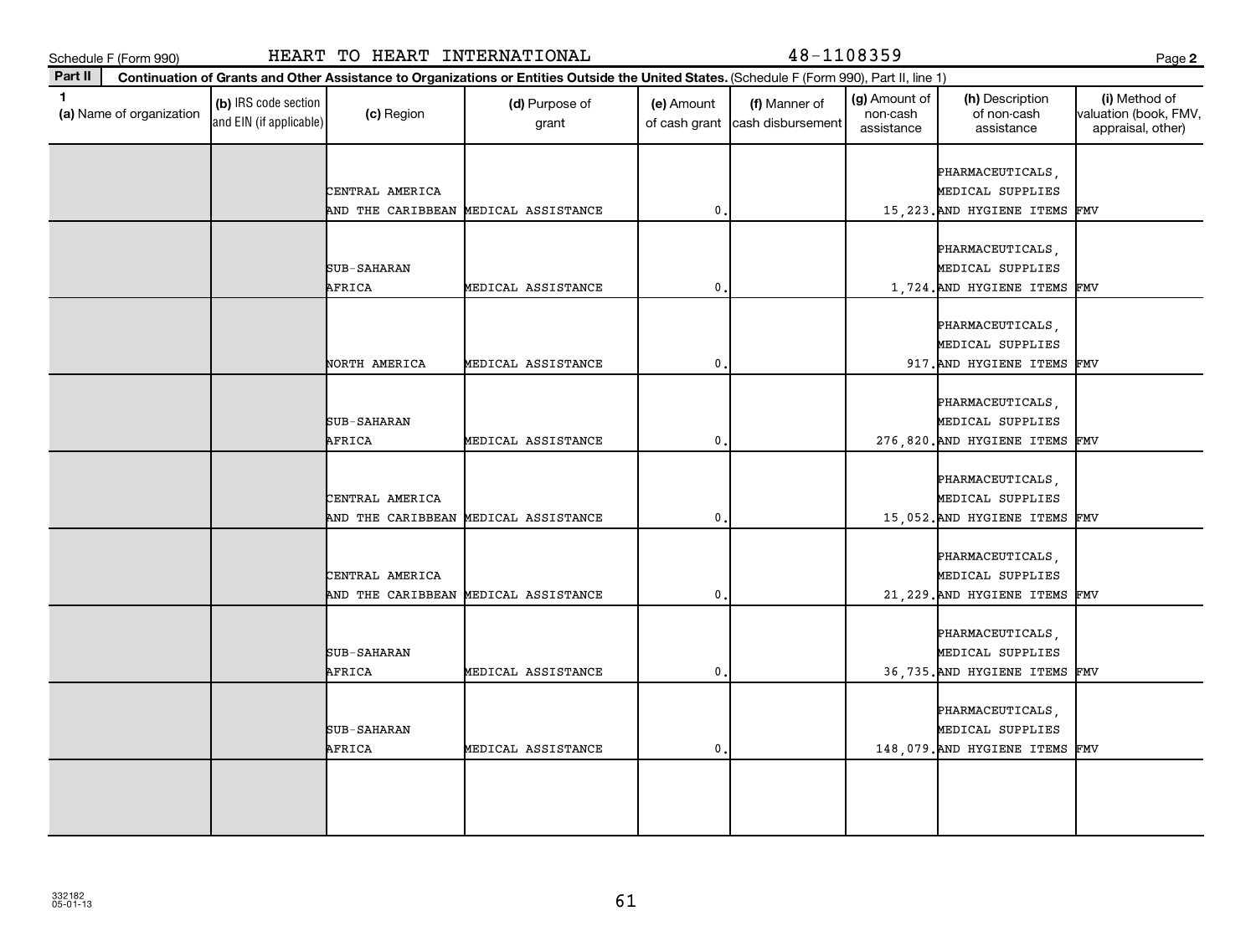|         | ٠ |
|---------|---|
| ×<br>۰. |   |

| Schedule F (Form 990)                            |                                                 | HEART TO HEART INTERNATIONAL         |                                                                                                                                              |              | 48-1108359                                       |                                         |                                                                        | Page 2                                                      |
|--------------------------------------------------|-------------------------------------------------|--------------------------------------|----------------------------------------------------------------------------------------------------------------------------------------------|--------------|--------------------------------------------------|-----------------------------------------|------------------------------------------------------------------------|-------------------------------------------------------------|
| Part II                                          |                                                 |                                      | Continuation of Grants and Other Assistance to Organizations or Entities Outside the United States. (Schedule F (Form 990), Part II, line 1) |              |                                                  |                                         |                                                                        |                                                             |
| $\blacktriangleleft$<br>(a) Name of organization | (b) IRS code section<br>and EIN (if applicable) | (c) Region                           | (d) Purpose of<br>grant                                                                                                                      | (e) Amount   | (f) Manner of<br>of cash grant cash disbursement | (g) Amount of<br>non-cash<br>assistance | (h) Description<br>of non-cash<br>assistance                           | (i) Method of<br>valuation (book, FMV,<br>appraisal, other) |
|                                                  |                                                 | CENTRAL AMERICA<br>AND THE CARIBBEAN | MEDICAL ASSISTANCE                                                                                                                           | $\mathbf{0}$ |                                                  |                                         | PHARMACEUTICALS,<br>MEDICAL SUPPLIES<br>15, 223. AND HYGIENE ITEMS     | FMV                                                         |
|                                                  |                                                 | SUB-SAHARAN<br>AFRICA                | MEDICAL ASSISTANCE                                                                                                                           | $\mathbf 0$  |                                                  |                                         | PHARMACEUTICALS,<br>MEDICAL SUPPLIES<br>1,724. AND HYGIENE ITEMS       | FMV                                                         |
|                                                  |                                                 | NORTH AMERICA                        | MEDICAL ASSISTANCE                                                                                                                           | $\mathbf 0$  |                                                  |                                         | PHARMACEUTICALS,<br>MEDICAL SUPPLIES<br>917. AND HYGIENE ITEMS FMV     |                                                             |
|                                                  |                                                 | SUB-SAHARAN<br>AFRICA                | MEDICAL ASSISTANCE                                                                                                                           | $\mathbf{0}$ |                                                  |                                         | PHARMACEUTICALS,<br>MEDICAL SUPPLIES<br>276,820. AND HYGIENE ITEMS FMV |                                                             |
|                                                  |                                                 | CENTRAL AMERICA<br>AND THE CARIBBEAN | MEDICAL ASSISTANCE                                                                                                                           | $\mathbf 0$  |                                                  |                                         | PHARMACEUTICALS,<br>MEDICAL SUPPLIES<br>15,052. AND HYGIENE ITEMS      | FMV                                                         |
|                                                  |                                                 | CENTRAL AMERICA<br>AND THE CARIBBEAN | MEDICAL ASSISTANCE                                                                                                                           | $\mathbf 0$  |                                                  |                                         | PHARMACEUTICALS,<br>MEDICAL SUPPLIES<br>21, 229. AND HYGIENE ITEMS FMV |                                                             |
|                                                  |                                                 | SUB-SAHARAN<br>AFRICA                | MEDICAL ASSISTANCE                                                                                                                           | $\mathbf{0}$ |                                                  |                                         | PHARMACEUTICALS,<br>MEDICAL SUPPLIES<br>36, 735. AND HYGIENE ITEMS FMV |                                                             |
|                                                  |                                                 | SUB-SAHARAN<br>AFRICA                | MEDICAL ASSISTANCE                                                                                                                           | $\mathbf 0$  |                                                  |                                         | PHARMACEUTICALS,<br>MEDICAL SUPPLIES<br>148,079. AND HYGIENE ITEMS     | FMV                                                         |
|                                                  |                                                 |                                      |                                                                                                                                              |              |                                                  |                                         |                                                                        |                                                             |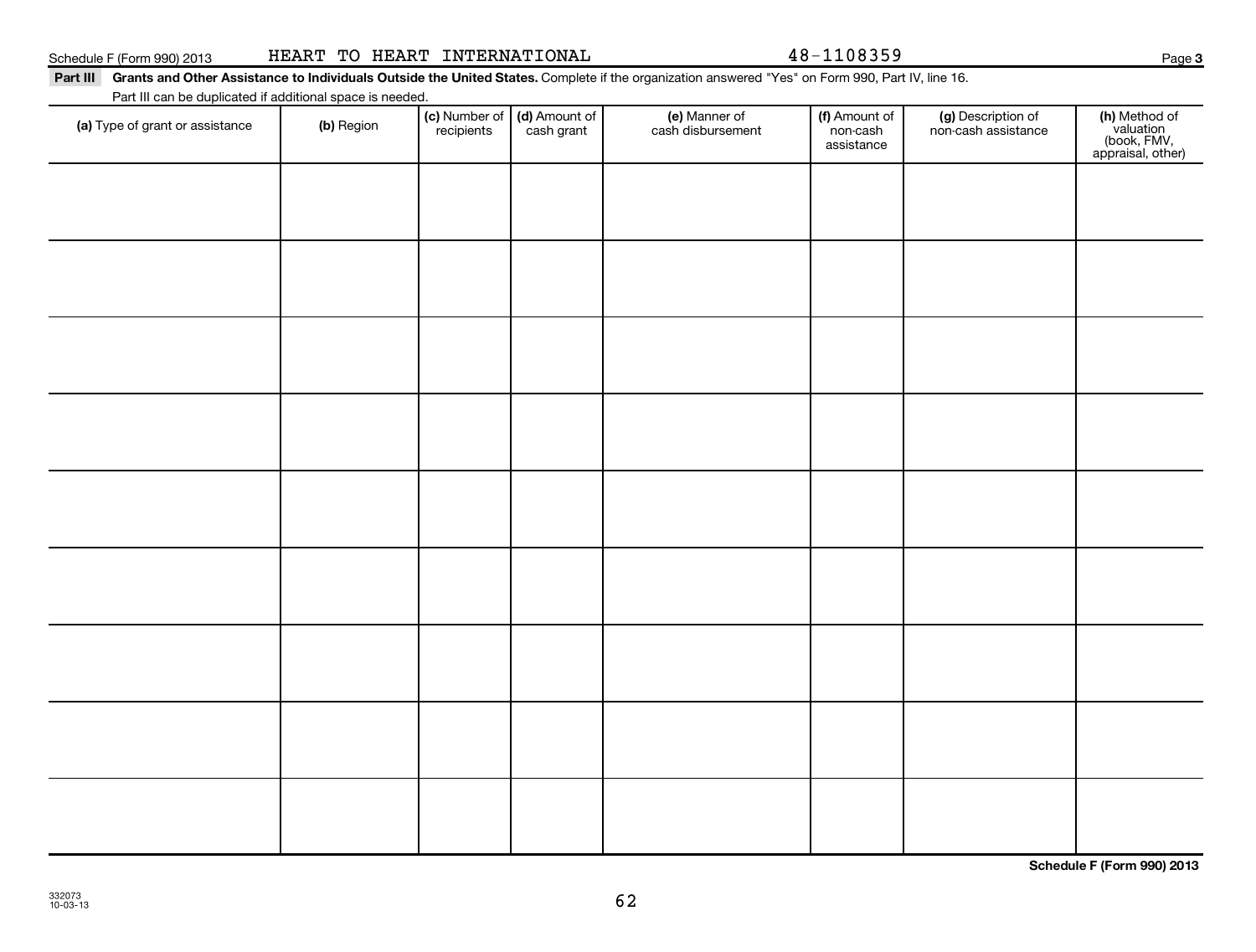**Schedule F (Form 990) 2013**

# Schedule F (Form 990) 2013 Page HEART TO HEART INTERNATIONAL 48-1108359

## Part III Grants and Other Assistance to Individuals Outside the United States. Complete if the organization answered "Yes" on Form 990, Part IV, line 16.

Part III can be duplicated if additional space is needed.

| Part in carr be duplicated if additional space is needed.<br>(a) Type of grant or assistance | (b) Region | (c) Number of (d) Amount of<br>recipients cash grant | (e) Manner of<br>cash disbursement | (f) Amount of<br>non-cash<br>assistance | (g) Description of<br>non-cash assistance | (h) Method of<br>valuation<br>(book, FMV,<br>appraisal, other) |
|----------------------------------------------------------------------------------------------|------------|------------------------------------------------------|------------------------------------|-----------------------------------------|-------------------------------------------|----------------------------------------------------------------|
|                                                                                              |            |                                                      |                                    |                                         |                                           |                                                                |
|                                                                                              |            |                                                      |                                    |                                         |                                           |                                                                |
|                                                                                              |            |                                                      |                                    |                                         |                                           |                                                                |
|                                                                                              |            |                                                      |                                    |                                         |                                           |                                                                |
|                                                                                              |            |                                                      |                                    |                                         |                                           |                                                                |
|                                                                                              |            |                                                      |                                    |                                         |                                           |                                                                |
|                                                                                              |            |                                                      |                                    |                                         |                                           |                                                                |
|                                                                                              |            |                                                      |                                    |                                         |                                           |                                                                |
|                                                                                              |            |                                                      |                                    |                                         |                                           |                                                                |
|                                                                                              |            |                                                      |                                    |                                         |                                           |                                                                |

62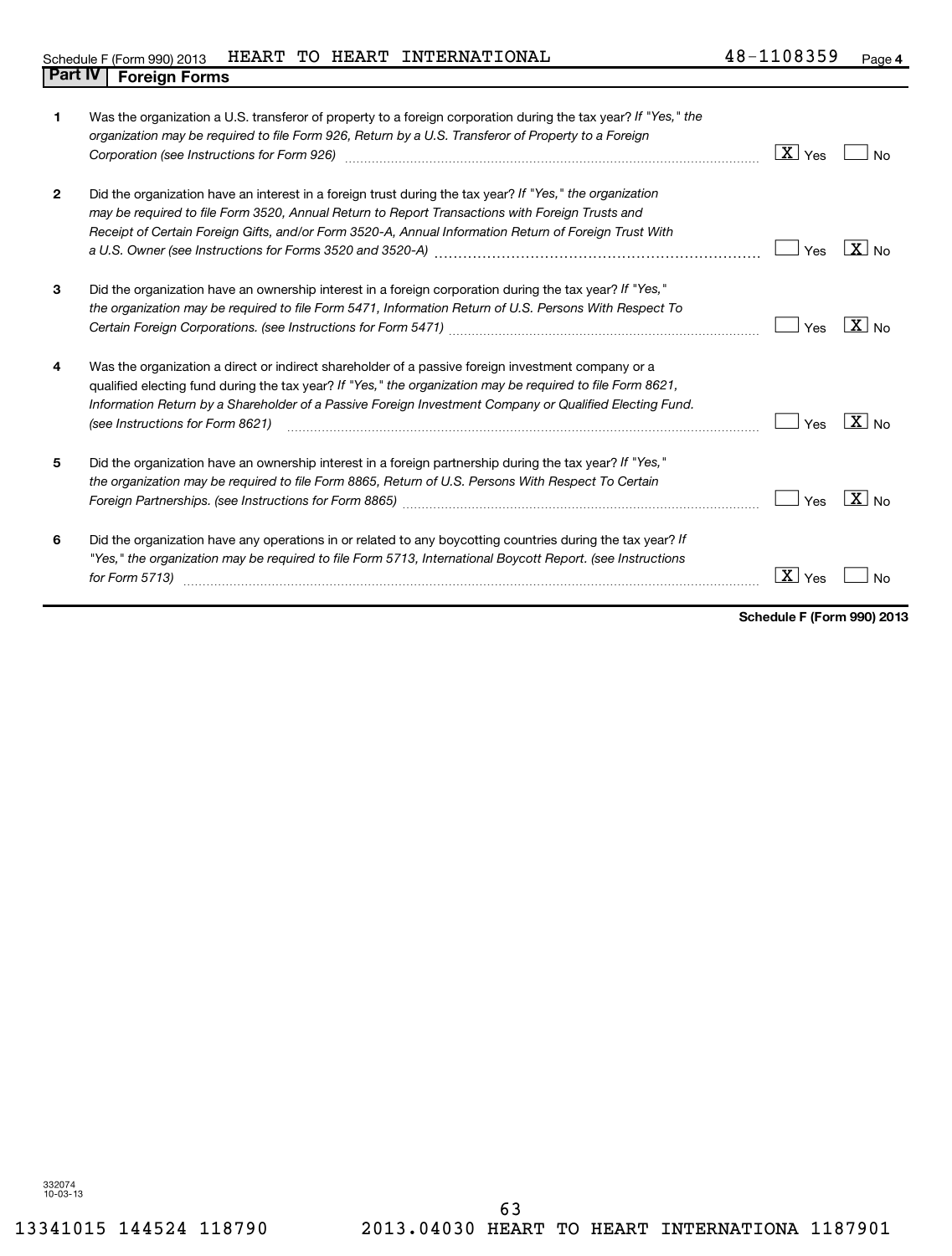| 1              | Was the organization a U.S. transferor of property to a foreign corporation during the tax year? If "Yes," the<br>organization may be required to file Form 926, Return by a U.S. Transferor of Property to a Foreign<br>Corporation (see Instructions for Form 926) [11] matter continuum matter of the Instruction (see Instructions for Form 926)            | $\lfloor \texttt{X} \rfloor$ Yes | No                |
|----------------|-----------------------------------------------------------------------------------------------------------------------------------------------------------------------------------------------------------------------------------------------------------------------------------------------------------------------------------------------------------------|----------------------------------|-------------------|
| $\overline{2}$ | Did the organization have an interest in a foreign trust during the tax year? If "Yes," the organization<br>may be required to file Form 3520, Annual Return to Report Transactions with Foreign Trusts and<br>Receipt of Certain Foreign Gifts, and/or Form 3520-A, Annual Information Return of Foreign Trust With                                            | Yes                              | $\overline{X}$ No |
| 3              | Did the organization have an ownership interest in a foreign corporation during the tax year? If "Yes,"<br>the organization may be required to file Form 5471, Information Return of U.S. Persons With Respect To                                                                                                                                               | Yes                              | $X _{NQ}$         |
| 4              | Was the organization a direct or indirect shareholder of a passive foreign investment company or a<br>qualified electing fund during the tax year? If "Yes," the organization may be required to file Form 8621,<br>Information Return by a Shareholder of a Passive Foreign Investment Company or Qualified Electing Fund.<br>(see Instructions for Form 8621) | Yes                              | $X _{\text{No}}$  |
| 5              | Did the organization have an ownership interest in a foreign partnership during the tax year? If "Yes,"<br>the organization may be required to file Form 8865, Return of U.S. Persons With Respect To Certain                                                                                                                                                   | Yes                              | $\overline{X}$ No |
| 6              | Did the organization have any operations in or related to any boycotting countries during the tax year? If<br>"Yes," the organization may be required to file Form 5713, International Boycott Report. (see Instructions<br>for Form 5713)                                                                                                                      | $X \mid$ Yes                     |                   |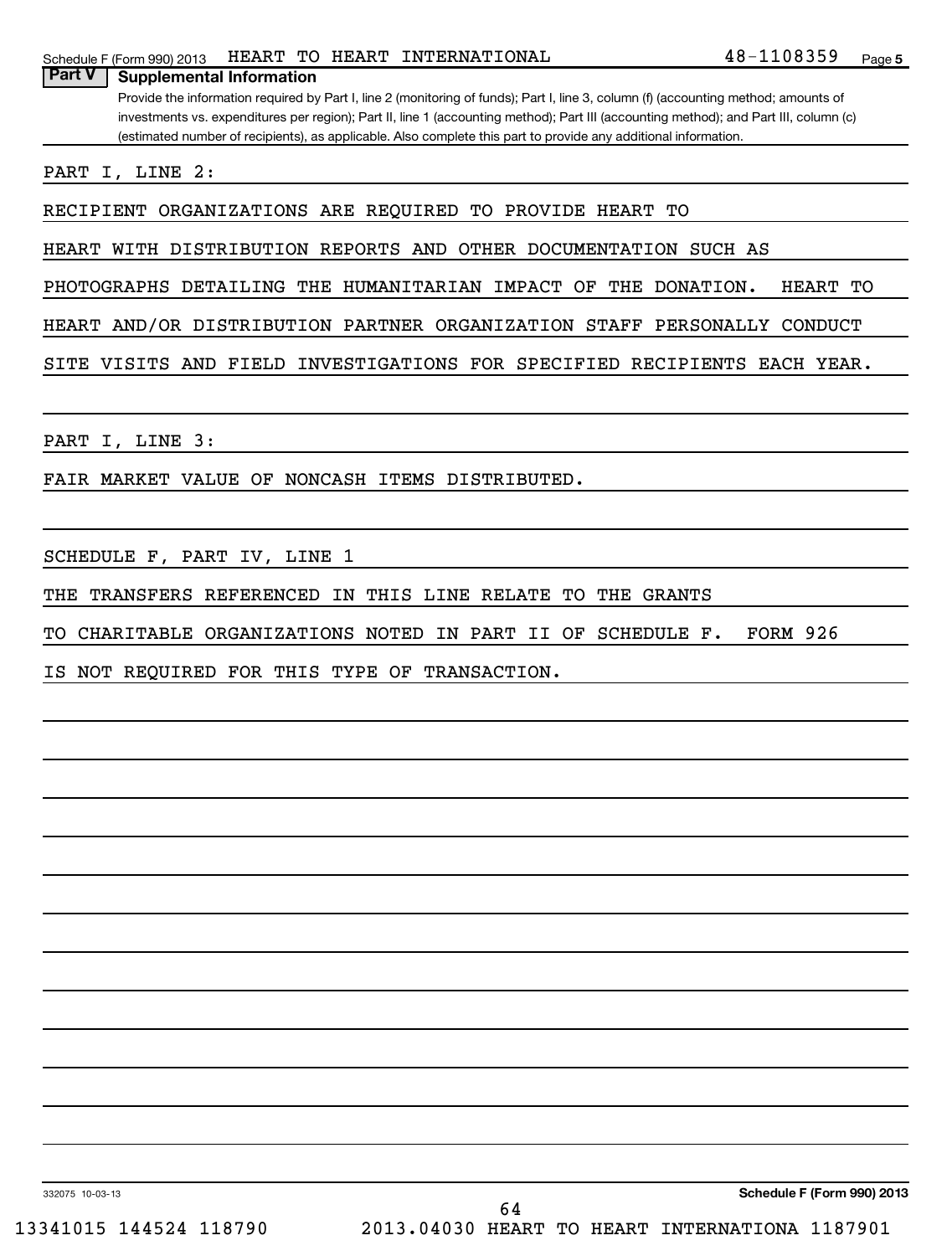| Schedule F (Form 990) 2013 | HEART ' |  |  | ' TO HEART INTERNATIONAL | .08359<br>$48 -$ | Page |  |
|----------------------------|---------|--|--|--------------------------|------------------|------|--|
|----------------------------|---------|--|--|--------------------------|------------------|------|--|

Provide the information required by Part I, line 2 (monitoring of funds); Part I, line 3, column (f) (accounting method; amounts of investments vs. expenditures per region); Part II, line 1 (accounting method); Part III (accounting method); and Part III, column (c) (estimated number of recipients), as applicable. Also complete this part to provide any additional information.

PART I, LINE 2:

**Part V Supplemental Information**

RECIPIENT ORGANIZATIONS ARE REQUIRED TO PROVIDE HEART TO

HEART WITH DISTRIBUTION REPORTS AND OTHER DOCUMENTATION SUCH AS

PHOTOGRAPHS DETAILING THE HUMANITARIAN IMPACT OF THE DONATION. HEART TO

HEART AND/OR DISTRIBUTION PARTNER ORGANIZATION STAFF PERSONALLY CONDUCT

SITE VISITS AND FIELD INVESTIGATIONS FOR SPECIFIED RECIPIENTS EACH YEAR.

PART I, LINE 3:

FAIR MARKET VALUE OF NONCASH ITEMS DISTRIBUTED.

SCHEDULE F, PART IV, LINE 1

THE TRANSFERS REFERENCED IN THIS LINE RELATE TO THE GRANTS

TO CHARITABLE ORGANIZATIONS NOTED IN PART II OF SCHEDULE F. FORM 926

IS NOT REQUIRED FOR THIS TYPE OF TRANSACTION.

332075 10-03-13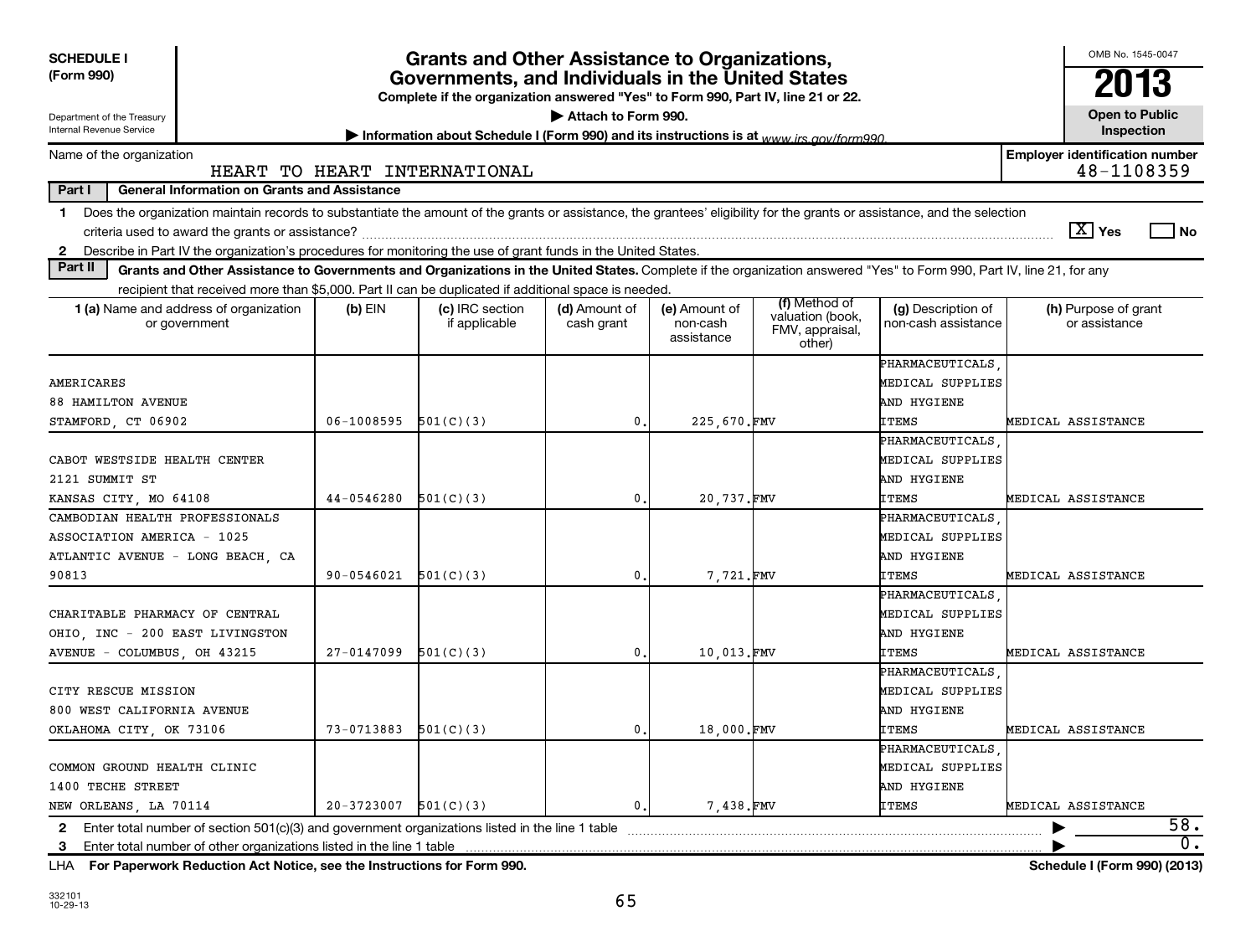| <b>SCHEDULE I</b><br>(Form 990)                                                                                                                                                  | <b>Grants and Other Assistance to Organizations,</b><br>Governments, and Individuals in the United States<br>Complete if the organization answered "Yes" to Form 990, Part IV, line 21 or 22. |                                  |                             |                                         |                                               |                                           |                                                     |      |  |
|----------------------------------------------------------------------------------------------------------------------------------------------------------------------------------|-----------------------------------------------------------------------------------------------------------------------------------------------------------------------------------------------|----------------------------------|-----------------------------|-----------------------------------------|-----------------------------------------------|-------------------------------------------|-----------------------------------------------------|------|--|
| Department of the Treasury<br>Internal Revenue Service                                                                                                                           | Attach to Form 990.<br>Information about Schedule I (Form 990) and its instructions is at www irs gov/form990                                                                                 |                                  |                             |                                         |                                               |                                           |                                                     |      |  |
| Name of the organization                                                                                                                                                         |                                                                                                                                                                                               | HEART TO HEART INTERNATIONAL     |                             |                                         |                                               |                                           | <b>Employer identification number</b><br>48-1108359 |      |  |
| Part I<br><b>General Information on Grants and Assistance</b>                                                                                                                    |                                                                                                                                                                                               |                                  |                             |                                         |                                               |                                           |                                                     |      |  |
| Does the organization maintain records to substantiate the amount of the grants or assistance, the grantees' eligibility for the grants or assistance, and the selection<br>1.   |                                                                                                                                                                                               |                                  |                             |                                         |                                               |                                           | $ \overline{X} $ Yes                                | l No |  |
| 2 Describe in Part IV the organization's procedures for monitoring the use of grant funds in the United States.                                                                  |                                                                                                                                                                                               |                                  |                             |                                         |                                               |                                           |                                                     |      |  |
| Part II<br>Grants and Other Assistance to Governments and Organizations in the United States. Complete if the organization answered "Yes" to Form 990, Part IV, line 21, for any |                                                                                                                                                                                               |                                  |                             |                                         |                                               |                                           |                                                     |      |  |
| recipient that received more than \$5,000. Part II can be duplicated if additional space is needed.                                                                              |                                                                                                                                                                                               |                                  |                             |                                         | (f) Method of                                 |                                           |                                                     |      |  |
| 1 (a) Name and address of organization<br>or government                                                                                                                          | $(b)$ EIN                                                                                                                                                                                     | (c) IRC section<br>if applicable | (d) Amount of<br>cash grant | (e) Amount of<br>non-cash<br>assistance | valuation (book,<br>FMV, appraisal,<br>other) | (g) Description of<br>non-cash assistance | (h) Purpose of grant<br>or assistance               |      |  |
|                                                                                                                                                                                  |                                                                                                                                                                                               |                                  |                             |                                         |                                               | PHARMACEUTICALS                           |                                                     |      |  |
| AMERICARES                                                                                                                                                                       |                                                                                                                                                                                               |                                  |                             |                                         |                                               | MEDICAL SUPPLIES                          |                                                     |      |  |
| <b>88 HAMILTON AVENUE</b>                                                                                                                                                        |                                                                                                                                                                                               |                                  |                             |                                         |                                               | AND HYGIENE                               |                                                     |      |  |
| STAMFORD, CT 06902                                                                                                                                                               | 06-1008595                                                                                                                                                                                    | 501(C)(3)                        | $\mathbf{0}$ .              | 225,670.FMV                             |                                               | <b>ITEMS</b>                              | MEDICAL ASSISTANCE                                  |      |  |
|                                                                                                                                                                                  |                                                                                                                                                                                               |                                  |                             |                                         |                                               | PHARMACEUTICALS                           |                                                     |      |  |
| CABOT WESTSIDE HEALTH CENTER                                                                                                                                                     |                                                                                                                                                                                               |                                  |                             |                                         |                                               | MEDICAL SUPPLIES                          |                                                     |      |  |
| 2121 SUMMIT ST                                                                                                                                                                   |                                                                                                                                                                                               |                                  |                             |                                         |                                               | AND HYGIENE                               |                                                     |      |  |
| KANSAS CITY, MO 64108                                                                                                                                                            | 44-0546280                                                                                                                                                                                    | 501(C)(3)                        | 0.                          | 20,737.FMV                              |                                               | ITEMS                                     | MEDICAL ASSISTANCE                                  |      |  |
| CAMBODIAN HEALTH PROFESSIONALS                                                                                                                                                   |                                                                                                                                                                                               |                                  |                             |                                         |                                               | PHARMACEUTICALS                           |                                                     |      |  |
| ASSOCIATION AMERICA - 1025                                                                                                                                                       |                                                                                                                                                                                               |                                  |                             |                                         |                                               | MEDICAL SUPPLIES                          |                                                     |      |  |
| ATLANTIC AVENUE - LONG BEACH, CA                                                                                                                                                 |                                                                                                                                                                                               |                                  |                             |                                         |                                               | AND HYGIENE                               |                                                     |      |  |
| 90813                                                                                                                                                                            | 90-0546021                                                                                                                                                                                    | 501(C)(3)                        | $\mathbf{0}$ .              | 7,721.FMV                               |                                               | <b>ITEMS</b>                              | MEDICAL ASSISTANCE                                  |      |  |
|                                                                                                                                                                                  |                                                                                                                                                                                               |                                  |                             |                                         |                                               | PHARMACEUTICALS                           |                                                     |      |  |
| CHARITABLE PHARMACY OF CENTRAL                                                                                                                                                   |                                                                                                                                                                                               |                                  |                             |                                         |                                               | MEDICAL SUPPLIES                          |                                                     |      |  |
| OHIO, INC - 200 EAST LIVINGSTON                                                                                                                                                  |                                                                                                                                                                                               |                                  |                             |                                         |                                               | AND HYGIENE                               |                                                     |      |  |
| AVENUE - COLUMBUS, OH 43215                                                                                                                                                      | $27 - 0147099$                                                                                                                                                                                | 501(C)(3)                        | $\mathbf{0}$ .              | 10,013.FMV                              |                                               | <b>ITEMS</b>                              | MEDICAL ASSISTANCE                                  |      |  |
|                                                                                                                                                                                  |                                                                                                                                                                                               |                                  |                             |                                         |                                               | PHARMACEUTICALS                           |                                                     |      |  |
| CITY RESCUE MISSION                                                                                                                                                              |                                                                                                                                                                                               |                                  |                             |                                         |                                               | MEDICAL SUPPLIES                          |                                                     |      |  |
| 800 WEST CALIFORNIA AVENUE                                                                                                                                                       |                                                                                                                                                                                               |                                  |                             |                                         |                                               | AND HYGIENE                               |                                                     |      |  |
| OKLAHOMA CITY, OK 73106                                                                                                                                                          | 73-0713883                                                                                                                                                                                    | 501(C)(3)                        | 0.                          | 18,000.FMV                              |                                               | <b>ITEMS</b>                              | MEDICAL ASSISTANCE                                  |      |  |
|                                                                                                                                                                                  |                                                                                                                                                                                               |                                  |                             |                                         |                                               | PHARMACEUTICALS                           |                                                     |      |  |
| COMMON GROUND HEALTH CLINIC                                                                                                                                                      |                                                                                                                                                                                               |                                  |                             |                                         |                                               | MEDICAL SUPPLIES                          |                                                     |      |  |
| 1400 TECHE STREET                                                                                                                                                                |                                                                                                                                                                                               |                                  |                             |                                         |                                               | AND HYGIENE                               |                                                     |      |  |
| NEW ORLEANS, LA 70114                                                                                                                                                            | 20-3723007                                                                                                                                                                                    | 501(C)(3)                        | 0.                          | 7.438.FMV                               |                                               | ITEMS                                     | MEDICAL ASSISTANCE                                  |      |  |
| Enter total number of section 501(c)(3) and government organizations listed in the line 1 table<br>$\mathbf{2}$                                                                  |                                                                                                                                                                                               |                                  |                             |                                         |                                               |                                           |                                                     | 58.  |  |
| Enter total number of other organizations listed in the line 1 table<br>3                                                                                                        |                                                                                                                                                                                               |                                  |                             |                                         |                                               |                                           |                                                     | 0.   |  |
| For Paperwork Reduction Act Notice, see the Instructions for Form 990.<br>LHA                                                                                                    |                                                                                                                                                                                               |                                  |                             |                                         |                                               |                                           | Schedule I (Form 990) (2013)                        |      |  |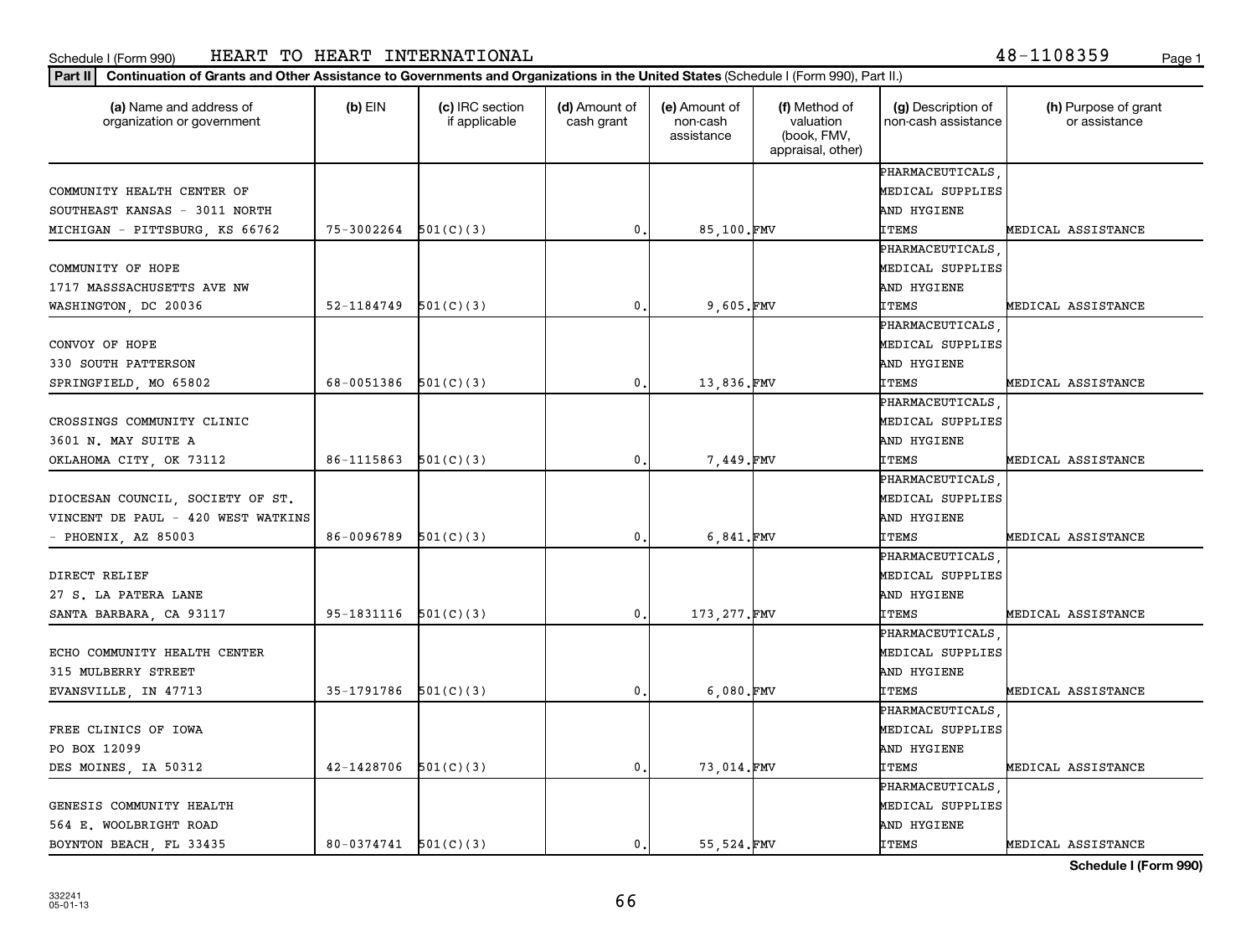#### **Part II Continuation of Grants and Other Assistance to Governments and Organizations in the United States**  (Schedule I (Form 990), Part II.)

| (a) Name and address of<br>organization or government | $(b)$ EIN                | (c) IRC section<br>if applicable | (d) Amount of<br>cash grant | (e) Amount of<br>non-cash | (f) Method of<br>valuation       | (g) Description of<br>non-cash assistance | (h) Purpose of grant<br>or assistance |
|-------------------------------------------------------|--------------------------|----------------------------------|-----------------------------|---------------------------|----------------------------------|-------------------------------------------|---------------------------------------|
|                                                       |                          |                                  |                             | assistance                | (book, FMV,<br>appraisal, other) |                                           |                                       |
|                                                       |                          |                                  |                             |                           |                                  | PHARMACEUTICALS                           |                                       |
| COMMUNITY HEALTH CENTER OF                            |                          |                                  |                             |                           |                                  | MEDICAL SUPPLIES                          |                                       |
| SOUTHEAST KANSAS - 3011 NORTH                         |                          |                                  |                             |                           |                                  | AND HYGIENE                               |                                       |
| MICHIGAN - PITTSBURG, KS 66762                        | 75-3002264               | 501(C)(3)                        | 0.                          | 85,100.FMV                |                                  | ITEMS                                     | MEDICAL ASSISTANCE                    |
|                                                       |                          |                                  |                             |                           |                                  | PHARMACEUTICALS                           |                                       |
| COMMUNITY OF HOPE                                     |                          |                                  |                             |                           |                                  | MEDICAL SUPPLIES                          |                                       |
| 1717 MASSSACHUSETTS AVE NW                            |                          |                                  |                             |                           |                                  | AND HYGIENE                               |                                       |
| WASHINGTON, DC 20036                                  | $52-1184749$ $501(C)(3)$ |                                  | 0.                          | 9.605.FMV                 |                                  | <b>ITEMS</b>                              | MEDICAL ASSISTANCE                    |
|                                                       |                          |                                  |                             |                           |                                  | PHARMACEUTICALS                           |                                       |
| CONVOY OF HOPE                                        |                          |                                  |                             |                           |                                  | MEDICAL SUPPLIES                          |                                       |
| 330 SOUTH PATTERSON                                   |                          |                                  |                             |                           |                                  | AND HYGIENE                               |                                       |
| SPRINGFIELD, MO 65802                                 | 68-0051386 $501(C)(3)$   |                                  | 0.                          | 13,836.FMV                |                                  | <b>ITEMS</b>                              | MEDICAL ASSISTANCE                    |
|                                                       |                          |                                  |                             |                           |                                  | PHARMACEUTICALS                           |                                       |
| CROSSINGS COMMUNITY CLINIC                            |                          |                                  |                             |                           |                                  | MEDICAL SUPPLIES                          |                                       |
| 3601 N. MAY SUITE A                                   |                          |                                  |                             |                           |                                  | AND HYGIENE                               |                                       |
| OKLAHOMA CITY, OK 73112                               | 86-1115863               | 501(C)(3)                        | 0.                          | 7,449.FMV                 |                                  | <b>ITEMS</b>                              | MEDICAL ASSISTANCE                    |
|                                                       |                          |                                  |                             |                           |                                  | PHARMACEUTICALS                           |                                       |
| DIOCESAN COUNCIL, SOCIETY OF ST.                      |                          |                                  |                             |                           |                                  | MEDICAL SUPPLIES                          |                                       |
| VINCENT DE PAUL - 420 WEST WATKINS                    |                          |                                  |                             |                           |                                  | AND HYGIENE                               |                                       |
| - PHOENIX, AZ 85003                                   | 86-0096789               | 501(C)(3)                        | 0.                          | 6,841.FMV                 |                                  | <b>ITEMS</b>                              | MEDICAL ASSISTANCE                    |
|                                                       |                          |                                  |                             |                           |                                  | PHARMACEUTICALS                           |                                       |
| DIRECT RELIEF                                         |                          |                                  |                             |                           |                                  | MEDICAL SUPPLIES                          |                                       |
| 27 S. LA PATERA LANE                                  |                          |                                  |                             |                           |                                  | AND HYGIENE                               |                                       |
| SANTA BARBARA, CA 93117                               | $95-1831116$ $501(C)(3)$ |                                  | 0.                          | 173, 277. FMV             |                                  | ITEMS                                     | MEDICAL ASSISTANCE                    |
|                                                       |                          |                                  |                             |                           |                                  | PHARMACEUTICALS                           |                                       |
| ECHO COMMUNITY HEALTH CENTER                          |                          |                                  |                             |                           |                                  | MEDICAL SUPPLIES                          |                                       |
| 315 MULBERRY STREET                                   |                          |                                  |                             |                           |                                  | AND HYGIENE                               |                                       |
| EVANSVILLE, IN 47713                                  | $35-1791786$ $501(C)(3)$ |                                  | 0.                          | 6,080.FMV                 |                                  | <b>ITEMS</b>                              | MEDICAL ASSISTANCE                    |
|                                                       |                          |                                  |                             |                           |                                  | PHARMACEUTICALS                           |                                       |
| FREE CLINICS OF IOWA                                  |                          |                                  |                             |                           |                                  | MEDICAL SUPPLIES                          |                                       |
| PO BOX 12099                                          |                          |                                  |                             |                           |                                  | AND HYGIENE                               |                                       |
| DES MOINES, IA 50312                                  | 42-1428706               | 501(C)(3)                        | 0.                          | 73,014.FMV                |                                  | <b>ITEMS</b>                              | MEDICAL ASSISTANCE                    |
|                                                       |                          |                                  |                             |                           |                                  | PHARMACEUTICALS                           |                                       |
| GENESIS COMMUNITY HEALTH                              |                          |                                  |                             |                           |                                  | MEDICAL SUPPLIES                          |                                       |
| 564 E. WOOLBRIGHT ROAD                                |                          |                                  |                             |                           |                                  | AND HYGIENE                               |                                       |
| BOYNTON BEACH, FL 33435                               | $80-0374741$ $501(C)(3)$ |                                  | 0.                          | 55,524.FMV                |                                  | ITEMS                                     | MEDICAL ASSISTANCE                    |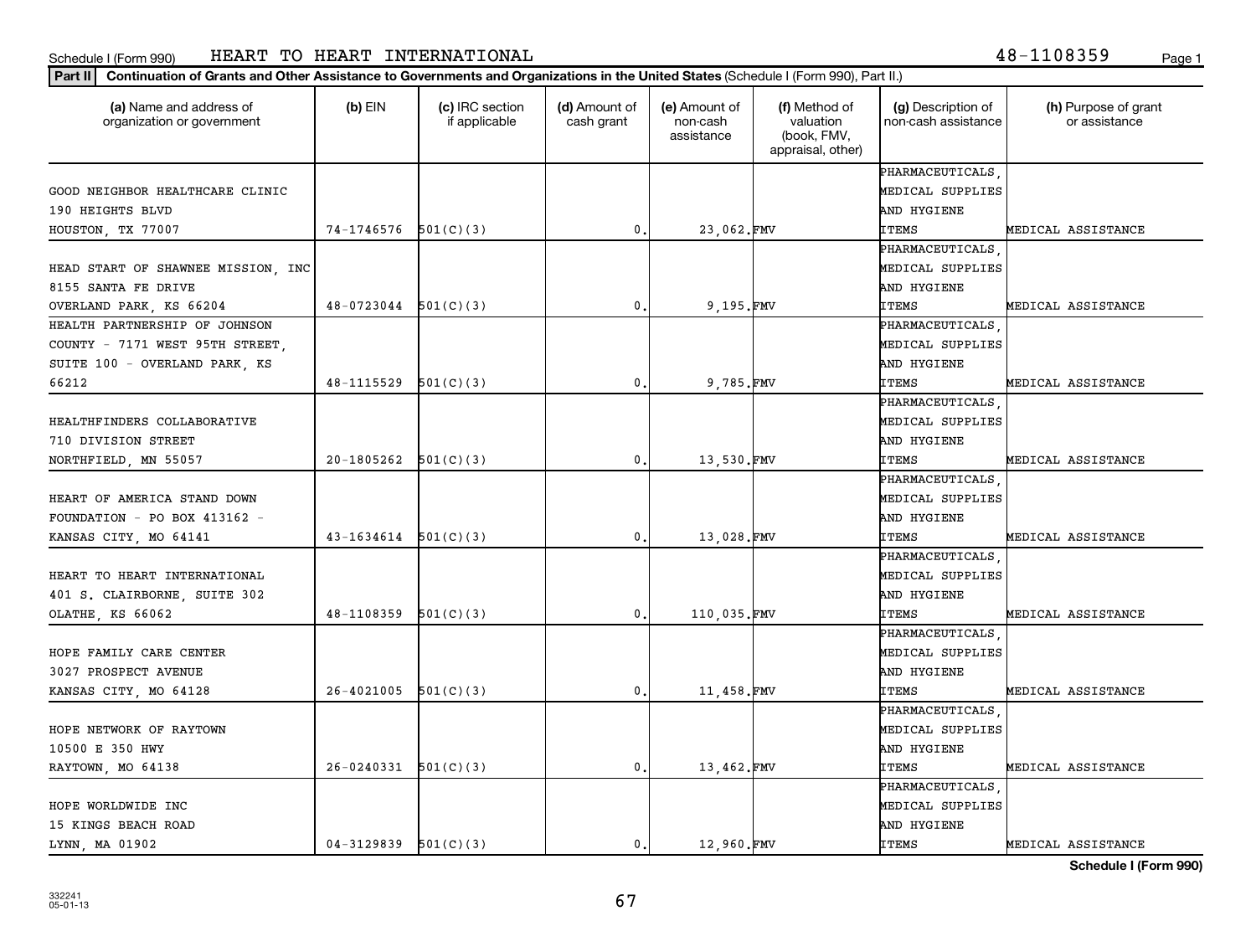#### **Part II Continuation of Grants and Other Assistance to Governments and Organizations in the United States**  (Schedule I (Form 990), Part II.)

| (a) Name and address of<br>organization or government | $(b)$ EIN                  | (c) IRC section<br>if applicable | (d) Amount of<br>cash grant | (e) Amount of<br>non-cash<br>assistance | (f) Method of<br>valuation<br>(book, FMV,<br>appraisal, other) | (g) Description of<br>non-cash assistance | (h) Purpose of grant<br>or assistance |
|-------------------------------------------------------|----------------------------|----------------------------------|-----------------------------|-----------------------------------------|----------------------------------------------------------------|-------------------------------------------|---------------------------------------|
|                                                       |                            |                                  |                             |                                         |                                                                | PHARMACEUTICALS                           |                                       |
| GOOD NEIGHBOR HEALTHCARE CLINIC                       |                            |                                  |                             |                                         |                                                                | MEDICAL SUPPLIES                          |                                       |
| 190 HEIGHTS BLVD                                      |                            |                                  |                             |                                         |                                                                | AND HYGIENE                               |                                       |
| HOUSTON, TX 77007                                     | 74-1746576                 | 501(C)(3)                        | $\mathfrak{o}$ .            | 23,062.FMV                              |                                                                | <b>ITEMS</b>                              | MEDICAL ASSISTANCE                    |
|                                                       |                            |                                  |                             |                                         |                                                                | PHARMACEUTICALS                           |                                       |
| HEAD START OF SHAWNEE MISSION, INC                    |                            |                                  |                             |                                         |                                                                | MEDICAL SUPPLIES                          |                                       |
| 8155 SANTA FE DRIVE                                   |                            |                                  |                             |                                         |                                                                | AND HYGIENE                               |                                       |
| OVERLAND PARK, KS 66204                               | $48-0723044$ $501(C)(3)$   |                                  | 0.                          | 9,195.FMV                               |                                                                | <b>ITEMS</b>                              | MEDICAL ASSISTANCE                    |
| HEALTH PARTNERSHIP OF JOHNSON                         |                            |                                  |                             |                                         |                                                                | PHARMACEUTICALS                           |                                       |
| COUNTY - 7171 WEST 95TH STREET,                       |                            |                                  |                             |                                         |                                                                | MEDICAL SUPPLIES                          |                                       |
| SUITE 100 - OVERLAND PARK, KS                         |                            |                                  |                             |                                         |                                                                | AND HYGIENE                               |                                       |
| 66212                                                 | 48-1115529                 | 501(C)(3)                        | 0.                          | 9,785.FMV                               |                                                                | <b>ITEMS</b>                              | MEDICAL ASSISTANCE                    |
|                                                       |                            |                                  |                             |                                         |                                                                | PHARMACEUTICALS                           |                                       |
| HEALTHFINDERS COLLABORATIVE                           |                            |                                  |                             |                                         |                                                                | MEDICAL SUPPLIES                          |                                       |
| 710 DIVISION STREET                                   |                            |                                  |                             |                                         |                                                                | AND HYGIENE                               |                                       |
| NORTHFIELD, MN 55057                                  | 20-1805262                 | 501(C)(3)                        | 0.                          | 13,530.FMV                              |                                                                | <b>ITEMS</b>                              | MEDICAL ASSISTANCE                    |
|                                                       |                            |                                  |                             |                                         |                                                                | PHARMACEUTICALS                           |                                       |
| HEART OF AMERICA STAND DOWN                           |                            |                                  |                             |                                         |                                                                | MEDICAL SUPPLIES                          |                                       |
| FOUNDATION - PO BOX 413162 -                          |                            |                                  |                             |                                         |                                                                | AND HYGIENE                               |                                       |
| KANSAS CITY, MO 64141                                 | $43 - 1634614$ $501(C)(3)$ |                                  | $\mathfrak{o}$ .            | 13,028.FMV                              |                                                                | <b>ITEMS</b>                              | MEDICAL ASSISTANCE                    |
|                                                       |                            |                                  |                             |                                         |                                                                | PHARMACEUTICALS                           |                                       |
| HEART TO HEART INTERNATIONAL                          |                            |                                  |                             |                                         |                                                                | MEDICAL SUPPLIES                          |                                       |
| 401 S. CLAIRBORNE, SUITE 302                          |                            |                                  |                             |                                         |                                                                | AND HYGIENE                               |                                       |
| OLATHE, KS 66062                                      | 48-1108359                 | 501(C)(3)                        | 0.                          | 110,035.FMV                             |                                                                | <b>ITEMS</b>                              | MEDICAL ASSISTANCE                    |
|                                                       |                            |                                  |                             |                                         |                                                                | PHARMACEUTICALS                           |                                       |
| HOPE FAMILY CARE CENTER                               |                            |                                  |                             |                                         |                                                                | MEDICAL SUPPLIES                          |                                       |
| 3027 PROSPECT AVENUE                                  |                            |                                  |                             |                                         |                                                                | AND HYGIENE                               |                                       |
| KANSAS CITY, MO 64128                                 | 26-4021005                 | 501(C)(3)                        | 0.                          | 11,458.FMV                              |                                                                | <b>ITEMS</b>                              | MEDICAL ASSISTANCE                    |
|                                                       |                            |                                  |                             |                                         |                                                                | PHARMACEUTICALS                           |                                       |
| HOPE NETWORK OF RAYTOWN                               |                            |                                  |                             |                                         |                                                                | MEDICAL SUPPLIES                          |                                       |
| 10500 E 350 HWY                                       |                            |                                  |                             |                                         |                                                                | AND HYGIENE                               |                                       |
| RAYTOWN, MO 64138                                     | 26-0240331                 | 501(C)(3)                        | $\mathbf 0$ .               | 13,462.FMV                              |                                                                | ITEMS                                     | MEDICAL ASSISTANCE                    |
|                                                       |                            |                                  |                             |                                         |                                                                | PHARMACEUTICALS                           |                                       |
| HOPE WORLDWIDE INC                                    |                            |                                  |                             |                                         |                                                                | MEDICAL SUPPLIES                          |                                       |
| 15 KINGS BEACH ROAD                                   |                            |                                  |                             |                                         |                                                                | AND HYGIENE                               |                                       |
| LYNN, MA 01902                                        | $04-3129839$ $501(C)(3)$   |                                  | $\mathbf{0}$ .              | 12,960.FMV                              |                                                                | <b>ITEMS</b>                              | MEDICAL ASSISTANCE                    |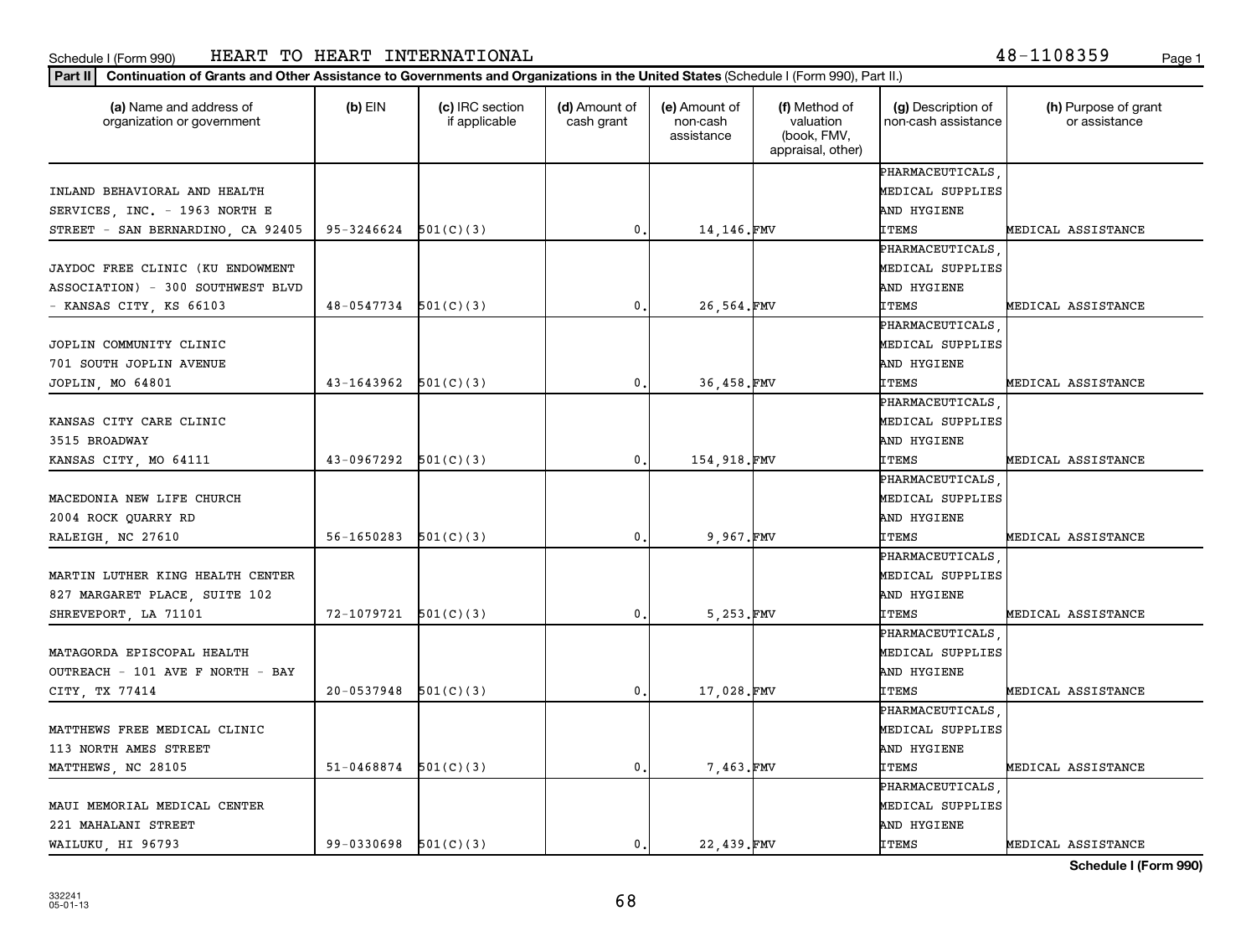#### **Part II Continuation of Grants and Other Assistance to Governments and Organizations in the United States**  (Schedule I (Form 990), Part II.)

| (a) Name and address of<br>organization or government | $(b)$ EIN                | (c) IRC section<br>if applicable | (d) Amount of<br>cash grant | (e) Amount of<br>non-cash<br>assistance | (f) Method of<br>valuation<br>(book, FMV,<br>appraisal, other) | (g) Description of<br>non-cash assistance | (h) Purpose of grant<br>or assistance |
|-------------------------------------------------------|--------------------------|----------------------------------|-----------------------------|-----------------------------------------|----------------------------------------------------------------|-------------------------------------------|---------------------------------------|
|                                                       |                          |                                  |                             |                                         |                                                                | PHARMACEUTICALS                           |                                       |
| INLAND BEHAVIORAL AND HEALTH                          |                          |                                  |                             |                                         |                                                                | MEDICAL SUPPLIES                          |                                       |
| SERVICES, INC. - 1963 NORTH E                         |                          |                                  |                             |                                         |                                                                | AND HYGIENE                               |                                       |
| STREET - SAN BERNARDINO, CA 92405                     | 95-3246624               | 501(C)(3)                        | 0.                          | 14,146.FMV                              |                                                                | ITEMS                                     | MEDICAL ASSISTANCE                    |
|                                                       |                          |                                  |                             |                                         |                                                                | PHARMACEUTICALS                           |                                       |
| JAYDOC FREE CLINIC (KU ENDOWMENT                      |                          |                                  |                             |                                         |                                                                | MEDICAL SUPPLIES                          |                                       |
| ASSOCIATION) - 300 SOUTHWEST BLVD                     |                          |                                  |                             |                                         |                                                                | AND HYGIENE                               |                                       |
| - KANSAS CITY, KS 66103                               | $48-0547734$ $501(C)(3)$ |                                  | 0.                          | 26,564.FMV                              |                                                                | ITEMS                                     | MEDICAL ASSISTANCE                    |
|                                                       |                          |                                  |                             |                                         |                                                                | PHARMACEUTICALS                           |                                       |
| JOPLIN COMMUNITY CLINIC                               |                          |                                  |                             |                                         |                                                                | MEDICAL SUPPLIES                          |                                       |
| 701 SOUTH JOPLIN AVENUE                               |                          |                                  |                             |                                         |                                                                | AND HYGIENE                               |                                       |
| JOPLIN, MO 64801                                      | $43-1643962$ $501(C)(3)$ |                                  | $\mathbf{0}$ .              | 36,458.FMV                              |                                                                | <b>ITEMS</b>                              | MEDICAL ASSISTANCE                    |
|                                                       |                          |                                  |                             |                                         |                                                                | PHARMACEUTICALS                           |                                       |
| KANSAS CITY CARE CLINIC                               |                          |                                  |                             |                                         |                                                                | MEDICAL SUPPLIES                          |                                       |
| 3515 BROADWAY                                         |                          |                                  |                             |                                         |                                                                | AND HYGIENE                               |                                       |
| KANSAS CITY, MO 64111                                 | $43-0967292$ $501(C)(3)$ |                                  | 0.                          | 154,918.FMV                             |                                                                | ITEMS                                     | MEDICAL ASSISTANCE                    |
|                                                       |                          |                                  |                             |                                         |                                                                | PHARMACEUTICALS                           |                                       |
| MACEDONIA NEW LIFE CHURCH                             |                          |                                  |                             |                                         |                                                                | MEDICAL SUPPLIES                          |                                       |
| 2004 ROCK QUARRY RD                                   |                          |                                  |                             |                                         |                                                                | AND HYGIENE                               |                                       |
| RALEIGH, NC 27610                                     | $56 - 1650283$           | 501(C)(3)                        | $\mathfrak{o}$ .            | 9,967.FMV                               |                                                                | ITEMS                                     | MEDICAL ASSISTANCE                    |
|                                                       |                          |                                  |                             |                                         |                                                                | PHARMACEUTICALS                           |                                       |
| MARTIN LUTHER KING HEALTH CENTER                      |                          |                                  |                             |                                         |                                                                | MEDICAL SUPPLIES                          |                                       |
| 827 MARGARET PLACE, SUITE 102                         |                          |                                  |                             |                                         |                                                                | AND HYGIENE                               |                                       |
| SHREVEPORT, LA 71101                                  | $72-1079721$ $501(C)(3)$ |                                  | 0.                          | 5,253.FMV                               |                                                                | <b>ITEMS</b>                              | MEDICAL ASSISTANCE                    |
|                                                       |                          |                                  |                             |                                         |                                                                | PHARMACEUTICALS                           |                                       |
| MATAGORDA EPISCOPAL HEALTH                            |                          |                                  |                             |                                         |                                                                | MEDICAL SUPPLIES                          |                                       |
| OUTREACH - 101 AVE F NORTH - BAY                      |                          |                                  |                             |                                         |                                                                | AND HYGIENE                               |                                       |
| CITY, TX 77414                                        | $20-0537948$ $501(C)(3)$ |                                  | 0.                          | 17,028.FMV                              |                                                                | <b>ITEMS</b>                              | MEDICAL ASSISTANCE                    |
|                                                       |                          |                                  |                             |                                         |                                                                | PHARMACEUTICALS                           |                                       |
| MATTHEWS FREE MEDICAL CLINIC                          |                          |                                  |                             |                                         |                                                                | MEDICAL SUPPLIES                          |                                       |
| 113 NORTH AMES STREET                                 |                          |                                  |                             |                                         |                                                                | AND HYGIENE                               |                                       |
| MATTHEWS, NC 28105                                    | $51 - 0468874$           | 501(C)(3)                        | 0.                          | 7,463.FMV                               |                                                                | ITEMS                                     | MEDICAL ASSISTANCE                    |
|                                                       |                          |                                  |                             |                                         |                                                                | PHARMACEUTICALS                           |                                       |
| MAUI MEMORIAL MEDICAL CENTER                          |                          |                                  |                             |                                         |                                                                | MEDICAL SUPPLIES                          |                                       |
| 221 MAHALANI STREET                                   |                          |                                  |                             |                                         |                                                                | AND HYGIENE                               |                                       |
| WAILUKU, HI 96793                                     | $99-0330698$ $501(C)(3)$ |                                  | 0.                          | 22,439.FMV                              |                                                                | ITEMS                                     | MEDICAL ASSISTANCE                    |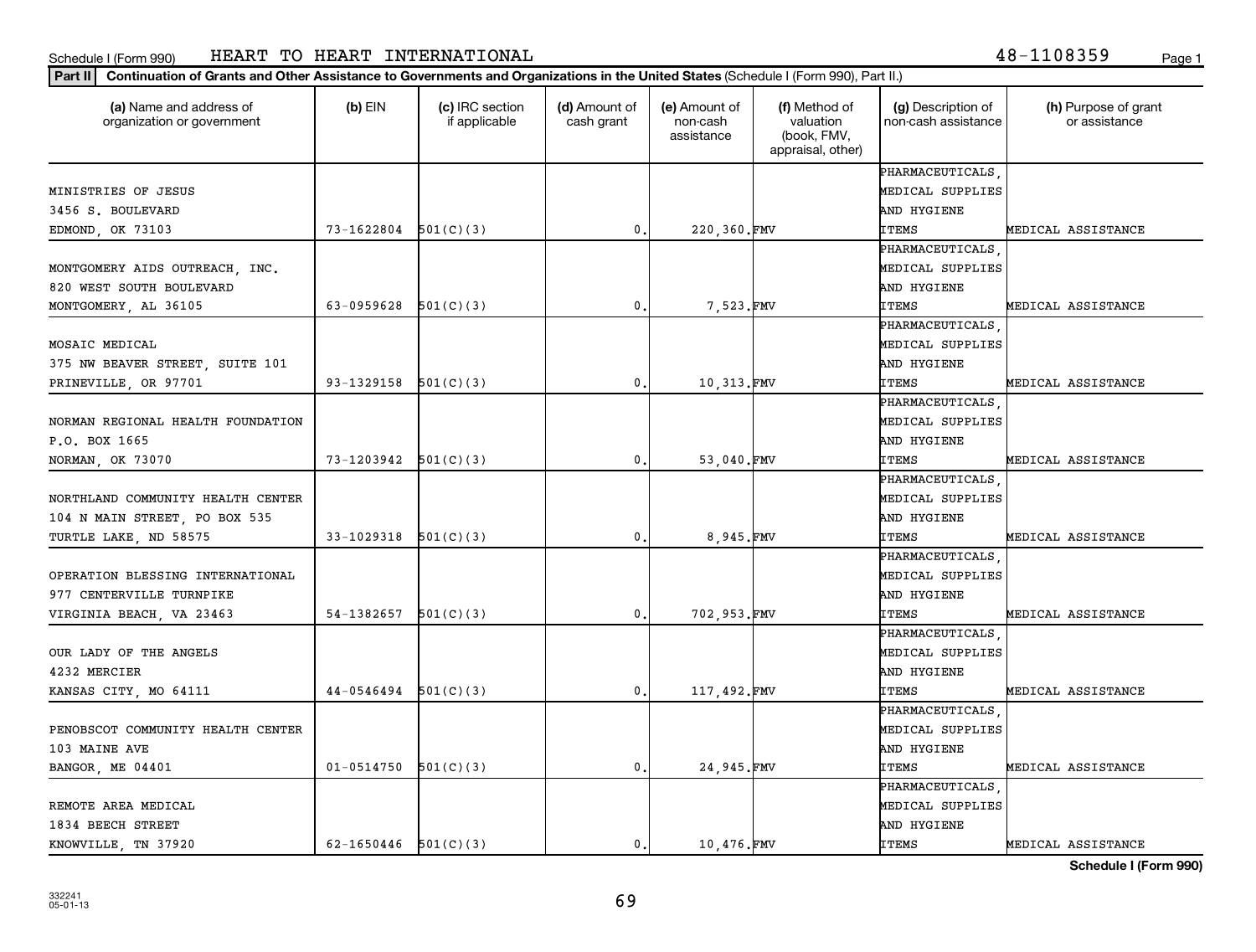**Part II Continuation of Grants and Other Assistance to Governments and Organizations in the United States**  (Schedule I (Form 990), Part II.)

| (a) Name and address of<br>organization or government | $(b)$ EIN                | (c) IRC section<br>if applicable | (d) Amount of<br>cash grant | (e) Amount of<br>non-cash<br>assistance | (f) Method of<br>valuation<br>(book, FMV,<br>appraisal, other) | (g) Description of<br>non-cash assistance | (h) Purpose of grant<br>or assistance |
|-------------------------------------------------------|--------------------------|----------------------------------|-----------------------------|-----------------------------------------|----------------------------------------------------------------|-------------------------------------------|---------------------------------------|
|                                                       |                          |                                  |                             |                                         |                                                                | PHARMACEUTICALS                           |                                       |
| MINISTRIES OF JESUS                                   |                          |                                  |                             |                                         |                                                                | MEDICAL SUPPLIES                          |                                       |
| 3456 S. BOULEVARD                                     |                          |                                  |                             |                                         |                                                                | AND HYGIENE                               |                                       |
| EDMOND, OK 73103                                      | 73-1622804               | 501(C)(3)                        | $^{\rm 0}$ .                | 220,360.FMV                             |                                                                | <b>ITEMS</b>                              | MEDICAL ASSISTANCE                    |
|                                                       |                          |                                  |                             |                                         |                                                                | PHARMACEUTICALS                           |                                       |
| MONTGOMERY AIDS OUTREACH, INC.                        |                          |                                  |                             |                                         |                                                                | MEDICAL SUPPLIES                          |                                       |
| 820 WEST SOUTH BOULEVARD                              |                          |                                  |                             |                                         |                                                                | AND HYGIENE                               |                                       |
| MONTGOMERY, AL 36105                                  | 63-0959628               | 501(C)(3)                        | 0.                          | 7,523.FMV                               |                                                                | <b>ITEMS</b>                              | MEDICAL ASSISTANCE                    |
|                                                       |                          |                                  |                             |                                         |                                                                | PHARMACEUTICALS                           |                                       |
| MOSAIC MEDICAL                                        |                          |                                  |                             |                                         |                                                                | MEDICAL SUPPLIES                          |                                       |
| 375 NW BEAVER STREET, SUITE 101                       |                          |                                  |                             |                                         |                                                                | AND HYGIENE                               |                                       |
| PRINEVILLE, OR 97701                                  | 93-1329158 $501(C)(3)$   |                                  | 0.                          | 10,313.FMV                              |                                                                | <b>ITEMS</b>                              | MEDICAL ASSISTANCE                    |
|                                                       |                          |                                  |                             |                                         |                                                                | PHARMACEUTICALS                           |                                       |
| NORMAN REGIONAL HEALTH FOUNDATION                     |                          |                                  |                             |                                         |                                                                | MEDICAL SUPPLIES                          |                                       |
| P.O. BOX 1665                                         |                          |                                  |                             |                                         |                                                                | AND HYGIENE                               |                                       |
| NORMAN, OK 73070                                      | $73-1203942$ $501(C)(3)$ |                                  | 0.                          | 53,040.FMV                              |                                                                | <b>ITEMS</b>                              | MEDICAL ASSISTANCE                    |
|                                                       |                          |                                  |                             |                                         |                                                                | PHARMACEUTICALS                           |                                       |
| NORTHLAND COMMUNITY HEALTH CENTER                     |                          |                                  |                             |                                         |                                                                | MEDICAL SUPPLIES                          |                                       |
| 104 N MAIN STREET, PO BOX 535                         |                          |                                  |                             |                                         |                                                                | AND HYGIENE                               |                                       |
| TURTLE LAKE, ND 58575                                 | 33-1029318               | 501(C)(3)                        | 0.                          | 8,945.FMV                               |                                                                | <b>ITEMS</b>                              | MEDICAL ASSISTANCE                    |
|                                                       |                          |                                  |                             |                                         |                                                                | PHARMACEUTICALS                           |                                       |
| OPERATION BLESSING INTERNATIONAL                      |                          |                                  |                             |                                         |                                                                | MEDICAL SUPPLIES                          |                                       |
| 977 CENTERVILLE TURNPIKE                              |                          |                                  |                             |                                         |                                                                | AND HYGIENE                               |                                       |
| VIRGINIA BEACH, VA 23463                              | 54-1382657               | 501(C)(3)                        | 0.                          | 702,953.FMV                             |                                                                | <b>ITEMS</b>                              | MEDICAL ASSISTANCE                    |
|                                                       |                          |                                  |                             |                                         |                                                                | PHARMACEUTICALS                           |                                       |
| OUR LADY OF THE ANGELS                                |                          |                                  |                             |                                         |                                                                | MEDICAL SUPPLIES                          |                                       |
| 4232 MERCIER                                          |                          |                                  |                             |                                         |                                                                | AND HYGIENE                               |                                       |
| KANSAS CITY, MO 64111                                 | $44-0546494$ $501(C)(3)$ |                                  | $\mathbf{0}$ .              | 117,492.FMV                             |                                                                | <b>ITEMS</b>                              | MEDICAL ASSISTANCE                    |
|                                                       |                          |                                  |                             |                                         |                                                                | PHARMACEUTICALS                           |                                       |
| PENOBSCOT COMMUNITY HEALTH CENTER                     |                          |                                  |                             |                                         |                                                                | MEDICAL SUPPLIES                          |                                       |
| 103 MAINE AVE                                         |                          |                                  |                             |                                         |                                                                | AND HYGIENE                               |                                       |
| BANGOR, ME 04401                                      | 01-0514750               | 501(C)(3)                        | 0.                          | 24,945.FMV                              |                                                                | <b>ITEMS</b>                              | MEDICAL ASSISTANCE                    |
|                                                       |                          |                                  |                             |                                         |                                                                | PHARMACEUTICALS                           |                                       |
| REMOTE AREA MEDICAL                                   |                          |                                  |                             |                                         |                                                                | MEDICAL SUPPLIES                          |                                       |
| 1834 BEECH STREET                                     |                          |                                  |                             |                                         |                                                                | AND HYGIENE                               |                                       |
| KNOWVILLE, TN 37920                                   | $62-1650446$ $501(C)(3)$ |                                  | $\mathbf{0}$ .              | 10,476.FMV                              |                                                                | <b>ITEMS</b>                              | MEDICAL ASSISTANCE                    |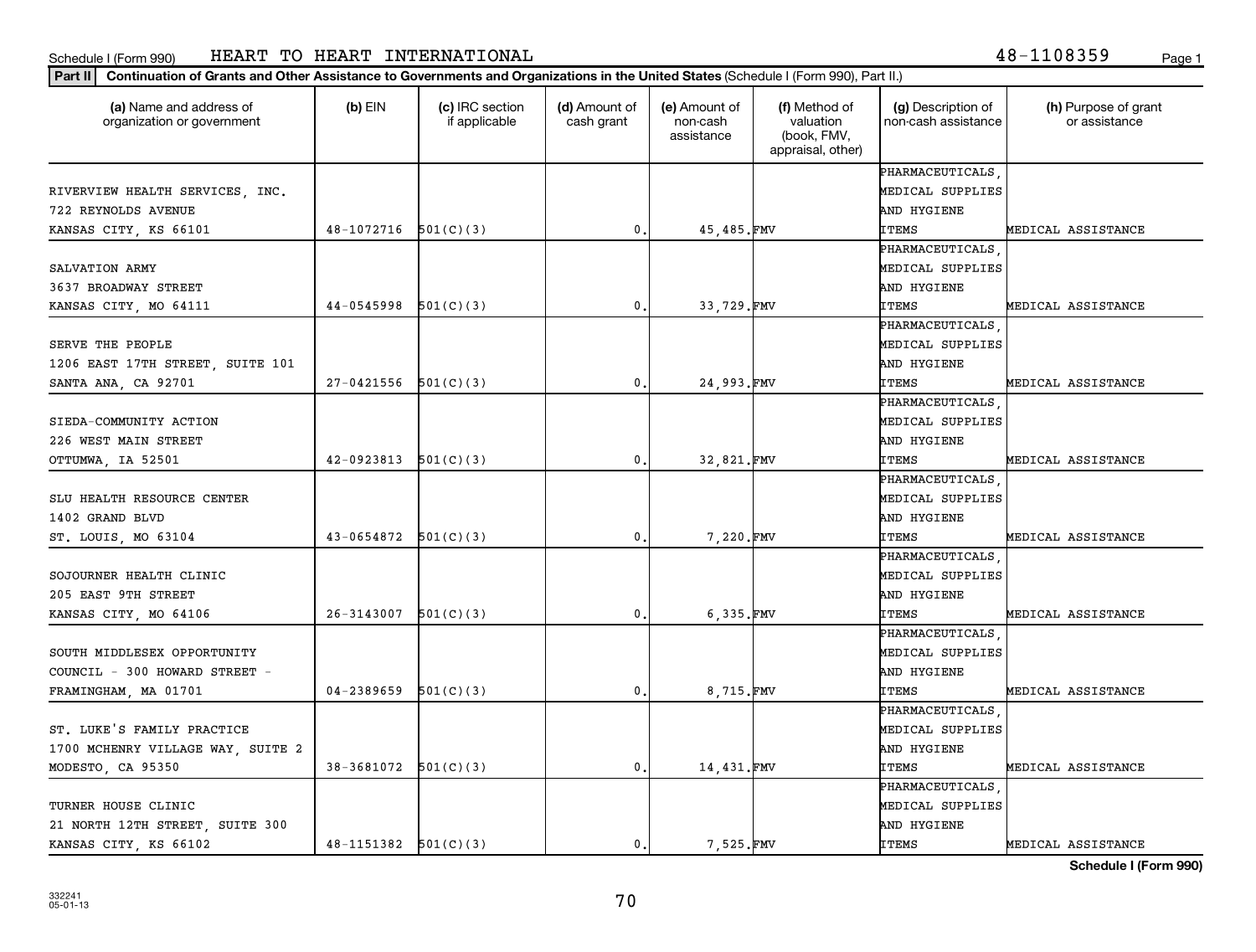**Part II Continuation of Grants and Other Assistance to Governments and Organizations in the United States**  (Schedule I (Form 990), Part II.)

| (a) Name and address of<br>organization or government | $(b)$ EIN                | (c) IRC section<br>if applicable | (d) Amount of<br>cash grant | (e) Amount of<br>non-cash<br>assistance | (f) Method of<br>valuation<br>(book, FMV,<br>appraisal, other) | (g) Description of<br>non-cash assistance | (h) Purpose of grant<br>or assistance |
|-------------------------------------------------------|--------------------------|----------------------------------|-----------------------------|-----------------------------------------|----------------------------------------------------------------|-------------------------------------------|---------------------------------------|
|                                                       |                          |                                  |                             |                                         |                                                                | PHARMACEUTICALS                           |                                       |
| RIVERVIEW HEALTH SERVICES, INC.                       |                          |                                  |                             |                                         |                                                                | MEDICAL SUPPLIES                          |                                       |
| 722 REYNOLDS AVENUE                                   |                          |                                  |                             |                                         |                                                                | AND HYGIENE                               |                                       |
| KANSAS CITY, KS 66101                                 | $48-1072716$ $501(C)(3)$ |                                  | $\mathfrak{o}$ .            | 45,485.FMV                              |                                                                | ITEMS                                     | MEDICAL ASSISTANCE                    |
|                                                       |                          |                                  |                             |                                         |                                                                | PHARMACEUTICALS                           |                                       |
| SALVATION ARMY                                        |                          |                                  |                             |                                         |                                                                | MEDICAL SUPPLIES                          |                                       |
| 3637 BROADWAY STREET                                  |                          |                                  |                             |                                         |                                                                | AND HYGIENE                               |                                       |
| KANSAS CITY, MO 64111                                 | $44-0545998$ $501(C)(3)$ |                                  | 0.                          | 33,729.FMV                              |                                                                | ITEMS                                     | MEDICAL ASSISTANCE                    |
|                                                       |                          |                                  |                             |                                         |                                                                | PHARMACEUTICALS                           |                                       |
| SERVE THE PEOPLE                                      |                          |                                  |                             |                                         |                                                                | MEDICAL SUPPLIES                          |                                       |
| 1206 EAST 17TH STREET, SUITE 101                      |                          |                                  |                             |                                         |                                                                | AND HYGIENE                               |                                       |
| SANTA ANA, CA 92701                                   | $27-0421556$ $501(C)(3)$ |                                  | 0.                          | 24,993.FMV                              |                                                                | <b>ITEMS</b>                              | MEDICAL ASSISTANCE                    |
|                                                       |                          |                                  |                             |                                         |                                                                | PHARMACEUTICALS                           |                                       |
| SIEDA-COMMUNITY ACTION                                |                          |                                  |                             |                                         |                                                                | MEDICAL SUPPLIES                          |                                       |
| 226 WEST MAIN STREET                                  |                          |                                  |                             |                                         |                                                                | AND HYGIENE                               |                                       |
| OTTUMWA, IA 52501                                     | 42-0923813               | 501(C)(3)                        | 0.                          | 32,821.FMV                              |                                                                | <b>ITEMS</b>                              | MEDICAL ASSISTANCE                    |
|                                                       |                          |                                  |                             |                                         |                                                                | PHARMACEUTICALS                           |                                       |
| SLU HEALTH RESOURCE CENTER                            |                          |                                  |                             |                                         |                                                                | MEDICAL SUPPLIES                          |                                       |
| 1402 GRAND BLVD                                       |                          |                                  |                             |                                         |                                                                | AND HYGIENE                               |                                       |
| ST. LOUIS, MO 63104                                   | $43-0654872$ $501(C)(3)$ |                                  | $\mathbf 0$ .               | 7,220.FMV                               |                                                                | <b>ITEMS</b>                              | MEDICAL ASSISTANCE                    |
|                                                       |                          |                                  |                             |                                         |                                                                | PHARMACEUTICALS                           |                                       |
| SOJOURNER HEALTH CLINIC                               |                          |                                  |                             |                                         |                                                                | MEDICAL SUPPLIES                          |                                       |
| 205 EAST 9TH STREET                                   |                          |                                  |                             |                                         |                                                                | AND HYGIENE                               |                                       |
| KANSAS CITY, MO 64106                                 | 26-3143007               | 501(C)(3)                        | 0.                          | 6,335.FMV                               |                                                                | <b>ITEMS</b>                              | MEDICAL ASSISTANCE                    |
|                                                       |                          |                                  |                             |                                         |                                                                | PHARMACEUTICALS                           |                                       |
| SOUTH MIDDLESEX OPPORTUNITY                           |                          |                                  |                             |                                         |                                                                | MEDICAL SUPPLIES                          |                                       |
| COUNCIL - 300 HOWARD STREET -                         |                          |                                  |                             |                                         |                                                                | AND HYGIENE                               |                                       |
| FRAMINGHAM, MA 01701                                  | 04-2389659               | 501(C)(3)                        | 0.                          | 8,715.FMV                               |                                                                | <b>ITEMS</b>                              | MEDICAL ASSISTANCE                    |
|                                                       |                          |                                  |                             |                                         |                                                                | PHARMACEUTICALS                           |                                       |
| ST. LUKE'S FAMILY PRACTICE                            |                          |                                  |                             |                                         |                                                                | MEDICAL SUPPLIES                          |                                       |
| 1700 MCHENRY VILLAGE WAY, SUITE 2                     |                          |                                  |                             |                                         |                                                                | AND HYGIENE                               |                                       |
| MODESTO, CA 95350                                     | 38-3681072               | 501(C)(3)                        | 0.                          | 14,431.FMV                              |                                                                | ITEMS                                     | MEDICAL ASSISTANCE                    |
|                                                       |                          |                                  |                             |                                         |                                                                | PHARMACEUTICALS                           |                                       |
| TURNER HOUSE CLINIC                                   |                          |                                  |                             |                                         |                                                                | MEDICAL SUPPLIES                          |                                       |
| 21 NORTH 12TH STREET, SUITE 300                       |                          |                                  |                             |                                         |                                                                | AND HYGIENE                               |                                       |
| KANSAS CITY, KS 66102                                 | $48-1151382$ $501(C)(3)$ |                                  | $\mathbf{0}$ .              | 7 525.FMV                               |                                                                | <b>ITEMS</b>                              | MEDICAL ASSISTANCE                    |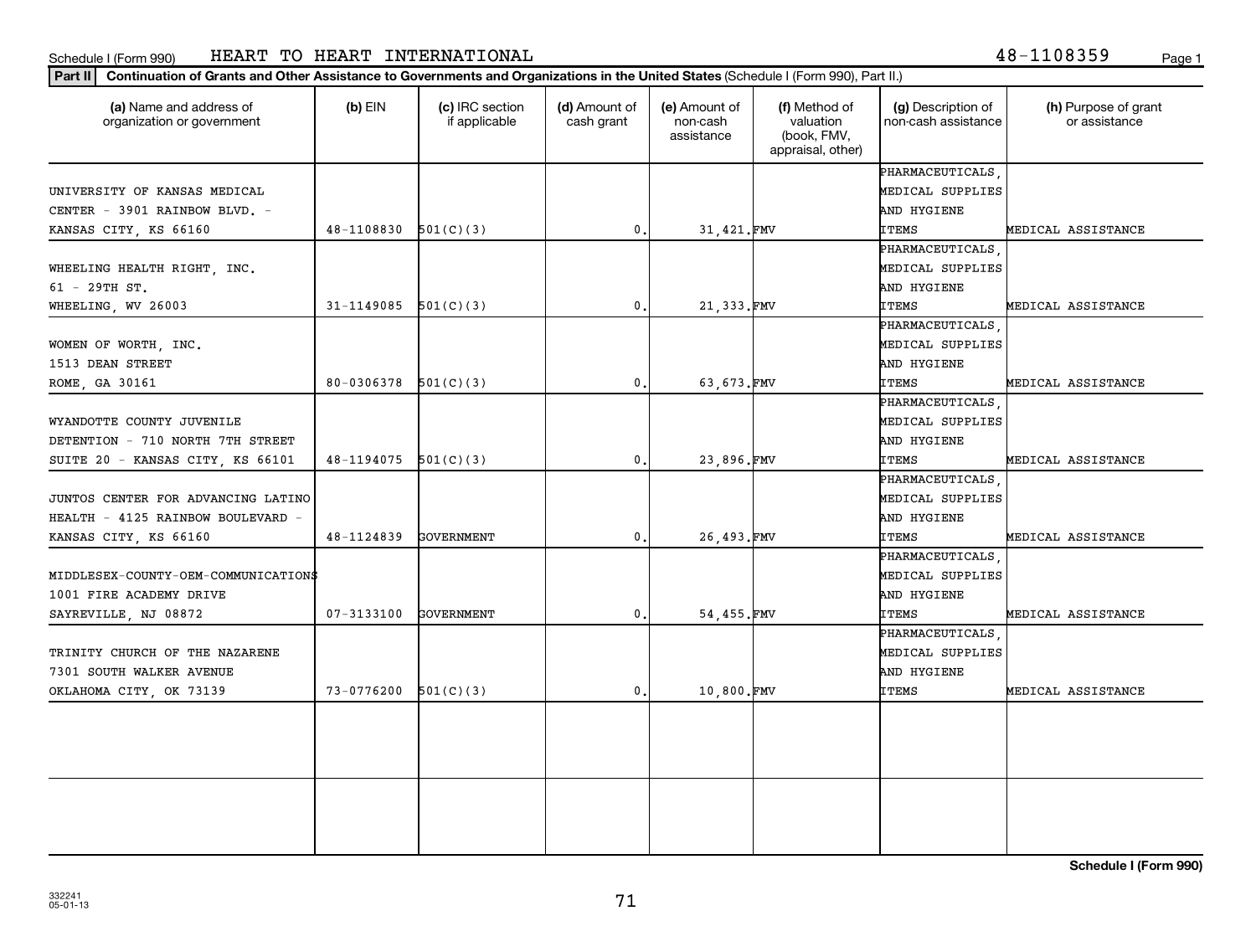#### **Part II Continuation of Grants and Other Assistance to Governments and Organizations in the United States**  (Schedule I (Form 990), Part II.)

| (a) Name and address of<br>organization or government | $(b)$ EIN  | (c) IRC section<br>if applicable | (d) Amount of<br>cash grant | (e) Amount of<br>non-cash<br>assistance | (f) Method of<br>valuation<br>(book, FMV,<br>appraisal, other) | (g) Description of<br>non-cash assistance | (h) Purpose of grant<br>or assistance |
|-------------------------------------------------------|------------|----------------------------------|-----------------------------|-----------------------------------------|----------------------------------------------------------------|-------------------------------------------|---------------------------------------|
|                                                       |            |                                  |                             |                                         |                                                                | PHARMACEUTICALS                           |                                       |
| UNIVERSITY OF KANSAS MEDICAL                          |            |                                  |                             |                                         |                                                                | MEDICAL SUPPLIES                          |                                       |
| CENTER - 3901 RAINBOW BLVD. -                         |            |                                  |                             |                                         |                                                                | AND HYGIENE                               |                                       |
| KANSAS CITY, KS 66160                                 | 48-1108830 | 501(C)(3)                        | $\mathbf{0}$ .              | 31,421.FMV                              |                                                                | <b>ITEMS</b>                              | MEDICAL ASSISTANCE                    |
|                                                       |            |                                  |                             |                                         |                                                                | PHARMACEUTICALS                           |                                       |
| WHEELING HEALTH RIGHT, INC.                           |            |                                  |                             |                                         |                                                                | MEDICAL SUPPLIES                          |                                       |
| $61 - 29TH ST$ .                                      |            |                                  |                             |                                         |                                                                | AND HYGIENE                               |                                       |
| WHEELING, WV 26003                                    | 31-1149085 | 501(C)(3)                        | 0.                          | 21,333.FMV                              |                                                                | ITEMS                                     | MEDICAL ASSISTANCE                    |
|                                                       |            |                                  |                             |                                         |                                                                | PHARMACEUTICALS                           |                                       |
| WOMEN OF WORTH, INC.                                  |            |                                  |                             |                                         |                                                                | MEDICAL SUPPLIES                          |                                       |
| 1513 DEAN STREET                                      |            |                                  |                             |                                         |                                                                | AND HYGIENE                               |                                       |
| ROME, GA 30161                                        | 80-0306378 | 501(C)(3)                        | 0.                          | 63,673.FMV                              |                                                                | ITEMS                                     | MEDICAL ASSISTANCE                    |
|                                                       |            |                                  |                             |                                         |                                                                | PHARMACEUTICALS                           |                                       |
| WYANDOTTE COUNTY JUVENILE                             |            |                                  |                             |                                         |                                                                | MEDICAL SUPPLIES                          |                                       |
| DETENTION - 710 NORTH 7TH STREET                      |            |                                  |                             |                                         |                                                                | AND HYGIENE                               |                                       |
| SUITE 20 - KANSAS CITY, KS 66101                      | 48-1194075 | 501(C)(3)                        | 0.                          | 23,896.FMV                              |                                                                | ITEMS                                     | MEDICAL ASSISTANCE                    |
|                                                       |            |                                  |                             |                                         |                                                                | PHARMACEUTICALS                           |                                       |
| JUNTOS CENTER FOR ADVANCING LATINO                    |            |                                  |                             |                                         |                                                                | MEDICAL SUPPLIES                          |                                       |
| HEALTH - 4125 RAINBOW BOULEVARD -                     |            |                                  |                             |                                         |                                                                | AND HYGIENE                               |                                       |
| KANSAS CITY, KS 66160                                 | 48-1124839 | <b>GOVERNMENT</b>                | $\mathbf{0}$ .              | 26,493.FMV                              |                                                                | <b>ITEMS</b>                              | MEDICAL ASSISTANCE                    |
|                                                       |            |                                  |                             |                                         |                                                                | PHARMACEUTICALS                           |                                       |
| MIDDLESEX-COUNTY-OEM-COMMUNICATION\$                  |            |                                  |                             |                                         |                                                                | MEDICAL SUPPLIES                          |                                       |
| 1001 FIRE ACADEMY DRIVE                               |            |                                  |                             |                                         |                                                                | AND HYGIENE                               |                                       |
| SAYREVILLE, NJ 08872                                  | 07-3133100 | GOVERNMENT                       | 0.                          | 54,455.FMV                              |                                                                | <b>ITEMS</b>                              | MEDICAL ASSISTANCE                    |
|                                                       |            |                                  |                             |                                         |                                                                | PHARMACEUTICALS                           |                                       |
| TRINITY CHURCH OF THE NAZARENE                        |            |                                  |                             |                                         |                                                                | MEDICAL SUPPLIES                          |                                       |
| 7301 SOUTH WALKER AVENUE                              |            |                                  |                             |                                         |                                                                | AND HYGIENE                               |                                       |
| OKLAHOMA CITY, OK 73139                               | 73-0776200 | 501(C)(3)                        | $\mathbf{0}$ .              | 10,800.FMV                              |                                                                | <b>ITEMS</b>                              | MEDICAL ASSISTANCE                    |
|                                                       |            |                                  |                             |                                         |                                                                |                                           |                                       |
|                                                       |            |                                  |                             |                                         |                                                                |                                           |                                       |
|                                                       |            |                                  |                             |                                         |                                                                |                                           |                                       |
|                                                       |            |                                  |                             |                                         |                                                                |                                           |                                       |
|                                                       |            |                                  |                             |                                         |                                                                |                                           |                                       |
|                                                       |            |                                  |                             |                                         |                                                                |                                           |                                       |
|                                                       |            |                                  |                             |                                         |                                                                |                                           |                                       |
|                                                       |            |                                  |                             |                                         |                                                                |                                           |                                       |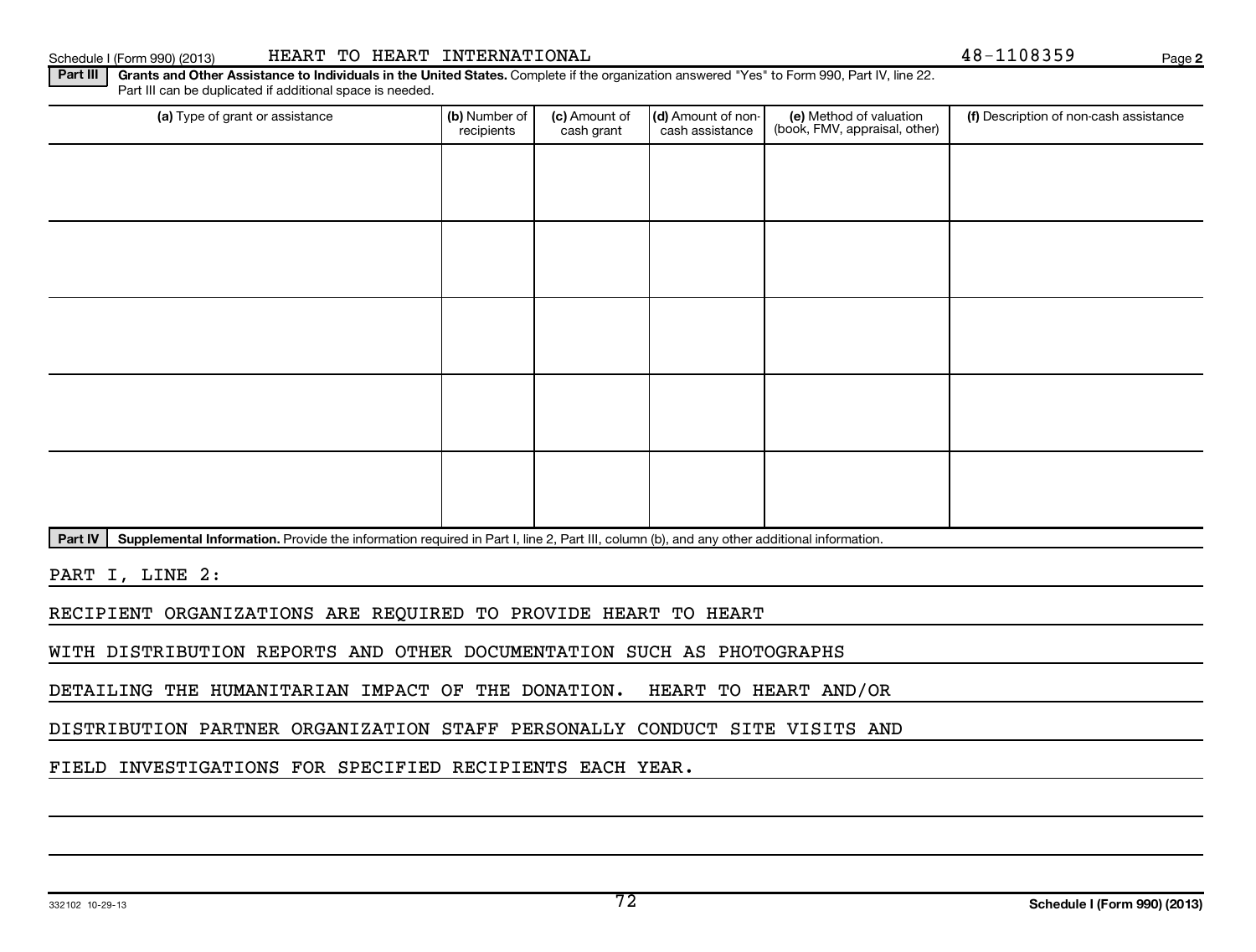Schedule I (Form 990) (2013) HEART TO HEART INTERNATIONAL Page

**2**

Part III | Grants and Other Assistance to Individuals in the United States. Complete if the organization answered "Yes" to Form 990, Part IV, line 22. Part III can be duplicated if additional space is needed.

| (a) Type of grant or assistance | (b) Number of<br>recipients | (c) Amount of<br>cash grant | (d) Amount of non-<br>cash assistance | (e) Method of valuation<br>(book, FMV, appraisal, other) | (f) Description of non-cash assistance |
|---------------------------------|-----------------------------|-----------------------------|---------------------------------------|----------------------------------------------------------|----------------------------------------|
|                                 |                             |                             |                                       |                                                          |                                        |
|                                 |                             |                             |                                       |                                                          |                                        |
|                                 |                             |                             |                                       |                                                          |                                        |
|                                 |                             |                             |                                       |                                                          |                                        |
|                                 |                             |                             |                                       |                                                          |                                        |
|                                 |                             |                             |                                       |                                                          |                                        |
|                                 |                             |                             |                                       |                                                          |                                        |
|                                 |                             |                             |                                       |                                                          |                                        |
|                                 |                             |                             |                                       |                                                          |                                        |
|                                 |                             |                             |                                       |                                                          |                                        |

Part IV | Supplemental Information. Provide the information required in Part I, line 2, Part III, column (b), and any other additional information.

PART I, LINE 2:

RECIPIENT ORGANIZATIONS ARE REQUIRED TO PROVIDE HEART TO HEART

WITH DISTRIBUTION REPORTS AND OTHER DOCUMENTATION SUCH AS PHOTOGRAPHS

DETAILING THE HUMANITARIAN IMPACT OF THE DONATION. HEART TO HEART AND/OR

DISTRIBUTION PARTNER ORGANIZATION STAFF PERSONALLY CONDUCT SITE VISITS AND

FIELD INVESTIGATIONS FOR SPECIFIED RECIPIENTS EACH YEAR.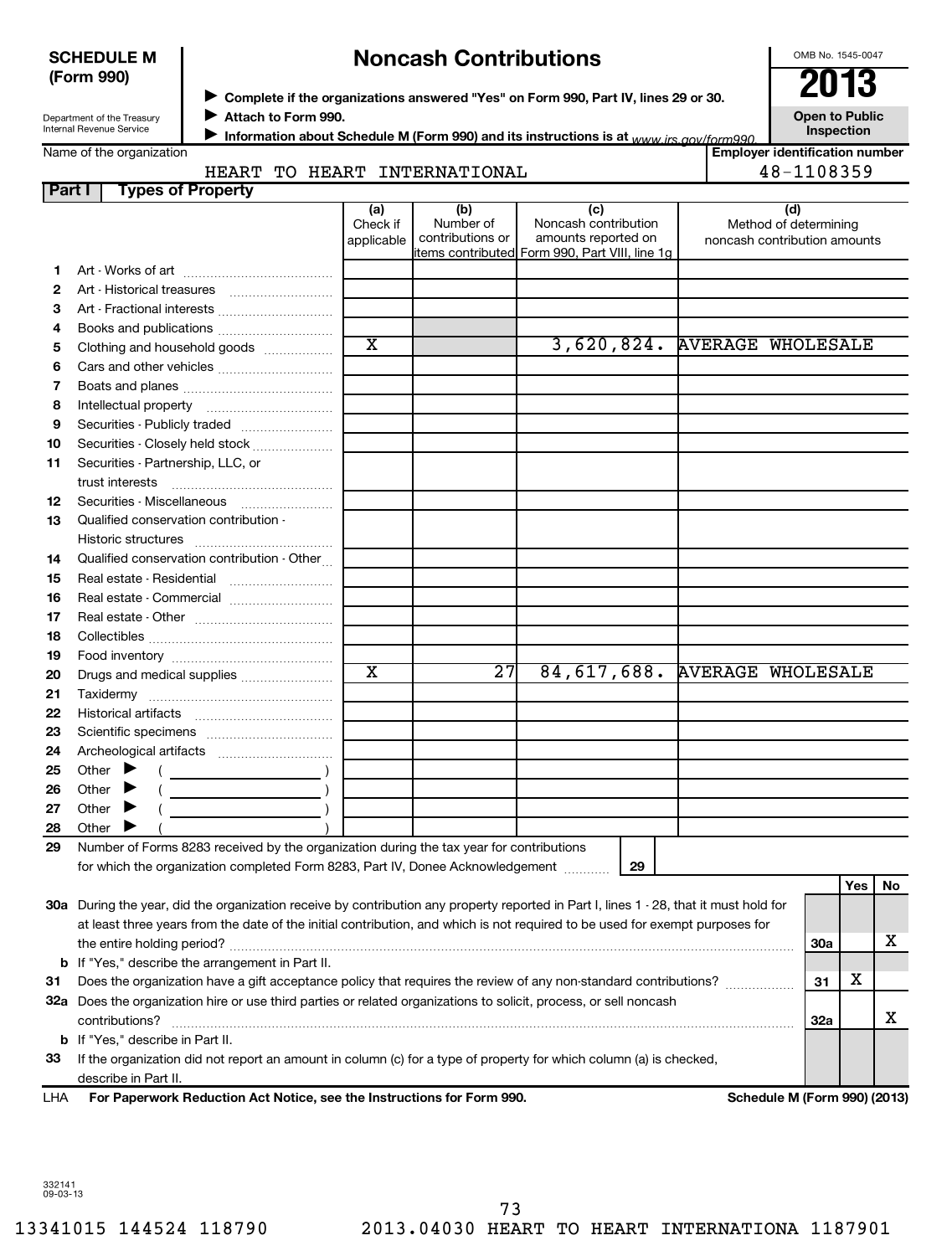## **SCHEDULE M (Form 990)**

# ◆ Complete if the organizations answered "Yes" on Form 990, Part IV, lines 29 or 30.<br>▶ Complete if the organizations answered "Yes" on Form 990, Part IV, lines 29 or 30. **Noncash Contributions**

OMB No. 1545-0047

| Open to Public    |  |
|-------------------|--|
| <b>Inspection</b> |  |

**Employer identification number**

Department of the Treasury Internal Revenue Service

**Attach to Form 990.** J

**Information about Schedule M (Form 990) and its instructions is at www irs gov/form990.** 

Name of the organization

# HEART TO HEART INTERNATIONAL **18-1108359**

| Part I | <b>Types of Property</b>                                                                                                               |                               |                                      |                                                                                                       |                                                              |            |     |    |
|--------|----------------------------------------------------------------------------------------------------------------------------------------|-------------------------------|--------------------------------------|-------------------------------------------------------------------------------------------------------|--------------------------------------------------------------|------------|-----|----|
|        |                                                                                                                                        | (a)<br>Check if<br>applicable | (b)<br>Number of<br>contributions or | (c)<br>Noncash contribution<br>amounts reported on<br>litems contributed Form 990, Part VIII, line 1g | (d)<br>Method of determining<br>noncash contribution amounts |            |     |    |
| 1.     |                                                                                                                                        |                               |                                      |                                                                                                       |                                                              |            |     |    |
| 2      |                                                                                                                                        |                               |                                      |                                                                                                       |                                                              |            |     |    |
| З      | Art - Fractional interests                                                                                                             |                               |                                      |                                                                                                       |                                                              |            |     |    |
| 4      |                                                                                                                                        |                               |                                      |                                                                                                       |                                                              |            |     |    |
| 5      | Clothing and household goods                                                                                                           | $\overline{\textbf{x}}$       |                                      |                                                                                                       | 3,620,824. AVERAGE WHOLESALE                                 |            |     |    |
| 6      |                                                                                                                                        |                               |                                      |                                                                                                       |                                                              |            |     |    |
| 7      |                                                                                                                                        |                               |                                      |                                                                                                       |                                                              |            |     |    |
| 8      |                                                                                                                                        |                               |                                      |                                                                                                       |                                                              |            |     |    |
| 9      | Securities - Publicly traded                                                                                                           |                               |                                      |                                                                                                       |                                                              |            |     |    |
| 10     | Securities - Closely held stock                                                                                                        |                               |                                      |                                                                                                       |                                                              |            |     |    |
| 11     | Securities - Partnership, LLC, or                                                                                                      |                               |                                      |                                                                                                       |                                                              |            |     |    |
|        |                                                                                                                                        |                               |                                      |                                                                                                       |                                                              |            |     |    |
| 12     |                                                                                                                                        |                               |                                      |                                                                                                       |                                                              |            |     |    |
| 13     | Qualified conservation contribution -                                                                                                  |                               |                                      |                                                                                                       |                                                              |            |     |    |
|        |                                                                                                                                        |                               |                                      |                                                                                                       |                                                              |            |     |    |
| 14     | Qualified conservation contribution - Other                                                                                            |                               |                                      |                                                                                                       |                                                              |            |     |    |
| 15     |                                                                                                                                        |                               |                                      |                                                                                                       |                                                              |            |     |    |
| 16     | Real estate - Commercial                                                                                                               |                               |                                      |                                                                                                       |                                                              |            |     |    |
| 17     |                                                                                                                                        |                               |                                      |                                                                                                       |                                                              |            |     |    |
| 18     |                                                                                                                                        |                               |                                      |                                                                                                       |                                                              |            |     |    |
| 19     |                                                                                                                                        |                               |                                      |                                                                                                       |                                                              |            |     |    |
| 20     | Drugs and medical supplies                                                                                                             | $\overline{\texttt{x}}$       | $\overline{27}$                      | 84,617,688.                                                                                           | <b>AVERAGE WHOLESALE</b>                                     |            |     |    |
| 21     |                                                                                                                                        |                               |                                      |                                                                                                       |                                                              |            |     |    |
| 22     |                                                                                                                                        |                               |                                      |                                                                                                       |                                                              |            |     |    |
| 23     |                                                                                                                                        |                               |                                      |                                                                                                       |                                                              |            |     |    |
| 24     |                                                                                                                                        |                               |                                      |                                                                                                       |                                                              |            |     |    |
| 25     | Other $\blacktriangleright$                                                                                                            |                               |                                      |                                                                                                       |                                                              |            |     |    |
| 26     | Other                                                                                                                                  |                               |                                      |                                                                                                       |                                                              |            |     |    |
| 27     | Other                                                                                                                                  |                               |                                      |                                                                                                       |                                                              |            |     |    |
| 28     | Other $\blacktriangleright$                                                                                                            |                               |                                      |                                                                                                       |                                                              |            |     |    |
| 29     | Number of Forms 8283 received by the organization during the tax year for contributions                                                |                               |                                      |                                                                                                       |                                                              |            |     |    |
|        | for which the organization completed Form 8283, Part IV, Donee Acknowledgement                                                         |                               |                                      | 29                                                                                                    |                                                              |            |     |    |
|        |                                                                                                                                        |                               |                                      |                                                                                                       |                                                              |            | Yes | No |
|        | 30a During the year, did the organization receive by contribution any property reported in Part I, lines 1 - 28, that it must hold for |                               |                                      |                                                                                                       |                                                              |            |     |    |
|        | at least three years from the date of the initial contribution, and which is not required to be used for exempt purposes for           |                               |                                      |                                                                                                       |                                                              |            |     |    |
|        |                                                                                                                                        |                               |                                      |                                                                                                       |                                                              | <b>30a</b> |     | x  |
|        | <b>b</b> If "Yes," describe the arrangement in Part II.                                                                                |                               |                                      |                                                                                                       |                                                              |            |     |    |
| 31     | Does the organization have a gift acceptance policy that requires the review of any non-standard contributions?                        |                               |                                      |                                                                                                       |                                                              | 31         | х   |    |
|        | 32a Does the organization hire or use third parties or related organizations to solicit, process, or sell noncash                      |                               |                                      |                                                                                                       |                                                              |            |     |    |
|        | contributions?                                                                                                                         |                               |                                      |                                                                                                       |                                                              | 32a        |     | x  |
|        | <b>b</b> If "Yes," describe in Part II.                                                                                                |                               |                                      |                                                                                                       |                                                              |            |     |    |
| 33     | If the organization did not report an amount in column (c) for a type of property for which column (a) is checked,                     |                               |                                      |                                                                                                       |                                                              |            |     |    |
|        | describe in Part II.                                                                                                                   |                               |                                      |                                                                                                       |                                                              |            |     |    |

**For Paperwork Reduction Act Notice, see the Instructions for Form 990. Schedule M (Form 990) (2013)** LHA

332141 09-03-13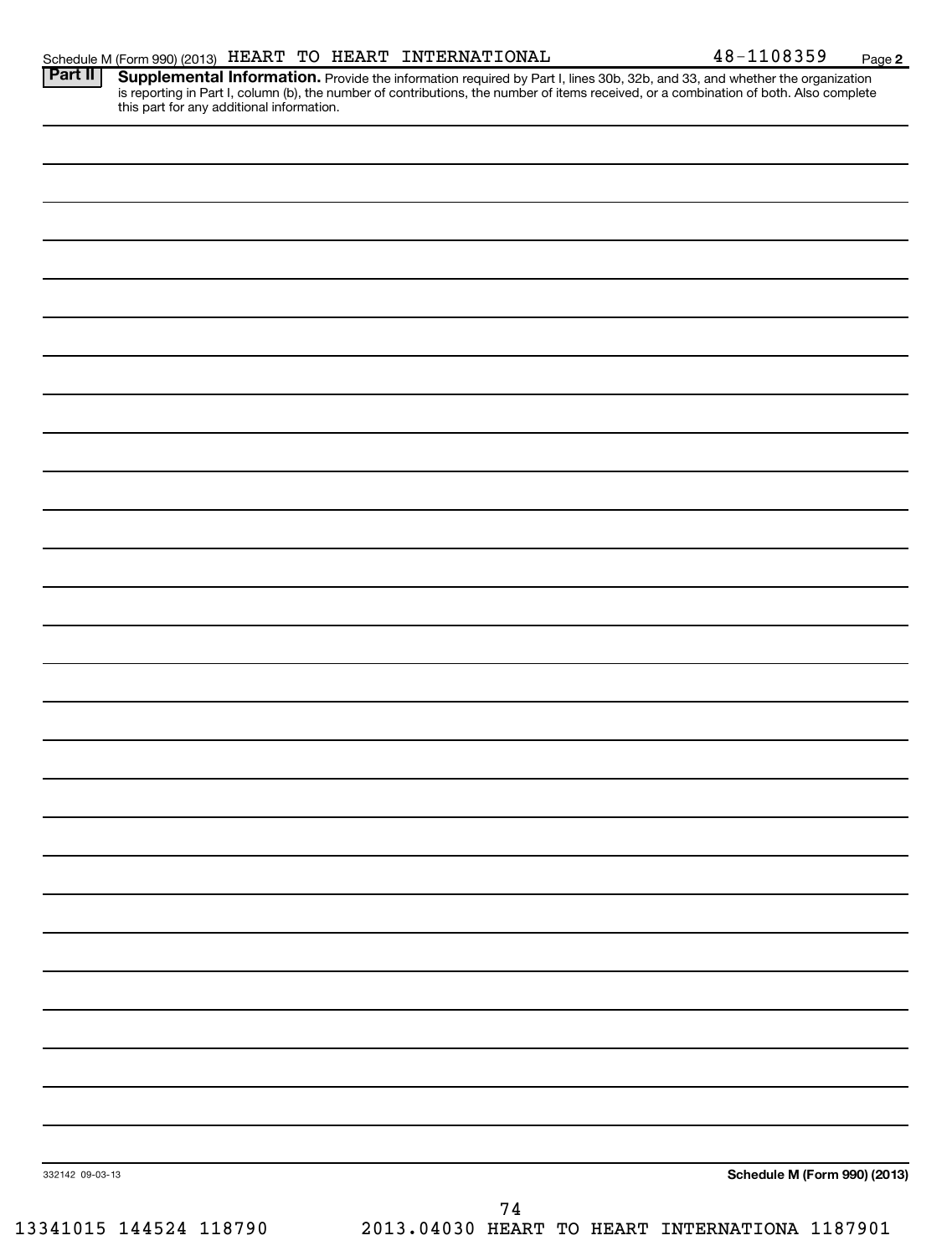|                 | Schedule M (Form 990) (2013) HEART TO HEART INTERNATIONAL                                                                                                                                                                                                                        | 48-1108359<br>Page 2         |
|-----------------|----------------------------------------------------------------------------------------------------------------------------------------------------------------------------------------------------------------------------------------------------------------------------------|------------------------------|
| Part II         | <b>Supplemental Information.</b> Provide the information required by Part I, lines 30b, 32b, and 33, and whether the organization is reporting in Part I, column (b), the number of contributions, the number of items received, or<br>this part for any additional information. |                              |
|                 |                                                                                                                                                                                                                                                                                  |                              |
|                 |                                                                                                                                                                                                                                                                                  |                              |
|                 |                                                                                                                                                                                                                                                                                  |                              |
|                 |                                                                                                                                                                                                                                                                                  |                              |
|                 |                                                                                                                                                                                                                                                                                  |                              |
|                 |                                                                                                                                                                                                                                                                                  |                              |
|                 |                                                                                                                                                                                                                                                                                  |                              |
|                 |                                                                                                                                                                                                                                                                                  |                              |
|                 |                                                                                                                                                                                                                                                                                  |                              |
|                 |                                                                                                                                                                                                                                                                                  |                              |
|                 |                                                                                                                                                                                                                                                                                  |                              |
|                 |                                                                                                                                                                                                                                                                                  |                              |
|                 |                                                                                                                                                                                                                                                                                  |                              |
|                 |                                                                                                                                                                                                                                                                                  |                              |
|                 |                                                                                                                                                                                                                                                                                  |                              |
|                 |                                                                                                                                                                                                                                                                                  |                              |
|                 |                                                                                                                                                                                                                                                                                  |                              |
|                 |                                                                                                                                                                                                                                                                                  |                              |
|                 |                                                                                                                                                                                                                                                                                  |                              |
|                 |                                                                                                                                                                                                                                                                                  |                              |
|                 |                                                                                                                                                                                                                                                                                  |                              |
|                 |                                                                                                                                                                                                                                                                                  |                              |
|                 |                                                                                                                                                                                                                                                                                  |                              |
|                 |                                                                                                                                                                                                                                                                                  |                              |
|                 |                                                                                                                                                                                                                                                                                  |                              |
|                 |                                                                                                                                                                                                                                                                                  |                              |
|                 |                                                                                                                                                                                                                                                                                  |                              |
|                 |                                                                                                                                                                                                                                                                                  |                              |
|                 |                                                                                                                                                                                                                                                                                  |                              |
|                 |                                                                                                                                                                                                                                                                                  |                              |
| 332142 09-03-13 |                                                                                                                                                                                                                                                                                  | Schedule M (Form 990) (2013) |
|                 | 74                                                                                                                                                                                                                                                                               |                              |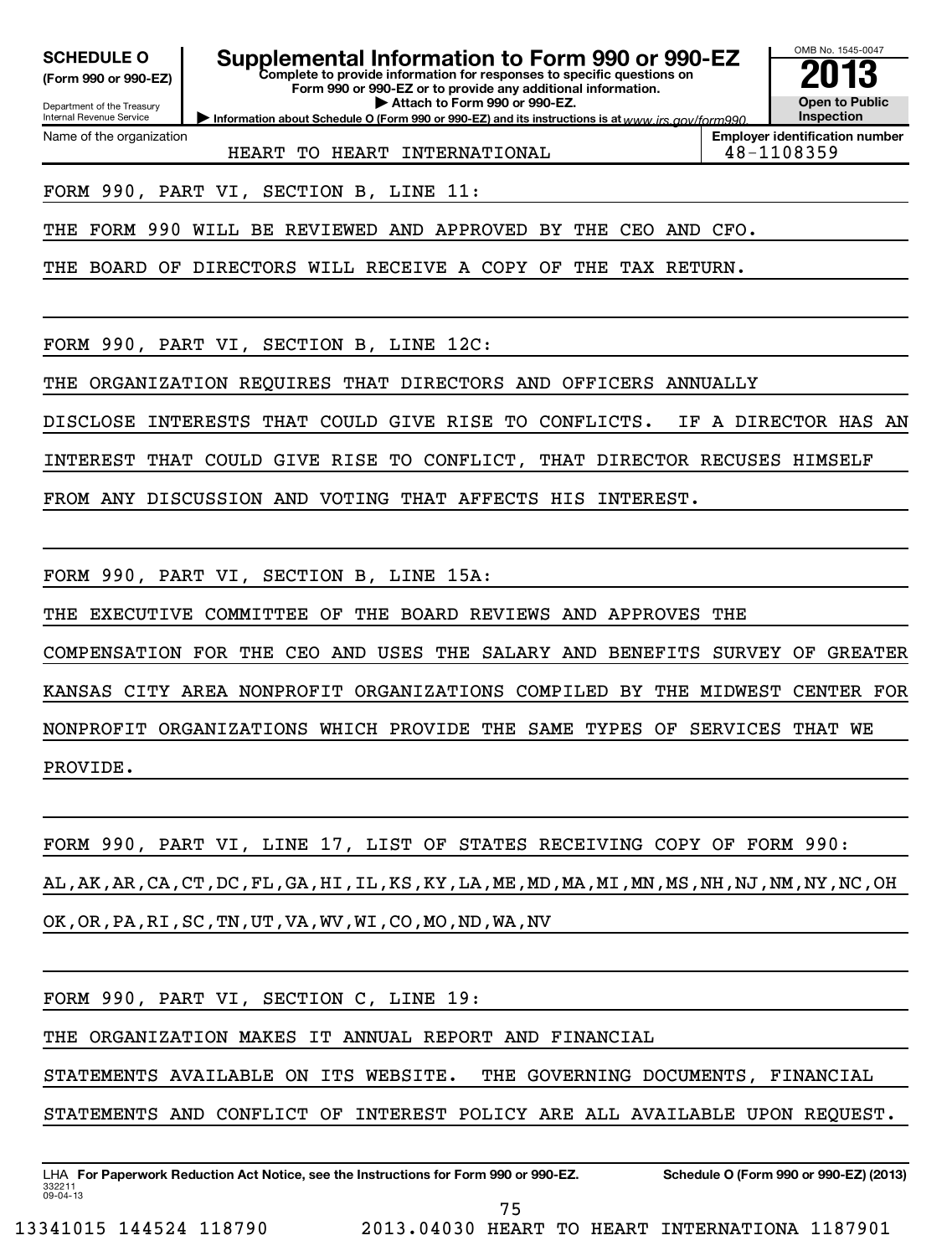**(Form 990 or 990-EZ)**

#### **Complete to provide information for responses to specific questions on SCHEDULE O Supplemental Information to Form 990 or 990-EZ 2013**

**Form 990 or 990-EZ or to provide any additional information. Open to Public**

**Information about Schedule O (Form 990 or 990-EZ) and its instructions is at www.irs.gov/form990. | Attach to Form 990 or 990-EZ.**

Department of the Treasury Internal Revenue Service Name of the organization

HEART TO HEART INTERNATIONAL **18-1108359** 

**Employer identification number**

OMB No. 1545-0047

**Inspection**

FORM 990, PART VI, SECTION B, LINE 11:

THE FORM 990 WILL BE REVIEWED AND APPROVED BY THE CEO AND CFO.

THE BOARD OF DIRECTORS WILL RECEIVE A COPY OF THE TAX RETURN.

FORM 990, PART VI, SECTION B, LINE 12C:

THE ORGANIZATION REQUIRES THAT DIRECTORS AND OFFICERS ANNUALLY

DISCLOSE INTERESTS THAT COULD GIVE RISE TO CONFLICTS. IF A DIRECTOR HAS AN

INTEREST THAT COULD GIVE RISE TO CONFLICT, THAT DIRECTOR RECUSES HIMSELF

FROM ANY DISCUSSION AND VOTING THAT AFFECTS HIS INTEREST.

FORM 990, PART VI, SECTION B, LINE 15A:

THE EXECUTIVE COMMITTEE OF THE BOARD REVIEWS AND APPROVES THE

COMPENSATION FOR THE CEO AND USES THE SALARY AND BENEFITS SURVEY OF GREATER KANSAS CITY AREA NONPROFIT ORGANIZATIONS COMPILED BY THE MIDWEST CENTER FOR NONPROFIT ORGANIZATIONS WHICH PROVIDE THE SAME TYPES OF SERVICES THAT WE PROVIDE.

FORM 990, PART VI, LINE 17, LIST OF STATES RECEIVING COPY OF FORM 990: AL,AK,AR,CA,CT,DC,FL,GA,HI,IL,KS,KY,LA,ME,MD,MA,MI,MN,MS,NH,NJ,NM,NY,NC,OH

OK,OR,PA,RI,SC,TN,UT,VA,WV,WI,CO,MO,ND,WA,NV

FORM 990, PART VI, SECTION C, LINE 19:

THE ORGANIZATION MAKES IT ANNUAL REPORT AND FINANCIAL

STATEMENTS AVAILABLE ON ITS WEBSITE. THE GOVERNING DOCUMENTS, FINANCIAL

STATEMENTS AND CONFLICT OF INTEREST POLICY ARE ALL AVAILABLE UPON REQUEST.

332211 09-04-13 LHA For Paperwork Reduction Act Notice, see the Instructions for Form 990 or 990-EZ. Schedule O (Form 990 or 990-EZ) (2013) 75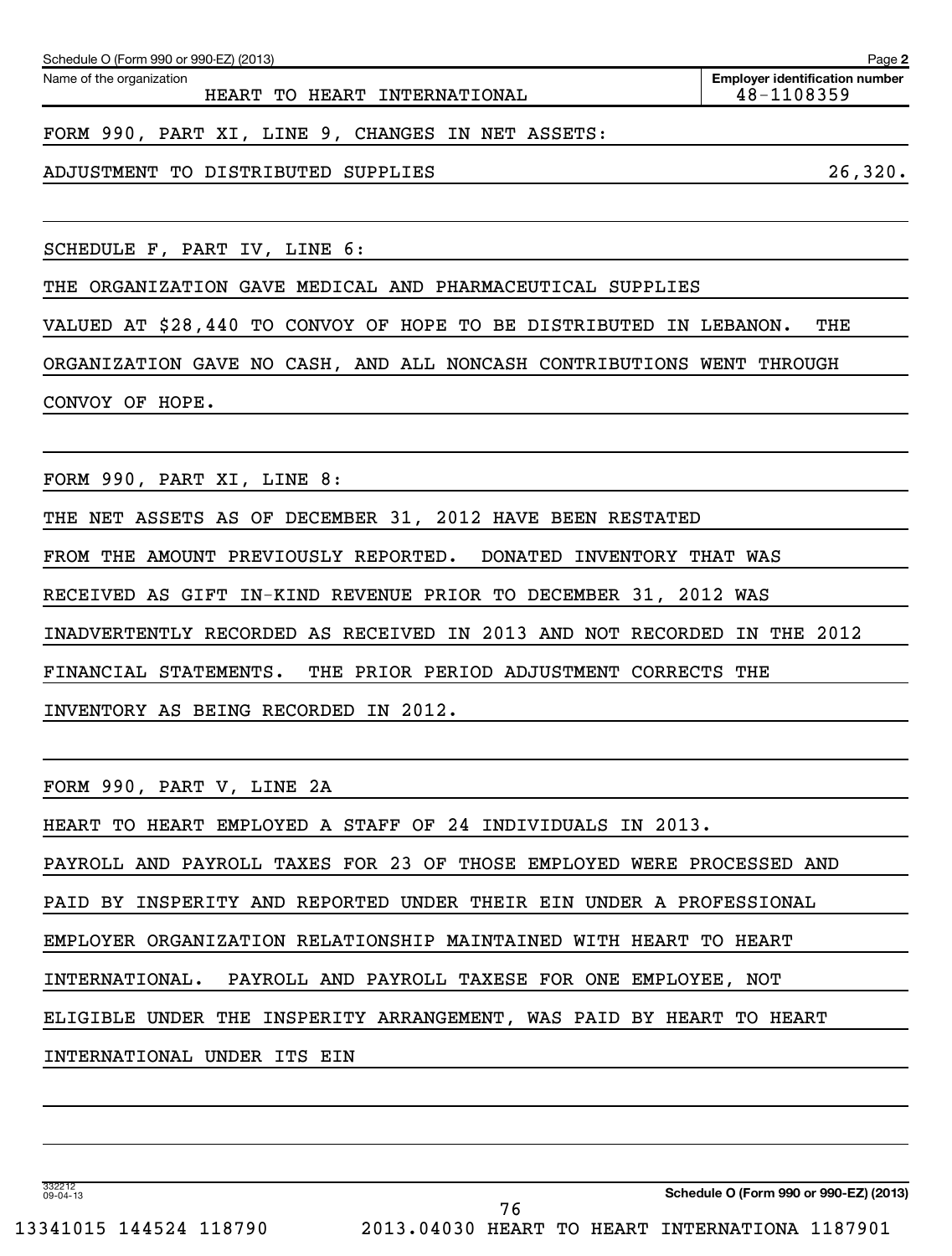| Schedule O (Form 990 or 990-EZ) (2013)                       | Page 2                                              |
|--------------------------------------------------------------|-----------------------------------------------------|
| Name of the organization<br>HEART TO HEART INTERNATIONAL     | <b>Employer identification number</b><br>48-1108359 |
|                                                              |                                                     |
| FORM 990, PART XI, LINE 9, CHANGES IN NET ASSETS:            |                                                     |
| DISTRIBUTED<br>ADJUSTMENT TO<br>SUPPLIES                     | 26,320.                                             |
|                                                              |                                                     |
| SCHEDULE F, PART IV, LINE 6:                                 |                                                     |
| THE ORGANIZATION GAVE MEDICAL AND PHARMACEUTICAL SUPPLIES    |                                                     |
| VALUED AT \$28,440 TO CONVOY OF HOPE TO BE DISTRIBUTED<br>IN | THE<br>LEBANON.                                     |

CONVOY OF HOPE.

FORM 990, PART XI, LINE 8:

THE NET ASSETS AS OF DECEMBER 31, 2012 HAVE BEEN RESTATED

FROM THE AMOUNT PREVIOUSLY REPORTED. DONATED INVENTORY THAT WAS

RECEIVED AS GIFT IN-KIND REVENUE PRIOR TO DECEMBER 31, 2012 WAS

INADVERTENTLY RECORDED AS RECEIVED IN 2013 AND NOT RECORDED IN THE 2012

FINANCIAL STATEMENTS. THE PRIOR PERIOD ADJUSTMENT CORRECTS THE

INVENTORY AS BEING RECORDED IN 2012.

FORM 990, PART V, LINE 2A

HEART TO HEART EMPLOYED A STAFF OF 24 INDIVIDUALS IN 2013.

PAYROLL AND PAYROLL TAXES FOR 23 OF THOSE EMPLOYED WERE PROCESSED AND

PAID BY INSPERITY AND REPORTED UNDER THEIR EIN UNDER A PROFESSIONAL

EMPLOYER ORGANIZATION RELATIONSHIP MAINTAINED WITH HEART TO HEART

INTERNATIONAL. PAYROLL AND PAYROLL TAXESE FOR ONE EMPLOYEE, NOT

ELIGIBLE UNDER THE INSPERITY ARRANGEMENT, WAS PAID BY HEART TO HEART

76

INTERNATIONAL UNDER ITS EIN

**Schedule O (Form 990 or 990-EZ) (2013)**

332212 09-04-13

13341015 144524 118790 2013.04030 HEART TO HEART INTERNATIONA 1187901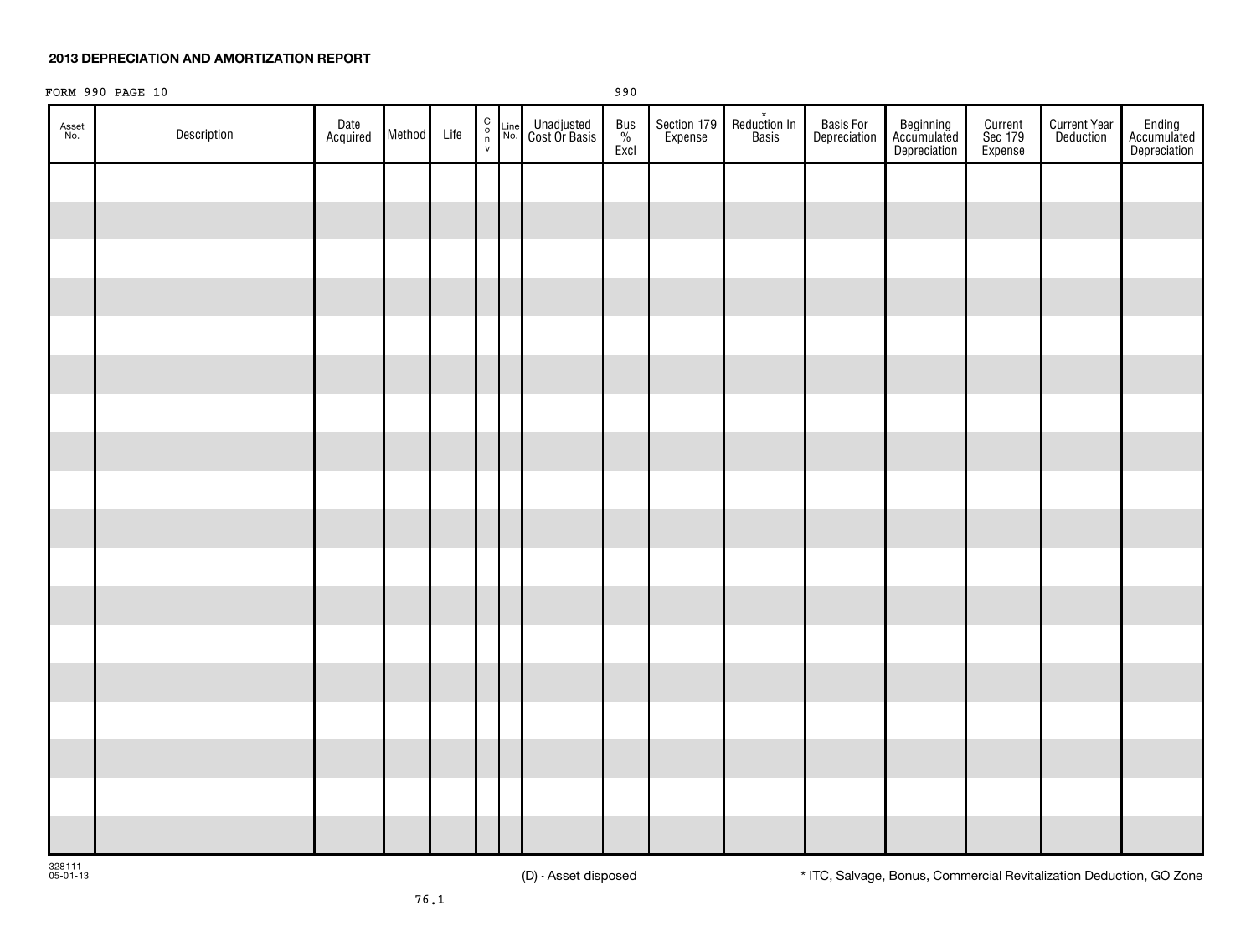### **2013 DEPRECIATION AND AMORTIZATION REPORT**

|              | FORM 990 PAGE 10 |                  |             |  |                                                         |                             | 990              |                        |                       |                           |                                          |                               |                                  |                                       |
|--------------|------------------|------------------|-------------|--|---------------------------------------------------------|-----------------------------|------------------|------------------------|-----------------------|---------------------------|------------------------------------------|-------------------------------|----------------------------------|---------------------------------------|
| Asset<br>No. | Description      | Date<br>Acquired | Method Life |  | $\begin{array}{c} C \\ O \\ \eta \\ V \end{array}$ Line | Unadjusted<br>Cost Or Basis | Bus<br>%<br>Excl | Section 179<br>Expense | Reduction In<br>Basis | Basis For<br>Depreciation | Beginning<br>Accumulated<br>Depreciation | Current<br>Sec 179<br>Expense | <b>Current Year</b><br>Deduction | Ending<br>Accumulated<br>Depreciation |
|              |                  |                  |             |  |                                                         |                             |                  |                        |                       |                           |                                          |                               |                                  |                                       |
|              |                  |                  |             |  |                                                         |                             |                  |                        |                       |                           |                                          |                               |                                  |                                       |
|              |                  |                  |             |  |                                                         |                             |                  |                        |                       |                           |                                          |                               |                                  |                                       |
|              |                  |                  |             |  |                                                         |                             |                  |                        |                       |                           |                                          |                               |                                  |                                       |
|              |                  |                  |             |  |                                                         |                             |                  |                        |                       |                           |                                          |                               |                                  |                                       |
|              |                  |                  |             |  |                                                         |                             |                  |                        |                       |                           |                                          |                               |                                  |                                       |
|              |                  |                  |             |  |                                                         |                             |                  |                        |                       |                           |                                          |                               |                                  |                                       |
|              |                  |                  |             |  |                                                         |                             |                  |                        |                       |                           |                                          |                               |                                  |                                       |
|              |                  |                  |             |  |                                                         |                             |                  |                        |                       |                           |                                          |                               |                                  |                                       |
|              |                  |                  |             |  |                                                         |                             |                  |                        |                       |                           |                                          |                               |                                  |                                       |
|              |                  |                  |             |  |                                                         |                             |                  |                        |                       |                           |                                          |                               |                                  |                                       |
|              |                  |                  |             |  |                                                         |                             |                  |                        |                       |                           |                                          |                               |                                  |                                       |
|              |                  |                  |             |  |                                                         |                             |                  |                        |                       |                           |                                          |                               |                                  |                                       |
|              |                  |                  |             |  |                                                         |                             |                  |                        |                       |                           |                                          |                               |                                  |                                       |
|              |                  |                  |             |  |                                                         |                             |                  |                        |                       |                           |                                          |                               |                                  |                                       |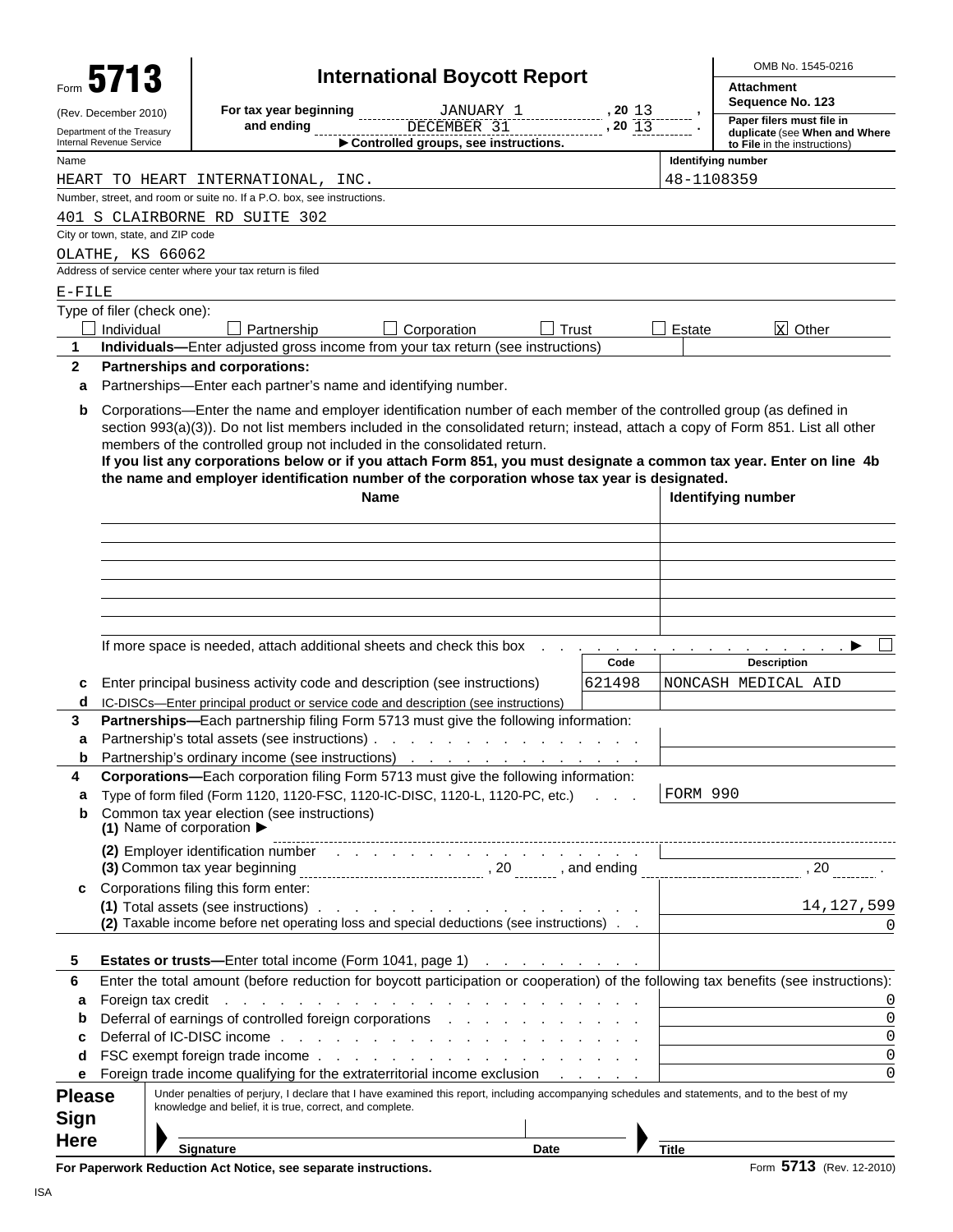|               |                                                        |                                                                              |                                                                        | <b>International Boycott Report</b>                                                                                                                                                                                            |       |              |              | OMB No. 1545-0216                                                                                                                                                                                                                                                                                                                                                                                            |
|---------------|--------------------------------------------------------|------------------------------------------------------------------------------|------------------------------------------------------------------------|--------------------------------------------------------------------------------------------------------------------------------------------------------------------------------------------------------------------------------|-------|--------------|--------------|--------------------------------------------------------------------------------------------------------------------------------------------------------------------------------------------------------------------------------------------------------------------------------------------------------------------------------------------------------------------------------------------------------------|
|               | Form 5713                                              |                                                                              |                                                                        |                                                                                                                                                                                                                                |       |              |              | <b>Attachment</b><br>Sequence No. 123                                                                                                                                                                                                                                                                                                                                                                        |
|               | (Rev. December 2010)                                   |                                                                              | For tax year beginning                                                 | JANUARY 1                                                                                                                                                                                                                      |       | , 2013       |              | Paper filers must file in                                                                                                                                                                                                                                                                                                                                                                                    |
|               | Department of the Treasury<br>Internal Revenue Service |                                                                              | and ending                                                             | DECEMBER 31<br>Controlled groups, see instructions.                                                                                                                                                                            |       | $, 20 \; 13$ |              | duplicate (see When and Where<br>to File in the instructions)                                                                                                                                                                                                                                                                                                                                                |
| Name          |                                                        |                                                                              |                                                                        |                                                                                                                                                                                                                                |       |              |              | Identifying number                                                                                                                                                                                                                                                                                                                                                                                           |
|               |                                                        | HEART TO HEART INTERNATIONAL, INC.                                           |                                                                        |                                                                                                                                                                                                                                |       |              | 48-1108359   |                                                                                                                                                                                                                                                                                                                                                                                                              |
|               |                                                        |                                                                              | Number, street, and room or suite no. If a P.O. box, see instructions. |                                                                                                                                                                                                                                |       |              |              |                                                                                                                                                                                                                                                                                                                                                                                                              |
|               |                                                        | 401 S CLAIRBORNE RD SUITE 302                                                |                                                                        |                                                                                                                                                                                                                                |       |              |              |                                                                                                                                                                                                                                                                                                                                                                                                              |
|               |                                                        | City or town, state, and ZIP code                                            |                                                                        |                                                                                                                                                                                                                                |       |              |              |                                                                                                                                                                                                                                                                                                                                                                                                              |
|               |                                                        | OLATHE, KS 66062<br>Address of service center where your tax return is filed |                                                                        |                                                                                                                                                                                                                                |       |              |              |                                                                                                                                                                                                                                                                                                                                                                                                              |
| $E-FILE$      |                                                        |                                                                              |                                                                        |                                                                                                                                                                                                                                |       |              |              |                                                                                                                                                                                                                                                                                                                                                                                                              |
|               |                                                        | Type of filer (check one):                                                   |                                                                        |                                                                                                                                                                                                                                |       |              |              |                                                                                                                                                                                                                                                                                                                                                                                                              |
|               | Individual                                             |                                                                              | Partnership                                                            | Corporation                                                                                                                                                                                                                    | Trust |              | Estate       | <b>x</b> Other                                                                                                                                                                                                                                                                                                                                                                                               |
| 1             |                                                        |                                                                              |                                                                        | Individuals-Enter adjusted gross income from your tax return (see instructions)                                                                                                                                                |       |              |              |                                                                                                                                                                                                                                                                                                                                                                                                              |
| $\mathbf{2}$  |                                                        | Partnerships and corporations:                                               |                                                                        |                                                                                                                                                                                                                                |       |              |              |                                                                                                                                                                                                                                                                                                                                                                                                              |
| a             |                                                        |                                                                              | Partnerships-Enter each partner's name and identifying number.         |                                                                                                                                                                                                                                |       |              |              |                                                                                                                                                                                                                                                                                                                                                                                                              |
| b             |                                                        |                                                                              | Name                                                                   | members of the controlled group not included in the consolidated return.<br>the name and employer identification number of the corporation whose tax year is designated.                                                       |       |              |              | Corporations—Enter the name and employer identification number of each member of the controlled group (as defined in<br>section 993(a)(3)). Do not list members included in the consolidated return; instead, attach a copy of Form 851. List all other<br>If you list any corporations below or if you attach Form 851, you must designate a common tax year. Enter on line 4b<br><b>Identifying number</b> |
|               |                                                        |                                                                              |                                                                        |                                                                                                                                                                                                                                |       |              |              |                                                                                                                                                                                                                                                                                                                                                                                                              |
|               |                                                        |                                                                              |                                                                        |                                                                                                                                                                                                                                |       |              |              |                                                                                                                                                                                                                                                                                                                                                                                                              |
|               |                                                        |                                                                              |                                                                        |                                                                                                                                                                                                                                |       |              |              |                                                                                                                                                                                                                                                                                                                                                                                                              |
|               |                                                        |                                                                              |                                                                        |                                                                                                                                                                                                                                |       |              |              |                                                                                                                                                                                                                                                                                                                                                                                                              |
|               |                                                        |                                                                              |                                                                        |                                                                                                                                                                                                                                |       |              |              |                                                                                                                                                                                                                                                                                                                                                                                                              |
|               |                                                        |                                                                              |                                                                        |                                                                                                                                                                                                                                |       |              |              |                                                                                                                                                                                                                                                                                                                                                                                                              |
|               |                                                        |                                                                              |                                                                        | If more space is needed, attach additional sheets and check this box                                                                                                                                                           |       |              |              |                                                                                                                                                                                                                                                                                                                                                                                                              |
|               |                                                        |                                                                              |                                                                        |                                                                                                                                                                                                                                |       | Code         |              | <b>Description</b>                                                                                                                                                                                                                                                                                                                                                                                           |
| c             |                                                        |                                                                              |                                                                        | Enter principal business activity code and description (see instructions)                                                                                                                                                      |       | 621498       |              | NONCASH MEDICAL AID                                                                                                                                                                                                                                                                                                                                                                                          |
| d             |                                                        |                                                                              |                                                                        | IC-DISCs-Enter principal product or service code and description (see instructions)                                                                                                                                            |       |              |              |                                                                                                                                                                                                                                                                                                                                                                                                              |
| 3             |                                                        |                                                                              |                                                                        | Partnerships—Each partnership filing Form 5713 must give the following information:                                                                                                                                            |       |              |              |                                                                                                                                                                                                                                                                                                                                                                                                              |
| а<br>b        |                                                        | Partnership's total assets (see instructions).                               |                                                                        | the contract of the contract of<br>Partnership's ordinary income (see instructions)                                                                                                                                            |       |              |              |                                                                                                                                                                                                                                                                                                                                                                                                              |
| 4             |                                                        |                                                                              |                                                                        | Corporations-Each corporation filing Form 5713 must give the following information:                                                                                                                                            |       |              |              |                                                                                                                                                                                                                                                                                                                                                                                                              |
| а             |                                                        |                                                                              |                                                                        | Type of form filed (Form 1120, 1120-FSC, 1120-IC-DISC, 1120-L, 1120-PC, etc.)                                                                                                                                                  |       |              | FORM 990     |                                                                                                                                                                                                                                                                                                                                                                                                              |
| b             |                                                        | Common tax year election (see instructions)                                  |                                                                        |                                                                                                                                                                                                                                |       |              |              |                                                                                                                                                                                                                                                                                                                                                                                                              |
|               |                                                        | (1) Name of corporation $\blacktriangleright$                                |                                                                        |                                                                                                                                                                                                                                |       |              |              |                                                                                                                                                                                                                                                                                                                                                                                                              |
|               |                                                        |                                                                              |                                                                        | (2) Employer identification number entertainment of the state of the state of the state of the state of the state of the state of the state of the state of the state of the state of the state of the state of the state of t |       |              |              |                                                                                                                                                                                                                                                                                                                                                                                                              |
|               |                                                        |                                                                              |                                                                        |                                                                                                                                                                                                                                |       |              |              |                                                                                                                                                                                                                                                                                                                                                                                                              |
| c             |                                                        | Corporations filing this form enter:                                         |                                                                        |                                                                                                                                                                                                                                |       |              |              |                                                                                                                                                                                                                                                                                                                                                                                                              |
|               |                                                        |                                                                              |                                                                        | (2) Taxable income before net operating loss and special deductions (see instructions)                                                                                                                                         |       |              |              | 14,127,599<br>$\Omega$                                                                                                                                                                                                                                                                                                                                                                                       |
|               |                                                        |                                                                              |                                                                        |                                                                                                                                                                                                                                |       |              |              |                                                                                                                                                                                                                                                                                                                                                                                                              |
| 5             |                                                        |                                                                              |                                                                        | Estates or trusts-Enter total income (Form 1041, page 1)                                                                                                                                                                       |       |              |              |                                                                                                                                                                                                                                                                                                                                                                                                              |
| 6             |                                                        |                                                                              |                                                                        |                                                                                                                                                                                                                                |       |              |              | Enter the total amount (before reduction for boycott participation or cooperation) of the following tax benefits (see instructions):                                                                                                                                                                                                                                                                         |
| а             |                                                        | Foreign tax credit                                                           |                                                                        | and the companion of the companion of the companion of the companion of the companion of the companion of the companion of the companion of the companion of the companion of the companion of the companion of the companion  |       |              |              | 0                                                                                                                                                                                                                                                                                                                                                                                                            |
| b             |                                                        |                                                                              |                                                                        | Deferral of earnings of controlled foreign corporations                                                                                                                                                                        |       |              |              | $\Omega$                                                                                                                                                                                                                                                                                                                                                                                                     |
| c             |                                                        |                                                                              |                                                                        |                                                                                                                                                                                                                                |       |              |              | $\Omega$                                                                                                                                                                                                                                                                                                                                                                                                     |
| d             |                                                        |                                                                              |                                                                        |                                                                                                                                                                                                                                |       |              |              | $\mathbf 0$<br>$\Omega$                                                                                                                                                                                                                                                                                                                                                                                      |
| е             |                                                        |                                                                              |                                                                        | Foreign trade income qualifying for the extraterritorial income exclusion                                                                                                                                                      |       |              |              | Under penalties of perjury, I declare that I have examined this report, including accompanying schedules and statements, and to the best of my                                                                                                                                                                                                                                                               |
| <b>Please</b> |                                                        |                                                                              | knowledge and belief, it is true, correct, and complete.               |                                                                                                                                                                                                                                |       |              |              |                                                                                                                                                                                                                                                                                                                                                                                                              |
| Sign          |                                                        |                                                                              |                                                                        |                                                                                                                                                                                                                                |       |              |              |                                                                                                                                                                                                                                                                                                                                                                                                              |
| <b>Here</b>   |                                                        | <b>Signature</b>                                                             |                                                                        |                                                                                                                                                                                                                                | Date  |              | <b>Title</b> |                                                                                                                                                                                                                                                                                                                                                                                                              |

**For Paperwork Reduction Act Notice, see separate instructions. <br>
Form 5713** (Rev. 12-2010)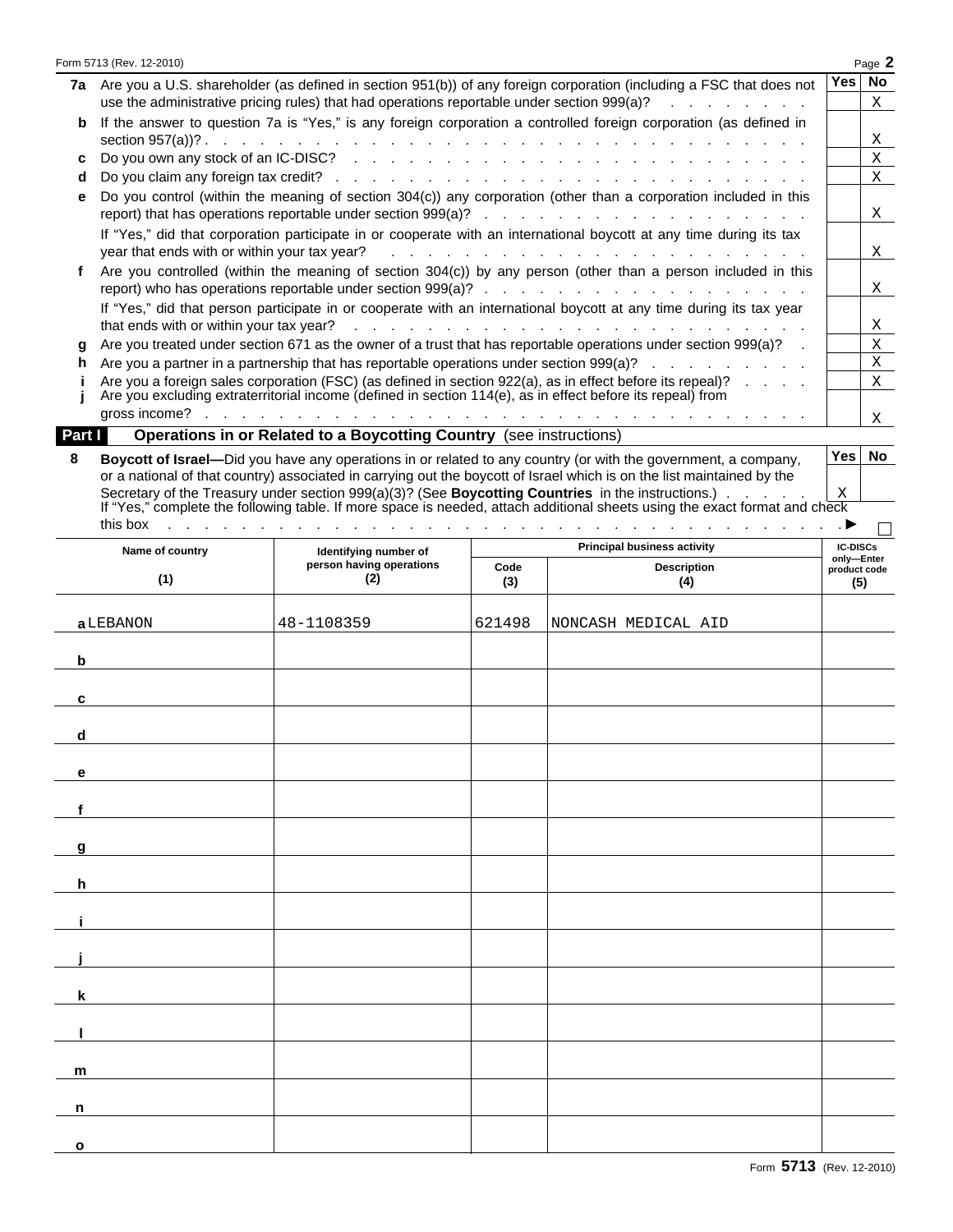|        |                                              |                                                                                                            |                                | 7a Are you a U.S. shareholder (as defined in section 951(b)) of any foreign corporation (including a FSC that does not                                                                                                                   | Yes                        | No |
|--------|----------------------------------------------|------------------------------------------------------------------------------------------------------------|--------------------------------|------------------------------------------------------------------------------------------------------------------------------------------------------------------------------------------------------------------------------------------|----------------------------|----|
|        |                                              | use the administrative pricing rules) that had operations reportable under section 999(a)?                 |                                |                                                                                                                                                                                                                                          |                            | Χ  |
| b      |                                              |                                                                                                            |                                | If the answer to question 7a is "Yes," is any foreign corporation a controlled foreign corporation (as defined in                                                                                                                        |                            | Χ  |
| с      |                                              |                                                                                                            |                                |                                                                                                                                                                                                                                          |                            | Χ  |
| d      |                                              |                                                                                                            |                                |                                                                                                                                                                                                                                          |                            | X  |
| е      |                                              |                                                                                                            |                                | Do you control (within the meaning of section 304(c)) any corporation (other than a corporation included in this                                                                                                                         |                            |    |
|        |                                              |                                                                                                            |                                |                                                                                                                                                                                                                                          |                            | X  |
|        |                                              |                                                                                                            |                                | If "Yes," did that corporation participate in or cooperate with an international boycott at any time during its tax                                                                                                                      |                            |    |
|        | year that ends with or within your tax year? |                                                                                                            |                                | and the contract of the contract of the contract of the contract of                                                                                                                                                                      |                            | X  |
| f      |                                              |                                                                                                            |                                | Are you controlled (within the meaning of section 304(c)) by any person (other than a person included in this                                                                                                                            |                            |    |
|        |                                              |                                                                                                            |                                |                                                                                                                                                                                                                                          |                            | X  |
|        |                                              |                                                                                                            |                                | If "Yes," did that person participate in or cooperate with an international boycott at any time during its tax year                                                                                                                      |                            |    |
|        | that ends with or within your tax year?      |                                                                                                            |                                |                                                                                                                                                                                                                                          |                            | X  |
| g      |                                              |                                                                                                            |                                | Are you treated under section 671 as the owner of a trust that has reportable operations under section 999(a)?                                                                                                                           |                            | Χ  |
| h      |                                              |                                                                                                            |                                | Are you a partner in a partnership that has reportable operations under section 999(a)?                                                                                                                                                  |                            | Χ  |
|        |                                              | Are you excluding extraterritorial income (defined in section 114(e), as in effect before its repeal) from |                                | Are you a foreign sales corporation (FSC) (as defined in section 922(a), as in effect before its repeal)?                                                                                                                                |                            | X  |
|        | gross income?                                |                                                                                                            |                                | فالقائد والمنافي والمتناقل والمتناقل والمنافي والمنافي والمنافي والمنافي والمنافي والمنافي والمنافي والمنافي                                                                                                                             |                            | X  |
| Part I |                                              | Operations in or Related to a Boycotting Country (see instructions)                                        |                                |                                                                                                                                                                                                                                          |                            |    |
|        |                                              |                                                                                                            |                                |                                                                                                                                                                                                                                          | Yes                        | No |
| 8      |                                              |                                                                                                            |                                | Boycott of Israel—Did you have any operations in or related to any country (or with the government, a company,<br>or a national of that country) associated in carrying out the boycott of Israel which is on the list maintained by the |                            |    |
|        |                                              |                                                                                                            |                                | Secretary of the Treasury under section $999(a)(3)$ ? (See <b>Boycotting Countries</b> in the instructions.)                                                                                                                             | Χ                          |    |
|        |                                              |                                                                                                            |                                | If "Yes," complete the following table. If more space is needed, attach additional sheets using the exact format and check                                                                                                               |                            |    |
|        | this box                                     | the company of the company of                                                                              | and a straightful contract and |                                                                                                                                                                                                                                          |                            |    |
|        | Name of country                              | Identifying number of                                                                                      |                                | <b>Principal business activity</b>                                                                                                                                                                                                       | <b>IC-DISCs</b>            |    |
|        |                                              | person having operations                                                                                   | Code                           | <b>Description</b>                                                                                                                                                                                                                       | only-Enter<br>product code |    |
|        | (1)                                          | (2)                                                                                                        | (3)                            | (4)                                                                                                                                                                                                                                      | (5)                        |    |
|        |                                              |                                                                                                            |                                |                                                                                                                                                                                                                                          |                            |    |
|        | a LEBANON                                    | 48-1108359                                                                                                 | 621498                         | NONCASH MEDICAL AID                                                                                                                                                                                                                      |                            |    |
|        |                                              |                                                                                                            |                                |                                                                                                                                                                                                                                          |                            |    |
|        |                                              |                                                                                                            |                                |                                                                                                                                                                                                                                          |                            |    |
| b      |                                              |                                                                                                            |                                |                                                                                                                                                                                                                                          |                            |    |
|        |                                              |                                                                                                            |                                |                                                                                                                                                                                                                                          |                            |    |
| с      |                                              |                                                                                                            |                                |                                                                                                                                                                                                                                          |                            |    |
|        |                                              |                                                                                                            |                                |                                                                                                                                                                                                                                          |                            |    |
| d      |                                              |                                                                                                            |                                |                                                                                                                                                                                                                                          |                            |    |
|        |                                              |                                                                                                            |                                |                                                                                                                                                                                                                                          |                            |    |
| е      |                                              |                                                                                                            |                                |                                                                                                                                                                                                                                          |                            |    |
|        |                                              |                                                                                                            |                                |                                                                                                                                                                                                                                          |                            |    |
| f      |                                              |                                                                                                            |                                |                                                                                                                                                                                                                                          |                            |    |
|        |                                              |                                                                                                            |                                |                                                                                                                                                                                                                                          |                            |    |
| g      |                                              |                                                                                                            |                                |                                                                                                                                                                                                                                          |                            |    |
|        |                                              |                                                                                                            |                                |                                                                                                                                                                                                                                          |                            |    |
| h.     |                                              |                                                                                                            |                                |                                                                                                                                                                                                                                          |                            |    |
|        |                                              |                                                                                                            |                                |                                                                                                                                                                                                                                          |                            |    |
|        |                                              |                                                                                                            |                                |                                                                                                                                                                                                                                          |                            |    |
|        |                                              |                                                                                                            |                                |                                                                                                                                                                                                                                          |                            |    |
|        |                                              |                                                                                                            |                                |                                                                                                                                                                                                                                          |                            |    |
|        |                                              |                                                                                                            |                                |                                                                                                                                                                                                                                          |                            |    |
| k.     |                                              |                                                                                                            |                                |                                                                                                                                                                                                                                          |                            |    |
|        |                                              |                                                                                                            |                                |                                                                                                                                                                                                                                          |                            |    |
|        |                                              |                                                                                                            |                                |                                                                                                                                                                                                                                          |                            |    |
|        |                                              |                                                                                                            |                                |                                                                                                                                                                                                                                          |                            |    |
| m      |                                              |                                                                                                            |                                |                                                                                                                                                                                                                                          |                            |    |

**o**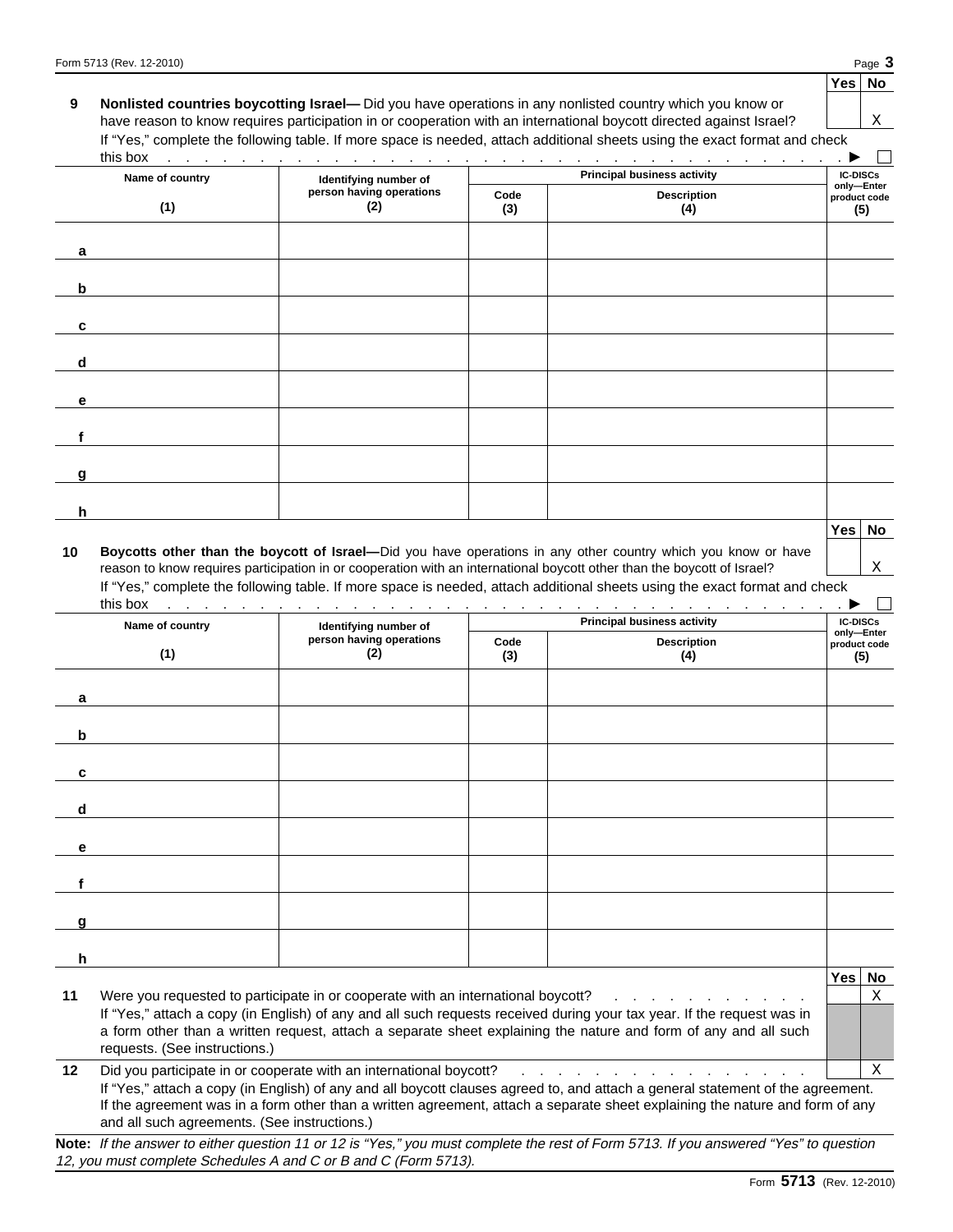| 9      | this box                                     |                                                                                  |             | <b>Nonlisted countries boycotting Israel—</b> Did you have operations in any nonlisted country which you know or<br>have reason to know requires participation in or cooperation with an international boycott directed against Israel?<br>If "Yes," complete the following table. If more space is needed, attach additional sheets using the exact format and check<br>and the second contract of the contract of the contract of the contract of the contract of the contract of the           | Χ                                 |
|--------|----------------------------------------------|----------------------------------------------------------------------------------|-------------|---------------------------------------------------------------------------------------------------------------------------------------------------------------------------------------------------------------------------------------------------------------------------------------------------------------------------------------------------------------------------------------------------------------------------------------------------------------------------------------------------|-----------------------------------|
|        | Name of country                              | Identifying number of                                                            |             | <b>Principal business activity</b>                                                                                                                                                                                                                                                                                                                                                                                                                                                                | <b>IC-DISCs</b>                   |
|        | (1)                                          | person having operations<br>(2)                                                  | Code<br>(3) | <b>Description</b><br>(4)                                                                                                                                                                                                                                                                                                                                                                                                                                                                         | only-Enter<br>product code<br>(5) |
| a      |                                              |                                                                                  |             |                                                                                                                                                                                                                                                                                                                                                                                                                                                                                                   |                                   |
| b      |                                              |                                                                                  |             |                                                                                                                                                                                                                                                                                                                                                                                                                                                                                                   |                                   |
| c      |                                              |                                                                                  |             |                                                                                                                                                                                                                                                                                                                                                                                                                                                                                                   |                                   |
| d      |                                              |                                                                                  |             |                                                                                                                                                                                                                                                                                                                                                                                                                                                                                                   |                                   |
| е      |                                              |                                                                                  |             |                                                                                                                                                                                                                                                                                                                                                                                                                                                                                                   |                                   |
|        |                                              |                                                                                  |             |                                                                                                                                                                                                                                                                                                                                                                                                                                                                                                   |                                   |
| g      |                                              |                                                                                  |             |                                                                                                                                                                                                                                                                                                                                                                                                                                                                                                   |                                   |
| h      |                                              |                                                                                  |             |                                                                                                                                                                                                                                                                                                                                                                                                                                                                                                   |                                   |
| 10     |                                              |                                                                                  |             | Boycotts other than the boycott of Israel-Did you have operations in any other country which you know or have<br>reason to know requires participation in or cooperation with an international boycott other than the boycott of Israel?<br>If "Yes," complete the following table. If more space is needed, attach additional sheets using the exact format and check                                                                                                                            | No<br>Yes⊺<br>Χ                   |
|        | this box                                     |                                                                                  |             | المناصر والمناور والمناور والمناور والمناور والمناور والمناور والمناور والمناور والمناور والمناور والمناور والمناور                                                                                                                                                                                                                                                                                                                                                                               |                                   |
|        | Name of country                              | Identifying number of                                                            |             | <b>Principal business activity</b>                                                                                                                                                                                                                                                                                                                                                                                                                                                                | <b>IC-DISCs</b>                   |
|        | (1)                                          | person having operations<br>(2)                                                  | Code<br>(3) | <b>Description</b><br>(4)                                                                                                                                                                                                                                                                                                                                                                                                                                                                         | only-Enter<br>product code<br>(5) |
|        |                                              |                                                                                  |             |                                                                                                                                                                                                                                                                                                                                                                                                                                                                                                   |                                   |
| a<br>b |                                              |                                                                                  |             |                                                                                                                                                                                                                                                                                                                                                                                                                                                                                                   |                                   |
|        |                                              |                                                                                  |             |                                                                                                                                                                                                                                                                                                                                                                                                                                                                                                   |                                   |
| c<br>d |                                              |                                                                                  |             |                                                                                                                                                                                                                                                                                                                                                                                                                                                                                                   |                                   |
| е      |                                              |                                                                                  |             |                                                                                                                                                                                                                                                                                                                                                                                                                                                                                                   |                                   |
| f      |                                              |                                                                                  |             |                                                                                                                                                                                                                                                                                                                                                                                                                                                                                                   |                                   |
| g      |                                              |                                                                                  |             |                                                                                                                                                                                                                                                                                                                                                                                                                                                                                                   |                                   |
| h      |                                              |                                                                                  |             |                                                                                                                                                                                                                                                                                                                                                                                                                                                                                                   |                                   |
|        |                                              |                                                                                  |             |                                                                                                                                                                                                                                                                                                                                                                                                                                                                                                   | Yes<br>No                         |
| 11     | requests. (See instructions.)                | Were you requested to participate in or cooperate with an international boycott? |             | .<br>If "Yes," attach a copy (in English) of any and all such requests received during your tax year. If the request was in<br>a form other than a written request, attach a separate sheet explaining the nature and form of any and all such                                                                                                                                                                                                                                                    | X                                 |
| 12     | and all such agreements. (See instructions.) | Did you participate in or cooperate with an international boycott?               |             | and the contract of the contract of the contract of the contract of the contract of the contract of the contract of the contract of the contract of the contract of the contract of the contract of the contract of the contra<br>If "Yes," attach a copy (in English) of any and all boycott clauses agreed to, and attach a general statement of the agreement.<br>If the agreement was in a form other than a written agreement, attach a separate sheet explaining the nature and form of any | Χ                                 |
|        |                                              | 12, you must complete Schedules A and C or B and C (Form 5713).                  |             | Note: If the answer to either question 11 or 12 is "Yes," you must complete the rest of Form 5713. If you answered "Yes" to question                                                                                                                                                                                                                                                                                                                                                              |                                   |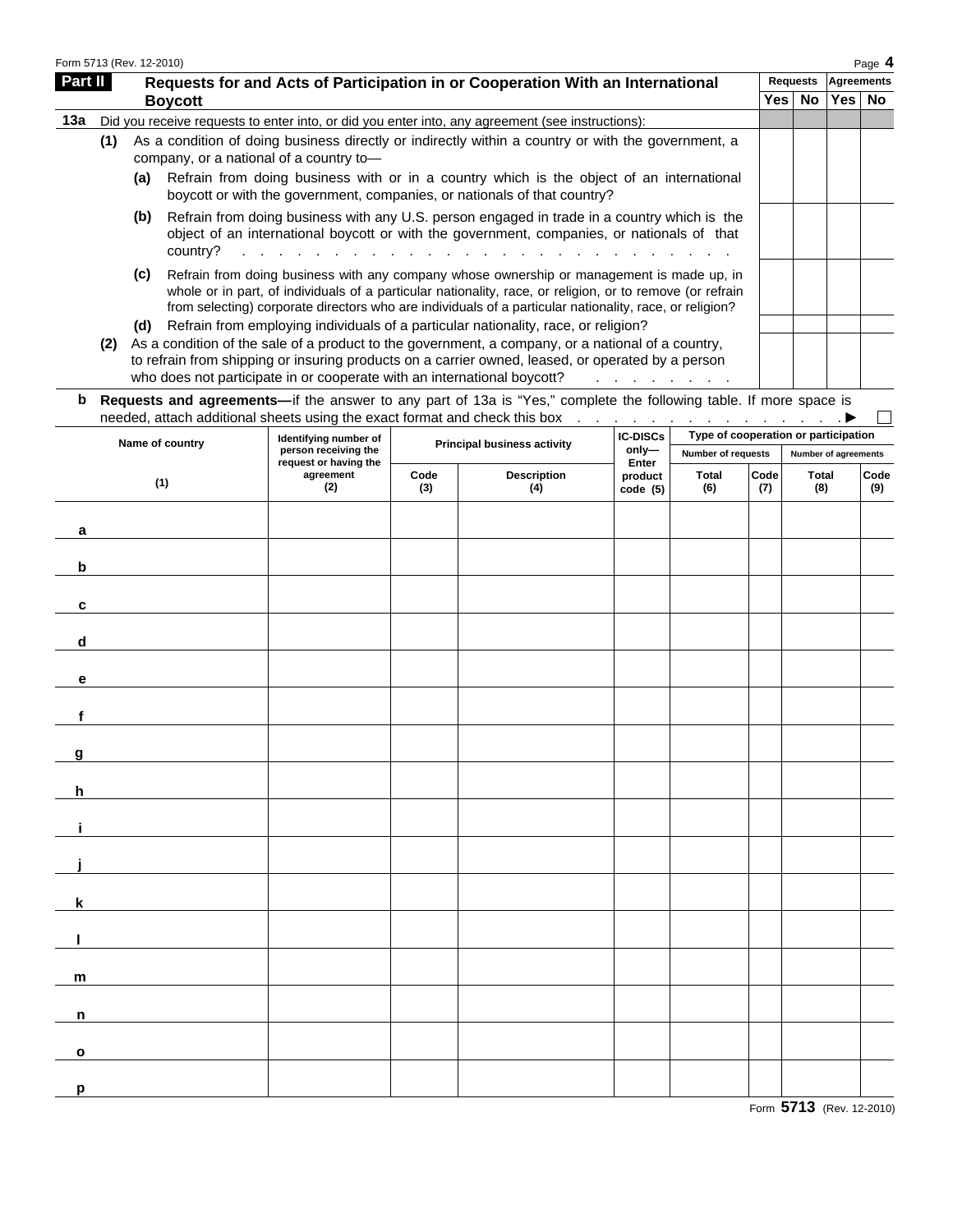| Form 5713 (Rev. 12-2010) |     |     |                                                                                                                                                                                                                                                                                                                                                                                                                                         |      |          |            | Page 4 |
|--------------------------|-----|-----|-----------------------------------------------------------------------------------------------------------------------------------------------------------------------------------------------------------------------------------------------------------------------------------------------------------------------------------------------------------------------------------------------------------------------------------------|------|----------|------------|--------|
| Part II                  |     |     | Requests for and Acts of Participation in or Cooperation With an International                                                                                                                                                                                                                                                                                                                                                          |      | Requests | Agreements |        |
|                          |     |     | <b>Boycott</b>                                                                                                                                                                                                                                                                                                                                                                                                                          | Yes⊺ | No       | Yes   No   |        |
| 13а                      |     |     | Did you receive requests to enter into, or did you enter into, any agreement (see instructions):                                                                                                                                                                                                                                                                                                                                        |      |          |            |        |
|                          | (1) |     | As a condition of doing business directly or indirectly within a country or with the government, a<br>company, or a national of a country to-                                                                                                                                                                                                                                                                                           |      |          |            |        |
|                          |     | (a) | Refrain from doing business with or in a country which is the object of an international<br>boycott or with the government, companies, or nationals of that country?                                                                                                                                                                                                                                                                    |      |          |            |        |
|                          |     | (b) | Refrain from doing business with any U.S. person engaged in trade in a country which is the<br>object of an international boycott or with the government, companies, or nationals of that<br>country?<br>and the contract of the contract of the contract of the contract of the contract of the contract of the contract of the contract of the contract of the contract of the contract of the contract of the contract of the contra |      |          |            |        |
|                          |     | (c) | Refrain from doing business with any company whose ownership or management is made up, in<br>whole or in part, of individuals of a particular nationality, race, or religion, or to remove (or refrain<br>from selecting) corporate directors who are individuals of a particular nationality, race, or religion?                                                                                                                       |      |          |            |        |
|                          |     | (d) | Refrain from employing individuals of a particular nationality, race, or religion?                                                                                                                                                                                                                                                                                                                                                      |      |          |            |        |
|                          | (2) |     | As a condition of the sale of a product to the government, a company, or a national of a country,<br>to refrain from shipping or insuring products on a carrier owned, leased, or operated by a person<br>who does not participate in or cooperate with an international boycott?                                                                                                                                                       |      |          |            |        |

**b Requests and agreements—**if the answer to any part of 13a is "Yes," complete the following table. If more space is

| Name of country | Identifying number of                         |             | <b>Principal business activity</b> | <b>IC-DISCs</b>     | Type of cooperation or participation |             |                      |                        |  |  |
|-----------------|-----------------------------------------------|-------------|------------------------------------|---------------------|--------------------------------------|-------------|----------------------|------------------------|--|--|
|                 | person receiving the<br>request or having the |             |                                    | only-<br>Enter      | Number of requests                   |             | Number of agreements |                        |  |  |
| (1)             | agreement<br>(2)                              | Code<br>(3) | <b>Description</b><br>(4)          | product<br>code (5) | <b>Total</b><br>(6)                  | Code<br>(7) | Total<br>(8)         | $\mathsf{Code}$<br>(9) |  |  |
| a               |                                               |             |                                    |                     |                                      |             |                      |                        |  |  |
| $\mathbf b$     |                                               |             |                                    |                     |                                      |             |                      |                        |  |  |
| C               |                                               |             |                                    |                     |                                      |             |                      |                        |  |  |
| d               |                                               |             |                                    |                     |                                      |             |                      |                        |  |  |
| е               |                                               |             |                                    |                     |                                      |             |                      |                        |  |  |
| f               |                                               |             |                                    |                     |                                      |             |                      |                        |  |  |
| g               |                                               |             |                                    |                     |                                      |             |                      |                        |  |  |
| h               |                                               |             |                                    |                     |                                      |             |                      |                        |  |  |
|                 |                                               |             |                                    |                     |                                      |             |                      |                        |  |  |
|                 |                                               |             |                                    |                     |                                      |             |                      |                        |  |  |
| k               |                                               |             |                                    |                     |                                      |             |                      |                        |  |  |
|                 |                                               |             |                                    |                     |                                      |             |                      |                        |  |  |
| m               |                                               |             |                                    |                     |                                      |             |                      |                        |  |  |
| n               |                                               |             |                                    |                     |                                      |             |                      |                        |  |  |
| $\mathbf{o}$    |                                               |             |                                    |                     |                                      |             |                      |                        |  |  |
| p               |                                               |             |                                    |                     |                                      |             |                      |                        |  |  |

Form **5713** (Rev. 12-2010)